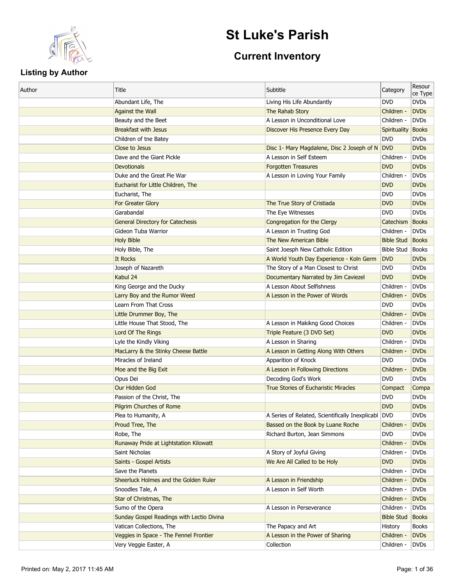

# **St Luke's Parish**

# **Current Inventory**

| <b>DVD</b><br><b>DVDs</b><br>Abundant Life, The<br>Living His Life Abundantly<br><b>DVDs</b><br>Children -<br><b>Against the Wall</b><br>The Rahab Story<br><b>DVDs</b><br>Beauty and the Beet<br>A Lesson in Unconditional Love<br>Children -<br><b>Breakfast with Jesus</b><br>Discover His Presence Every Day<br>Spirituality Books<br><b>DVDs</b><br>Children of tne Batey<br><b>DVD</b><br>Close to Jesus<br><b>DVD</b><br><b>DVDs</b><br>Disc 1- Mary Magdalene, Disc 2 Joseph of N<br>Dave and the Giant Pickle<br>A Lesson in Self Esteem<br>Children -<br><b>DVDs</b><br><b>DVD</b><br><b>DVDs</b><br><b>Devotionals</b><br><b>Forgotten Treasures</b><br>Duke and the Great Pie War<br><b>DVDs</b><br>A Lesson in Loving Your Family<br>Children -<br><b>DVD</b><br><b>DVDs</b><br>Eucharist for Little Children, The<br><b>DVDs</b><br>Eucharist, The<br><b>DVD</b><br><b>DVDs</b><br>For Greater Glory<br>The True Story of Cristiada<br><b>DVD</b><br>Garabandal<br><b>DVDs</b><br>The Eye Witnesses<br><b>DVD</b><br><b>Books</b><br><b>General Directory for Catechesis</b><br>Congregation for the Clergy<br>Catechism<br><b>DVDs</b><br>Gideon Tuba Warrior<br>A Lesson in Trusting God<br>Children -<br><b>Holy Bible</b><br>The New American Bible<br><b>Bible Stud</b><br>Books<br><b>Bible Stud</b><br>Books<br>Holy Bible, The<br>Saint Joesph New Catholic Edition<br>A World Youth Day Experience - Koln Germ<br><b>DVD</b><br><b>DVDs</b><br>It Rocks<br>Joseph of Nazareth<br>The Story of a Man Closest to Christ<br><b>DVD</b><br><b>DVDs</b><br>Kabul 24<br><b>DVD</b><br><b>DVDs</b><br>Documentary Narrated by Jim Caviezel<br>A Lesson About Selfishness<br><b>DVDs</b><br>King George and the Ducky<br>Children -<br><b>DVDs</b><br>Larry Boy and the Rumor Weed<br>A Lesson in the Power of Words<br>Children -<br>Learn From That Cross<br><b>DVDs</b><br><b>DVD</b><br><b>DVDs</b><br>Little Drummer Boy, The<br>Children -<br>Little House That Stood, The<br><b>DVDs</b><br>A Lesson in Makikng Good Choices<br>Children -<br>Lord Of The Rings<br>Triple Feature (3 DVD Set)<br><b>DVDs</b><br><b>DVD</b><br><b>DVDs</b><br>A Lesson in Sharing<br>Children -<br>Lyle the Kindly Viking<br><b>DVDs</b><br>A Lesson in Getting Along With Others<br>MacLarry & the Stinky Cheese Battle<br>Children -<br>Miracles of Ireland<br>Apparition of Knock<br><b>DVD</b><br><b>DVDs</b><br>A Lesson in Following Directions<br>Children -<br><b>DVDs</b><br>Moe and the Big Exit<br>Decoding God's Work<br><b>DVD</b><br><b>DVDs</b><br>Opus Dei<br>Our Hidden God<br><b>True Stories of Eucharistic Miracles</b><br>Compact<br>Compa<br><b>DVDs</b><br>Passion of the Christ, The<br><b>DVD</b><br><b>Pilgrim Churches of Rome</b><br><b>DVD</b><br><b>DVDs</b><br>A Series of Related, Scientifically Inexplicabl DVD<br><b>DVDs</b><br>Plea to Humanity, A<br>Proud Tree, The<br>Bassed on the Book by Luane Roche<br>Children -<br><b>DVDs</b><br><b>DVDs</b><br>Robe, The<br>Richard Burton, Jean Simmons<br><b>DVD</b><br><b>DVDs</b><br>Runaway Pride at Lightstation Kilowatt<br>Children -<br>A Story of Joyful Giving<br><b>DVDs</b><br>Saint Nicholas<br>Children -<br><b>DVD</b><br><b>DVDs</b><br>Saints - Gospel Artists<br>We Are All Called to be Holy<br>Save the Planets<br><b>DVDs</b><br>Children -<br>Sheerluck Holmes and the Golden Ruler<br>A Lesson in Friendship<br>Children -<br><b>DVDs</b><br>A Lesson in Self Worth<br><b>DVDs</b><br>Snoodles Tale, A<br>Children -<br>Star of Christmas, The<br><b>DVDs</b><br>Children -<br>Sumo of the Opera<br>A Lesson in Perseverance<br><b>DVDs</b><br>Children -<br>Sunday Gospel Readings with Lectio Divina<br><b>Bible Stud</b><br>Books<br>Vatican Collections, The<br>The Papacy and Art<br><b>Books</b><br>History<br>Veggies in Space - The Fennel Frontier<br>A Lesson in the Power of Sharing<br>Children -<br><b>DVDs</b><br>Very Veggie Easter, A<br>Collection<br>Children -<br><b>DVDs</b> | Author | Title | Subtitle | Category | Resour<br>ce Type |
|---------------------------------------------------------------------------------------------------------------------------------------------------------------------------------------------------------------------------------------------------------------------------------------------------------------------------------------------------------------------------------------------------------------------------------------------------------------------------------------------------------------------------------------------------------------------------------------------------------------------------------------------------------------------------------------------------------------------------------------------------------------------------------------------------------------------------------------------------------------------------------------------------------------------------------------------------------------------------------------------------------------------------------------------------------------------------------------------------------------------------------------------------------------------------------------------------------------------------------------------------------------------------------------------------------------------------------------------------------------------------------------------------------------------------------------------------------------------------------------------------------------------------------------------------------------------------------------------------------------------------------------------------------------------------------------------------------------------------------------------------------------------------------------------------------------------------------------------------------------------------------------------------------------------------------------------------------------------------------------------------------------------------------------------------------------------------------------------------------------------------------------------------------------------------------------------------------------------------------------------------------------------------------------------------------------------------------------------------------------------------------------------------------------------------------------------------------------------------------------------------------------------------------------------------------------------------------------------------------------------------------------------------------------------------------------------------------------------------------------------------------------------------------------------------------------------------------------------------------------------------------------------------------------------------------------------------------------------------------------------------------------------------------------------------------------------------------------------------------------------------------------------------------------------------------------------------------------------------------------------------------------------------------------------------------------------------------------------------------------------------------------------------------------------------------------------------------------------------------------------------------------------------------------------------------------------------------------------------------------------------------------------------------------------------------------------------------------------------------------------------------------------------------------------------------------------------------------------------------------------------------------------------------------------------------------------------------------------------------------------------------------|--------|-------|----------|----------|-------------------|
|                                                                                                                                                                                                                                                                                                                                                                                                                                                                                                                                                                                                                                                                                                                                                                                                                                                                                                                                                                                                                                                                                                                                                                                                                                                                                                                                                                                                                                                                                                                                                                                                                                                                                                                                                                                                                                                                                                                                                                                                                                                                                                                                                                                                                                                                                                                                                                                                                                                                                                                                                                                                                                                                                                                                                                                                                                                                                                                                                                                                                                                                                                                                                                                                                                                                                                                                                                                                                                                                                                                                                                                                                                                                                                                                                                                                                                                                                                                                                                                                               |        |       |          |          |                   |
|                                                                                                                                                                                                                                                                                                                                                                                                                                                                                                                                                                                                                                                                                                                                                                                                                                                                                                                                                                                                                                                                                                                                                                                                                                                                                                                                                                                                                                                                                                                                                                                                                                                                                                                                                                                                                                                                                                                                                                                                                                                                                                                                                                                                                                                                                                                                                                                                                                                                                                                                                                                                                                                                                                                                                                                                                                                                                                                                                                                                                                                                                                                                                                                                                                                                                                                                                                                                                                                                                                                                                                                                                                                                                                                                                                                                                                                                                                                                                                                                               |        |       |          |          |                   |
|                                                                                                                                                                                                                                                                                                                                                                                                                                                                                                                                                                                                                                                                                                                                                                                                                                                                                                                                                                                                                                                                                                                                                                                                                                                                                                                                                                                                                                                                                                                                                                                                                                                                                                                                                                                                                                                                                                                                                                                                                                                                                                                                                                                                                                                                                                                                                                                                                                                                                                                                                                                                                                                                                                                                                                                                                                                                                                                                                                                                                                                                                                                                                                                                                                                                                                                                                                                                                                                                                                                                                                                                                                                                                                                                                                                                                                                                                                                                                                                                               |        |       |          |          |                   |
|                                                                                                                                                                                                                                                                                                                                                                                                                                                                                                                                                                                                                                                                                                                                                                                                                                                                                                                                                                                                                                                                                                                                                                                                                                                                                                                                                                                                                                                                                                                                                                                                                                                                                                                                                                                                                                                                                                                                                                                                                                                                                                                                                                                                                                                                                                                                                                                                                                                                                                                                                                                                                                                                                                                                                                                                                                                                                                                                                                                                                                                                                                                                                                                                                                                                                                                                                                                                                                                                                                                                                                                                                                                                                                                                                                                                                                                                                                                                                                                                               |        |       |          |          |                   |
|                                                                                                                                                                                                                                                                                                                                                                                                                                                                                                                                                                                                                                                                                                                                                                                                                                                                                                                                                                                                                                                                                                                                                                                                                                                                                                                                                                                                                                                                                                                                                                                                                                                                                                                                                                                                                                                                                                                                                                                                                                                                                                                                                                                                                                                                                                                                                                                                                                                                                                                                                                                                                                                                                                                                                                                                                                                                                                                                                                                                                                                                                                                                                                                                                                                                                                                                                                                                                                                                                                                                                                                                                                                                                                                                                                                                                                                                                                                                                                                                               |        |       |          |          |                   |
|                                                                                                                                                                                                                                                                                                                                                                                                                                                                                                                                                                                                                                                                                                                                                                                                                                                                                                                                                                                                                                                                                                                                                                                                                                                                                                                                                                                                                                                                                                                                                                                                                                                                                                                                                                                                                                                                                                                                                                                                                                                                                                                                                                                                                                                                                                                                                                                                                                                                                                                                                                                                                                                                                                                                                                                                                                                                                                                                                                                                                                                                                                                                                                                                                                                                                                                                                                                                                                                                                                                                                                                                                                                                                                                                                                                                                                                                                                                                                                                                               |        |       |          |          |                   |
|                                                                                                                                                                                                                                                                                                                                                                                                                                                                                                                                                                                                                                                                                                                                                                                                                                                                                                                                                                                                                                                                                                                                                                                                                                                                                                                                                                                                                                                                                                                                                                                                                                                                                                                                                                                                                                                                                                                                                                                                                                                                                                                                                                                                                                                                                                                                                                                                                                                                                                                                                                                                                                                                                                                                                                                                                                                                                                                                                                                                                                                                                                                                                                                                                                                                                                                                                                                                                                                                                                                                                                                                                                                                                                                                                                                                                                                                                                                                                                                                               |        |       |          |          |                   |
|                                                                                                                                                                                                                                                                                                                                                                                                                                                                                                                                                                                                                                                                                                                                                                                                                                                                                                                                                                                                                                                                                                                                                                                                                                                                                                                                                                                                                                                                                                                                                                                                                                                                                                                                                                                                                                                                                                                                                                                                                                                                                                                                                                                                                                                                                                                                                                                                                                                                                                                                                                                                                                                                                                                                                                                                                                                                                                                                                                                                                                                                                                                                                                                                                                                                                                                                                                                                                                                                                                                                                                                                                                                                                                                                                                                                                                                                                                                                                                                                               |        |       |          |          |                   |
|                                                                                                                                                                                                                                                                                                                                                                                                                                                                                                                                                                                                                                                                                                                                                                                                                                                                                                                                                                                                                                                                                                                                                                                                                                                                                                                                                                                                                                                                                                                                                                                                                                                                                                                                                                                                                                                                                                                                                                                                                                                                                                                                                                                                                                                                                                                                                                                                                                                                                                                                                                                                                                                                                                                                                                                                                                                                                                                                                                                                                                                                                                                                                                                                                                                                                                                                                                                                                                                                                                                                                                                                                                                                                                                                                                                                                                                                                                                                                                                                               |        |       |          |          |                   |
|                                                                                                                                                                                                                                                                                                                                                                                                                                                                                                                                                                                                                                                                                                                                                                                                                                                                                                                                                                                                                                                                                                                                                                                                                                                                                                                                                                                                                                                                                                                                                                                                                                                                                                                                                                                                                                                                                                                                                                                                                                                                                                                                                                                                                                                                                                                                                                                                                                                                                                                                                                                                                                                                                                                                                                                                                                                                                                                                                                                                                                                                                                                                                                                                                                                                                                                                                                                                                                                                                                                                                                                                                                                                                                                                                                                                                                                                                                                                                                                                               |        |       |          |          |                   |
|                                                                                                                                                                                                                                                                                                                                                                                                                                                                                                                                                                                                                                                                                                                                                                                                                                                                                                                                                                                                                                                                                                                                                                                                                                                                                                                                                                                                                                                                                                                                                                                                                                                                                                                                                                                                                                                                                                                                                                                                                                                                                                                                                                                                                                                                                                                                                                                                                                                                                                                                                                                                                                                                                                                                                                                                                                                                                                                                                                                                                                                                                                                                                                                                                                                                                                                                                                                                                                                                                                                                                                                                                                                                                                                                                                                                                                                                                                                                                                                                               |        |       |          |          |                   |
|                                                                                                                                                                                                                                                                                                                                                                                                                                                                                                                                                                                                                                                                                                                                                                                                                                                                                                                                                                                                                                                                                                                                                                                                                                                                                                                                                                                                                                                                                                                                                                                                                                                                                                                                                                                                                                                                                                                                                                                                                                                                                                                                                                                                                                                                                                                                                                                                                                                                                                                                                                                                                                                                                                                                                                                                                                                                                                                                                                                                                                                                                                                                                                                                                                                                                                                                                                                                                                                                                                                                                                                                                                                                                                                                                                                                                                                                                                                                                                                                               |        |       |          |          |                   |
|                                                                                                                                                                                                                                                                                                                                                                                                                                                                                                                                                                                                                                                                                                                                                                                                                                                                                                                                                                                                                                                                                                                                                                                                                                                                                                                                                                                                                                                                                                                                                                                                                                                                                                                                                                                                                                                                                                                                                                                                                                                                                                                                                                                                                                                                                                                                                                                                                                                                                                                                                                                                                                                                                                                                                                                                                                                                                                                                                                                                                                                                                                                                                                                                                                                                                                                                                                                                                                                                                                                                                                                                                                                                                                                                                                                                                                                                                                                                                                                                               |        |       |          |          |                   |
|                                                                                                                                                                                                                                                                                                                                                                                                                                                                                                                                                                                                                                                                                                                                                                                                                                                                                                                                                                                                                                                                                                                                                                                                                                                                                                                                                                                                                                                                                                                                                                                                                                                                                                                                                                                                                                                                                                                                                                                                                                                                                                                                                                                                                                                                                                                                                                                                                                                                                                                                                                                                                                                                                                                                                                                                                                                                                                                                                                                                                                                                                                                                                                                                                                                                                                                                                                                                                                                                                                                                                                                                                                                                                                                                                                                                                                                                                                                                                                                                               |        |       |          |          |                   |
|                                                                                                                                                                                                                                                                                                                                                                                                                                                                                                                                                                                                                                                                                                                                                                                                                                                                                                                                                                                                                                                                                                                                                                                                                                                                                                                                                                                                                                                                                                                                                                                                                                                                                                                                                                                                                                                                                                                                                                                                                                                                                                                                                                                                                                                                                                                                                                                                                                                                                                                                                                                                                                                                                                                                                                                                                                                                                                                                                                                                                                                                                                                                                                                                                                                                                                                                                                                                                                                                                                                                                                                                                                                                                                                                                                                                                                                                                                                                                                                                               |        |       |          |          |                   |
|                                                                                                                                                                                                                                                                                                                                                                                                                                                                                                                                                                                                                                                                                                                                                                                                                                                                                                                                                                                                                                                                                                                                                                                                                                                                                                                                                                                                                                                                                                                                                                                                                                                                                                                                                                                                                                                                                                                                                                                                                                                                                                                                                                                                                                                                                                                                                                                                                                                                                                                                                                                                                                                                                                                                                                                                                                                                                                                                                                                                                                                                                                                                                                                                                                                                                                                                                                                                                                                                                                                                                                                                                                                                                                                                                                                                                                                                                                                                                                                                               |        |       |          |          |                   |
|                                                                                                                                                                                                                                                                                                                                                                                                                                                                                                                                                                                                                                                                                                                                                                                                                                                                                                                                                                                                                                                                                                                                                                                                                                                                                                                                                                                                                                                                                                                                                                                                                                                                                                                                                                                                                                                                                                                                                                                                                                                                                                                                                                                                                                                                                                                                                                                                                                                                                                                                                                                                                                                                                                                                                                                                                                                                                                                                                                                                                                                                                                                                                                                                                                                                                                                                                                                                                                                                                                                                                                                                                                                                                                                                                                                                                                                                                                                                                                                                               |        |       |          |          |                   |
|                                                                                                                                                                                                                                                                                                                                                                                                                                                                                                                                                                                                                                                                                                                                                                                                                                                                                                                                                                                                                                                                                                                                                                                                                                                                                                                                                                                                                                                                                                                                                                                                                                                                                                                                                                                                                                                                                                                                                                                                                                                                                                                                                                                                                                                                                                                                                                                                                                                                                                                                                                                                                                                                                                                                                                                                                                                                                                                                                                                                                                                                                                                                                                                                                                                                                                                                                                                                                                                                                                                                                                                                                                                                                                                                                                                                                                                                                                                                                                                                               |        |       |          |          |                   |
|                                                                                                                                                                                                                                                                                                                                                                                                                                                                                                                                                                                                                                                                                                                                                                                                                                                                                                                                                                                                                                                                                                                                                                                                                                                                                                                                                                                                                                                                                                                                                                                                                                                                                                                                                                                                                                                                                                                                                                                                                                                                                                                                                                                                                                                                                                                                                                                                                                                                                                                                                                                                                                                                                                                                                                                                                                                                                                                                                                                                                                                                                                                                                                                                                                                                                                                                                                                                                                                                                                                                                                                                                                                                                                                                                                                                                                                                                                                                                                                                               |        |       |          |          |                   |
|                                                                                                                                                                                                                                                                                                                                                                                                                                                                                                                                                                                                                                                                                                                                                                                                                                                                                                                                                                                                                                                                                                                                                                                                                                                                                                                                                                                                                                                                                                                                                                                                                                                                                                                                                                                                                                                                                                                                                                                                                                                                                                                                                                                                                                                                                                                                                                                                                                                                                                                                                                                                                                                                                                                                                                                                                                                                                                                                                                                                                                                                                                                                                                                                                                                                                                                                                                                                                                                                                                                                                                                                                                                                                                                                                                                                                                                                                                                                                                                                               |        |       |          |          |                   |
|                                                                                                                                                                                                                                                                                                                                                                                                                                                                                                                                                                                                                                                                                                                                                                                                                                                                                                                                                                                                                                                                                                                                                                                                                                                                                                                                                                                                                                                                                                                                                                                                                                                                                                                                                                                                                                                                                                                                                                                                                                                                                                                                                                                                                                                                                                                                                                                                                                                                                                                                                                                                                                                                                                                                                                                                                                                                                                                                                                                                                                                                                                                                                                                                                                                                                                                                                                                                                                                                                                                                                                                                                                                                                                                                                                                                                                                                                                                                                                                                               |        |       |          |          |                   |
|                                                                                                                                                                                                                                                                                                                                                                                                                                                                                                                                                                                                                                                                                                                                                                                                                                                                                                                                                                                                                                                                                                                                                                                                                                                                                                                                                                                                                                                                                                                                                                                                                                                                                                                                                                                                                                                                                                                                                                                                                                                                                                                                                                                                                                                                                                                                                                                                                                                                                                                                                                                                                                                                                                                                                                                                                                                                                                                                                                                                                                                                                                                                                                                                                                                                                                                                                                                                                                                                                                                                                                                                                                                                                                                                                                                                                                                                                                                                                                                                               |        |       |          |          |                   |
|                                                                                                                                                                                                                                                                                                                                                                                                                                                                                                                                                                                                                                                                                                                                                                                                                                                                                                                                                                                                                                                                                                                                                                                                                                                                                                                                                                                                                                                                                                                                                                                                                                                                                                                                                                                                                                                                                                                                                                                                                                                                                                                                                                                                                                                                                                                                                                                                                                                                                                                                                                                                                                                                                                                                                                                                                                                                                                                                                                                                                                                                                                                                                                                                                                                                                                                                                                                                                                                                                                                                                                                                                                                                                                                                                                                                                                                                                                                                                                                                               |        |       |          |          |                   |
|                                                                                                                                                                                                                                                                                                                                                                                                                                                                                                                                                                                                                                                                                                                                                                                                                                                                                                                                                                                                                                                                                                                                                                                                                                                                                                                                                                                                                                                                                                                                                                                                                                                                                                                                                                                                                                                                                                                                                                                                                                                                                                                                                                                                                                                                                                                                                                                                                                                                                                                                                                                                                                                                                                                                                                                                                                                                                                                                                                                                                                                                                                                                                                                                                                                                                                                                                                                                                                                                                                                                                                                                                                                                                                                                                                                                                                                                                                                                                                                                               |        |       |          |          |                   |
|                                                                                                                                                                                                                                                                                                                                                                                                                                                                                                                                                                                                                                                                                                                                                                                                                                                                                                                                                                                                                                                                                                                                                                                                                                                                                                                                                                                                                                                                                                                                                                                                                                                                                                                                                                                                                                                                                                                                                                                                                                                                                                                                                                                                                                                                                                                                                                                                                                                                                                                                                                                                                                                                                                                                                                                                                                                                                                                                                                                                                                                                                                                                                                                                                                                                                                                                                                                                                                                                                                                                                                                                                                                                                                                                                                                                                                                                                                                                                                                                               |        |       |          |          |                   |
|                                                                                                                                                                                                                                                                                                                                                                                                                                                                                                                                                                                                                                                                                                                                                                                                                                                                                                                                                                                                                                                                                                                                                                                                                                                                                                                                                                                                                                                                                                                                                                                                                                                                                                                                                                                                                                                                                                                                                                                                                                                                                                                                                                                                                                                                                                                                                                                                                                                                                                                                                                                                                                                                                                                                                                                                                                                                                                                                                                                                                                                                                                                                                                                                                                                                                                                                                                                                                                                                                                                                                                                                                                                                                                                                                                                                                                                                                                                                                                                                               |        |       |          |          |                   |
|                                                                                                                                                                                                                                                                                                                                                                                                                                                                                                                                                                                                                                                                                                                                                                                                                                                                                                                                                                                                                                                                                                                                                                                                                                                                                                                                                                                                                                                                                                                                                                                                                                                                                                                                                                                                                                                                                                                                                                                                                                                                                                                                                                                                                                                                                                                                                                                                                                                                                                                                                                                                                                                                                                                                                                                                                                                                                                                                                                                                                                                                                                                                                                                                                                                                                                                                                                                                                                                                                                                                                                                                                                                                                                                                                                                                                                                                                                                                                                                                               |        |       |          |          |                   |
|                                                                                                                                                                                                                                                                                                                                                                                                                                                                                                                                                                                                                                                                                                                                                                                                                                                                                                                                                                                                                                                                                                                                                                                                                                                                                                                                                                                                                                                                                                                                                                                                                                                                                                                                                                                                                                                                                                                                                                                                                                                                                                                                                                                                                                                                                                                                                                                                                                                                                                                                                                                                                                                                                                                                                                                                                                                                                                                                                                                                                                                                                                                                                                                                                                                                                                                                                                                                                                                                                                                                                                                                                                                                                                                                                                                                                                                                                                                                                                                                               |        |       |          |          |                   |
|                                                                                                                                                                                                                                                                                                                                                                                                                                                                                                                                                                                                                                                                                                                                                                                                                                                                                                                                                                                                                                                                                                                                                                                                                                                                                                                                                                                                                                                                                                                                                                                                                                                                                                                                                                                                                                                                                                                                                                                                                                                                                                                                                                                                                                                                                                                                                                                                                                                                                                                                                                                                                                                                                                                                                                                                                                                                                                                                                                                                                                                                                                                                                                                                                                                                                                                                                                                                                                                                                                                                                                                                                                                                                                                                                                                                                                                                                                                                                                                                               |        |       |          |          |                   |
|                                                                                                                                                                                                                                                                                                                                                                                                                                                                                                                                                                                                                                                                                                                                                                                                                                                                                                                                                                                                                                                                                                                                                                                                                                                                                                                                                                                                                                                                                                                                                                                                                                                                                                                                                                                                                                                                                                                                                                                                                                                                                                                                                                                                                                                                                                                                                                                                                                                                                                                                                                                                                                                                                                                                                                                                                                                                                                                                                                                                                                                                                                                                                                                                                                                                                                                                                                                                                                                                                                                                                                                                                                                                                                                                                                                                                                                                                                                                                                                                               |        |       |          |          |                   |
|                                                                                                                                                                                                                                                                                                                                                                                                                                                                                                                                                                                                                                                                                                                                                                                                                                                                                                                                                                                                                                                                                                                                                                                                                                                                                                                                                                                                                                                                                                                                                                                                                                                                                                                                                                                                                                                                                                                                                                                                                                                                                                                                                                                                                                                                                                                                                                                                                                                                                                                                                                                                                                                                                                                                                                                                                                                                                                                                                                                                                                                                                                                                                                                                                                                                                                                                                                                                                                                                                                                                                                                                                                                                                                                                                                                                                                                                                                                                                                                                               |        |       |          |          |                   |
|                                                                                                                                                                                                                                                                                                                                                                                                                                                                                                                                                                                                                                                                                                                                                                                                                                                                                                                                                                                                                                                                                                                                                                                                                                                                                                                                                                                                                                                                                                                                                                                                                                                                                                                                                                                                                                                                                                                                                                                                                                                                                                                                                                                                                                                                                                                                                                                                                                                                                                                                                                                                                                                                                                                                                                                                                                                                                                                                                                                                                                                                                                                                                                                                                                                                                                                                                                                                                                                                                                                                                                                                                                                                                                                                                                                                                                                                                                                                                                                                               |        |       |          |          |                   |
|                                                                                                                                                                                                                                                                                                                                                                                                                                                                                                                                                                                                                                                                                                                                                                                                                                                                                                                                                                                                                                                                                                                                                                                                                                                                                                                                                                                                                                                                                                                                                                                                                                                                                                                                                                                                                                                                                                                                                                                                                                                                                                                                                                                                                                                                                                                                                                                                                                                                                                                                                                                                                                                                                                                                                                                                                                                                                                                                                                                                                                                                                                                                                                                                                                                                                                                                                                                                                                                                                                                                                                                                                                                                                                                                                                                                                                                                                                                                                                                                               |        |       |          |          |                   |
|                                                                                                                                                                                                                                                                                                                                                                                                                                                                                                                                                                                                                                                                                                                                                                                                                                                                                                                                                                                                                                                                                                                                                                                                                                                                                                                                                                                                                                                                                                                                                                                                                                                                                                                                                                                                                                                                                                                                                                                                                                                                                                                                                                                                                                                                                                                                                                                                                                                                                                                                                                                                                                                                                                                                                                                                                                                                                                                                                                                                                                                                                                                                                                                                                                                                                                                                                                                                                                                                                                                                                                                                                                                                                                                                                                                                                                                                                                                                                                                                               |        |       |          |          |                   |
|                                                                                                                                                                                                                                                                                                                                                                                                                                                                                                                                                                                                                                                                                                                                                                                                                                                                                                                                                                                                                                                                                                                                                                                                                                                                                                                                                                                                                                                                                                                                                                                                                                                                                                                                                                                                                                                                                                                                                                                                                                                                                                                                                                                                                                                                                                                                                                                                                                                                                                                                                                                                                                                                                                                                                                                                                                                                                                                                                                                                                                                                                                                                                                                                                                                                                                                                                                                                                                                                                                                                                                                                                                                                                                                                                                                                                                                                                                                                                                                                               |        |       |          |          |                   |
|                                                                                                                                                                                                                                                                                                                                                                                                                                                                                                                                                                                                                                                                                                                                                                                                                                                                                                                                                                                                                                                                                                                                                                                                                                                                                                                                                                                                                                                                                                                                                                                                                                                                                                                                                                                                                                                                                                                                                                                                                                                                                                                                                                                                                                                                                                                                                                                                                                                                                                                                                                                                                                                                                                                                                                                                                                                                                                                                                                                                                                                                                                                                                                                                                                                                                                                                                                                                                                                                                                                                                                                                                                                                                                                                                                                                                                                                                                                                                                                                               |        |       |          |          |                   |
|                                                                                                                                                                                                                                                                                                                                                                                                                                                                                                                                                                                                                                                                                                                                                                                                                                                                                                                                                                                                                                                                                                                                                                                                                                                                                                                                                                                                                                                                                                                                                                                                                                                                                                                                                                                                                                                                                                                                                                                                                                                                                                                                                                                                                                                                                                                                                                                                                                                                                                                                                                                                                                                                                                                                                                                                                                                                                                                                                                                                                                                                                                                                                                                                                                                                                                                                                                                                                                                                                                                                                                                                                                                                                                                                                                                                                                                                                                                                                                                                               |        |       |          |          |                   |
|                                                                                                                                                                                                                                                                                                                                                                                                                                                                                                                                                                                                                                                                                                                                                                                                                                                                                                                                                                                                                                                                                                                                                                                                                                                                                                                                                                                                                                                                                                                                                                                                                                                                                                                                                                                                                                                                                                                                                                                                                                                                                                                                                                                                                                                                                                                                                                                                                                                                                                                                                                                                                                                                                                                                                                                                                                                                                                                                                                                                                                                                                                                                                                                                                                                                                                                                                                                                                                                                                                                                                                                                                                                                                                                                                                                                                                                                                                                                                                                                               |        |       |          |          |                   |
|                                                                                                                                                                                                                                                                                                                                                                                                                                                                                                                                                                                                                                                                                                                                                                                                                                                                                                                                                                                                                                                                                                                                                                                                                                                                                                                                                                                                                                                                                                                                                                                                                                                                                                                                                                                                                                                                                                                                                                                                                                                                                                                                                                                                                                                                                                                                                                                                                                                                                                                                                                                                                                                                                                                                                                                                                                                                                                                                                                                                                                                                                                                                                                                                                                                                                                                                                                                                                                                                                                                                                                                                                                                                                                                                                                                                                                                                                                                                                                                                               |        |       |          |          |                   |
|                                                                                                                                                                                                                                                                                                                                                                                                                                                                                                                                                                                                                                                                                                                                                                                                                                                                                                                                                                                                                                                                                                                                                                                                                                                                                                                                                                                                                                                                                                                                                                                                                                                                                                                                                                                                                                                                                                                                                                                                                                                                                                                                                                                                                                                                                                                                                                                                                                                                                                                                                                                                                                                                                                                                                                                                                                                                                                                                                                                                                                                                                                                                                                                                                                                                                                                                                                                                                                                                                                                                                                                                                                                                                                                                                                                                                                                                                                                                                                                                               |        |       |          |          |                   |
|                                                                                                                                                                                                                                                                                                                                                                                                                                                                                                                                                                                                                                                                                                                                                                                                                                                                                                                                                                                                                                                                                                                                                                                                                                                                                                                                                                                                                                                                                                                                                                                                                                                                                                                                                                                                                                                                                                                                                                                                                                                                                                                                                                                                                                                                                                                                                                                                                                                                                                                                                                                                                                                                                                                                                                                                                                                                                                                                                                                                                                                                                                                                                                                                                                                                                                                                                                                                                                                                                                                                                                                                                                                                                                                                                                                                                                                                                                                                                                                                               |        |       |          |          |                   |
|                                                                                                                                                                                                                                                                                                                                                                                                                                                                                                                                                                                                                                                                                                                                                                                                                                                                                                                                                                                                                                                                                                                                                                                                                                                                                                                                                                                                                                                                                                                                                                                                                                                                                                                                                                                                                                                                                                                                                                                                                                                                                                                                                                                                                                                                                                                                                                                                                                                                                                                                                                                                                                                                                                                                                                                                                                                                                                                                                                                                                                                                                                                                                                                                                                                                                                                                                                                                                                                                                                                                                                                                                                                                                                                                                                                                                                                                                                                                                                                                               |        |       |          |          |                   |
|                                                                                                                                                                                                                                                                                                                                                                                                                                                                                                                                                                                                                                                                                                                                                                                                                                                                                                                                                                                                                                                                                                                                                                                                                                                                                                                                                                                                                                                                                                                                                                                                                                                                                                                                                                                                                                                                                                                                                                                                                                                                                                                                                                                                                                                                                                                                                                                                                                                                                                                                                                                                                                                                                                                                                                                                                                                                                                                                                                                                                                                                                                                                                                                                                                                                                                                                                                                                                                                                                                                                                                                                                                                                                                                                                                                                                                                                                                                                                                                                               |        |       |          |          |                   |
|                                                                                                                                                                                                                                                                                                                                                                                                                                                                                                                                                                                                                                                                                                                                                                                                                                                                                                                                                                                                                                                                                                                                                                                                                                                                                                                                                                                                                                                                                                                                                                                                                                                                                                                                                                                                                                                                                                                                                                                                                                                                                                                                                                                                                                                                                                                                                                                                                                                                                                                                                                                                                                                                                                                                                                                                                                                                                                                                                                                                                                                                                                                                                                                                                                                                                                                                                                                                                                                                                                                                                                                                                                                                                                                                                                                                                                                                                                                                                                                                               |        |       |          |          |                   |
|                                                                                                                                                                                                                                                                                                                                                                                                                                                                                                                                                                                                                                                                                                                                                                                                                                                                                                                                                                                                                                                                                                                                                                                                                                                                                                                                                                                                                                                                                                                                                                                                                                                                                                                                                                                                                                                                                                                                                                                                                                                                                                                                                                                                                                                                                                                                                                                                                                                                                                                                                                                                                                                                                                                                                                                                                                                                                                                                                                                                                                                                                                                                                                                                                                                                                                                                                                                                                                                                                                                                                                                                                                                                                                                                                                                                                                                                                                                                                                                                               |        |       |          |          |                   |
|                                                                                                                                                                                                                                                                                                                                                                                                                                                                                                                                                                                                                                                                                                                                                                                                                                                                                                                                                                                                                                                                                                                                                                                                                                                                                                                                                                                                                                                                                                                                                                                                                                                                                                                                                                                                                                                                                                                                                                                                                                                                                                                                                                                                                                                                                                                                                                                                                                                                                                                                                                                                                                                                                                                                                                                                                                                                                                                                                                                                                                                                                                                                                                                                                                                                                                                                                                                                                                                                                                                                                                                                                                                                                                                                                                                                                                                                                                                                                                                                               |        |       |          |          |                   |
|                                                                                                                                                                                                                                                                                                                                                                                                                                                                                                                                                                                                                                                                                                                                                                                                                                                                                                                                                                                                                                                                                                                                                                                                                                                                                                                                                                                                                                                                                                                                                                                                                                                                                                                                                                                                                                                                                                                                                                                                                                                                                                                                                                                                                                                                                                                                                                                                                                                                                                                                                                                                                                                                                                                                                                                                                                                                                                                                                                                                                                                                                                                                                                                                                                                                                                                                                                                                                                                                                                                                                                                                                                                                                                                                                                                                                                                                                                                                                                                                               |        |       |          |          |                   |
|                                                                                                                                                                                                                                                                                                                                                                                                                                                                                                                                                                                                                                                                                                                                                                                                                                                                                                                                                                                                                                                                                                                                                                                                                                                                                                                                                                                                                                                                                                                                                                                                                                                                                                                                                                                                                                                                                                                                                                                                                                                                                                                                                                                                                                                                                                                                                                                                                                                                                                                                                                                                                                                                                                                                                                                                                                                                                                                                                                                                                                                                                                                                                                                                                                                                                                                                                                                                                                                                                                                                                                                                                                                                                                                                                                                                                                                                                                                                                                                                               |        |       |          |          |                   |
|                                                                                                                                                                                                                                                                                                                                                                                                                                                                                                                                                                                                                                                                                                                                                                                                                                                                                                                                                                                                                                                                                                                                                                                                                                                                                                                                                                                                                                                                                                                                                                                                                                                                                                                                                                                                                                                                                                                                                                                                                                                                                                                                                                                                                                                                                                                                                                                                                                                                                                                                                                                                                                                                                                                                                                                                                                                                                                                                                                                                                                                                                                                                                                                                                                                                                                                                                                                                                                                                                                                                                                                                                                                                                                                                                                                                                                                                                                                                                                                                               |        |       |          |          |                   |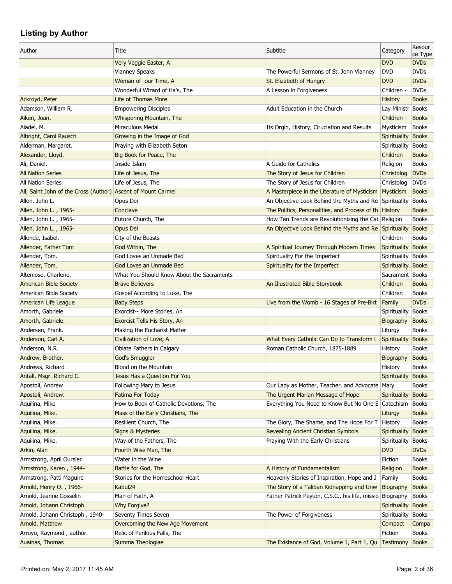| Author                                                       | Title                                     | Subtitle                                                   | Category            | Resour<br>ce Type |
|--------------------------------------------------------------|-------------------------------------------|------------------------------------------------------------|---------------------|-------------------|
|                                                              | Very Veggie Easter, A                     |                                                            | <b>DVD</b>          | <b>DVDs</b>       |
|                                                              | Vianney Speaks                            | The Powerful Sermons of St. John Vianney                   | <b>DVD</b>          | <b>DVDs</b>       |
|                                                              | Woman of our Time, A                      | St. Elizabeth of Hungry                                    | <b>DVD</b>          | <b>DVDs</b>       |
|                                                              | Wonderful Wizard of Ha's, The             | A Lesson in Forgiveness                                    | Children -          | <b>DVDs</b>       |
| Ackroyd, Peter                                               | Life of Thomas More                       |                                                            | <b>History</b>      | <b>Books</b>      |
| Adamson, William R.                                          | <b>Empowering Disciples</b>               | Adult Education in the Church                              | Lay Ministr Books   |                   |
| Aiken, Joan.                                                 | Whispering Mountain, The                  |                                                            | Children -          | <b>Books</b>      |
| Aladel, M.                                                   | Miraculous Medal                          | Its Orgin, History, Ciruclation and Results                | Mysticism           | <b>Books</b>      |
| Albright, Carol Rausch                                       | Growing in the Image of God               |                                                            | Spirituality        | <b>Books</b>      |
| Alderman, Margaret.                                          | Praying with Elizabeth Seton              |                                                            | Spirituality        | <b>Books</b>      |
| Alexander, Lloyd.                                            | Big Book for Peace, The                   |                                                            | Children            | <b>Books</b>      |
| Ali, Daniel.                                                 | Inside Islam                              | A Guide for Catholics                                      | Religion            | <b>Books</b>      |
| <b>All Nation Series</b>                                     | Life of Jesus, The                        | The Story of Jesus for Children                            | Christolog          | <b>DVDs</b>       |
| <b>All Nation Series</b>                                     | Life of Jesus, The                        | The Story of Jesus for Children                            | Christolog          | <b>DVDs</b>       |
| All, Saint John of the Cross (Author) Ascent of Mount Carmel |                                           | A Masterpiece in the Literature of Mysticism Mysticism     |                     | <b>Books</b>      |
| Allen, John L.                                               | Opus Dei                                  | An Objective Look Behind the Myths and Re Spirituality     |                     | <b>Books</b>      |
| Allen, John L., 1965-                                        | Conclave                                  | The Politics, Personalities, and Process of the History    |                     | <b>Books</b>      |
| Allen, John L., 1965-                                        | Future Church, The                        | How Ten Trends are Revolutionizing the Cat Religion        |                     | <b>Books</b>      |
| Allen, John L., 1965-                                        | Opus Dei                                  | An Objective Look Behind the Myths and Re Spirituality     |                     | <b>Books</b>      |
| Allende, Isabel.                                             | City of the Beasts                        |                                                            | Children -          | <b>Books</b>      |
| Allender, Father Tom                                         | God Within, The                           | A Spiritual Journey Through Modern Times                   | <b>Spirituality</b> | <b>Books</b>      |
| Allender, Tom.                                               | God Loves an Unmade Bed                   | Spirituality For the Imperfect                             | Spirituality        | <b>Books</b>      |
| Allender, Tom.                                               | God Loves an Unmade Bed                   | Spirituality for the Imperfect                             | Spirituality Books  |                   |
| Altemose, Charlene.                                          | What You Should Know About the Sacraments |                                                            | Sacrament   Books   |                   |
| <b>American Bible Society</b>                                | <b>Brave Believers</b>                    | An Illustrated Bible Storybook                             | Children            | <b>Books</b>      |
| American Bible Society                                       | Gospel According to Luke, The             |                                                            | Children            | <b>Books</b>      |
| American Life League                                         | <b>Baby Steps</b>                         | Live from the Womb - 16 Stages of Pre-Birt                 | Family              | <b>DVDs</b>       |
| Amorth, Gabriele.                                            | Exorcist-- More Stories, An               |                                                            | Spirituality        | <b>Books</b>      |
| Amorth, Gabriele.                                            | Exorcist Tells His Story, An              |                                                            | Biography           | <b>Books</b>      |
| Andersen, Frank.                                             | Making the Eucharist Matter               |                                                            | Liturgy             | <b>Books</b>      |
| Anderson, Carl A.                                            | Civilization of Love, A                   | What Every Catholic Can Do to Transform t                  | Spirituality        | <b>Books</b>      |
| Anderson, N.R.                                               | Oblate Fathers in Calgary                 | Roman Catholic Church, 1875-1889                           | History             | <b>Books</b>      |
| Andrew, Brother.                                             | <b>God's Smuggler</b>                     |                                                            | Biography           | <b>Books</b>      |
| Andrews, Richard                                             | Blood on the Mountain                     |                                                            | History             | <b>Books</b>      |
| Antall, Msgr. Richard C.                                     | Jesus Has a Question For You              |                                                            | Spirituality        | <b>Books</b>      |
| Apostoli, Andrew                                             | Following Mary to Jesus                   | Our Lady as Mother, Teacher, and Advocate                  |                     | <b>Books</b>      |
|                                                              |                                           | The Urgent Marian Message of Hope                          | Mary                | <b>Books</b>      |
| Apostoli, Andrew.                                            | Fatima For Today                          |                                                            | Spirituality        |                   |
| Aquilina, Mike                                               | How to Book of Catholic Devotions, The    | Everything You Need to Know But No One E Catechism         |                     | <b>Books</b>      |
| Aquilina, Mike.                                              | Mass of the Early Christians, The         |                                                            | Liturgy             | <b>Books</b>      |
| Aquilina, Mike.                                              | Resilient Church, The                     | The Glory, The Shame, and The Hope For T   History         |                     | <b>Books</b>      |
| Aquilina, Mike.                                              | <b>Signs &amp; Mysteries</b>              | Revealing Ancient Christian Symbols                        | Spirituality        | <b>Books</b>      |
| Aquilina, Mike.                                              | Way of the Fathers, The                   | Praying With the Early Christians                          | Spirituality        | <b>Books</b>      |
| Arkin, Alan                                                  | Fourth Wise Man, The                      |                                                            | <b>DVD</b>          | <b>DVDs</b>       |
| Armstrong, April Oursler                                     | Water in the Wine                         |                                                            | Fiction             | <b>Books</b>      |
| Armstrong, Karen, 1944-                                      | Battle for God, The                       | A History of Fundamentalism                                | Religion            | <b>Books</b>      |
| Armstrong, Patti Maguire                                     | Stories for the Homeschool Heart          | Heavenly Stories of Inspiration, Hope and J                | Family              | <b>Books</b>      |
| Arnold, Henry O., 1966-                                      | Kabul24                                   | The Story of a Taliban Kidnapping and Unw                  | Biography           | <b>Books</b>      |
| Arnold, Jeanne Gosselin                                      | Man of Faith, A                           | Father Patrick Peyton, C.S.C., his life, missio Biography  |                     | <b>Books</b>      |
| Arnold, Johann Christoph                                     | Why Forgive?                              |                                                            | Spirituality        | <b>Books</b>      |
| Arnold, Johann Christoph, 1940-                              | Seventy Times Seven                       | The Power of Forgiveness                                   | Spirituality        | <b>Books</b>      |
| Arnold, Matthew                                              | Overcoming the New Age Movement           |                                                            | Compact             | Compa             |
| Arroyo, Raymond, author.                                     | Relic of Perilous Falls, The              |                                                            | Fiction             | <b>Books</b>      |
| Auainas, Thomas                                              | Summa Theologiae                          | The Existance of God, Volume 1, Part 1, Qu Testimony Books |                     |                   |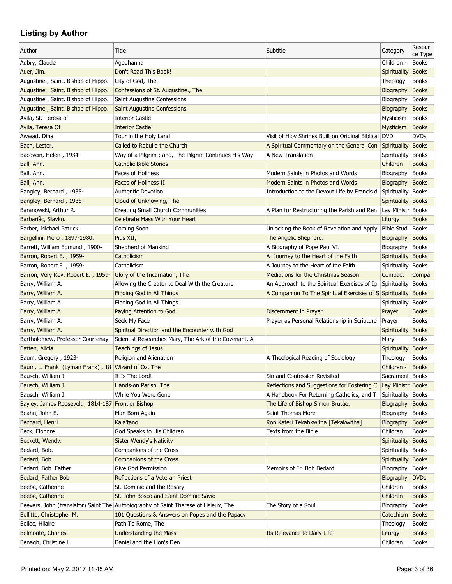|                                                    |                                                                                     |                                                           |                     | Resour       |
|----------------------------------------------------|-------------------------------------------------------------------------------------|-----------------------------------------------------------|---------------------|--------------|
| Author                                             | Title                                                                               | Subtitle                                                  | Category            | ce Type      |
| Aubry, Claude                                      | Agouhanna                                                                           |                                                           | Children -          | <b>Books</b> |
| Auer, Jim.                                         | Don't Read This Book!                                                               |                                                           | Spirituality        | <b>Books</b> |
| Augustine, Saint, Bishop of Hippo.                 | City of God, The                                                                    |                                                           | Theology            | <b>Books</b> |
| Augustine, Saint, Bishop of Hippo.                 | Confessions of St. Augustine., The                                                  |                                                           | Biography           | <b>Books</b> |
| Augustine, Saint, Bishop of Hippo.                 | Saint Augustine Confessions                                                         |                                                           | Biography           | <b>Books</b> |
| Augustine, Saint, Bishop of Hippo.                 | <b>Saint Augustine Confessions</b>                                                  |                                                           | Biography           | <b>Books</b> |
| Avila, St. Teresa of                               | <b>Interior Castle</b>                                                              |                                                           | Mysticism           | <b>Books</b> |
| Avila, Teresa Of                                   | <b>Interior Castle</b>                                                              |                                                           | Mysticism           | <b>Books</b> |
| Awwad, Dina                                        | Tour in the Holy Land                                                               | Visit of Hloy Shrines Built on Original Biblical DVD      |                     | <b>DVDs</b>  |
| Bach, Lester.                                      | Called to Rebuild the Church                                                        | A Spiritual Commentary on the General Con                 | Spirituality        | <b>Books</b> |
| Bacovcin, Helen, 1934-                             | Way of a Pilgrim; and, The Pilgrim Continues His Way                                | A New Translation                                         | Spirituality        | <b>Books</b> |
| Ball, Ann.                                         | <b>Catholic Bible Stories</b>                                                       |                                                           | Children            | <b>Books</b> |
| Ball, Ann.                                         | <b>Faces of Holiness</b>                                                            | Modern Saints in Photos and Words                         | Biography           | <b>Books</b> |
| Ball, Ann.                                         | <b>Faces of Holiness II</b>                                                         | Modern Saints in Photos and Words                         | Biography           | <b>Books</b> |
| Bangley, Bernard, 1935-                            | <b>Authentic Devotion</b>                                                           | Introduction to the Devout Life by Francis d Spirituality |                     | <b>Books</b> |
| Bangley, Bernard, 1935-                            | Cloud of Unknowing, The                                                             |                                                           | Spirituality Books  |              |
|                                                    |                                                                                     |                                                           |                     |              |
| Baranowski, Arthur R.                              | Creating Small Church Communities                                                   | A Plan for Restructuring the Parish and Ren               | Lay Ministr Books   |              |
| Barbariâc, Slavko.                                 | <b>Celebrate Mass With Your Heart</b>                                               |                                                           | Liturgy             | <b>Books</b> |
| Barber, Michael Patrick.                           | Coming Soon                                                                         | Unlocking the Book of Revelation and Applyi Bible Stud    |                     | <b>Books</b> |
| Bargellini, Piero, 1897-1980.                      | Pius XII,                                                                           | The Angelic Shepherd.                                     | Biography           | <b>Books</b> |
| Barrett, William Edmund, 1900-                     | Shepherd of Mankind                                                                 | A Biography of Pope Paul VI.                              | Biography           | <b>Books</b> |
| Barron, Robert E., 1959-                           | Catholicism                                                                         | A Journey to the Heart of the Faith                       | Spirituality        | <b>Books</b> |
| Barron, Robert E., 1959-                           | Catholicism                                                                         | A Journey to the Heart of the Faith                       | Spirituality        | <b>Books</b> |
| Barron, Very Rev. Robert E., 1959-                 | Glory of the Incarnation, The                                                       | Mediations for the Christmas Season                       | Compact             | Compa        |
| Barry, William A.                                  | Allowing the Creator to Deal With the Creature                                      | An Approach to the Spiritual Exercises of Ig              | Spirituality        | <b>Books</b> |
| Barry, William A.                                  | <b>Finding God in All Things</b>                                                    | A Companion To The Spiritual Exercises of S Spirituality  |                     | <b>Books</b> |
| Barry, William A.                                  | Finding God in All Things                                                           |                                                           | Spirituality        | <b>Books</b> |
| Barry, William A.                                  | Paying Attention to God                                                             | Discernment in Prayer                                     | Prayer              | <b>Books</b> |
| Barry, William A.                                  | Seek My Face                                                                        | Prayer as Personal Relationship in Scripture              | Prayer              | <b>Books</b> |
| Barry, William A.                                  | Spiritual Direction and the Encounter with God                                      |                                                           | Spirituality        | <b>Books</b> |
| Bartholomew, Professor Courtenay                   | Scientist Researches Mary, The Ark of the Covenant, A                               |                                                           | Mary                | <b>Books</b> |
| Batten, Alicia                                     | <b>Teachings of Jesus</b>                                                           |                                                           | Spirituality        | <b>Books</b> |
| Baum, Gregory, 1923-                               | Religion and Alienation                                                             | A Theological Reading of Sociology                        | Theology            | <b>Books</b> |
| Baum, L. Frank (Lyman Frank), 18 Wizard of Oz, The |                                                                                     |                                                           | Children -          | <b>Books</b> |
| Bausch, William J                                  | It Is The Lord!                                                                     | Sin and Confession Revisited                              | Sacrament Books     |              |
| Bausch, William J.                                 | Hands-on Parish, The                                                                | Reflections and Suggestions for Fostering C               | Lay Ministr Books   |              |
| Bausch, William J.                                 | While You Were Gone                                                                 | A Handbook For Returning Catholics, and T                 | Spirituality        | <b>Books</b> |
| Bayley, James Roosevelt, 1814-187 Frontier Bishop  |                                                                                     | The Life of Bishop Simon Brutâe.                          | Biography           | <b>Books</b> |
| Beahn, John E.                                     | Man Born Again                                                                      | Saint Thomas More                                         | Biography           | <b>Books</b> |
| Bechard, Henri                                     | Kaia'tano                                                                           | Ron Kateri Tekahkwitha [Tekakwitha]                       | Biography           | <b>Books</b> |
| Beck, Elonore                                      | God Speaks to His Children                                                          | Texts from the Bible                                      | Children            | <b>Books</b> |
| Beckett, Wendy.                                    | <b>Sister Wendy's Nativity</b>                                                      |                                                           | Spirituality        | <b>Books</b> |
| Bedard, Bob.                                       | Companions of the Cross                                                             |                                                           | <b>Spirituality</b> | <b>Books</b> |
| Bedard, Bob.                                       | <b>Companions of the Cross</b>                                                      |                                                           | Spirituality        | <b>Books</b> |
| Bedard, Bob. Father                                | Give God Permission                                                                 | Memoirs of Fr. Bob Bedard                                 | Biography           | <b>Books</b> |
|                                                    | Reflections of a Veteran Priest                                                     |                                                           |                     |              |
| Bedard, Father Bob                                 |                                                                                     |                                                           | Biography           | <b>DVDs</b>  |
| Beebe, Catherine                                   | St. Dominic and the Rosary                                                          |                                                           | Children            | <b>Books</b> |
| Beebe, Catherine                                   | St. John Bosco and Saint Dominic Savio                                              |                                                           | Children            | <b>Books</b> |
|                                                    | Beevers, John (translator) Saint The Autobiography of Saint Therese of Lisieux, The | The Story of a Soul                                       | Biography           | <b>Books</b> |
| Bellitto, Christopher M.                           | 101 Questions & Answers on Popes and the Papacy                                     |                                                           | Catechism           | <b>Books</b> |
| Belloc, Hilaire                                    | Path To Rome, The                                                                   |                                                           | Theology            | <b>Books</b> |
| Belmonte, Charles.                                 | <b>Understanding the Mass</b>                                                       | Its Relevance to Daily Life                               | Liturgy             | <b>Books</b> |
| Benagh, Christine L.                               | Daniel and the Lion's Den                                                           |                                                           | Children            | <b>Books</b> |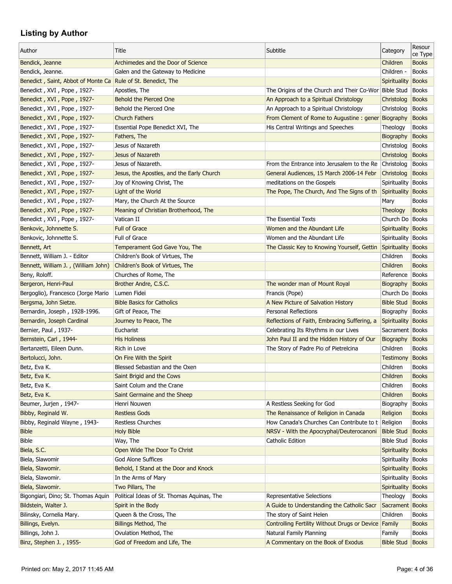| Author                                                       | Title                                      | Subtitle                                              | Category                              | Resour<br>ce Type |
|--------------------------------------------------------------|--------------------------------------------|-------------------------------------------------------|---------------------------------------|-------------------|
| Bendick, Jeanne                                              | Archimedes and the Door of Science         |                                                       | Children                              | <b>Books</b>      |
| Bendick, Jeanne.                                             | Galen and the Gateway to Medicine          |                                                       | Children -                            | <b>Books</b>      |
| Benedict, Saint, Abbot of Monte Ca Rule of St. Benedict, The |                                            |                                                       | Spirituality                          | <b>Books</b>      |
| Benedict, XVI, Pope, 1927-                                   | Apostles, The                              | The Origins of the Church and Their Co-Wor Bible Stud |                                       | <b>Books</b>      |
| Benedict, XVI, Pope, 1927-                                   | Behold the Pierced One                     | An Approach to a Spiritual Christology                | Christolog                            | <b>Books</b>      |
| Benedict, XVI, Pope, 1927-                                   | Behold the Pierced One                     | An Approach to a Spiritual Christology                | Christolog                            | <b>Books</b>      |
| Benedict, XVI, Pope, 1927-                                   | <b>Church Fathers</b>                      | From Clement of Rome to Augustine: gener Biography    |                                       | <b>Books</b>      |
| Benedict, XVI, Pope, 1927-                                   | Essential Pope Benedict XVI, The           | His Central Writings and Speeches                     | Theology                              | <b>Books</b>      |
| Benedict, XVI, Pope, 1927-                                   | Fathers, The                               |                                                       | <b>Biography</b>                      | <b>Books</b>      |
| Benedict, XVI, Pope, 1927-                                   | Jesus of Nazareth                          |                                                       | Christolog                            | <b>Books</b>      |
| Benedict, XVI, Pope, 1927-                                   | Jesus of Nazareth                          |                                                       | Christolog                            | <b>Books</b>      |
| Benedict, XVI, Pope, 1927-                                   | Jesus of Nazareth.                         | From the Entrance into Jerusalem to the Re            | Christolog                            | <b>Books</b>      |
| Benedict, XVI, Pope, 1927-                                   | Jesus, the Apostles, and the Early Church  | General Audiences, 15 March 2006-14 Febr              | Christolog                            | <b>Books</b>      |
| Benedict, XVI, Pope, 1927-                                   | Joy of Knowing Christ, The                 | meditations on the Gospels                            | Spirituality                          | <b>Books</b>      |
| Benedict, XVI, Pope, 1927-                                   | Light of the World                         | The Pope, The Church, And The Signs of th             | Spirituality                          | <b>Books</b>      |
| Benedict, XVI, Pope, 1927-                                   | Mary, the Church At the Source             |                                                       | Mary                                  | <b>Books</b>      |
| Benedict, XVI, Pope, 1927-                                   | Meaning of Christian Brotherhood, The      |                                                       | Theology                              | <b>Books</b>      |
| Benedict, XVI, Pope, 1927-                                   | Vatican II                                 | The Essential Texts                                   | Church Do Books                       |                   |
| Benkovic, Johnnette S.                                       | <b>Full of Grace</b>                       | Women and the Abundant Life                           | Spirituality Books                    |                   |
| Benkovic, Johnnette S.                                       | Full of Grace                              | Women and the Abundant Life                           | Spirituality                          | Books             |
| Bennett, Art                                                 | Temperament God Gave You, The              | The Classic Key to Knowing Yourself, Gettin           | Spirituality                          | <b>Books</b>      |
| Bennett, William J. - Editor                                 | Children's Book of Virtues, The            |                                                       | Children                              | <b>Books</b>      |
| Bennett, William J., (William John)                          | Children's Book of Virtues, The            |                                                       | Children                              | <b>Books</b>      |
| Beny, Roloff.                                                | Churches of Rome, The                      |                                                       | Reference                             | Books             |
|                                                              | Brother Andre, C.S.C.                      |                                                       |                                       | <b>Books</b>      |
| Bergeron, Henri-Paul<br>Bergoglio), Francesco (Jorge Mario   | Lumen Fidei                                | The wonder man of Mount Royal                         | <b>Biography</b><br>Church Do   Books |                   |
| Bergsma, John Sietze.                                        | <b>Bible Basics for Catholics</b>          | Francis (Pope)<br>A New Picture of Salvation History  | <b>Bible Stud</b>                     | <b>Books</b>      |
|                                                              |                                            |                                                       |                                       |                   |
| Bernardin, Joseph, 1928-1996.                                | Gift of Peace, The                         | <b>Personal Reflections</b>                           | Biography                             | Books             |
| Bernardin, Joseph Cardinal                                   | Journey to Peace, The                      | Reflections of Faith, Embracing Suffering, a          | Spirituality Books                    |                   |
| Bernier, Paul, 1937-                                         | Eucharist                                  | Celebrating Its Rhythms in our Lives                  | Sacrament   Books                     |                   |
| Bernstein, Carl, 1944-                                       | <b>His Holiness</b>                        | John Paul II and the Hidden History of Our            | <b>Biography</b>                      | <b>Books</b>      |
| Bertanzetti, Eileen Dunn.                                    | Rich in Love                               | The Story of Padre Pio of Pietrelcina                 | Children                              | <b>Books</b>      |
| Bertolucci, John.                                            | On Fire With the Spirit                    |                                                       | Testimony                             | <b>Books</b>      |
| Betz, Eva K.                                                 | Blessed Sebastian and the Oxen             |                                                       | Children                              | <b>Books</b>      |
| Betz, Eva K.                                                 | Saint Brigid and the Cows                  |                                                       | Children                              | <b>Books</b>      |
| Betz, Eva K.                                                 | Saint Colum and the Crane                  |                                                       | Children                              | <b>Books</b>      |
| Betz, Eva K.                                                 | Saint Germaine and the Sheep               |                                                       | Children                              | <b>Books</b>      |
| Beumer, Jurjen, 1947-                                        | Henri Nouwen                               | A Restless Seeking for God                            | Biography                             | <b>Books</b>      |
| Bibby, Reginald W.                                           | <b>Restless Gods</b>                       | The Renaissance of Religion in Canada                 | Religion                              | <b>Books</b>      |
| Bibby, Reginald Wayne, 1943-                                 | Restless Churches                          | How Canada's Churches Can Contribute to t Religion    |                                       | <b>Books</b>      |
| <b>Bible</b>                                                 | <b>Holy Bible</b>                          | NRSV - With the Apocryphal/Deuterocanoni              | <b>Bible Stud</b>                     | <b>Books</b>      |
| <b>Bible</b>                                                 | Way, The                                   | Catholic Edition                                      | <b>Bible Stud</b>                     | <b>Books</b>      |
| Biela, S.C.                                                  | Open Wide The Door To Christ               |                                                       | Spirituality Books                    |                   |
| Biela, Slawomir                                              | God Alone Suffices                         |                                                       | Spirituality Books                    |                   |
| Biela, Slawomir.                                             | Behold, I Stand at the Door and Knock      |                                                       | Spirituality Books                    |                   |
| Biela, Slawomir.                                             | In the Arms of Mary                        |                                                       | Spirituality Books                    |                   |
| Biela, Slawomir.                                             | Two Pillars, The                           |                                                       | Spirituality                          | <b>Books</b>      |
| Bigongiari, Dino; St. Thomas Aquin                           | Political Ideas of St. Thomas Aquinas, The | <b>Representative Selections</b>                      | Theology                              | <b>Books</b>      |
| Bildstein, Walter J.                                         | Spirit in the Body                         | A Guide to Understanding the Catholic Sacr            | Sacrament Books                       |                   |
| Bilinsky, Cornelia Mary.                                     | Queen & the Cross, The                     | The story of Saint Helen                              | Children                              | <b>Books</b>      |
| Billings, Evelyn.                                            | Billings Method, The                       | Controlling Fertility Without Drugs or Device Family  |                                       | <b>Books</b>      |
| Billings, John J.                                            | Ovulation Method, The                      | Natural Family Planning                               | Family                                | <b>Books</b>      |
| Binz, Stephen J., 1955-                                      | God of Freedom and Life, The               | A Commentary on the Book of Exodus                    | <b>Bible Stud   Books</b>             |                   |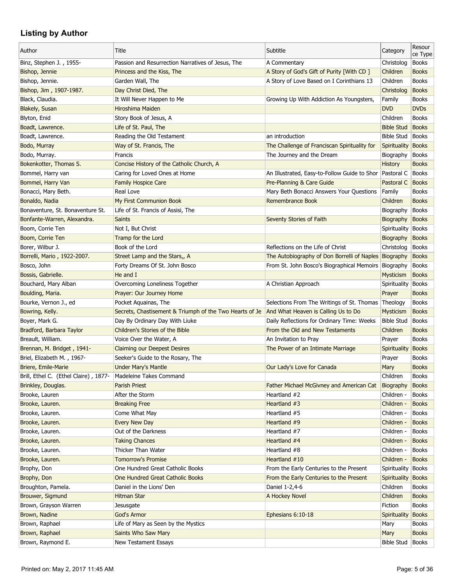| Author                                | Title                                                   | Subtitle                                                  | Category           | Resour<br>ce Type |
|---------------------------------------|---------------------------------------------------------|-----------------------------------------------------------|--------------------|-------------------|
| Binz, Stephen J., 1955-               | Passion and Resurrection Narratives of Jesus, The       | A Commentary                                              | Christolog         | <b>Books</b>      |
| Bishop, Jennie                        | Princess and the Kiss, The                              | A Story of God's Gift of Purity [With CD]                 | Children           | <b>Books</b>      |
| Bishop, Jennie.                       | Garden Wall, The                                        | A Story of Love Based on I Corinthians 13                 | Children           | <b>Books</b>      |
| Bishop, Jim, 1907-1987.               | Day Christ Died, The                                    |                                                           | Christolog         | <b>Books</b>      |
| Black, Claudia.                       | It Will Never Happen to Me                              | Growing Up With Addiction As Youngsters,                  | Family             | <b>Books</b>      |
| Blakely, Susan                        | Hiroshima Maiden                                        |                                                           | <b>DVD</b>         | <b>DVDs</b>       |
| Blyton, Enid                          | Story Book of Jesus, A                                  |                                                           | Children           | <b>Books</b>      |
| Boadt, Lawrence.                      | Life of St. Paul, The                                   |                                                           | <b>Bible Stud</b>  | <b>Books</b>      |
| Boadt, Lawrence.                      | Reading the Old Testament                               | an introduction                                           | <b>Bible Stud</b>  | <b>Books</b>      |
| Bodo, Murray                          | Way of St. Francis, The                                 | The Challenge of Franciscan Spirituality for              | Spirituality       | <b>Books</b>      |
| Bodo, Murray.                         | Francis                                                 | The Journey and the Dream                                 | Biography          | <b>Books</b>      |
| Bokenkotter, Thomas S.                | Concise History of the Catholic Church, A               |                                                           | <b>History</b>     | <b>Books</b>      |
| Bommel, Harry van                     | Caring for Loved Ones at Home                           | An Illustrated, Easy-to-Follow Guide to Shor   Pastoral C |                    | <b>Books</b>      |
| Bommel, Harry Van                     | <b>Family Hospice Care</b>                              | Pre-Planning & Care Guide                                 | Pastoral C         | <b>Books</b>      |
| Bonacci, Mary Beth.                   | Real Love                                               | Mary Beth Bonacci Answers Your Questions                  | Family             | <b>Books</b>      |
| Bonaldo, Nadia                        | My First Communion Book                                 | Remembrance Book                                          | Children           | <b>Books</b>      |
| Bonaventure, St. Bonaventure St.      | Life of St. Francis of Assisi, The                      |                                                           | Biography          | <b>Books</b>      |
| Bonfante-Warren, Alexandra.           | <b>Saints</b>                                           | Seventy Stories of Faith                                  | Biography          | <b>Books</b>      |
| Boom, Corrie Ten                      | Not I, But Christ                                       |                                                           | Spirituality       | <b>Books</b>      |
| Boom, Corrie Ten                      | Tramp for the Lord                                      |                                                           | Biography          | <b>Books</b>      |
| Borer, Wilbur J.                      | Book of the Lord                                        | Reflections on the Life of Christ                         | Christolog         | <b>Books</b>      |
| Borrelli, Mario, 1922-2007.           | Street Lamp and the Stars,, A                           | The Autobiography of Don Borrelli of Naples               | Biography          | <b>Books</b>      |
| Bosco, John                           | Forty Dreams Of St. John Bosco                          | From St. John Bosco's Biographical Memoirs                | Biography          | <b>Books</b>      |
| Bossis, Gabrielle.                    | He and $I$                                              |                                                           | Mysticism          | <b>Books</b>      |
| Bouchard, Mary Alban                  | Overcoming Loneliness Together                          | A Christian Approach                                      | Spirituality       | <b>Books</b>      |
| Boulding, Maria.                      | Prayer: Our Journey Home                                |                                                           | Prayer             | <b>Books</b>      |
| Bourke, Vernon J., ed                 | Pocket Aquainas, The                                    | Selections From The Writings of St. Thomas Theology       |                    | <b>Books</b>      |
| Bowring, Kelly.                       | Secrets, Chastisement & Triumph of the Two Hearts of Je | And What Heaven is Calling Us to Do                       | Mysticism          | <b>Books</b>      |
| Boyer, Mark G.                        | Day By Ordinary Day With Liuke                          | Daily Reflections for Ordinary Time: Weeks                | <b>Bible Stud</b>  | <b>Books</b>      |
| Bradford, Barbara Taylor              | Children's Stories of the Bible                         | From the Old and New Testaments                           | Children           | <b>Books</b>      |
| Breault, William.                     | Voice Over the Water, A                                 | An Invitation to Pray                                     | Prayer             | <b>Books</b>      |
| Brennan, M. Bridget, 1941-            | <b>Claiming our Deepest Desires</b>                     | The Power of an Intimate Marriage                         | Spirituality       | <b>Books</b>      |
| Briel, Elizabeth M., 1967-            | Seeker's Guide to the Rosary, The                       |                                                           | Prayer             | <b>Books</b>      |
| Briere, Emile-Marie                   | <b>Under Mary's Mantle</b>                              | Our Lady's Love for Canada                                | Mary               | <b>Books</b>      |
| Brill, Ethel C. (Ethel Claire), 1877- | Madeleine Takes Command                                 |                                                           | Children           | <b>Books</b>      |
| Brinkley, Douglas.                    | <b>Parish Priest</b>                                    | Father Michael McGivney and American Cat                  | Biography          | <b>Books</b>      |
| Brooke, Lauren                        | After the Storm                                         | Heartland #2                                              | Children -         | <b>Books</b>      |
| Brooke, Lauren.                       | <b>Breaking Free</b>                                    | Heartland #3                                              | Children -         | <b>Books</b>      |
| Brooke, Lauren.                       | Come What May                                           | Heartland #5                                              | Children -         | <b>Books</b>      |
| Brooke, Lauren.                       | <b>Every New Day</b>                                    | Heartland #9                                              | Children -         | <b>Books</b>      |
|                                       |                                                         | Heartland #7                                              |                    | <b>Books</b>      |
| Brooke, Lauren.                       | Out of the Darkness                                     |                                                           | Children -         |                   |
| Brooke, Lauren.                       | <b>Taking Chances</b><br>Thicker Than Water             | Heartland #4                                              | Children -         | <b>Books</b>      |
| Brooke, Lauren.                       |                                                         | Heartland #8                                              | Children -         | <b>Books</b>      |
| Brooke, Lauren.                       | <b>Tomorrow's Promise</b>                               | Heartland #10                                             | Children -         | <b>Books</b>      |
| Brophy, Don                           | One Hundred Great Catholic Books                        | From the Early Centuries to the Present                   | Spirituality       | <b>Books</b>      |
| Brophy, Don                           | One Hundred Great Catholic Books                        | From the Early Centuries to the Present                   | Spirituality       | <b>Books</b>      |
| Broughton, Pamela.                    | Daniel in the Lions' Den                                | Daniel 1-2,4-6                                            | Children           | <b>Books</b>      |
| Brouwer, Sigmund                      | Hitman Star                                             | A Hockey Novel                                            | Children           | <b>Books</b>      |
| Brown, Grayson Warren                 | Jesusgate                                               |                                                           | Fiction            | <b>Books</b>      |
| Brown, Nadine                         | God's Armor                                             | Ephesians 6:10-18                                         | Spirituality       | <b>Books</b>      |
| Brown, Raphael                        | Life of Mary as Seen by the Mystics                     |                                                           | Mary               | <b>Books</b>      |
| Brown, Raphael                        | <b>Saints Who Saw Mary</b>                              |                                                           | Mary               | <b>Books</b>      |
| Brown, Raymond E.                     | New Testament Essays                                    |                                                           | Bible Stud   Books |                   |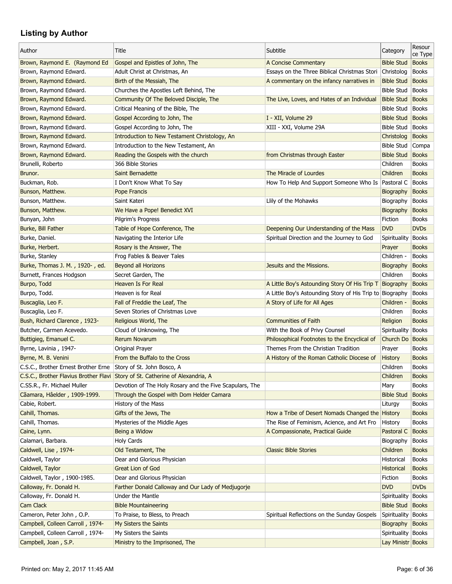| Author                              | Title                                                                                                                                    | Subtitle                                                 | Category           | Resour<br>ce Type |
|-------------------------------------|------------------------------------------------------------------------------------------------------------------------------------------|----------------------------------------------------------|--------------------|-------------------|
| Brown, Raymond E. (Raymond Ed       | Gospel and Epistles of John, The                                                                                                         | A Concise Commentary                                     | <b>Bible Stud</b>  | <b>Books</b>      |
| Brown, Raymond Edward.              | Adult Christ at Christmas, An                                                                                                            | Essays on the Three Biblical Christmas Stori             | Christolog         | <b>Books</b>      |
| Brown, Raymond Edward.              | Birth of the Messiah, The                                                                                                                | A commentary on the infancy narratives in                | <b>Bible Stud</b>  | <b>Books</b>      |
| Brown, Raymond Edward.              | Churches the Apostles Left Behind, The                                                                                                   |                                                          | <b>Bible Stud</b>  | Books             |
| Brown, Raymond Edward.              | Community Of The Beloved Disciple, The                                                                                                   | The Live, Loves, and Hates of an Individual              | <b>Bible Stud</b>  | Books             |
| Brown, Raymond Edward.              | Critical Meaning of the Bible, The                                                                                                       |                                                          | <b>Bible Stud</b>  | Books             |
| Brown, Raymond Edward.              | Gospel According to John, The                                                                                                            | I - XII, Volume 29                                       | <b>Bible Stud</b>  | Books             |
| Brown, Raymond Edward.              | Gospel According to John, The                                                                                                            | XIII - XXI, Volume 29A                                   | <b>Bible Stud</b>  | Books             |
| Brown, Raymond Edward.              | Introduction to New Testament Christology, An                                                                                            |                                                          | Christolog         | <b>Books</b>      |
| Brown, Raymond Edward.              | Introduction to the New Testament, An                                                                                                    |                                                          | <b>Bible Stud</b>  | Compa             |
| Brown, Raymond Edward.              | Reading the Gospels with the church                                                                                                      | from Christmas through Easter                            | <b>Bible Stud</b>  | <b>Books</b>      |
| Brunelli, Roberto                   | 366 Bible Stories                                                                                                                        |                                                          | Children           | <b>Books</b>      |
| Brunor.                             | Saint Bernadette                                                                                                                         | The Miracle of Lourdes                                   | Children           | <b>Books</b>      |
| Buckman, Rob.                       | I Don't Know What To Say                                                                                                                 | How To Help And Support Someone Who Is   Pastoral C      |                    | <b>Books</b>      |
| Bunson, Matthew.                    | Pope Francis                                                                                                                             |                                                          | Biography          | <b>Books</b>      |
| Bunson, Matthew.                    | Saint Kateri                                                                                                                             | Llily of the Mohawks                                     | Biography          | <b>Books</b>      |
| Bunson, Matthew.                    | We Have a Pope! Benedict XVI                                                                                                             |                                                          | Biography          | <b>Books</b>      |
| Bunyan, John                        | Pilgrim's Progress                                                                                                                       |                                                          | Fiction            | <b>Books</b>      |
| Burke, Bill Father                  | Table of Hope Conference, The                                                                                                            | Deepening Our Understanding of the Mass                  | <b>DVD</b>         | <b>DVDs</b>       |
| Burke, Daniel.                      | Navigating the Interior Life                                                                                                             | Spiritual Direction and the Journey to God               | Spirituality       | Books             |
| Burke, Herbert.                     | Rosary is the Answer, The                                                                                                                |                                                          | Prayer             | <b>Books</b>      |
| Burke, Stanley                      | Frog Fables & Beaver Tales                                                                                                               |                                                          | Children -         | <b>Books</b>      |
| Burke, Thomas J. M., 1920-, ed.     | Beyond all Horizons                                                                                                                      | Jesuits and the Missions.                                | Biography          | <b>Books</b>      |
| Burnett, Frances Hodgson            | Secret Garden, The                                                                                                                       |                                                          | Children           | <b>Books</b>      |
| Burpo, Todd                         | Heaven Is For Real                                                                                                                       | A Little Boy's Astounding Story Of His Trip T            | Biography          | <b>Books</b>      |
| Burpo, Todd.                        | Heaven is for Real                                                                                                                       | A Little Boy's Astounding Story of His Trip to Biography |                    | <b>Books</b>      |
| Buscaglia, Leo F.                   | Fall of Freddie the Leaf, The                                                                                                            | A Story of Life for All Ages                             | Children -         | <b>Books</b>      |
| Buscaglia, Leo F.                   | Seven Stories of Christmas Love                                                                                                          |                                                          | Children           | <b>Books</b>      |
| Bush, Richard Clarence, 1923-       | Religious World, The                                                                                                                     | <b>Communities of Faith</b>                              | Religion           | <b>Books</b>      |
| Butcher, Carmen Acevedo.            | Cloud of Unknowing, The                                                                                                                  | With the Book of Privy Counsel                           | Spirituality       | Books             |
| Buttigieg, Emanuel C.               | <b>Rerum Novarum</b>                                                                                                                     | Philosophical Footnotes to the Encyclical of             | Church Do Books    |                   |
| Byrne, Lavinia, 1947-               | Original Prayer                                                                                                                          | Themes From the Christian Tradition                      | Prayer             | <b>Books</b>      |
| Byrne, M. B. Venini                 | From the Buffalo to the Cross                                                                                                            | A History of the Roman Catholic Diocese of               | <b>History</b>     | <b>Books</b>      |
| C.S.C., Brother Ernest Brother Erne |                                                                                                                                          |                                                          | Children           | <b>Books</b>      |
|                                     | Story of St. John Bosco, A                                                                                                               |                                                          | Children           |                   |
|                                     | C.S.C., Brother Flavius Brother Flavi Story of St. Catherine of Alexandria, A<br>Devotion of The Holy Rosary and the Five Scapulars, The |                                                          |                    | <b>Books</b>      |
| C.SS.R., Fr. Michael Muller         |                                                                                                                                          |                                                          | Mary               | Books             |
| Cãamara, Hâelder, 1909-1999.        | Through the Gospel with Dom Helder Camara                                                                                                |                                                          | <b>Bible Stud</b>  | <b>Books</b>      |
| Cabie, Robert.                      | History of the Mass                                                                                                                      |                                                          | Liturgy            | <b>Books</b>      |
| Cahill, Thomas.                     | Gifts of the Jews, The                                                                                                                   | How a Tribe of Desert Nomads Changed the History         |                    | <b>Books</b>      |
| Cahill, Thomas.                     | Mysteries of the Middle Ages                                                                                                             | The Rise of Feminism, Acience, and Art Fro               | History            | Books             |
| Caine, Lynn.                        | Being a Widow                                                                                                                            | A Compassionate, Practical Guide                         | Pastoral C         | <b>Books</b>      |
| Calamari, Barbara.                  | <b>Holy Cards</b>                                                                                                                        |                                                          | Biography          | <b>Books</b>      |
| Caldwell, Lise, 1974-               | Old Testament, The                                                                                                                       | <b>Classic Bible Stories</b>                             | Children           | <b>Books</b>      |
| Caldwell, Taylor                    | Dear and Glorious Physician                                                                                                              |                                                          | Historical         | <b>Books</b>      |
| Caldwell, Taylor                    | Great Lion of God                                                                                                                        |                                                          | <b>Historical</b>  | <b>Books</b>      |
| Caldwell, Taylor, 1900-1985.        | Dear and Glorious Physician                                                                                                              |                                                          | Fiction            | <b>Books</b>      |
| Calloway, Fr. Donald H.             | Farther Donald Calloway and Our Lady of Medjugorje                                                                                       |                                                          | <b>DVD</b>         | <b>DVDs</b>       |
| Calloway, Fr. Donald H.             | Under the Mantle                                                                                                                         |                                                          | Spirituality       | Books             |
| Cam Clack                           | <b>Bible Mountaineering</b>                                                                                                              |                                                          | <b>Bible Stud</b>  | Books             |
| Cameron, Peter John, O.P.           | To Praise, to Bless, to Preach                                                                                                           | Spiritual Reflections on the Sunday Gospels              | Spirituality Books |                   |
| Campbell, Colleen Carroll, 1974-    | My Sisters the Saints                                                                                                                    |                                                          | Biography          | Books             |
| Campbell, Colleen Carroll, 1974-    | My Sisters the Saints                                                                                                                    |                                                          | Spirituality Books |                   |
| Campbell, Joan, S.P.                | Ministry to the Imprisoned, The                                                                                                          |                                                          | Lay Ministr Books  |                   |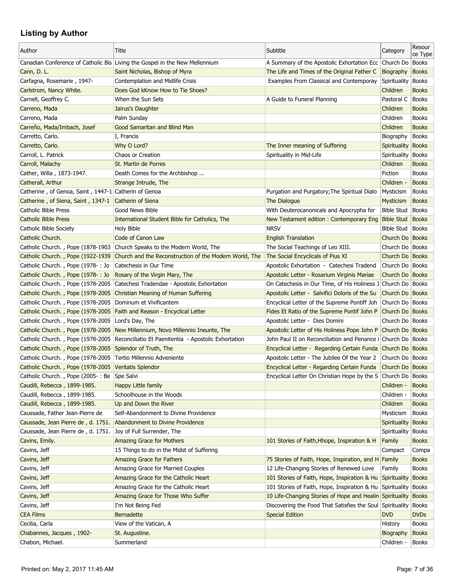| ce Type<br>Canadian Conference of Catholic Bis Living the Gospel in the New Mellennium<br>A Summary of the Apostolic Exhortation Ecc Church Do<br>Books<br>Cann, D. L.<br>Saint Nicholas, Bishop of Myra<br>The Life and Times of the Original Father C<br>Biography<br><b>Books</b><br>Carfagna, Rosemarie, 1947-<br>Contemplation and Midlife Crisis<br>Examples From Classical and Contemporay<br>Spirituality Books<br>Carlstrom, Nancy White.<br>Does God kKnow How to Tie Shoes?<br>Children<br><b>Books</b><br>Carnell, Geoffrey C.<br>When the Sun Sets<br>A Guide to Funeral Planning<br>Pastoral C<br><b>Books</b><br>Carreno, Mada<br>Jairus's Daughter<br><b>Books</b><br>Children<br>Palm Sunday<br>Children<br>Carreno, Mada<br><b>Books</b><br><b>Books</b><br>Carreño, Mada/Imbach, Josef<br><b>Good Samaritan and Blind Man</b><br>Children<br>Carretto, Carlo.<br><b>Books</b><br>I, Francis<br>Biography<br>Why O Lord?<br>Carretto, Carlo.<br>The Inner meaning of Suffering<br>Spirituality<br>Books<br>Carroll, L. Patrick<br>Chaos or Creation<br>Spirituality in Mid-Life<br><b>Books</b><br>Spirituality<br>Carroll, Malachy<br>St. Martin de Porres<br>Children<br><b>Books</b><br>Cather, Willa, 1873-1947.<br>Death Comes for the Archbishop<br>Fiction<br><b>Books</b><br>Children -<br>Catherall, Arthur<br>Strange Intrude, The<br><b>Books</b><br>Catherine, of Genoa, Saint, 1447-1 Catherin of Genoa<br>Purgation and Purgatory; The Spiritual Dialo<br><b>Books</b><br>Mysticism<br>Catherine, of Siena, Saint, 1347-1<br><b>Catherin of Siena</b><br>The Dialogue<br><b>Mysticism</b><br><b>Books</b><br><b>Catholic Bible Press</b><br>Good News Bible<br>With Deuterocanonicals and Apocrypha for<br><b>Bible Stud</b><br><b>Books</b><br><b>Catholic Bible Press</b><br><b>Bible Stud</b><br><b>Books</b><br>International Student Bible for Catholics, The<br>New Testament edition: Contemporary Eng<br><b>NRSV</b><br><b>Bible Stud</b><br><b>Books</b><br>Catholic Bible Society<br>Holy Bible<br>Catholic Church.<br>Code of Canon Law<br><b>English Translation</b><br>Church Do Books<br>Catholic Church., Pope (1878-1903 Church Speaks to the Modern World, The<br>The Social Teachings of Leo XIII.<br>Church Do   Books<br>Catholic Church., Pope (1922-1939<br>Church and the Reconstruction of the Modern World, The<br>The Social Encyclicals of Pius XI<br>Church Do   Books<br>Catholic Church., Pope (1978-: Jo<br>Catechesis in Our Time<br>Apostolic Exhortation - Catechesi Tradend<br>Church Do   Books<br>Catholic Church., Pope (1978-: Jo<br>Apostolic Letter - Rosarium Virginis Mariae<br>Church Do   Books<br>Rosary of the Virgin Mary, The<br>Catholic Church., Pope (1978-2005<br>Catechesi Tradendae - Apostolic Exhortation<br>On Catechesis in Our Time, of His Holiness J Church Do Books<br>Catholic Church., Pope (1978-2005)<br>Christian Meaning of Human Suffering<br>Apostolic Letter - Salvifici Doloris of the Su<br>Church Do Books<br>Catholic Church., Pope (1978-2005 Dominum et Vivificantem<br>Encyclical Letter of the Supreme Pontiff Joh<br>Church Do   Books<br>Catholic Church., Pope (1978-2005 Faith and Reason - Encyclical Letter<br>Fides Et Ratio of the Supreme Pontif John P<br>Church Do Books<br>Catholic Church., Pope (1978-2005 Lord's Day, The<br>Apostolic Letter - Dies Domini<br>Church Do   Books<br>Catholic Church., Pope (1978-2005 New Millennium, Novo Millennio Ineunte, The<br>Apostolic Letter of His Holiness Pope John P<br>Church Do   Books<br>Catholic Church., Pope (1978-2005   Reconciliatio Et Paenitentia - Apostolic Exhortation<br>John Paul II on Reconciliation and Penance i Church Do Books<br>Catholic Church., Pope (1978-2005 Splendor of Truth, The<br>Encyclical Letter - Regarding Certain Funda Church Do Books<br>Catholic Church., Pope (1978-2005)<br>Tertio Millennio Adveniente<br>Apostolic Letter - The Jubilee Of the Year 2<br>Church Do   Books<br>Catholic Church., Pope (1978-2005 Veritatis Splendor<br>Encyclical Letter - Regarding Certain Funda<br>Church Do Books<br>Catholic Church., Pope (2005-: Be Spe Salvi<br>Encyclical Letter On Christian Hope by the S Church Do Books<br>Caudill, Rebecca, 1899-1985.<br><b>Happy Little family</b><br>Children -<br><b>Books</b><br>Caudill, Rebecca, 1899-1985.<br>Schoolhouse in the Woods<br>Children -<br><b>Books</b><br>Caudill, Rebecca, 1899-1985.<br>Up and Down the River<br>Children<br><b>Books</b><br>Caussade, Father Jean-Pierre de<br>Self-Abandonment to Divine Providence<br><b>Books</b><br>Mysticism<br>Caussade, Jean Pierre de, d. 1751.<br>Abandonment to Divine Providence<br>Spirituality<br><b>Books</b><br>Caussade, Jean Pierre de, d. 1751.<br>Joy of Full Surrender, The<br><b>Books</b><br>Spirituality<br><b>Amazing Grace for Mothers</b><br>Cavins, Emily.<br>Family<br><b>Books</b><br>101 Stories of Faith, Hhope, Inspiration & H<br>Cavins, Jeff<br>15 Things to do in the Midst of Suffering<br>Compact<br>Compa<br>Cavins, Jeff<br>Amazing Grace for Fathers<br>75 Stories of Faith, Hope, Inspiration, and H Family<br><b>Books</b><br>12 Life-Changing Stories of Renewed Love<br>Cavins, Jeff<br>Amazing Grace for Married Couples<br>Family<br><b>Books</b><br>Cavins, Jeff<br>Amazing Grace for the Catholic Heart<br>101 Stories of Faith, Hope, Inspiration & Hu<br>Spirituality<br><b>Books</b><br>101 Stories of Faith, Hope, Inspiration & Hu<br>Cavins, Jeff<br>Amazing Grace for the Catholic Heart<br>Spirituality<br><b>Books</b><br>10 Life-Changing Stories of Hope and Healin Spirituality<br>Cavins, Jeff<br>Amazing Grace for Those Who Suffer<br><b>Books</b><br>Cavins, Jeff<br>Discovering the Food That Satisfies the Soul Spirituality<br>I'm Not Being Fed<br><b>Books</b><br><b>CEA Films</b><br><b>Special Edition</b><br><b>DVD</b><br><b>DVDs</b><br><b>Bernadette</b><br>Cecilia, Carla<br>View of the Vatican, A<br><b>Books</b><br>History<br>Chabannes, Jacques, 1902-<br>St. Augustine.<br><b>Books</b><br>Biography | Author           | Title      | Subtitle | Category   | Resour       |
|-----------------------------------------------------------------------------------------------------------------------------------------------------------------------------------------------------------------------------------------------------------------------------------------------------------------------------------------------------------------------------------------------------------------------------------------------------------------------------------------------------------------------------------------------------------------------------------------------------------------------------------------------------------------------------------------------------------------------------------------------------------------------------------------------------------------------------------------------------------------------------------------------------------------------------------------------------------------------------------------------------------------------------------------------------------------------------------------------------------------------------------------------------------------------------------------------------------------------------------------------------------------------------------------------------------------------------------------------------------------------------------------------------------------------------------------------------------------------------------------------------------------------------------------------------------------------------------------------------------------------------------------------------------------------------------------------------------------------------------------------------------------------------------------------------------------------------------------------------------------------------------------------------------------------------------------------------------------------------------------------------------------------------------------------------------------------------------------------------------------------------------------------------------------------------------------------------------------------------------------------------------------------------------------------------------------------------------------------------------------------------------------------------------------------------------------------------------------------------------------------------------------------------------------------------------------------------------------------------------------------------------------------------------------------------------------------------------------------------------------------------------------------------------------------------------------------------------------------------------------------------------------------------------------------------------------------------------------------------------------------------------------------------------------------------------------------------------------------------------------------------------------------------------------------------------------------------------------------------------------------------------------------------------------------------------------------------------------------------------------------------------------------------------------------------------------------------------------------------------------------------------------------------------------------------------------------------------------------------------------------------------------------------------------------------------------------------------------------------------------------------------------------------------------------------------------------------------------------------------------------------------------------------------------------------------------------------------------------------------------------------------------------------------------------------------------------------------------------------------------------------------------------------------------------------------------------------------------------------------------------------------------------------------------------------------------------------------------------------------------------------------------------------------------------------------------------------------------------------------------------------------------------------------------------------------------------------------------------------------------------------------------------------------------------------------------------------------------------------------------------------------------------------------------------------------------------------------------------------------------------------------------------------------------------------------------------------------------------------------------------------------------------------------------------------------------------------------------------------------------------------------------------------------------------------------------------------------------------------------------------------------------------------------------------------------------------------------------------------------------------------------------------------------------------------------------------------------------------------------------------------------------------------------------------------------------------------------------------------------------------------------------------------------------------------------------------------------------------------------------------------------------------------------------------------------------------------------------------------------------------------------------------------------------------------------------------------------------------------------------------------------------------------------------------------------------------------------------------------------|------------------|------------|----------|------------|--------------|
|                                                                                                                                                                                                                                                                                                                                                                                                                                                                                                                                                                                                                                                                                                                                                                                                                                                                                                                                                                                                                                                                                                                                                                                                                                                                                                                                                                                                                                                                                                                                                                                                                                                                                                                                                                                                                                                                                                                                                                                                                                                                                                                                                                                                                                                                                                                                                                                                                                                                                                                                                                                                                                                                                                                                                                                                                                                                                                                                                                                                                                                                                                                                                                                                                                                                                                                                                                                                                                                                                                                                                                                                                                                                                                                                                                                                                                                                                                                                                                                                                                                                                                                                                                                                                                                                                                                                                                                                                                                                                                                                                                                                                                                                                                                                                                                                                                                                                                                                                                                                                                                                                                                                                                                                                                                                                                                                                                                                                                                                                                                                                                                                                                                                                                                                                                                                                                                                                                                                                                                                                                                                                                           |                  |            |          |            |              |
|                                                                                                                                                                                                                                                                                                                                                                                                                                                                                                                                                                                                                                                                                                                                                                                                                                                                                                                                                                                                                                                                                                                                                                                                                                                                                                                                                                                                                                                                                                                                                                                                                                                                                                                                                                                                                                                                                                                                                                                                                                                                                                                                                                                                                                                                                                                                                                                                                                                                                                                                                                                                                                                                                                                                                                                                                                                                                                                                                                                                                                                                                                                                                                                                                                                                                                                                                                                                                                                                                                                                                                                                                                                                                                                                                                                                                                                                                                                                                                                                                                                                                                                                                                                                                                                                                                                                                                                                                                                                                                                                                                                                                                                                                                                                                                                                                                                                                                                                                                                                                                                                                                                                                                                                                                                                                                                                                                                                                                                                                                                                                                                                                                                                                                                                                                                                                                                                                                                                                                                                                                                                                                           |                  |            |          |            |              |
|                                                                                                                                                                                                                                                                                                                                                                                                                                                                                                                                                                                                                                                                                                                                                                                                                                                                                                                                                                                                                                                                                                                                                                                                                                                                                                                                                                                                                                                                                                                                                                                                                                                                                                                                                                                                                                                                                                                                                                                                                                                                                                                                                                                                                                                                                                                                                                                                                                                                                                                                                                                                                                                                                                                                                                                                                                                                                                                                                                                                                                                                                                                                                                                                                                                                                                                                                                                                                                                                                                                                                                                                                                                                                                                                                                                                                                                                                                                                                                                                                                                                                                                                                                                                                                                                                                                                                                                                                                                                                                                                                                                                                                                                                                                                                                                                                                                                                                                                                                                                                                                                                                                                                                                                                                                                                                                                                                                                                                                                                                                                                                                                                                                                                                                                                                                                                                                                                                                                                                                                                                                                                                           |                  |            |          |            |              |
|                                                                                                                                                                                                                                                                                                                                                                                                                                                                                                                                                                                                                                                                                                                                                                                                                                                                                                                                                                                                                                                                                                                                                                                                                                                                                                                                                                                                                                                                                                                                                                                                                                                                                                                                                                                                                                                                                                                                                                                                                                                                                                                                                                                                                                                                                                                                                                                                                                                                                                                                                                                                                                                                                                                                                                                                                                                                                                                                                                                                                                                                                                                                                                                                                                                                                                                                                                                                                                                                                                                                                                                                                                                                                                                                                                                                                                                                                                                                                                                                                                                                                                                                                                                                                                                                                                                                                                                                                                                                                                                                                                                                                                                                                                                                                                                                                                                                                                                                                                                                                                                                                                                                                                                                                                                                                                                                                                                                                                                                                                                                                                                                                                                                                                                                                                                                                                                                                                                                                                                                                                                                                                           |                  |            |          |            |              |
|                                                                                                                                                                                                                                                                                                                                                                                                                                                                                                                                                                                                                                                                                                                                                                                                                                                                                                                                                                                                                                                                                                                                                                                                                                                                                                                                                                                                                                                                                                                                                                                                                                                                                                                                                                                                                                                                                                                                                                                                                                                                                                                                                                                                                                                                                                                                                                                                                                                                                                                                                                                                                                                                                                                                                                                                                                                                                                                                                                                                                                                                                                                                                                                                                                                                                                                                                                                                                                                                                                                                                                                                                                                                                                                                                                                                                                                                                                                                                                                                                                                                                                                                                                                                                                                                                                                                                                                                                                                                                                                                                                                                                                                                                                                                                                                                                                                                                                                                                                                                                                                                                                                                                                                                                                                                                                                                                                                                                                                                                                                                                                                                                                                                                                                                                                                                                                                                                                                                                                                                                                                                                                           |                  |            |          |            |              |
|                                                                                                                                                                                                                                                                                                                                                                                                                                                                                                                                                                                                                                                                                                                                                                                                                                                                                                                                                                                                                                                                                                                                                                                                                                                                                                                                                                                                                                                                                                                                                                                                                                                                                                                                                                                                                                                                                                                                                                                                                                                                                                                                                                                                                                                                                                                                                                                                                                                                                                                                                                                                                                                                                                                                                                                                                                                                                                                                                                                                                                                                                                                                                                                                                                                                                                                                                                                                                                                                                                                                                                                                                                                                                                                                                                                                                                                                                                                                                                                                                                                                                                                                                                                                                                                                                                                                                                                                                                                                                                                                                                                                                                                                                                                                                                                                                                                                                                                                                                                                                                                                                                                                                                                                                                                                                                                                                                                                                                                                                                                                                                                                                                                                                                                                                                                                                                                                                                                                                                                                                                                                                                           |                  |            |          |            |              |
|                                                                                                                                                                                                                                                                                                                                                                                                                                                                                                                                                                                                                                                                                                                                                                                                                                                                                                                                                                                                                                                                                                                                                                                                                                                                                                                                                                                                                                                                                                                                                                                                                                                                                                                                                                                                                                                                                                                                                                                                                                                                                                                                                                                                                                                                                                                                                                                                                                                                                                                                                                                                                                                                                                                                                                                                                                                                                                                                                                                                                                                                                                                                                                                                                                                                                                                                                                                                                                                                                                                                                                                                                                                                                                                                                                                                                                                                                                                                                                                                                                                                                                                                                                                                                                                                                                                                                                                                                                                                                                                                                                                                                                                                                                                                                                                                                                                                                                                                                                                                                                                                                                                                                                                                                                                                                                                                                                                                                                                                                                                                                                                                                                                                                                                                                                                                                                                                                                                                                                                                                                                                                                           |                  |            |          |            |              |
|                                                                                                                                                                                                                                                                                                                                                                                                                                                                                                                                                                                                                                                                                                                                                                                                                                                                                                                                                                                                                                                                                                                                                                                                                                                                                                                                                                                                                                                                                                                                                                                                                                                                                                                                                                                                                                                                                                                                                                                                                                                                                                                                                                                                                                                                                                                                                                                                                                                                                                                                                                                                                                                                                                                                                                                                                                                                                                                                                                                                                                                                                                                                                                                                                                                                                                                                                                                                                                                                                                                                                                                                                                                                                                                                                                                                                                                                                                                                                                                                                                                                                                                                                                                                                                                                                                                                                                                                                                                                                                                                                                                                                                                                                                                                                                                                                                                                                                                                                                                                                                                                                                                                                                                                                                                                                                                                                                                                                                                                                                                                                                                                                                                                                                                                                                                                                                                                                                                                                                                                                                                                                                           |                  |            |          |            |              |
|                                                                                                                                                                                                                                                                                                                                                                                                                                                                                                                                                                                                                                                                                                                                                                                                                                                                                                                                                                                                                                                                                                                                                                                                                                                                                                                                                                                                                                                                                                                                                                                                                                                                                                                                                                                                                                                                                                                                                                                                                                                                                                                                                                                                                                                                                                                                                                                                                                                                                                                                                                                                                                                                                                                                                                                                                                                                                                                                                                                                                                                                                                                                                                                                                                                                                                                                                                                                                                                                                                                                                                                                                                                                                                                                                                                                                                                                                                                                                                                                                                                                                                                                                                                                                                                                                                                                                                                                                                                                                                                                                                                                                                                                                                                                                                                                                                                                                                                                                                                                                                                                                                                                                                                                                                                                                                                                                                                                                                                                                                                                                                                                                                                                                                                                                                                                                                                                                                                                                                                                                                                                                                           |                  |            |          |            |              |
|                                                                                                                                                                                                                                                                                                                                                                                                                                                                                                                                                                                                                                                                                                                                                                                                                                                                                                                                                                                                                                                                                                                                                                                                                                                                                                                                                                                                                                                                                                                                                                                                                                                                                                                                                                                                                                                                                                                                                                                                                                                                                                                                                                                                                                                                                                                                                                                                                                                                                                                                                                                                                                                                                                                                                                                                                                                                                                                                                                                                                                                                                                                                                                                                                                                                                                                                                                                                                                                                                                                                                                                                                                                                                                                                                                                                                                                                                                                                                                                                                                                                                                                                                                                                                                                                                                                                                                                                                                                                                                                                                                                                                                                                                                                                                                                                                                                                                                                                                                                                                                                                                                                                                                                                                                                                                                                                                                                                                                                                                                                                                                                                                                                                                                                                                                                                                                                                                                                                                                                                                                                                                                           |                  |            |          |            |              |
|                                                                                                                                                                                                                                                                                                                                                                                                                                                                                                                                                                                                                                                                                                                                                                                                                                                                                                                                                                                                                                                                                                                                                                                                                                                                                                                                                                                                                                                                                                                                                                                                                                                                                                                                                                                                                                                                                                                                                                                                                                                                                                                                                                                                                                                                                                                                                                                                                                                                                                                                                                                                                                                                                                                                                                                                                                                                                                                                                                                                                                                                                                                                                                                                                                                                                                                                                                                                                                                                                                                                                                                                                                                                                                                                                                                                                                                                                                                                                                                                                                                                                                                                                                                                                                                                                                                                                                                                                                                                                                                                                                                                                                                                                                                                                                                                                                                                                                                                                                                                                                                                                                                                                                                                                                                                                                                                                                                                                                                                                                                                                                                                                                                                                                                                                                                                                                                                                                                                                                                                                                                                                                           |                  |            |          |            |              |
|                                                                                                                                                                                                                                                                                                                                                                                                                                                                                                                                                                                                                                                                                                                                                                                                                                                                                                                                                                                                                                                                                                                                                                                                                                                                                                                                                                                                                                                                                                                                                                                                                                                                                                                                                                                                                                                                                                                                                                                                                                                                                                                                                                                                                                                                                                                                                                                                                                                                                                                                                                                                                                                                                                                                                                                                                                                                                                                                                                                                                                                                                                                                                                                                                                                                                                                                                                                                                                                                                                                                                                                                                                                                                                                                                                                                                                                                                                                                                                                                                                                                                                                                                                                                                                                                                                                                                                                                                                                                                                                                                                                                                                                                                                                                                                                                                                                                                                                                                                                                                                                                                                                                                                                                                                                                                                                                                                                                                                                                                                                                                                                                                                                                                                                                                                                                                                                                                                                                                                                                                                                                                                           |                  |            |          |            |              |
|                                                                                                                                                                                                                                                                                                                                                                                                                                                                                                                                                                                                                                                                                                                                                                                                                                                                                                                                                                                                                                                                                                                                                                                                                                                                                                                                                                                                                                                                                                                                                                                                                                                                                                                                                                                                                                                                                                                                                                                                                                                                                                                                                                                                                                                                                                                                                                                                                                                                                                                                                                                                                                                                                                                                                                                                                                                                                                                                                                                                                                                                                                                                                                                                                                                                                                                                                                                                                                                                                                                                                                                                                                                                                                                                                                                                                                                                                                                                                                                                                                                                                                                                                                                                                                                                                                                                                                                                                                                                                                                                                                                                                                                                                                                                                                                                                                                                                                                                                                                                                                                                                                                                                                                                                                                                                                                                                                                                                                                                                                                                                                                                                                                                                                                                                                                                                                                                                                                                                                                                                                                                                                           |                  |            |          |            |              |
|                                                                                                                                                                                                                                                                                                                                                                                                                                                                                                                                                                                                                                                                                                                                                                                                                                                                                                                                                                                                                                                                                                                                                                                                                                                                                                                                                                                                                                                                                                                                                                                                                                                                                                                                                                                                                                                                                                                                                                                                                                                                                                                                                                                                                                                                                                                                                                                                                                                                                                                                                                                                                                                                                                                                                                                                                                                                                                                                                                                                                                                                                                                                                                                                                                                                                                                                                                                                                                                                                                                                                                                                                                                                                                                                                                                                                                                                                                                                                                                                                                                                                                                                                                                                                                                                                                                                                                                                                                                                                                                                                                                                                                                                                                                                                                                                                                                                                                                                                                                                                                                                                                                                                                                                                                                                                                                                                                                                                                                                                                                                                                                                                                                                                                                                                                                                                                                                                                                                                                                                                                                                                                           |                  |            |          |            |              |
|                                                                                                                                                                                                                                                                                                                                                                                                                                                                                                                                                                                                                                                                                                                                                                                                                                                                                                                                                                                                                                                                                                                                                                                                                                                                                                                                                                                                                                                                                                                                                                                                                                                                                                                                                                                                                                                                                                                                                                                                                                                                                                                                                                                                                                                                                                                                                                                                                                                                                                                                                                                                                                                                                                                                                                                                                                                                                                                                                                                                                                                                                                                                                                                                                                                                                                                                                                                                                                                                                                                                                                                                                                                                                                                                                                                                                                                                                                                                                                                                                                                                                                                                                                                                                                                                                                                                                                                                                                                                                                                                                                                                                                                                                                                                                                                                                                                                                                                                                                                                                                                                                                                                                                                                                                                                                                                                                                                                                                                                                                                                                                                                                                                                                                                                                                                                                                                                                                                                                                                                                                                                                                           |                  |            |          |            |              |
|                                                                                                                                                                                                                                                                                                                                                                                                                                                                                                                                                                                                                                                                                                                                                                                                                                                                                                                                                                                                                                                                                                                                                                                                                                                                                                                                                                                                                                                                                                                                                                                                                                                                                                                                                                                                                                                                                                                                                                                                                                                                                                                                                                                                                                                                                                                                                                                                                                                                                                                                                                                                                                                                                                                                                                                                                                                                                                                                                                                                                                                                                                                                                                                                                                                                                                                                                                                                                                                                                                                                                                                                                                                                                                                                                                                                                                                                                                                                                                                                                                                                                                                                                                                                                                                                                                                                                                                                                                                                                                                                                                                                                                                                                                                                                                                                                                                                                                                                                                                                                                                                                                                                                                                                                                                                                                                                                                                                                                                                                                                                                                                                                                                                                                                                                                                                                                                                                                                                                                                                                                                                                                           |                  |            |          |            |              |
|                                                                                                                                                                                                                                                                                                                                                                                                                                                                                                                                                                                                                                                                                                                                                                                                                                                                                                                                                                                                                                                                                                                                                                                                                                                                                                                                                                                                                                                                                                                                                                                                                                                                                                                                                                                                                                                                                                                                                                                                                                                                                                                                                                                                                                                                                                                                                                                                                                                                                                                                                                                                                                                                                                                                                                                                                                                                                                                                                                                                                                                                                                                                                                                                                                                                                                                                                                                                                                                                                                                                                                                                                                                                                                                                                                                                                                                                                                                                                                                                                                                                                                                                                                                                                                                                                                                                                                                                                                                                                                                                                                                                                                                                                                                                                                                                                                                                                                                                                                                                                                                                                                                                                                                                                                                                                                                                                                                                                                                                                                                                                                                                                                                                                                                                                                                                                                                                                                                                                                                                                                                                                                           |                  |            |          |            |              |
|                                                                                                                                                                                                                                                                                                                                                                                                                                                                                                                                                                                                                                                                                                                                                                                                                                                                                                                                                                                                                                                                                                                                                                                                                                                                                                                                                                                                                                                                                                                                                                                                                                                                                                                                                                                                                                                                                                                                                                                                                                                                                                                                                                                                                                                                                                                                                                                                                                                                                                                                                                                                                                                                                                                                                                                                                                                                                                                                                                                                                                                                                                                                                                                                                                                                                                                                                                                                                                                                                                                                                                                                                                                                                                                                                                                                                                                                                                                                                                                                                                                                                                                                                                                                                                                                                                                                                                                                                                                                                                                                                                                                                                                                                                                                                                                                                                                                                                                                                                                                                                                                                                                                                                                                                                                                                                                                                                                                                                                                                                                                                                                                                                                                                                                                                                                                                                                                                                                                                                                                                                                                                                           |                  |            |          |            |              |
|                                                                                                                                                                                                                                                                                                                                                                                                                                                                                                                                                                                                                                                                                                                                                                                                                                                                                                                                                                                                                                                                                                                                                                                                                                                                                                                                                                                                                                                                                                                                                                                                                                                                                                                                                                                                                                                                                                                                                                                                                                                                                                                                                                                                                                                                                                                                                                                                                                                                                                                                                                                                                                                                                                                                                                                                                                                                                                                                                                                                                                                                                                                                                                                                                                                                                                                                                                                                                                                                                                                                                                                                                                                                                                                                                                                                                                                                                                                                                                                                                                                                                                                                                                                                                                                                                                                                                                                                                                                                                                                                                                                                                                                                                                                                                                                                                                                                                                                                                                                                                                                                                                                                                                                                                                                                                                                                                                                                                                                                                                                                                                                                                                                                                                                                                                                                                                                                                                                                                                                                                                                                                                           |                  |            |          |            |              |
|                                                                                                                                                                                                                                                                                                                                                                                                                                                                                                                                                                                                                                                                                                                                                                                                                                                                                                                                                                                                                                                                                                                                                                                                                                                                                                                                                                                                                                                                                                                                                                                                                                                                                                                                                                                                                                                                                                                                                                                                                                                                                                                                                                                                                                                                                                                                                                                                                                                                                                                                                                                                                                                                                                                                                                                                                                                                                                                                                                                                                                                                                                                                                                                                                                                                                                                                                                                                                                                                                                                                                                                                                                                                                                                                                                                                                                                                                                                                                                                                                                                                                                                                                                                                                                                                                                                                                                                                                                                                                                                                                                                                                                                                                                                                                                                                                                                                                                                                                                                                                                                                                                                                                                                                                                                                                                                                                                                                                                                                                                                                                                                                                                                                                                                                                                                                                                                                                                                                                                                                                                                                                                           |                  |            |          |            |              |
|                                                                                                                                                                                                                                                                                                                                                                                                                                                                                                                                                                                                                                                                                                                                                                                                                                                                                                                                                                                                                                                                                                                                                                                                                                                                                                                                                                                                                                                                                                                                                                                                                                                                                                                                                                                                                                                                                                                                                                                                                                                                                                                                                                                                                                                                                                                                                                                                                                                                                                                                                                                                                                                                                                                                                                                                                                                                                                                                                                                                                                                                                                                                                                                                                                                                                                                                                                                                                                                                                                                                                                                                                                                                                                                                                                                                                                                                                                                                                                                                                                                                                                                                                                                                                                                                                                                                                                                                                                                                                                                                                                                                                                                                                                                                                                                                                                                                                                                                                                                                                                                                                                                                                                                                                                                                                                                                                                                                                                                                                                                                                                                                                                                                                                                                                                                                                                                                                                                                                                                                                                                                                                           |                  |            |          |            |              |
|                                                                                                                                                                                                                                                                                                                                                                                                                                                                                                                                                                                                                                                                                                                                                                                                                                                                                                                                                                                                                                                                                                                                                                                                                                                                                                                                                                                                                                                                                                                                                                                                                                                                                                                                                                                                                                                                                                                                                                                                                                                                                                                                                                                                                                                                                                                                                                                                                                                                                                                                                                                                                                                                                                                                                                                                                                                                                                                                                                                                                                                                                                                                                                                                                                                                                                                                                                                                                                                                                                                                                                                                                                                                                                                                                                                                                                                                                                                                                                                                                                                                                                                                                                                                                                                                                                                                                                                                                                                                                                                                                                                                                                                                                                                                                                                                                                                                                                                                                                                                                                                                                                                                                                                                                                                                                                                                                                                                                                                                                                                                                                                                                                                                                                                                                                                                                                                                                                                                                                                                                                                                                                           |                  |            |          |            |              |
|                                                                                                                                                                                                                                                                                                                                                                                                                                                                                                                                                                                                                                                                                                                                                                                                                                                                                                                                                                                                                                                                                                                                                                                                                                                                                                                                                                                                                                                                                                                                                                                                                                                                                                                                                                                                                                                                                                                                                                                                                                                                                                                                                                                                                                                                                                                                                                                                                                                                                                                                                                                                                                                                                                                                                                                                                                                                                                                                                                                                                                                                                                                                                                                                                                                                                                                                                                                                                                                                                                                                                                                                                                                                                                                                                                                                                                                                                                                                                                                                                                                                                                                                                                                                                                                                                                                                                                                                                                                                                                                                                                                                                                                                                                                                                                                                                                                                                                                                                                                                                                                                                                                                                                                                                                                                                                                                                                                                                                                                                                                                                                                                                                                                                                                                                                                                                                                                                                                                                                                                                                                                                                           |                  |            |          |            |              |
|                                                                                                                                                                                                                                                                                                                                                                                                                                                                                                                                                                                                                                                                                                                                                                                                                                                                                                                                                                                                                                                                                                                                                                                                                                                                                                                                                                                                                                                                                                                                                                                                                                                                                                                                                                                                                                                                                                                                                                                                                                                                                                                                                                                                                                                                                                                                                                                                                                                                                                                                                                                                                                                                                                                                                                                                                                                                                                                                                                                                                                                                                                                                                                                                                                                                                                                                                                                                                                                                                                                                                                                                                                                                                                                                                                                                                                                                                                                                                                                                                                                                                                                                                                                                                                                                                                                                                                                                                                                                                                                                                                                                                                                                                                                                                                                                                                                                                                                                                                                                                                                                                                                                                                                                                                                                                                                                                                                                                                                                                                                                                                                                                                                                                                                                                                                                                                                                                                                                                                                                                                                                                                           |                  |            |          |            |              |
|                                                                                                                                                                                                                                                                                                                                                                                                                                                                                                                                                                                                                                                                                                                                                                                                                                                                                                                                                                                                                                                                                                                                                                                                                                                                                                                                                                                                                                                                                                                                                                                                                                                                                                                                                                                                                                                                                                                                                                                                                                                                                                                                                                                                                                                                                                                                                                                                                                                                                                                                                                                                                                                                                                                                                                                                                                                                                                                                                                                                                                                                                                                                                                                                                                                                                                                                                                                                                                                                                                                                                                                                                                                                                                                                                                                                                                                                                                                                                                                                                                                                                                                                                                                                                                                                                                                                                                                                                                                                                                                                                                                                                                                                                                                                                                                                                                                                                                                                                                                                                                                                                                                                                                                                                                                                                                                                                                                                                                                                                                                                                                                                                                                                                                                                                                                                                                                                                                                                                                                                                                                                                                           |                  |            |          |            |              |
|                                                                                                                                                                                                                                                                                                                                                                                                                                                                                                                                                                                                                                                                                                                                                                                                                                                                                                                                                                                                                                                                                                                                                                                                                                                                                                                                                                                                                                                                                                                                                                                                                                                                                                                                                                                                                                                                                                                                                                                                                                                                                                                                                                                                                                                                                                                                                                                                                                                                                                                                                                                                                                                                                                                                                                                                                                                                                                                                                                                                                                                                                                                                                                                                                                                                                                                                                                                                                                                                                                                                                                                                                                                                                                                                                                                                                                                                                                                                                                                                                                                                                                                                                                                                                                                                                                                                                                                                                                                                                                                                                                                                                                                                                                                                                                                                                                                                                                                                                                                                                                                                                                                                                                                                                                                                                                                                                                                                                                                                                                                                                                                                                                                                                                                                                                                                                                                                                                                                                                                                                                                                                                           |                  |            |          |            |              |
|                                                                                                                                                                                                                                                                                                                                                                                                                                                                                                                                                                                                                                                                                                                                                                                                                                                                                                                                                                                                                                                                                                                                                                                                                                                                                                                                                                                                                                                                                                                                                                                                                                                                                                                                                                                                                                                                                                                                                                                                                                                                                                                                                                                                                                                                                                                                                                                                                                                                                                                                                                                                                                                                                                                                                                                                                                                                                                                                                                                                                                                                                                                                                                                                                                                                                                                                                                                                                                                                                                                                                                                                                                                                                                                                                                                                                                                                                                                                                                                                                                                                                                                                                                                                                                                                                                                                                                                                                                                                                                                                                                                                                                                                                                                                                                                                                                                                                                                                                                                                                                                                                                                                                                                                                                                                                                                                                                                                                                                                                                                                                                                                                                                                                                                                                                                                                                                                                                                                                                                                                                                                                                           |                  |            |          |            |              |
|                                                                                                                                                                                                                                                                                                                                                                                                                                                                                                                                                                                                                                                                                                                                                                                                                                                                                                                                                                                                                                                                                                                                                                                                                                                                                                                                                                                                                                                                                                                                                                                                                                                                                                                                                                                                                                                                                                                                                                                                                                                                                                                                                                                                                                                                                                                                                                                                                                                                                                                                                                                                                                                                                                                                                                                                                                                                                                                                                                                                                                                                                                                                                                                                                                                                                                                                                                                                                                                                                                                                                                                                                                                                                                                                                                                                                                                                                                                                                                                                                                                                                                                                                                                                                                                                                                                                                                                                                                                                                                                                                                                                                                                                                                                                                                                                                                                                                                                                                                                                                                                                                                                                                                                                                                                                                                                                                                                                                                                                                                                                                                                                                                                                                                                                                                                                                                                                                                                                                                                                                                                                                                           |                  |            |          |            |              |
|                                                                                                                                                                                                                                                                                                                                                                                                                                                                                                                                                                                                                                                                                                                                                                                                                                                                                                                                                                                                                                                                                                                                                                                                                                                                                                                                                                                                                                                                                                                                                                                                                                                                                                                                                                                                                                                                                                                                                                                                                                                                                                                                                                                                                                                                                                                                                                                                                                                                                                                                                                                                                                                                                                                                                                                                                                                                                                                                                                                                                                                                                                                                                                                                                                                                                                                                                                                                                                                                                                                                                                                                                                                                                                                                                                                                                                                                                                                                                                                                                                                                                                                                                                                                                                                                                                                                                                                                                                                                                                                                                                                                                                                                                                                                                                                                                                                                                                                                                                                                                                                                                                                                                                                                                                                                                                                                                                                                                                                                                                                                                                                                                                                                                                                                                                                                                                                                                                                                                                                                                                                                                                           |                  |            |          |            |              |
|                                                                                                                                                                                                                                                                                                                                                                                                                                                                                                                                                                                                                                                                                                                                                                                                                                                                                                                                                                                                                                                                                                                                                                                                                                                                                                                                                                                                                                                                                                                                                                                                                                                                                                                                                                                                                                                                                                                                                                                                                                                                                                                                                                                                                                                                                                                                                                                                                                                                                                                                                                                                                                                                                                                                                                                                                                                                                                                                                                                                                                                                                                                                                                                                                                                                                                                                                                                                                                                                                                                                                                                                                                                                                                                                                                                                                                                                                                                                                                                                                                                                                                                                                                                                                                                                                                                                                                                                                                                                                                                                                                                                                                                                                                                                                                                                                                                                                                                                                                                                                                                                                                                                                                                                                                                                                                                                                                                                                                                                                                                                                                                                                                                                                                                                                                                                                                                                                                                                                                                                                                                                                                           |                  |            |          |            |              |
|                                                                                                                                                                                                                                                                                                                                                                                                                                                                                                                                                                                                                                                                                                                                                                                                                                                                                                                                                                                                                                                                                                                                                                                                                                                                                                                                                                                                                                                                                                                                                                                                                                                                                                                                                                                                                                                                                                                                                                                                                                                                                                                                                                                                                                                                                                                                                                                                                                                                                                                                                                                                                                                                                                                                                                                                                                                                                                                                                                                                                                                                                                                                                                                                                                                                                                                                                                                                                                                                                                                                                                                                                                                                                                                                                                                                                                                                                                                                                                                                                                                                                                                                                                                                                                                                                                                                                                                                                                                                                                                                                                                                                                                                                                                                                                                                                                                                                                                                                                                                                                                                                                                                                                                                                                                                                                                                                                                                                                                                                                                                                                                                                                                                                                                                                                                                                                                                                                                                                                                                                                                                                                           |                  |            |          |            |              |
|                                                                                                                                                                                                                                                                                                                                                                                                                                                                                                                                                                                                                                                                                                                                                                                                                                                                                                                                                                                                                                                                                                                                                                                                                                                                                                                                                                                                                                                                                                                                                                                                                                                                                                                                                                                                                                                                                                                                                                                                                                                                                                                                                                                                                                                                                                                                                                                                                                                                                                                                                                                                                                                                                                                                                                                                                                                                                                                                                                                                                                                                                                                                                                                                                                                                                                                                                                                                                                                                                                                                                                                                                                                                                                                                                                                                                                                                                                                                                                                                                                                                                                                                                                                                                                                                                                                                                                                                                                                                                                                                                                                                                                                                                                                                                                                                                                                                                                                                                                                                                                                                                                                                                                                                                                                                                                                                                                                                                                                                                                                                                                                                                                                                                                                                                                                                                                                                                                                                                                                                                                                                                                           |                  |            |          |            |              |
|                                                                                                                                                                                                                                                                                                                                                                                                                                                                                                                                                                                                                                                                                                                                                                                                                                                                                                                                                                                                                                                                                                                                                                                                                                                                                                                                                                                                                                                                                                                                                                                                                                                                                                                                                                                                                                                                                                                                                                                                                                                                                                                                                                                                                                                                                                                                                                                                                                                                                                                                                                                                                                                                                                                                                                                                                                                                                                                                                                                                                                                                                                                                                                                                                                                                                                                                                                                                                                                                                                                                                                                                                                                                                                                                                                                                                                                                                                                                                                                                                                                                                                                                                                                                                                                                                                                                                                                                                                                                                                                                                                                                                                                                                                                                                                                                                                                                                                                                                                                                                                                                                                                                                                                                                                                                                                                                                                                                                                                                                                                                                                                                                                                                                                                                                                                                                                                                                                                                                                                                                                                                                                           |                  |            |          |            |              |
|                                                                                                                                                                                                                                                                                                                                                                                                                                                                                                                                                                                                                                                                                                                                                                                                                                                                                                                                                                                                                                                                                                                                                                                                                                                                                                                                                                                                                                                                                                                                                                                                                                                                                                                                                                                                                                                                                                                                                                                                                                                                                                                                                                                                                                                                                                                                                                                                                                                                                                                                                                                                                                                                                                                                                                                                                                                                                                                                                                                                                                                                                                                                                                                                                                                                                                                                                                                                                                                                                                                                                                                                                                                                                                                                                                                                                                                                                                                                                                                                                                                                                                                                                                                                                                                                                                                                                                                                                                                                                                                                                                                                                                                                                                                                                                                                                                                                                                                                                                                                                                                                                                                                                                                                                                                                                                                                                                                                                                                                                                                                                                                                                                                                                                                                                                                                                                                                                                                                                                                                                                                                                                           |                  |            |          |            |              |
|                                                                                                                                                                                                                                                                                                                                                                                                                                                                                                                                                                                                                                                                                                                                                                                                                                                                                                                                                                                                                                                                                                                                                                                                                                                                                                                                                                                                                                                                                                                                                                                                                                                                                                                                                                                                                                                                                                                                                                                                                                                                                                                                                                                                                                                                                                                                                                                                                                                                                                                                                                                                                                                                                                                                                                                                                                                                                                                                                                                                                                                                                                                                                                                                                                                                                                                                                                                                                                                                                                                                                                                                                                                                                                                                                                                                                                                                                                                                                                                                                                                                                                                                                                                                                                                                                                                                                                                                                                                                                                                                                                                                                                                                                                                                                                                                                                                                                                                                                                                                                                                                                                                                                                                                                                                                                                                                                                                                                                                                                                                                                                                                                                                                                                                                                                                                                                                                                                                                                                                                                                                                                                           |                  |            |          |            |              |
|                                                                                                                                                                                                                                                                                                                                                                                                                                                                                                                                                                                                                                                                                                                                                                                                                                                                                                                                                                                                                                                                                                                                                                                                                                                                                                                                                                                                                                                                                                                                                                                                                                                                                                                                                                                                                                                                                                                                                                                                                                                                                                                                                                                                                                                                                                                                                                                                                                                                                                                                                                                                                                                                                                                                                                                                                                                                                                                                                                                                                                                                                                                                                                                                                                                                                                                                                                                                                                                                                                                                                                                                                                                                                                                                                                                                                                                                                                                                                                                                                                                                                                                                                                                                                                                                                                                                                                                                                                                                                                                                                                                                                                                                                                                                                                                                                                                                                                                                                                                                                                                                                                                                                                                                                                                                                                                                                                                                                                                                                                                                                                                                                                                                                                                                                                                                                                                                                                                                                                                                                                                                                                           |                  |            |          |            |              |
|                                                                                                                                                                                                                                                                                                                                                                                                                                                                                                                                                                                                                                                                                                                                                                                                                                                                                                                                                                                                                                                                                                                                                                                                                                                                                                                                                                                                                                                                                                                                                                                                                                                                                                                                                                                                                                                                                                                                                                                                                                                                                                                                                                                                                                                                                                                                                                                                                                                                                                                                                                                                                                                                                                                                                                                                                                                                                                                                                                                                                                                                                                                                                                                                                                                                                                                                                                                                                                                                                                                                                                                                                                                                                                                                                                                                                                                                                                                                                                                                                                                                                                                                                                                                                                                                                                                                                                                                                                                                                                                                                                                                                                                                                                                                                                                                                                                                                                                                                                                                                                                                                                                                                                                                                                                                                                                                                                                                                                                                                                                                                                                                                                                                                                                                                                                                                                                                                                                                                                                                                                                                                                           |                  |            |          |            |              |
|                                                                                                                                                                                                                                                                                                                                                                                                                                                                                                                                                                                                                                                                                                                                                                                                                                                                                                                                                                                                                                                                                                                                                                                                                                                                                                                                                                                                                                                                                                                                                                                                                                                                                                                                                                                                                                                                                                                                                                                                                                                                                                                                                                                                                                                                                                                                                                                                                                                                                                                                                                                                                                                                                                                                                                                                                                                                                                                                                                                                                                                                                                                                                                                                                                                                                                                                                                                                                                                                                                                                                                                                                                                                                                                                                                                                                                                                                                                                                                                                                                                                                                                                                                                                                                                                                                                                                                                                                                                                                                                                                                                                                                                                                                                                                                                                                                                                                                                                                                                                                                                                                                                                                                                                                                                                                                                                                                                                                                                                                                                                                                                                                                                                                                                                                                                                                                                                                                                                                                                                                                                                                                           |                  |            |          |            |              |
|                                                                                                                                                                                                                                                                                                                                                                                                                                                                                                                                                                                                                                                                                                                                                                                                                                                                                                                                                                                                                                                                                                                                                                                                                                                                                                                                                                                                                                                                                                                                                                                                                                                                                                                                                                                                                                                                                                                                                                                                                                                                                                                                                                                                                                                                                                                                                                                                                                                                                                                                                                                                                                                                                                                                                                                                                                                                                                                                                                                                                                                                                                                                                                                                                                                                                                                                                                                                                                                                                                                                                                                                                                                                                                                                                                                                                                                                                                                                                                                                                                                                                                                                                                                                                                                                                                                                                                                                                                                                                                                                                                                                                                                                                                                                                                                                                                                                                                                                                                                                                                                                                                                                                                                                                                                                                                                                                                                                                                                                                                                                                                                                                                                                                                                                                                                                                                                                                                                                                                                                                                                                                                           |                  |            |          |            |              |
|                                                                                                                                                                                                                                                                                                                                                                                                                                                                                                                                                                                                                                                                                                                                                                                                                                                                                                                                                                                                                                                                                                                                                                                                                                                                                                                                                                                                                                                                                                                                                                                                                                                                                                                                                                                                                                                                                                                                                                                                                                                                                                                                                                                                                                                                                                                                                                                                                                                                                                                                                                                                                                                                                                                                                                                                                                                                                                                                                                                                                                                                                                                                                                                                                                                                                                                                                                                                                                                                                                                                                                                                                                                                                                                                                                                                                                                                                                                                                                                                                                                                                                                                                                                                                                                                                                                                                                                                                                                                                                                                                                                                                                                                                                                                                                                                                                                                                                                                                                                                                                                                                                                                                                                                                                                                                                                                                                                                                                                                                                                                                                                                                                                                                                                                                                                                                                                                                                                                                                                                                                                                                                           |                  |            |          |            |              |
|                                                                                                                                                                                                                                                                                                                                                                                                                                                                                                                                                                                                                                                                                                                                                                                                                                                                                                                                                                                                                                                                                                                                                                                                                                                                                                                                                                                                                                                                                                                                                                                                                                                                                                                                                                                                                                                                                                                                                                                                                                                                                                                                                                                                                                                                                                                                                                                                                                                                                                                                                                                                                                                                                                                                                                                                                                                                                                                                                                                                                                                                                                                                                                                                                                                                                                                                                                                                                                                                                                                                                                                                                                                                                                                                                                                                                                                                                                                                                                                                                                                                                                                                                                                                                                                                                                                                                                                                                                                                                                                                                                                                                                                                                                                                                                                                                                                                                                                                                                                                                                                                                                                                                                                                                                                                                                                                                                                                                                                                                                                                                                                                                                                                                                                                                                                                                                                                                                                                                                                                                                                                                                           |                  |            |          |            |              |
|                                                                                                                                                                                                                                                                                                                                                                                                                                                                                                                                                                                                                                                                                                                                                                                                                                                                                                                                                                                                                                                                                                                                                                                                                                                                                                                                                                                                                                                                                                                                                                                                                                                                                                                                                                                                                                                                                                                                                                                                                                                                                                                                                                                                                                                                                                                                                                                                                                                                                                                                                                                                                                                                                                                                                                                                                                                                                                                                                                                                                                                                                                                                                                                                                                                                                                                                                                                                                                                                                                                                                                                                                                                                                                                                                                                                                                                                                                                                                                                                                                                                                                                                                                                                                                                                                                                                                                                                                                                                                                                                                                                                                                                                                                                                                                                                                                                                                                                                                                                                                                                                                                                                                                                                                                                                                                                                                                                                                                                                                                                                                                                                                                                                                                                                                                                                                                                                                                                                                                                                                                                                                                           |                  |            |          |            |              |
|                                                                                                                                                                                                                                                                                                                                                                                                                                                                                                                                                                                                                                                                                                                                                                                                                                                                                                                                                                                                                                                                                                                                                                                                                                                                                                                                                                                                                                                                                                                                                                                                                                                                                                                                                                                                                                                                                                                                                                                                                                                                                                                                                                                                                                                                                                                                                                                                                                                                                                                                                                                                                                                                                                                                                                                                                                                                                                                                                                                                                                                                                                                                                                                                                                                                                                                                                                                                                                                                                                                                                                                                                                                                                                                                                                                                                                                                                                                                                                                                                                                                                                                                                                                                                                                                                                                                                                                                                                                                                                                                                                                                                                                                                                                                                                                                                                                                                                                                                                                                                                                                                                                                                                                                                                                                                                                                                                                                                                                                                                                                                                                                                                                                                                                                                                                                                                                                                                                                                                                                                                                                                                           |                  |            |          |            |              |
|                                                                                                                                                                                                                                                                                                                                                                                                                                                                                                                                                                                                                                                                                                                                                                                                                                                                                                                                                                                                                                                                                                                                                                                                                                                                                                                                                                                                                                                                                                                                                                                                                                                                                                                                                                                                                                                                                                                                                                                                                                                                                                                                                                                                                                                                                                                                                                                                                                                                                                                                                                                                                                                                                                                                                                                                                                                                                                                                                                                                                                                                                                                                                                                                                                                                                                                                                                                                                                                                                                                                                                                                                                                                                                                                                                                                                                                                                                                                                                                                                                                                                                                                                                                                                                                                                                                                                                                                                                                                                                                                                                                                                                                                                                                                                                                                                                                                                                                                                                                                                                                                                                                                                                                                                                                                                                                                                                                                                                                                                                                                                                                                                                                                                                                                                                                                                                                                                                                                                                                                                                                                                                           |                  |            |          |            |              |
|                                                                                                                                                                                                                                                                                                                                                                                                                                                                                                                                                                                                                                                                                                                                                                                                                                                                                                                                                                                                                                                                                                                                                                                                                                                                                                                                                                                                                                                                                                                                                                                                                                                                                                                                                                                                                                                                                                                                                                                                                                                                                                                                                                                                                                                                                                                                                                                                                                                                                                                                                                                                                                                                                                                                                                                                                                                                                                                                                                                                                                                                                                                                                                                                                                                                                                                                                                                                                                                                                                                                                                                                                                                                                                                                                                                                                                                                                                                                                                                                                                                                                                                                                                                                                                                                                                                                                                                                                                                                                                                                                                                                                                                                                                                                                                                                                                                                                                                                                                                                                                                                                                                                                                                                                                                                                                                                                                                                                                                                                                                                                                                                                                                                                                                                                                                                                                                                                                                                                                                                                                                                                                           |                  |            |          |            |              |
|                                                                                                                                                                                                                                                                                                                                                                                                                                                                                                                                                                                                                                                                                                                                                                                                                                                                                                                                                                                                                                                                                                                                                                                                                                                                                                                                                                                                                                                                                                                                                                                                                                                                                                                                                                                                                                                                                                                                                                                                                                                                                                                                                                                                                                                                                                                                                                                                                                                                                                                                                                                                                                                                                                                                                                                                                                                                                                                                                                                                                                                                                                                                                                                                                                                                                                                                                                                                                                                                                                                                                                                                                                                                                                                                                                                                                                                                                                                                                                                                                                                                                                                                                                                                                                                                                                                                                                                                                                                                                                                                                                                                                                                                                                                                                                                                                                                                                                                                                                                                                                                                                                                                                                                                                                                                                                                                                                                                                                                                                                                                                                                                                                                                                                                                                                                                                                                                                                                                                                                                                                                                                                           |                  |            |          |            |              |
|                                                                                                                                                                                                                                                                                                                                                                                                                                                                                                                                                                                                                                                                                                                                                                                                                                                                                                                                                                                                                                                                                                                                                                                                                                                                                                                                                                                                                                                                                                                                                                                                                                                                                                                                                                                                                                                                                                                                                                                                                                                                                                                                                                                                                                                                                                                                                                                                                                                                                                                                                                                                                                                                                                                                                                                                                                                                                                                                                                                                                                                                                                                                                                                                                                                                                                                                                                                                                                                                                                                                                                                                                                                                                                                                                                                                                                                                                                                                                                                                                                                                                                                                                                                                                                                                                                                                                                                                                                                                                                                                                                                                                                                                                                                                                                                                                                                                                                                                                                                                                                                                                                                                                                                                                                                                                                                                                                                                                                                                                                                                                                                                                                                                                                                                                                                                                                                                                                                                                                                                                                                                                                           |                  |            |          |            |              |
|                                                                                                                                                                                                                                                                                                                                                                                                                                                                                                                                                                                                                                                                                                                                                                                                                                                                                                                                                                                                                                                                                                                                                                                                                                                                                                                                                                                                                                                                                                                                                                                                                                                                                                                                                                                                                                                                                                                                                                                                                                                                                                                                                                                                                                                                                                                                                                                                                                                                                                                                                                                                                                                                                                                                                                                                                                                                                                                                                                                                                                                                                                                                                                                                                                                                                                                                                                                                                                                                                                                                                                                                                                                                                                                                                                                                                                                                                                                                                                                                                                                                                                                                                                                                                                                                                                                                                                                                                                                                                                                                                                                                                                                                                                                                                                                                                                                                                                                                                                                                                                                                                                                                                                                                                                                                                                                                                                                                                                                                                                                                                                                                                                                                                                                                                                                                                                                                                                                                                                                                                                                                                                           |                  |            |          |            |              |
|                                                                                                                                                                                                                                                                                                                                                                                                                                                                                                                                                                                                                                                                                                                                                                                                                                                                                                                                                                                                                                                                                                                                                                                                                                                                                                                                                                                                                                                                                                                                                                                                                                                                                                                                                                                                                                                                                                                                                                                                                                                                                                                                                                                                                                                                                                                                                                                                                                                                                                                                                                                                                                                                                                                                                                                                                                                                                                                                                                                                                                                                                                                                                                                                                                                                                                                                                                                                                                                                                                                                                                                                                                                                                                                                                                                                                                                                                                                                                                                                                                                                                                                                                                                                                                                                                                                                                                                                                                                                                                                                                                                                                                                                                                                                                                                                                                                                                                                                                                                                                                                                                                                                                                                                                                                                                                                                                                                                                                                                                                                                                                                                                                                                                                                                                                                                                                                                                                                                                                                                                                                                                                           |                  |            |          |            |              |
|                                                                                                                                                                                                                                                                                                                                                                                                                                                                                                                                                                                                                                                                                                                                                                                                                                                                                                                                                                                                                                                                                                                                                                                                                                                                                                                                                                                                                                                                                                                                                                                                                                                                                                                                                                                                                                                                                                                                                                                                                                                                                                                                                                                                                                                                                                                                                                                                                                                                                                                                                                                                                                                                                                                                                                                                                                                                                                                                                                                                                                                                                                                                                                                                                                                                                                                                                                                                                                                                                                                                                                                                                                                                                                                                                                                                                                                                                                                                                                                                                                                                                                                                                                                                                                                                                                                                                                                                                                                                                                                                                                                                                                                                                                                                                                                                                                                                                                                                                                                                                                                                                                                                                                                                                                                                                                                                                                                                                                                                                                                                                                                                                                                                                                                                                                                                                                                                                                                                                                                                                                                                                                           |                  |            |          |            |              |
|                                                                                                                                                                                                                                                                                                                                                                                                                                                                                                                                                                                                                                                                                                                                                                                                                                                                                                                                                                                                                                                                                                                                                                                                                                                                                                                                                                                                                                                                                                                                                                                                                                                                                                                                                                                                                                                                                                                                                                                                                                                                                                                                                                                                                                                                                                                                                                                                                                                                                                                                                                                                                                                                                                                                                                                                                                                                                                                                                                                                                                                                                                                                                                                                                                                                                                                                                                                                                                                                                                                                                                                                                                                                                                                                                                                                                                                                                                                                                                                                                                                                                                                                                                                                                                                                                                                                                                                                                                                                                                                                                                                                                                                                                                                                                                                                                                                                                                                                                                                                                                                                                                                                                                                                                                                                                                                                                                                                                                                                                                                                                                                                                                                                                                                                                                                                                                                                                                                                                                                                                                                                                                           |                  |            |          |            |              |
|                                                                                                                                                                                                                                                                                                                                                                                                                                                                                                                                                                                                                                                                                                                                                                                                                                                                                                                                                                                                                                                                                                                                                                                                                                                                                                                                                                                                                                                                                                                                                                                                                                                                                                                                                                                                                                                                                                                                                                                                                                                                                                                                                                                                                                                                                                                                                                                                                                                                                                                                                                                                                                                                                                                                                                                                                                                                                                                                                                                                                                                                                                                                                                                                                                                                                                                                                                                                                                                                                                                                                                                                                                                                                                                                                                                                                                                                                                                                                                                                                                                                                                                                                                                                                                                                                                                                                                                                                                                                                                                                                                                                                                                                                                                                                                                                                                                                                                                                                                                                                                                                                                                                                                                                                                                                                                                                                                                                                                                                                                                                                                                                                                                                                                                                                                                                                                                                                                                                                                                                                                                                                                           |                  |            |          |            |              |
|                                                                                                                                                                                                                                                                                                                                                                                                                                                                                                                                                                                                                                                                                                                                                                                                                                                                                                                                                                                                                                                                                                                                                                                                                                                                                                                                                                                                                                                                                                                                                                                                                                                                                                                                                                                                                                                                                                                                                                                                                                                                                                                                                                                                                                                                                                                                                                                                                                                                                                                                                                                                                                                                                                                                                                                                                                                                                                                                                                                                                                                                                                                                                                                                                                                                                                                                                                                                                                                                                                                                                                                                                                                                                                                                                                                                                                                                                                                                                                                                                                                                                                                                                                                                                                                                                                                                                                                                                                                                                                                                                                                                                                                                                                                                                                                                                                                                                                                                                                                                                                                                                                                                                                                                                                                                                                                                                                                                                                                                                                                                                                                                                                                                                                                                                                                                                                                                                                                                                                                                                                                                                                           |                  |            |          |            |              |
|                                                                                                                                                                                                                                                                                                                                                                                                                                                                                                                                                                                                                                                                                                                                                                                                                                                                                                                                                                                                                                                                                                                                                                                                                                                                                                                                                                                                                                                                                                                                                                                                                                                                                                                                                                                                                                                                                                                                                                                                                                                                                                                                                                                                                                                                                                                                                                                                                                                                                                                                                                                                                                                                                                                                                                                                                                                                                                                                                                                                                                                                                                                                                                                                                                                                                                                                                                                                                                                                                                                                                                                                                                                                                                                                                                                                                                                                                                                                                                                                                                                                                                                                                                                                                                                                                                                                                                                                                                                                                                                                                                                                                                                                                                                                                                                                                                                                                                                                                                                                                                                                                                                                                                                                                                                                                                                                                                                                                                                                                                                                                                                                                                                                                                                                                                                                                                                                                                                                                                                                                                                                                                           | Chabon, Michael. | Summerland |          | Children - | <b>Books</b> |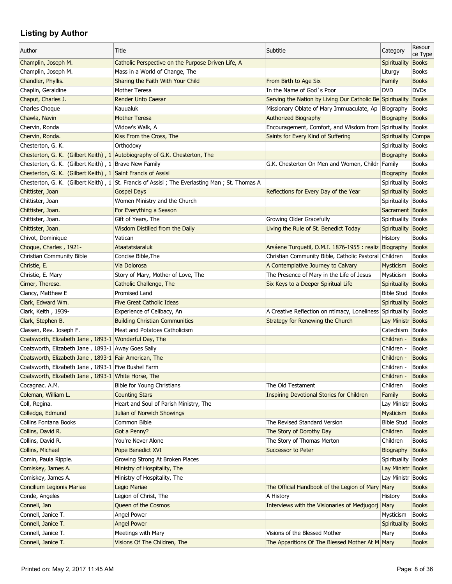| Author                                                       | Title                                                                                         | Subtitle                                                        | Category                       | Resour<br>ce Type |
|--------------------------------------------------------------|-----------------------------------------------------------------------------------------------|-----------------------------------------------------------------|--------------------------------|-------------------|
| Champlin, Joseph M.                                          | Catholic Perspective on the Purpose Driven Life, A                                            |                                                                 | Spirituality                   | <b>Books</b>      |
| Champlin, Joseph M.                                          | Mass in a World of Change, The                                                                |                                                                 | Liturgy                        | <b>Books</b>      |
| Chandler, Phyllis.                                           | Sharing the Faith With Your Child                                                             | From Birth to Age Six                                           | Family                         | <b>Books</b>      |
| Chaplin, Geraldine                                           | Mother Teresa                                                                                 | In the Name of God's Poor                                       | <b>DVD</b>                     | <b>DVDs</b>       |
| Chaput, Charles J.                                           | Render Unto Caesar                                                                            | Serving the Nation by Living Our Catholic Be Spirituality       |                                | <b>Books</b>      |
| Charles Choque                                               | Kauualuk                                                                                      | Missionary Oblate of Mary Immuaculate, Ap                       | Biography                      | <b>Books</b>      |
| Chawla, Navin                                                | <b>Mother Teresa</b>                                                                          | Authorized Biography                                            | Biography                      | <b>Books</b>      |
| Chervin, Ronda                                               | Widow's Walk, A                                                                               | Encouragement, Comfort, and Wisdom from Spirituality Books      |                                |                   |
| Chervin, Ronda.                                              | Kiss From the Cross, The                                                                      | Saints for Every Kind of Suffering                              | Spirituality Compa             |                   |
| Chesterton, G. K.                                            | Orthodoxy                                                                                     |                                                                 | Spirituality   Books           |                   |
|                                                              | Chesterton, G. K. (Gilbert Keith), 1 Autobiography of G.K. Chesterton, The                    |                                                                 | Biography                      | <b>Books</b>      |
| Chesterton, G. K. (Gilbert Keith), 1 Brave New Family        |                                                                                               | G.K. Chesterton On Men and Women, Childr                        | Family                         | <b>Books</b>      |
|                                                              |                                                                                               |                                                                 |                                |                   |
| Chesterton, G. K. (Gilbert Keith), 1 Saint Francis of Assisi |                                                                                               |                                                                 | Biography                      | <b>Books</b>      |
|                                                              | Chesterton, G. K. (Gilbert Keith), 1 St. Francis of Assisi; The Everlasting Man; St. Thomas A |                                                                 | Spirituality Books             |                   |
| Chittister, Joan                                             | <b>Gospel Days</b>                                                                            | Reflections for Every Day of the Year                           | Spirituality Books             |                   |
| Chittister, Joan                                             | Women Ministry and the Church                                                                 |                                                                 | Spirituality Books             |                   |
| Chittister, Joan.                                            | For Everything a Season                                                                       |                                                                 | Sacrament Books                |                   |
| Chittister, Joan.                                            | Gift of Years, The                                                                            | Growing Older Gracefully                                        | Spirituality Books             |                   |
| Chittister, Joan.                                            | Wisdom Distilled from the Daily                                                               | Living the Rule of St. Benedict Today                           | Spirituality Books             |                   |
| Chivot, Dominique                                            | Vatican                                                                                       |                                                                 | History                        | <b>Books</b>      |
| Choque, Charles, 1921-                                       | Ataatatsiaraluk                                                                               | Arsáene Turquetil, O.M.I. 1876-1955 : realiz Biography          |                                | <b>Books</b>      |
| Christian Community Bible                                    | Concise Bible, The                                                                            | Christian Community Bible, Catholic Pastoral Children           |                                | <b>Books</b>      |
| Christie, E.                                                 | Via Dolorosa                                                                                  | A Contemplative Journey to Calvary                              | Mysticism                      | <b>Books</b>      |
| Christie, E. Mary                                            | Story of Mary, Mother of Love, The                                                            | The Presence of Mary in the Life of Jesus                       | Mysticism                      | <b>Books</b>      |
| Cirner, Therese.                                             | Catholic Challenge, The                                                                       | Six Keys to a Deeper Spiritual Life                             | <b>Spirituality</b>            | <b>Books</b>      |
| Clancy, Matthew E                                            | <b>Promised Land</b>                                                                          |                                                                 | <b>Bible Stud</b>              | Books             |
| Clark, Edward Wm.                                            | <b>Five Great Catholic Ideas</b>                                                              |                                                                 | Spirituality Books             |                   |
| Clark, Keith, 1939-                                          | Experience of Celibacy, An                                                                    | A Creative Reflection on ntimacy, Loneliness Spirituality Books |                                |                   |
|                                                              |                                                                                               |                                                                 |                                |                   |
| Clark, Stephen B.                                            | <b>Building Christian Communities</b>                                                         | Strategy for Renewing the Church                                | Lay Ministr Books<br>Catechism |                   |
| Classen, Rev. Joseph F.                                      | Meat and Potatoes Catholicism                                                                 |                                                                 |                                | <b>Books</b>      |
| Coatsworth, Elizabeth Jane, 1893-1 Wonderful Day, The        |                                                                                               |                                                                 | Children -                     | <b>Books</b>      |
| Coatsworth, Elizabeth Jane, 1893-1 Away Goes Sally           |                                                                                               |                                                                 | Children -                     | <b>Books</b>      |
| Coatsworth, Elizabeth Jane, 1893-1 Fair American, The        |                                                                                               |                                                                 | Children -                     | <b>Books</b>      |
| Coatsworth, Elizabeth Jane, 1893-1 Five Bushel Farm          |                                                                                               |                                                                 | Children -                     | <b>Books</b>      |
| Coatsworth, Elizabeth Jane, 1893-1 White Horse, The          |                                                                                               |                                                                 | Children -                     | <b>Books</b>      |
| Cocagnac. A.M.                                               | Bible for Young Christians                                                                    | The Old Testament                                               | Children                       | <b>Books</b>      |
| Coleman, William L.                                          | <b>Counting Stars</b>                                                                         | <b>Inspiring Devotional Stories for Children</b>                | Family                         | <b>Books</b>      |
| Coll, Regina.                                                | Heart and Soul of Parish Ministry, The                                                        |                                                                 | Lay Ministr Books              |                   |
| Colledge, Edmund                                             | Julian of Norwich Showings                                                                    |                                                                 | Mysticism                      | <b>Books</b>      |
| Collins Fontana Books                                        | Common Bible                                                                                  | The Revised Standard Version                                    | <b>Bible Stud</b>              | <b>Books</b>      |
| Collins, David R.                                            | Got a Penny?                                                                                  | The Story of Dorothy Day                                        | Children                       | <b>Books</b>      |
| Collins, David R.                                            | You're Never Alone                                                                            | The Story of Thomas Merton                                      | Children                       | <b>Books</b>      |
| Collins, Michael                                             | Pope Benedict XVI                                                                             | Successor to Peter                                              | Biography                      | <b>Books</b>      |
| Comin, Paula Ripple.                                         | Growing Strong At Broken Places                                                               |                                                                 | Spirituality Books             |                   |
| Comiskey, James A.                                           | Ministry of Hospitality, The                                                                  |                                                                 | Lay Ministr Books              |                   |
| Comiskey, James A.                                           | Ministry of Hospitality, The                                                                  |                                                                 | Lay Ministr Books              |                   |
|                                                              |                                                                                               |                                                                 |                                |                   |
| Concilium Legionis Mariae                                    | Legio Mariae                                                                                  | The Official Handbook of the Legion of Mary                     | Mary                           | <b>Books</b>      |
| Conde, Angeles                                               | Legion of Christ, The                                                                         | A History                                                       | History                        | <b>Books</b>      |
| Connell, Jan                                                 | Queen of the Cosmos                                                                           | Interviews with the Visionaries of Medjugorj Mary               |                                | <b>Books</b>      |
| Connell, Janice T.                                           | Angel Power                                                                                   |                                                                 | Mysticism                      | <b>Books</b>      |
| Connell, Janice T.                                           | <b>Angel Power</b>                                                                            |                                                                 | <b>Spirituality</b>            | <b>Books</b>      |
| Connell, Janice T.                                           | Meetings with Mary                                                                            | Visions of the Blessed Mother                                   | Mary                           | <b>Books</b>      |
| Connell, Janice T.                                           | Visions Of The Children, The                                                                  | The Apparitions Of The Blessed Mother At M Mary                 |                                | <b>Books</b>      |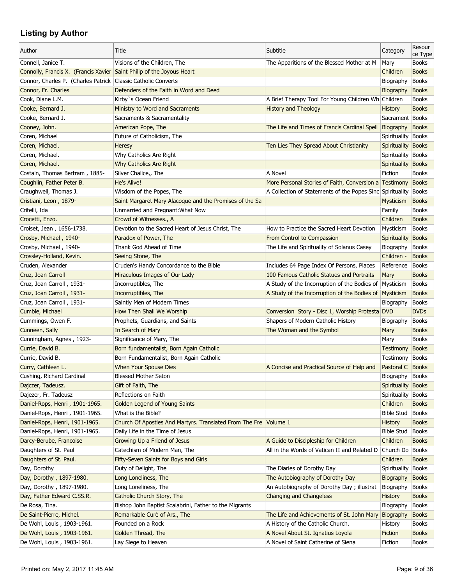| Author                                                                | Title                                                   | Subtitle                                                  | Category           | Resour<br>ce Type |
|-----------------------------------------------------------------------|---------------------------------------------------------|-----------------------------------------------------------|--------------------|-------------------|
| Connell, Janice T.                                                    | Visions of the Children, The                            | The Apparitions of the Blessed Mother at M                | Mary               | <b>Books</b>      |
| Connolly, Francis X. (Francis Xavier Saint Philip of the Joyous Heart |                                                         |                                                           | Children           | <b>Books</b>      |
| Connor, Charles P. (Charles Patrick   Classic Catholic Converts       |                                                         |                                                           | Biography          | <b>Books</b>      |
| Connor, Fr. Charles                                                   | Defenders of the Faith in Word and Deed                 |                                                           | Biography          | <b>Books</b>      |
| Cook, Diane L.M.                                                      | Kirby's Ocean Friend                                    | A Brief Therapy Tool For Young Children Wh Children       |                    | <b>Books</b>      |
| Cooke, Bernard J.                                                     | Ministry to Word and Sacraments                         | <b>History and Theology</b>                               | <b>History</b>     | <b>Books</b>      |
| Cooke, Bernard J.                                                     | Sacraments & Sacramentality                             |                                                           | Sacrament Books    |                   |
| Cooney, John.                                                         | American Pope, The                                      | The Life and Times of Francis Cardinal Spell Biography    |                    | <b>Books</b>      |
| Coren, Michael                                                        | Future of Catholicism, The                              |                                                           | Spirituality Books |                   |
| Coren, Michael.                                                       | Heresy                                                  | Ten Lies They Spread About Christianity                   | Spirituality Books |                   |
| Coren, Michael.                                                       | Why Catholics Are Right                                 |                                                           | Spirituality Books |                   |
| Coren, Michael.                                                       | Why Catholics Are Right                                 |                                                           | Spirituality       | <b>Books</b>      |
| Costain, Thomas Bertram, 1885-                                        | Silver Chalice,, The                                    | A Novel                                                   | Fiction            | <b>Books</b>      |
| Coughlin, Father Peter B.                                             | <b>He's Alive!</b>                                      | More Personal Stories of Faith, Conversion a Testimony    |                    | <b>Books</b>      |
| Craughwell, Thomas J.                                                 | Wisdom of the Popes, The                                | A Collection of Statements of the Popes Sinc Spirituality |                    | <b>Books</b>      |
| Cristiani, Leon, 1879-                                                | Saint Margaret Mary Alacoque and the Promises of the Sa |                                                           | <b>Mysticism</b>   | <b>Books</b>      |
| Critelli, Ida                                                         | Unmarried and Pregnant: What Now                        |                                                           | Family             | <b>Books</b>      |
| Crocetti, Enzo.                                                       | Crowd of Witnesses., A                                  |                                                           | Children           | <b>Books</b>      |
| Croiset, Jean, 1656-1738.                                             | Devotion to the Sacred Heart of Jesus Christ, The       | How to Practice the Sacred Heart Devotion                 | Mysticism          | <b>Books</b>      |
| Crosby, Michael, 1940-                                                | Paradox of Power, The                                   | From Control to Compassion                                | Spirituality       | <b>Books</b>      |
| Crosby, Michael, 1940-                                                | Thank God Ahead of Time                                 | The Life and Spirituality of Solanus Casey                | Biography          | <b>Books</b>      |
| Crossley-Holland, Kevin.                                              | Seeing Stone, The                                       |                                                           | Children -         | <b>Books</b>      |
| Cruden, Alexander                                                     | Cruden's Handy Concordance to the Bible                 | Includes 64 Page Index Of Persons, Places                 | Reference          | Books             |
| Cruz, Joan Carroll                                                    | Miraculous Images of Our Lady                           | 100 Famous Catholic Statues and Portraits                 | Mary               | <b>Books</b>      |
| Cruz, Joan Carroll, 1931-                                             | Incorruptibles, The                                     | A Study of the Incorruption of the Bodies of              | Mysticism          | <b>Books</b>      |
| Cruz, Joan Carroll, 1931-                                             | Incorruptibles, The                                     | A Study of the Incorruption of the Bodies of Mysticism    |                    | <b>Books</b>      |
| Cruz, Joan Carroll, 1931-                                             | Saintly Men of Modern Times                             |                                                           | Biography          | <b>Books</b>      |
| Cumble, Michael                                                       | How Then Shall We Worship                               | Conversion Story - Disc 1, Worship Protesta DVD           |                    | <b>DVDs</b>       |
| Cummings, Owen F.                                                     | Prophets, Guardians, and Saints                         | Shapers of Modern Catholic History                        | Biography          | <b>Books</b>      |
| Cunneen, Sally                                                        | In Search of Mary                                       | The Woman and the Symbol                                  | Mary               | <b>Books</b>      |
| Cunningham, Agnes, 1923-                                              | Significance of Mary, The                               |                                                           | Mary               | <b>Books</b>      |
| Currie, David B.                                                      | Born fundamentalist, Born Again Catholic                |                                                           | <b>Testimony</b>   | <b>Books</b>      |
| Currie, David B.                                                      | Born Fundamentalist, Born Again Catholic                |                                                           | Testimony          | Books             |
| Curry, Cathleen L.                                                    | When Your Spouse Dies                                   | A Concise and Practical Source of Help and                | Pastoral C Books   |                   |
| Cushing, Richard Cardinal                                             | <b>Blessed Mother Seton</b>                             |                                                           | Biography          | <b>Books</b>      |
| Dajczer, Tadeusz.                                                     | Gift of Faith, The                                      |                                                           | Spirituality       | <b>Books</b>      |
| Dajezer, Fr. Tadeusz                                                  | Reflections on Faith                                    |                                                           | Spirituality Books |                   |
| Daniel-Rops, Henri, 1901-1965.                                        | <b>Golden Legend of Young Saints</b>                    |                                                           | Children           | <b>Books</b>      |
| Daniel-Rops, Henri, 1901-1965.                                        | What is the Bible?                                      |                                                           | <b>Bible Stud</b>  | Books             |
| Daniel-Rops, Henri, 1901-1965.                                        | Church Of Apostles And Martyrs. Translated From The Fre | $\forall$ olume 1                                         | <b>History</b>     | <b>Books</b>      |
| Daniel-Rops, Henri, 1901-1965.                                        | Daily Life in the Time of Jesus                         |                                                           | <b>Bible Stud</b>  | Books             |
| Darcy-Berube, Francoise                                               | Growing Up a Friend of Jesus                            | A Guide to Discipleship for Children                      | Children           | <b>Books</b>      |
| Daughters of St. Paul                                                 | Catechism of Modern Man, The                            | All in the Words of Vatican II and Related D              | Church Do   Books  |                   |
| Daughters of St. Paul.                                                | Fifty-Seven Saints for Boys and Girls                   |                                                           | Children           | <b>Books</b>      |
| Day, Dorothy                                                          | Duty of Delight, The                                    | The Diaries of Dorothy Day                                | Spirituality       | Books             |
| Day, Dorothy, 1897-1980.                                              | Long Loneliness, The                                    | The Autobiography of Dorothy Day                          | Biography          | <b>Books</b>      |
| Day, Dorothy, 1897-1980.                                              | Long Loneliness, The                                    | An Autobiography of Dorothy Day; illustrat                | Biography          | <b>Books</b>      |
| Day, Father Edward C.SS.R.                                            | Catholic Church Story, The                              | Changing and Changeless                                   | <b>History</b>     | <b>Books</b>      |
| De Rosa, Tina.                                                        | Bishop John Baptist Scalabrini, Father to the Migrants  |                                                           | Biography          | <b>Books</b>      |
| De Saint-Pierre, Michel.                                              | Remarkable Curè of Ars., The                            | The Life and Achievements of St. John Mary                | <b>Biography</b>   | <b>Books</b>      |
| De Wohl, Louis, 1903-1961.                                            | Founded on a Rock                                       | A History of the Catholic Church.                         | History            | <b>Books</b>      |
| De Wohl, Louis, 1903-1961.                                            | Golden Thread, The                                      | A Novel About St. Ignatius Loyola                         | Fiction            | <b>Books</b>      |
| De Wohl, Louis, 1903-1961.                                            | Lay Siege to Heaven                                     | A Novel of Saint Catherine of Siena                       | Fiction            | Books             |
|                                                                       |                                                         |                                                           |                    |                   |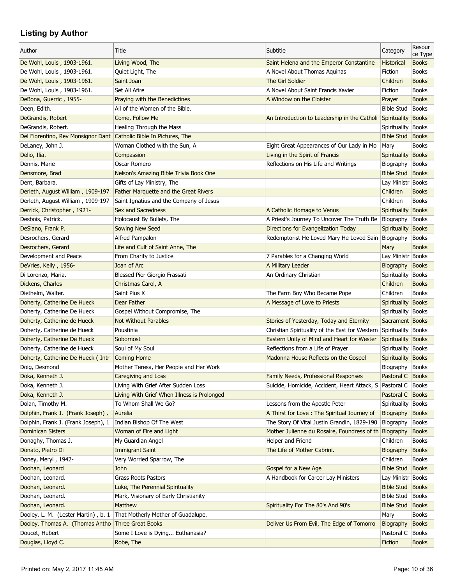| Author                                                             | Title                                                                  | Subtitle                                                        | Category             | Resour<br>ce Type |
|--------------------------------------------------------------------|------------------------------------------------------------------------|-----------------------------------------------------------------|----------------------|-------------------|
| De Wohl, Louis, 1903-1961.                                         | Living Wood, The                                                       | Saint Helena and the Emperor Constantine                        | <b>Historical</b>    | <b>Books</b>      |
| De Wohl, Louis, 1903-1961.                                         | Quiet Light, The                                                       | A Novel About Thomas Aquinas                                    | Fiction              | <b>Books</b>      |
| De Wohl, Louis, 1903-1961.                                         | Saint Joan                                                             | The Girl Soldier                                                | Children             | <b>Books</b>      |
| De Wohl, Louis, 1903-1961.                                         | Set All Afire                                                          | A Novel About Saint Francis Xavier                              | Fiction              | <b>Books</b>      |
| DeBona, Guerric, 1955-                                             | Praying with the Benedictines                                          | A Window on the Cloister                                        | Prayer               | <b>Books</b>      |
| Deen, Edith.                                                       | All of the Women of the Bible.                                         |                                                                 | <b>Bible Stud</b>    | Books             |
| DeGrandis, Robert                                                  | Come, Follow Me                                                        | An Introduction to Leadership in the Catholi Spirituality Books |                      |                   |
| DeGrandis, Robert.                                                 | Healing Through the Mass                                               |                                                                 | Spirituality Books   |                   |
| Del Fiorentino, Rev Monsignor Dant Catholic Bible In Pictures, The |                                                                        |                                                                 | <b>Bible Stud</b>    | Books             |
| DeLaney, John J.                                                   | Woman Clothed with the Sun, A                                          | Eight Great Appearances of Our Lady in Mo                       | Mary                 | <b>Books</b>      |
| Delio, Ilia.                                                       | Compassion                                                             | Living in the Spirit of Francis                                 | Spirituality Books   |                   |
| Dennis, Marie                                                      | Oscar Romero                                                           | Reflections on His Life and Writings                            | Biography            | <b>Books</b>      |
| Densmore, Brad                                                     | Nelson's Amazing Bible Trivia Book One                                 |                                                                 | <b>Bible Stud</b>    | Books             |
| Dent, Barbara.                                                     | Gifts of Lay Ministry, The                                             |                                                                 | Lay Ministr Books    |                   |
| Derleth, August William, 1909-197                                  | <b>Father Marquette and the Great Rivers</b>                           |                                                                 | Children             | <b>Books</b>      |
| Derleth, August William, 1909-197                                  | Saint Ignatius and the Company of Jesus                                |                                                                 | Children             | <b>Books</b>      |
| Derrick, Christopher, 1921-                                        | Sex and Sacredness                                                     | A Catholic Homage to Venus                                      | Spirituality Books   |                   |
| Desbois, Patrick.                                                  | Holocaust By Bullets, The                                              | A Priest's Journey To Uncover The Truth Be                      | Biography            | Books             |
| DeSiano, Frank P.                                                  | Sowing New Seed                                                        | Directions for Evangelization Today                             | Spirituality Books   |                   |
| Desrochers, Gerard                                                 | Alfred Pampalon                                                        | Redemptorist He Loved Mary He Loved Sain                        | Biography            | <b>Books</b>      |
| Desrochers, Gerard                                                 | Life and Cult of Saint Anne, The                                       |                                                                 | Mary                 | <b>Books</b>      |
| Development and Peace                                              | From Charity to Justice                                                | 7 Parables for a Changing World                                 | Lay Ministr Books    |                   |
| DeVries, Kelly, 1956-                                              | Joan of Arc                                                            | A Military Leader                                               | Biography            | <b>Books</b>      |
| Di Lorenzo, Maria.                                                 | Blessed Pier Giorgio Frassati                                          | An Ordinary Christian                                           | Spirituality   Books |                   |
| Dickens, Charles                                                   | Christmas Carol, A                                                     |                                                                 | Children             | <b>Books</b>      |
| Diethelm, Walter.                                                  | Saint Pius X                                                           | The Farm Boy Who Became Pope                                    | Children             | <b>Books</b>      |
| Doherty, Catherine De Hueck                                        | Dear Father                                                            | A Message of Love to Priests                                    | Spirituality Books   |                   |
| Doherty, Catherine De Hueck                                        | Gospel Without Compromise, The                                         |                                                                 | Spirituality Books   |                   |
| Doherty, Catherine de Hueck                                        | <b>Not Without Parables</b>                                            | Stories of Yesterday, Today and Eternity                        | Sacrament Books      |                   |
| Doherty, Catherine de Hueck                                        | Poustinia                                                              | Christian Spirituality of the East for Western                  | Spirituality Books   |                   |
| Doherty, Catherine De Hueck                                        | Sobornost                                                              | Eastern Unity of Mind and Heart for Wester                      | Spirituality Books   |                   |
| Doherty, Catherine de Hueck                                        | Soul of My Soul                                                        | Reflections from a Life of Prayer                               | Spirituality Books   |                   |
|                                                                    | <b>Coming Home</b>                                                     | Madonna House Reflects on the Gospel                            | Spirituality Books   |                   |
| Doherty, Catherine De Hueck ( Intr<br>Doig, Desmond                | Mother Teresa, Her People and Her Work                                 |                                                                 | Biography Books      |                   |
|                                                                    | Caregiving and Loss                                                    |                                                                 |                      |                   |
| Doka, Kenneth J.                                                   |                                                                        | Family Needs, Professional Responses                            | Pastoral C           | Books             |
| Doka, Kenneth J.                                                   | Living With Grief After Sudden Loss                                    | Suicide, Homicide, Accident, Heart Attack, S                    | Pastoral C           | <b>Books</b>      |
| Doka, Kenneth J.                                                   | Living With Grief When Illness is Prolonged                            |                                                                 | Pastoral C           | <b>Books</b>      |
| Dolan, Timothy M.                                                  | To Whom Shall We Go?                                                   | Lessons from the Apostle Peter                                  | Spirituality Books   |                   |
| Dolphin, Frank J. (Frank Joseph),                                  | Aurelia                                                                | A Thirst for Love: The Spiritual Journey of                     | Biography            | <b>Books</b>      |
| Dolphin, Frank J. (Frank Joseph), 1                                | Indian Bishop Of The West                                              | The Story Of Vital Justin Grandin, 1829-190                     | Biography            | <b>Books</b>      |
| <b>Dominican Sisters</b>                                           | Woman of Fire and Light                                                | Mother Julienne du Rosaire, Foundress of th Biography           |                      | <b>Books</b>      |
| Donaghy, Thomas J.                                                 | My Guardian Angel                                                      | Helper and Friend                                               | Children             | Books             |
| Donato, Pietro Di                                                  | <b>Immigrant Saint</b>                                                 | The Life of Mother Cabrini.                                     | Biography            | <b>Books</b>      |
| Doney, Meryl, 1942-                                                | Very Worried Sparrow, The                                              |                                                                 | Children             | <b>Books</b>      |
| Doohan, Leonard                                                    | John                                                                   | Gospel for a New Age                                            | <b>Bible Stud</b>    | Books             |
| Doohan, Leonard.                                                   | <b>Grass Roots Pastors</b>                                             | A Handbook for Career Lay Ministers                             | Lay Ministr Books    |                   |
| Doohan, Leonard.                                                   | Luke, The Perennial Spirituality                                       |                                                                 | <b>Bible Stud</b>    | <b>Books</b>      |
| Doohan, Leonard.                                                   | Mark, Visionary of Early Christianity                                  |                                                                 | <b>Bible Stud</b>    | <b>Books</b>      |
| Doohan, Leonard.                                                   | Matthew                                                                | Spirituality For The 80's And 90's                              | <b>Bible Stud</b>    | <b>Books</b>      |
|                                                                    | Dooley, L. M. (Lester Martin), b. 1 That Motherly Mother of Guadalupe. |                                                                 | Mary                 | <b>Books</b>      |
| Dooley, Thomas A. (Thomas Antho Three Great Books                  |                                                                        | Deliver Us From Evil, The Edge of Tomorro                       | Biography            | <b>Books</b>      |
| Doucet, Hubert                                                     | Some I Love is Dying Euthanasia?                                       |                                                                 | Pastoral C           | <b>Books</b>      |
| Douglas, Lloyd C.                                                  | Robe, The                                                              |                                                                 | <b>Fiction</b>       | <b>Books</b>      |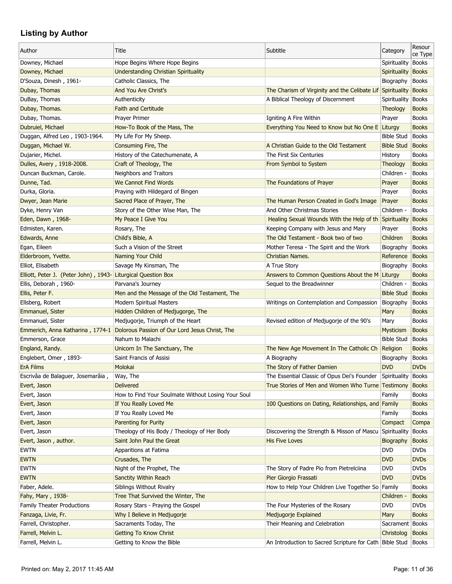| Author                                | Title                                                                           | Subtitle                                                       | Category                       | Resour<br>ce Type |
|---------------------------------------|---------------------------------------------------------------------------------|----------------------------------------------------------------|--------------------------------|-------------------|
| Downey, Michael                       | Hope Begins Where Hope Begins                                                   |                                                                | Spirituality                   | Books             |
| Downey, Michael                       | <b>Understanding Christian Spirituality</b>                                     |                                                                | Spirituality                   | <b>Books</b>      |
| D'Souza, Dinesh, 1961-                | Catholic Classics, The                                                          |                                                                | Biography                      | <b>Books</b>      |
| Dubay, Thomas                         | And You Are Christ's                                                            | The Charism of Virginity and the Celibate Lif Spirituality     |                                | <b>Books</b>      |
| DuBay, Thomas                         | Authenticity                                                                    | A Biblical Theology of Discernment                             | Spirituality   Books           |                   |
| Dubay, Thomas.                        | <b>Faith and Certitude</b>                                                      |                                                                | <b>Theology</b>                | <b>Books</b>      |
| Dubay, Thomas.                        | Prayer Primer                                                                   | Igniting A Fire Within                                         | Prayer                         | <b>Books</b>      |
| Dubruiel, Michael                     | How-To Book of the Mass, The                                                    | Everything You Need to Know but No One E Liturgy               |                                | <b>Books</b>      |
| Duggan, Alfred Leo, 1903-1964.        | My Life For My Sheep.                                                           |                                                                | <b>Bible Stud</b>              | Books             |
| Duggan, Michael W.                    | Consuming Fire, The                                                             | A Christian Guide to the Old Testament                         | <b>Bible Stud</b>              | <b>Books</b>      |
| Dujarier, Michel.                     | History of the Catechumenate, A                                                 | The First Six Centuries                                        | History                        | <b>Books</b>      |
| Dulles, Avery, 1918-2008.             | Craft of Theology, The                                                          | From Symbol to System                                          | <b>Theology</b>                | <b>Books</b>      |
| Duncan Buckman, Carole.               | Neighbors and Traitors                                                          |                                                                | Children -                     | <b>Books</b>      |
| Dunne, Tad.                           | <b>We Cannot Find Words</b>                                                     | The Foundations of Prayer                                      | Prayer                         | <b>Books</b>      |
| Durka, Gloria.                        | Praying with Hildegard of Bingen                                                |                                                                | Prayer                         | <b>Books</b>      |
| Dwyer, Jean Marie                     | Sacred Place of Prayer, The                                                     | The Human Person Created in God's Image                        | Prayer                         | <b>Books</b>      |
| Dyke, Henry Van                       | Story of the Other Wise Man, The                                                | And Other Christmas Stories                                    | Children -                     | <b>Books</b>      |
| Eden, Dawn, 1968-                     | My Peace I Give You                                                             | Healing Sexual Wounds With the Help of th Spirituality         |                                | Books             |
| Edmisten, Karen.                      | Rosary, The                                                                     | Keeping Company with Jesus and Mary                            | Prayer                         | <b>Books</b>      |
| Edwards, Anne                         | Child's Bible, A                                                                | The Old Testament - Book two of two                            | Children                       | <b>Books</b>      |
| Egan, Eileen                          | Such a Vision of the Street                                                     | Mother Teresa - The Spirit and the Work                        | Biography                      | <b>Books</b>      |
| Elderbroom, Yvette.                   | Naming Your Child                                                               | <b>Christian Names.</b>                                        | Reference                      | <b>Books</b>      |
| Elliot, Elisabeth                     | Savage My Kinsman, The                                                          | A True Story                                                   | Biography                      | Books             |
| Elliott, Peter J. (Peter John), 1943- | <b>Liturgical Question Box</b>                                                  | Answers to Common Questions About the M Liturgy                |                                | <b>Books</b>      |
| Ellis, Deborah, 1960-                 | Parvana's Journey                                                               | Sequel to the Breadwinner                                      | Children -                     | <b>Books</b>      |
| Ellis, Peter F.                       | Men and the Message of the Old Testament, The                                   |                                                                | <b>Bible Stud</b>              | <b>Books</b>      |
| Ellsberg, Robert                      | <b>Modern Spiritual Masters</b>                                                 | Writings on Contemplation and Compassion                       | Biography                      | <b>Books</b>      |
| Emmanuel, Sister                      | Hidden Children of Medjugorge, The                                              |                                                                | Mary                           | <b>Books</b>      |
| Emmanuel, Sister                      | Medjugorje, Triumph of the Heart                                                | Revised edition of Medjugorje of the 90's                      | Mary                           | <b>Books</b>      |
|                                       | Emmerich, Anna Katharina, 1774-1 Dolorous Passion of Our Lord Jesus Christ, The |                                                                | <b>Mysticism</b>               | <b>Books</b>      |
| Emmerson, Grace                       | Nahum to Malachi                                                                |                                                                | <b>Bible Stud</b>              | <b>Books</b>      |
| England, Randy.                       | Unicorn In The Sanctuary, The                                                   | The New Age Movement In The Catholic Ch                        | Religion                       | <b>Books</b>      |
| Englebert, Omer, 1893-                | Saint Francis of Assisi                                                         | A Biography                                                    | Biography                      | <b>Books</b>      |
| <b>ErA Films</b>                      | Molokai                                                                         | The Story of Father Damien                                     | <b>DVD</b>                     | <b>DVDs</b>       |
| Escrivâa de Balaguer, Josemarâia,     | Way, The                                                                        | The Essential Classic of Opus Dei's Founder Spirituality Books |                                |                   |
| Evert, Jason                          | <b>Delivered</b>                                                                | True Stories of Men and Women Who Turne Testimony              |                                | <b>Books</b>      |
| Evert, Jason                          | How to Find Your Soulmate Without Losing Your Soul                              |                                                                | Family                         | <b>Books</b>      |
| Evert, Jason                          | If You Really Loved Me                                                          | 100 Questions on Dating, Relationships, and Family             |                                | <b>Books</b>      |
| Evert, Jason                          | If You Really Loved Me                                                          |                                                                | Family                         | <b>Books</b>      |
| Evert, Jason                          | <b>Parenting for Purity</b>                                                     |                                                                | Compact                        | Compa             |
| Evert, Jason                          | Theology of His Body / Theology of Her Body                                     | Discovering the Strength & Misson of Mascu Spirituality Books  |                                |                   |
| Evert, Jason, author.                 | Saint John Paul the Great                                                       | <b>His Five Loves</b>                                          |                                | <b>Books</b>      |
| <b>EWTN</b>                           | Apparitions at Fatima                                                           |                                                                | <b>Biography</b><br><b>DVD</b> | <b>DVDs</b>       |
| <b>EWTN</b>                           |                                                                                 |                                                                | <b>DVD</b>                     | <b>DVDs</b>       |
|                                       | Crusades, The                                                                   |                                                                |                                |                   |
| <b>EWTN</b>                           | Night of the Prophet, The                                                       | The Story of Padre Pio from Pietrelciina                       | <b>DVD</b>                     | <b>DVDs</b>       |
| <b>EWTN</b>                           | <b>Sanctity Within Reach</b>                                                    | Pier Giorgio Frassati                                          | <b>DVD</b>                     | <b>DVDs</b>       |
| Faber, Adele.                         | Siblings Without Rivalry                                                        | How to Help Your Children Live Together So Family              |                                | <b>Books</b>      |
| Fahy, Mary, 1938-                     | Tree That Survived the Winter, The                                              |                                                                | Children -                     | <b>Books</b>      |
| Family Theater Productions            | Rosary Stars - Praying the Gospel                                               | The Four Mysteries of the Rosary                               | <b>DVD</b>                     | <b>DVDs</b>       |
| Fanzaga, Livie, Fr.                   | Why I Believe in Medjugorje                                                     | Medjugorje Explained                                           | Mary                           | <b>Books</b>      |
| Farrell, Christopher.                 | Sacraments Today, The                                                           | Their Meaning and Celebration                                  | Sacrament   Books              |                   |
| Farrell, Melvin L.                    | <b>Getting To Know Christ</b>                                                   |                                                                | Christolog                     | <b>Books</b>      |
| Farrell, Melvin L.                    | Getting to Know the Bible                                                       | An Introduction to Sacred Scripture for Cath Bible Stud Books  |                                |                   |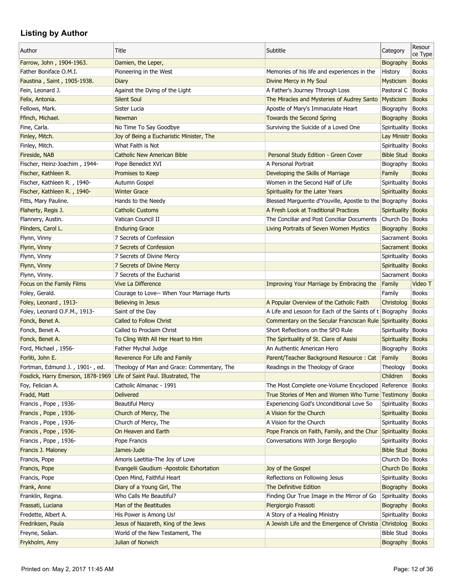| Author                                                                 | Title                                      | Subtitle                                                     | Category             | Resour<br>ce Type            |
|------------------------------------------------------------------------|--------------------------------------------|--------------------------------------------------------------|----------------------|------------------------------|
| Farrow, John, 1904-1963.                                               | Damien, the Leper,                         |                                                              | Biography            | <b>Books</b>                 |
| Father Boniface O.M.I.                                                 | Pioneering in the West                     | Memories of his life and experiences in the                  | History              | <b>Books</b>                 |
| Faustina, Saint, 1905-1938.                                            | Diary                                      | Divine Mercy in My Soul                                      | Mysticism            | <b>Books</b>                 |
| Fein, Leonard J.                                                       | Against the Dying of the Light             | A Father's Journey Through Loss                              | Pastoral C           | <b>Books</b>                 |
| Felix, Antonia.                                                        | <b>Silent Soul</b>                         | The Miracles and Mysteries of Audrey Santo                   | <b>Mysticism</b>     | <b>Books</b>                 |
| Fellows, Mark.                                                         | Sister Lucia                               | Apostle of Mary's Immaculate Heart                           | Biography            | <b>Books</b>                 |
| Ffinch, Michael.                                                       | <b>Newman</b>                              | <b>Towards the Second Spring</b>                             | Biography            | <b>Books</b>                 |
| Fine, Carla.                                                           | No Time To Say Goodbye                     | Surviving the Suicide of a Loved One                         | Spirituality   Books |                              |
| Finley, Mitch.                                                         | Joy of Being a Eucharistic Minister, The   |                                                              | Lay Ministr Books    |                              |
| Finley, Mitch.                                                         | What Faith is Not                          |                                                              | Spirituality Books   |                              |
| Fireside, NAB                                                          | <b>Catholic New American Bible</b>         | Personal Study Edition - Green Cover                         | <b>Bible Stud</b>    | <b>Books</b>                 |
| Fischer, Heinz-Joachim, 1944-                                          | Pope Benedict XVI                          | A Personal Portrait                                          | Biography            | <b>Books</b>                 |
| Fischer, Kathleen R.                                                   | Promises to Keep                           | Developing the Skills of Marriage                            | Family               | <b>Books</b>                 |
| Fischer, Kathleen R., 1940-                                            | Autumn Gospel                              | Women in the Second Half of Life                             | Spirituality         | <b>Books</b>                 |
| Fischer, Kathleen R., 1940-                                            | <b>Winter Grace</b>                        | Spirituality for the Later Years                             | Spirituality         | <b>Books</b>                 |
| Fitts, Mary Pauline.                                                   | Hands to the Needy                         | Blessed Marguerite d'Youville, Apostle to the Biography      |                      | <b>Books</b>                 |
| Flaherty, Regis J.                                                     | <b>Catholic Customs</b>                    | A Fresh Look at Traditional Practices                        | Spirituality Books   |                              |
| Flannery, Austin.                                                      | Vatican Council II                         | The Conciliar and Post Conciliar Documents                   | Church Do   Books    |                              |
| Flinders, Carol L.                                                     | <b>Enduring Grace</b>                      | Living Portraits of Seven Women Mystics                      | Biography            | <b>Books</b>                 |
| Flynn, Vinny                                                           | 7 Secrets of Confession                    |                                                              | Sacrament   Books    |                              |
| Flynn, Vinny                                                           | 7 Secrets of Confession                    |                                                              | Sacrament Books      |                              |
| Flynn, Vinny                                                           | 7 Secrets of Divine Mercy                  |                                                              | Spirituality Books   |                              |
| Flynn, Vinny                                                           | 7 Secrets of Divine Mercy                  |                                                              | Spirituality Books   |                              |
| Flynn, Vinny.                                                          | 7 Secrets of the Eucharist                 |                                                              | Sacrament   Books    |                              |
| Focus on the Family Films                                              | <b>Vive La Difference</b>                  | Improving Your Marriage by Embracing the                     | Family               | Video T                      |
| Foley, Gerald.                                                         | Courage to Love-- When Your Marriage Hurts |                                                              | Family               | <b>Books</b>                 |
| Foley, Leonard, 1913-                                                  | Believing in Jesus                         | A Popular Overview of the Catholic Faith                     | Christolog           | <b>Books</b>                 |
| Foley, Leonard O.F.M., 1913-                                           | Saint of the Day                           | A Life and Lesoon for Each of the Saints of t Biography      |                      | <b>Books</b>                 |
| Fonck, Benet A.                                                        | <b>Called to Follow Christ</b>             | Commentary on the Secular Franciscan Rule Spirituality Books |                      |                              |
| Fonck, Benet A.                                                        | Called to Proclaim Christ                  | Short Reflections on the SFO Rule                            | Spirituality         | <b>Books</b>                 |
| Fonck, Benet A.                                                        | To Cling With All Her Heart to Him         | The Spirituality of St. Clare of Assisi                      | Spirituality         | <b>Books</b>                 |
| Ford, Michael, 1956-                                                   | Father Mychal Judge                        | An Authentic American Hero                                   | Biography            | <b>Books</b>                 |
| Forliti, John E.                                                       | Reverence For Life and Family              | Parent/Teacher Background Resource: Cat                      | Family               | <b>Books</b>                 |
| Fortman, Edmund J., 1901-, ed.                                         | Theology of Man and Grace: Commentary, The | Readings in the Theology of Grace                            | Theology             | <b>Books</b>                 |
| Fosdick, Harry Emerson, 1878-1969 Life of Saint Paul. Illustrated, The |                                            |                                                              | Children             | <b>Books</b>                 |
| Foy, Felician A.                                                       | Catholic Almanac - 1991                    | The Most Complete one-Volume Encycloped                      | Reference            | <b>Books</b>                 |
| Fradd, Matt                                                            | <b>Delivered</b>                           | True Stories of Men and Women Who Turne Testimony            |                      | <b>Books</b>                 |
| Francis, Pope, 1936-                                                   | <b>Beautiful Mercy</b>                     | Experiencing God's Unconditional Love So                     | Spirituality         | <b>Books</b>                 |
| Francis, Pope, 1936-                                                   | Church of Mercy, The                       | A Vision for the Church                                      | Spirituality Books   |                              |
| Francis, Pope, 1936-                                                   | Church of Mercy, The                       | A Vision for the Church                                      | Spirituality Books   |                              |
| Francis, Pope, 1936-                                                   | On Heaven and Earth                        | Pope Francis on Faith, Family, and the Chur                  | Spirituality Books   |                              |
| Francis, Pope, 1936-                                                   | Pope Francis                               | Conversations With Jorge Bergoglio                           | Spirituality   Books |                              |
| Francis J. Maloney                                                     | James-Jude                                 |                                                              | <b>Bible Stud</b>    | <b>Books</b>                 |
| Francis, Pope                                                          | Amoris Laetitia-The Joy of Love            |                                                              | Church Do   Books    |                              |
| Francis, Pope                                                          | Evangelii Gaudium -Apostolic Exhortation   | Joy of the Gospel                                            | Church Do Books      |                              |
| Francis, Pope                                                          | Open Mind, Faithful Heart                  | Reflections on Following Jesus                               | Spirituality   Books |                              |
| Frank, Anne                                                            | Diary of a Young Girl, The                 | The Definitive Edition                                       | Biography            | <b>Books</b>                 |
| Franklin, Regina.                                                      | Who Calls Me Beautiful?                    | Finding Our True Image in the Mirror of Go                   | Spirituality         | <b>Books</b>                 |
| Frassati, Luciana                                                      | Man of the Beatitudes                      | Piergiorgio Frassoti                                         | Biography            | <b>Books</b>                 |
| Fredette, Albert A.                                                    | His Power is Among Us!                     | A Story of a Healing Ministry                                | Spirituality         | <b>Books</b>                 |
|                                                                        | Jesus of Nazareth, King of the Jews        |                                                              | Christolog           |                              |
| Fredriksen, Paula<br>Freyne, Seâan.                                    | World of the New Testament, The            | A Jewish Life and the Emergence of Christia                  | Bible Stud           | <b>Books</b><br><b>Books</b> |
| Frykholm, Amy                                                          | Julian of Norwich                          |                                                              | Biography Books      |                              |
|                                                                        |                                            |                                                              |                      |                              |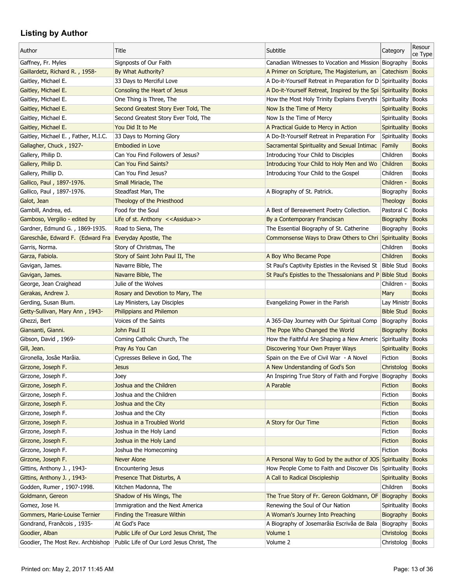| Author                                   | Title                                          | Subtitle                                                     | Category                | Resour<br>ce Type |
|------------------------------------------|------------------------------------------------|--------------------------------------------------------------|-------------------------|-------------------|
| Gaffney, Fr. Myles                       | Signposts of Our Faith                         | Canadian Witnesses to Vocation and Mission Biography         |                         | <b>Books</b>      |
| Gaillardetz, Richard R., 1958-           | By What Authority?                             | A Primer on Scripture, The Magisterium, an                   | Catechism               | <b>Books</b>      |
| Gaitley, Michael E.                      | 33 Days to Merciful Love                       | A Do-it-Yourself Retreat in Preparation for D Spirituality   |                         | <b>Books</b>      |
| Gaitley, Michael E.                      | Consoling the Heart of Jesus                   | A Do-it-Yourself Retreat, Inspired by the Spi Spirituality   |                         | <b>Books</b>      |
| Gaitley, Michael E.                      | One Thing is Three, The                        | How the Most Holy Trinity Explains Everythi Spirituality     |                         | <b>Books</b>      |
| Gaitley, Michael E.                      | Second Greatest Story Ever Told, The           | Now Is the Time of Mercy                                     | Spirituality Books      |                   |
| Gaitley, Michael E.                      | Second Greatest Story Ever Told, The           | Now Is the Time of Mercy                                     | Spirituality   Books    |                   |
| Gaitley, Michael E.                      | You Did It to Me                               | A Practical Guide to Mercy in Action                         | Spirituality            | <b>Books</b>      |
| Gaitley, Michael E., Father, M.I.C.      | 33 Days to Morning Glory                       | A Do-It-Yourself Retreat in Preparation For                  | Spirituality            | <b>Books</b>      |
| Gallagher, Chuck, 1927-                  | <b>Embodied in Love</b>                        | Sacramental Spirituality and Sexual Intimac                  | Family                  | <b>Books</b>      |
| Gallery, Philip D.                       | Can You Find Followers of Jesus?               | Introducing Your Child to Disciples                          | Children                | <b>Books</b>      |
| Gallery, Philip D.                       | Can You Find Saints?                           | Introducing Your Child to Holy Men and Wo                    | Children                | <b>Books</b>      |
| Gallery, Phillip D.                      | Can You Find Jesus?                            | Introducing Your Child to the Gospel                         | Children                | <b>Books</b>      |
| Gallico, Paul, 1897-1976.                | Small Miriacle, The                            |                                                              | Children -              | <b>Books</b>      |
| Gallico, Paul, 1897-1976.                | Steadfast Man, The                             | A Biography of St. Patrick.                                  | Biography               | <b>Books</b>      |
| Galot, Jean                              | Theology of the Priesthood                     |                                                              | <b>Theology</b>         | <b>Books</b>      |
| Gambill, Andrea, ed.                     | Food for the Soul                              | A Best of Bereavement Poetry Collection.                     | Pastoral C              | <b>Books</b>      |
| Gamboso, Vergilio - edited by            | Life of st. Anthony < <assidua>&gt;</assidua>  | By a Contemporary Franciscan                                 | Biography               | <b>Books</b>      |
| Gardner, Edmund G., 1869-1935.           | Road to Siena, The                             | The Essential Biography of St. Catherine                     | Biography               | <b>Books</b>      |
| Gareschâe, Edward F. (Edward Fra         | Everyday Apostle, The                          | Commonsense Ways to Draw Others to Chri Spirituality         |                         | <b>Books</b>      |
| Garris, Norma.                           | Story of Christmas, The                        |                                                              | Children                | <b>Books</b>      |
| Garza, Fabiola.                          | Story of Saint John Paul II, The               | A Boy Who Became Pope                                        | Children                | <b>Books</b>      |
| Gavigan, James.                          | Navarre Bible, The                             | St Paul's Captivity Epistles in the Revised St Bible Stud    |                         | <b>Books</b>      |
| Gavigan, James.                          | Navarre Bible, The                             | St Paul's Epistles to the Thessalonians and P Bible Stud     |                         | <b>Books</b>      |
| George, Jean Craighead                   | Julie of the Wolves                            |                                                              | Children -              | <b>Books</b>      |
| Gerakas, Andrew J.                       | Rosary and Devotion to Mary, The               |                                                              | Mary                    | <b>Books</b>      |
| Gerding, Susan Blum.                     | Lay Ministers, Lay Disciples                   | Evangelizing Power in the Parish                             | Lay Ministr Books       |                   |
| Getty-Sullivan, Mary Ann, 1943-          | Philippians and Philemon                       |                                                              | <b>Bible Stud</b>       | <b>Books</b>      |
| Ghezzi, Bert                             | Voices of the Saints                           | A 365-Day Journey with Our Spiritual Comp                    | Biography               | <b>Books</b>      |
| Giansanti, Gianni.                       | John Paul II                                   | The Pope Who Changed the World                               | Biography               | <b>Books</b>      |
| Gibson, David, 1969-                     |                                                |                                                              |                         |                   |
| Gill, Jean.                              | Coming Catholic Church, The<br>Pray As You Can | How the Faithful Are Shaping a New Americ Spirituality Books |                         | <b>Books</b>      |
|                                          |                                                | Discovering Your Own Prayer Ways                             | Spirituality<br>Fiction |                   |
| Gironella, Josâe Marâia.                 | Cypresses Believe in God, The                  | Spain on the Eve of Civil War - A Novel                      |                         | <b>Books</b>      |
| Girzone, Joseph F.<br>Girzone, Joseph F. | <b>Jesus</b>                                   | A New Understanding of God's Son                             | Christolog              | <b>Books</b>      |
|                                          | Joey                                           | An Inspiring True Story of Faith and Forgive Biography       |                         | <b>Books</b>      |
| Girzone, Joseph F.                       | Joshua and the Children                        | A Parable                                                    | Fiction                 | <b>Books</b>      |
| Girzone, Joseph F.                       | Joshua and the Children                        |                                                              | Fiction                 | <b>Books</b>      |
| Girzone, Joseph F.                       | Joshua and the City                            |                                                              | Fiction                 | <b>Books</b>      |
| Girzone, Joseph F.                       | Joshua and the City                            |                                                              | Fiction                 | <b>Books</b>      |
| Girzone, Joseph F.                       | Joshua in a Troubled World                     | A Story for Our Time                                         | Fiction                 | <b>Books</b>      |
| Girzone, Joseph F.                       | Joshua in the Holy Land                        |                                                              | Fiction                 | <b>Books</b>      |
| Girzone, Joseph F.                       | Joshua in the Holy Land                        |                                                              | <b>Fiction</b>          | <b>Books</b>      |
| Girzone, Joseph F.                       | Joshua the Homecoming                          |                                                              | Fiction                 | <b>Books</b>      |
| Girzone, Joseph F.                       | <b>Never Alone</b>                             | A Personal Way to God by the author of JOS Spirituality      |                         | <b>Books</b>      |
| Gittins, Anthony J., 1943-               | <b>Encountering Jesus</b>                      | How People Come to Faith and Discover Dis Spirituality       |                         | <b>Books</b>      |
| Gittins, Anthony J., 1943-               | Presence That Disturbs, A                      | A Call to Radical Discipleship                               | Spirituality            | <b>Books</b>      |
| Godden, Rumer, 1907-1998.                | Kitchen Madonna, The                           |                                                              | Children                | <b>Books</b>      |
| Goldmann, Gereon                         | Shadow of His Wings, The                       | The True Story of Fr. Gereon Goldmann, OF                    | Biography               | <b>Books</b>      |
| Gomez, Jose H.                           | Immigration and the Next America               | Renewing the Soul of Our Nation                              | Spirituality            | <b>Books</b>      |
| Gommers, Marie-Louise Ternier            | <b>Finding the Treasure Within</b>             | A Woman's Journey Into Preaching                             | Biography               | <b>Books</b>      |
| Gondrand, Franðcois, 1935-               | At God's Pace                                  | A Biography of Josemarâia Escrivâa de Bala                   | Biography               | <b>Books</b>      |
| Goodier, Alban                           | Public Life of Our Lord Jesus Christ, The      | Volume 1                                                     | Christolog              | <b>Books</b>      |
| Goodier, The Most Rev. Archbishop        | Public Life of Our Lord Jesus Christ, The      | Volume 2                                                     | Christolog              | <b>Books</b>      |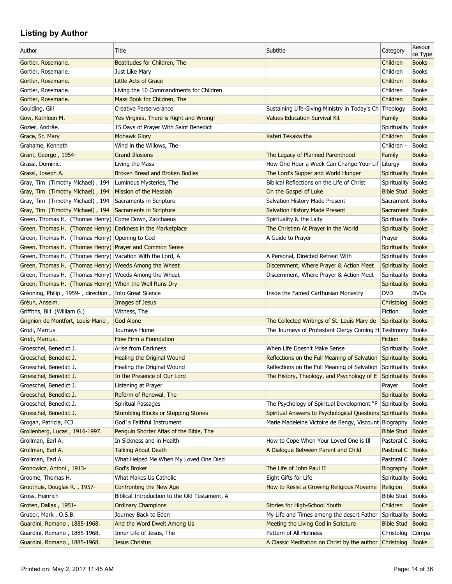| Author                                                       | Title                                                   | Subtitle                                                        | Category                | Resour<br>ce Type |
|--------------------------------------------------------------|---------------------------------------------------------|-----------------------------------------------------------------|-------------------------|-------------------|
| Gortler, Rosemarie.                                          | Beatitudes for Children, The                            |                                                                 | Children                | <b>Books</b>      |
| Gortler, Rosemarie.                                          | Just Like Mary                                          |                                                                 | Children                | <b>Books</b>      |
| Gortler, Rosemarie.                                          | Little Acts of Grace                                    |                                                                 | Children                | <b>Books</b>      |
| Gortler, Rosemarie.                                          | Living the 10 Commandments for Children                 |                                                                 | Children                | <b>Books</b>      |
| Gortler, Rosemarie.                                          | Mass Book for Children, The                             |                                                                 | Children                | <b>Books</b>      |
| Goulding, Gill                                               | Creative Perserverance                                  | Sustaining Life-Giving Ministry in Today's Ch Theology          |                         | <b>Books</b>      |
| Gow, Kathleen M.                                             | Yes Virginia, There is Right and Wrong!                 | <b>Values Education Survival Kit</b>                            | Family                  | <b>Books</b>      |
| Gozier, Andrâe.                                              | 15 Days of Prayer With Saint Benedict                   |                                                                 | Spirituality            | <b>Books</b>      |
| Grace, Sr. Mary                                              | <b>Mohawk Glory</b>                                     | Kateri Tekakwitha                                               | Children                | <b>Books</b>      |
| Grahame, Kenneth                                             | Wind in the Willows, The                                |                                                                 | Children -              | <b>Books</b>      |
| Grant, George, 1954-                                         | <b>Grand Illusions</b>                                  | The Legacy of Planned Parenthood                                | Family                  | <b>Books</b>      |
| Grassi, Dominic.                                             | Living the Mass                                         | How One Hour a Week Can Change Your Lif Liturgy                 |                         | <b>Books</b>      |
| Grassi, Joseph A.                                            | Broken Bread and Broken Bodies                          | The Lord's Supper and World Hunger                              | Spirituality            | <b>Books</b>      |
| Gray, Tim (Timothy Michael), 194                             | Luminous Mysteries, The                                 | Biblical Reflections on the Life of Christ                      | Spirituality            | <b>Books</b>      |
| Gray, Tim (Timothy Michael), 194                             | Mission of the Messiah                                  | On the Gospel of Luke                                           | <b>Bible Stud</b>       | <b>Books</b>      |
| Gray, Tim (Timothy Michael), 194                             | Sacraments in Scripture                                 | Salvation History Made Present                                  | Sacrament   Books       |                   |
| Gray, Tim (Timothy Michael), 194 Sacraments in Scripture     |                                                         | <b>Salvation History Made Present</b>                           | Sacrament Books         |                   |
| Green, Thomas H. (Thomas Henry) Come Down, Zacchaeus         |                                                         | Spirituality & the Laity                                        | Spirituality   Books    |                   |
| Green, Thomas H. (Thomas Henry) Darkness in the Marketplace  |                                                         | The Christian At Prayer in the World                            | Spirituality Books      |                   |
| Green, Thomas H. (Thomas Henry) Opening to God               |                                                         | A Guide to Prayer                                               | Prayer                  | <b>Books</b>      |
| Green, Thomas H. (Thomas Henry) Prayer and Common Sense      |                                                         |                                                                 | <b>Spirituality</b>     | <b>Books</b>      |
| Green, Thomas H. (Thomas Henry) Vacation With the Lord, A    |                                                         | A Personal, Directed Retreat With                               | Spirituality            | <b>Books</b>      |
| Green, Thomas H. (Thomas Henry) Weeds Among the Wheat        |                                                         | Discernment, Where Prayer & Action Meet                         | Spirituality Books      |                   |
| Green, Thomas H. (Thomas Henry) Weeds Among the Wheat        |                                                         | Discernment, Where Prayer & Action Meet                         | Spirituality            | <b>Books</b>      |
| Green, Thomas H. (Thomas Henry) When the Well Runs Dry       |                                                         |                                                                 | Spirituality            | <b>Books</b>      |
| Grèoning, Philip, 1959-, direction, Into Great Silence       |                                                         | Insde the Famed Carthusian Monastry                             | <b>DVD</b>              | <b>DVDs</b>       |
| Grèun, Anselm.                                               | Images of Jesus                                         |                                                                 | Christolog              | <b>Books</b>      |
| Griffiths, Bill (William G.)                                 | Witness, The                                            |                                                                 | Fiction                 | <b>Books</b>      |
| Grignion de Montfort, Louis-Marie,                           | <b>God Alone</b>                                        | The Collected Writings of St. Louis Mary de                     | Spirituality            | <b>Books</b>      |
| Grodi, Marcus                                                | Journeys Home                                           | The Journeys of Protestant Clergy Coming H Testimony            |                         | <b>Books</b>      |
| Grodi, Marcus.                                               | How Firm a Foundation                                   |                                                                 | <b>Fiction</b>          | <b>Books</b>      |
| Groeschel, Benedict J.                                       | Arise from Darkness                                     | When Life Doesn't Make Sense                                    | Spirituality            | <b>Books</b>      |
| Groeschel, Benedict J.                                       | Healing the Original Wound                              | Reflections on the Full Meaning of Salvation Spirituality       |                         | <b>Books</b>      |
| Groeschel, Benedict J.                                       | Healing the Original Wound                              | Reflections on the Full Meaning of Salvation Spirituality       |                         | <b>Books</b>      |
| Groeschel, Benedict J.                                       | In the Presence of Our Lord                             | The History, Theology, and Psychology of $E$ Spirituality Books |                         |                   |
| Groeschel, Benedict J.                                       | Listening at Prayer                                     |                                                                 | Prayer                  | <b>Books</b>      |
| Groeschel, Benedict J.                                       | Reform of Renewal, The                                  |                                                                 | Spirituality            | <b>Books</b>      |
| Groeschel, Benedict J.                                       | Spiritual Passages                                      | The Psychology of Spiritual Development "F                      | Spirituality            | <b>Books</b>      |
| Groeschel, Benedict J.                                       | <b>Stumbling Blocks or Stepping Stones</b>              | Spiritual Answers to Psychological Questions Spirituality       |                         | <b>Books</b>      |
| Grogan, Patricia, FCJ                                        | God's Faithful Instrument                               | Marie Madeleine Victoire de Bengy, Viscount Biography           |                         | <b>Books</b>      |
| Grollenberg, Lucas, 1916-1997.                               | Penguin Shorter Atlas of the Bible, The                 |                                                                 | <b>Bible Stud Books</b> |                   |
| Grollman, Earl A.                                            | In Sickness and in Health                               | How to Cope When Your Loved One is Ill                          | Pastoral C              | <b>Books</b>      |
| Grollman, Earl A.                                            | <b>Talking About Death</b>                              | A Dialogue Between Parent and Child                             | Pastoral C              | <b>Books</b>      |
| Grollman, Earl A.                                            | What Helped Me When My Loved One Died                   |                                                                 | Pastoral C              | <b>Books</b>      |
| Gronowicz, Antoni, 1913-                                     | God's Broker                                            | The Life of John Paul II                                        | Biography               | <b>Books</b>      |
| Groome, Thomas H.                                            | What Makes Us Catholic                                  | Eight Gifts for Life                                            | Spirituality            | <b>Books</b>      |
| Groothuis, Douglas R., 1957-                                 | Confronting the New Age                                 | How to Resist a Growing Religious Moveme                        | Religion                | <b>Books</b>      |
| Gross, Heinrich                                              | Biblical Introduction to the Old Testament, A           |                                                                 | <b>Bible Stud</b>       | <b>Books</b>      |
| Groten, Dallas, 1951-                                        | <b>Ordinary Champions</b>                               | Stories for High-School Youth                                   | Children                | <b>Books</b>      |
| Gruber, Mark, O.S.B.                                         | Journey Back to Eden                                    | My Life and Times among the desert Father Spirituality          |                         | <b>Books</b>      |
|                                                              |                                                         | Meeting the Living God in Scripture                             | <b>Bible Stud</b>       | <b>Books</b>      |
| Guardini, Romano, 1885-1968.<br>Guardini, Romano, 1885-1968. | And the Word Dwelt Among Us<br>Inner Life of Jesus, The | Pattern of All Holiness                                         | Christolog              | Compa             |
| Guardini, Romano, 1885-1968.                                 | Jesus Christus                                          | A Classic Meditation on Christ by the author Christolog Books   |                         |                   |
|                                                              |                                                         |                                                                 |                         |                   |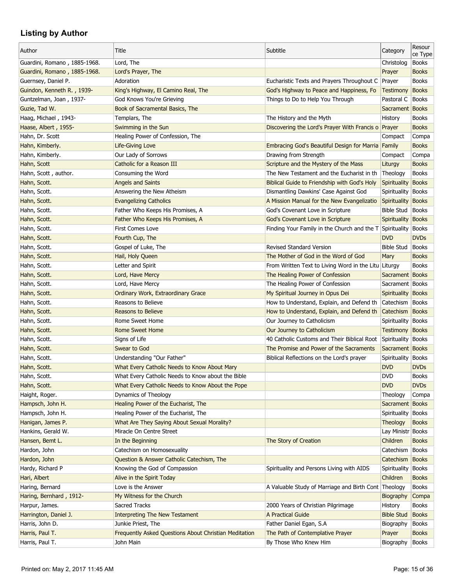| Author                       | Title                                                 | Subtitle                                                       | Category             | Resour<br>ce Type |
|------------------------------|-------------------------------------------------------|----------------------------------------------------------------|----------------------|-------------------|
| Guardini, Romano, 1885-1968. | Lord, The                                             |                                                                | Christolog           | <b>Books</b>      |
| Guardini, Romano, 1885-1968. | Lord's Prayer, The                                    |                                                                | Prayer               | <b>Books</b>      |
| Guernsey, Daniel P.          | Adoration                                             | Eucharistic Texts and Prayers Throughout C                     | Prayer               | <b>Books</b>      |
| Guindon, Kenneth R., 1939-   | King's Highway, El Camino Real, The                   | God's Highway to Peace and Happiness, Fo                       | <b>Testimony</b>     | <b>Books</b>      |
| Guntzelman, Joan, 1937-      | God Knows You're Grieving                             | Things to Do to Help You Through                               | Pastoral C           | <b>Books</b>      |
| Guzie, Tad W.                | Book of Sacramental Basics, The                       |                                                                | Sacrament Books      |                   |
| Haag, Michael, 1943-         | Templars, The                                         | The History and the Myth                                       | History              | <b>Books</b>      |
| Haase, Albert, 1955-         | Swimming in the Sun                                   | Discovering the Lord's Prayer With Francis o Prayer            |                      | <b>Books</b>      |
| Hahn, Dr. Scott              | Healing Power of Confession, The                      |                                                                | Compact              | Compa             |
| Hahn, Kimberly.              | Life-Giving Love                                      | Embracing God's Beautiful Design for Marria Family             |                      | <b>Books</b>      |
| Hahn, Kimberly.              | Our Lady of Sorrows                                   | Drawing from Strength                                          | Compact              | Compa             |
| Hahn, Scott                  | Catholic for a Reason III                             | Scripture and the Mystery of the Mass                          | Liturgy              | <b>Books</b>      |
| Hahn, Scott, author.         | Consuming the Word                                    | The New Testament and the Eucharist in th                      | Theology             | <b>Books</b>      |
| Hahn, Scott.                 | <b>Angels and Saints</b>                              | Biblical Guide to Friendship with God's Holy                   | <b>Spirituality</b>  | <b>Books</b>      |
| Hahn, Scott.                 | Answering the New Atheism                             | Dismantling Dawkins' Case Against God                          | Spirituality         | <b>Books</b>      |
| Hahn, Scott.                 | <b>Evangelizing Catholics</b>                         | A Mission Manual for the New Evangelizatio                     | Spirituality         | <b>Books</b>      |
| Hahn, Scott.                 | Father Who Keeps His Promises, A                      | God's Covenant Love in Scripture                               | Bible Stud   Books   |                   |
| Hahn, Scott.                 | Father Who Keeps His Promises, A                      | God's Covenant Love in Scripture                               | Spirituality Books   |                   |
| Hahn, Scott.                 | First Comes Love                                      | Finding Your Family in the Church and the T                    | Spirituality         | <b>Books</b>      |
| Hahn, Scott.                 | Fourth Cup, The                                       |                                                                | <b>DVD</b>           | <b>DVDs</b>       |
| Hahn, Scott.                 | Gospel of Luke, The                                   | <b>Revised Standard Version</b>                                | <b>Bible Stud</b>    | <b>Books</b>      |
| Hahn, Scott.                 | Hail, Holy Queen                                      | The Mother of God in the Word of God                           | Mary                 | <b>Books</b>      |
| Hahn, Scott.                 | Letter and Spirit                                     | From Written Text to Living Word in the Litu Liturgy           |                      | <b>Books</b>      |
| Hahn, Scott.                 | Lord, Have Mercy                                      | The Healing Power of Confession                                | Sacrament Books      |                   |
| Hahn, Scott.                 | Lord, Have Mercy                                      | The Healing Power of Confession                                | Sacrament   Books    |                   |
| Hahn, Scott.                 | Ordinary Work, Extraordinary Grace                    | My Spiritual Journey in Opus Dei                               | Spirituality Books   |                   |
| Hahn, Scott.                 | Reasons to Believe                                    | How to Understand, Explain, and Defend th                      | Catechism            | <b>Books</b>      |
| Hahn, Scott.                 | <b>Reasons to Believe</b>                             | How to Understand, Explain, and Defend th                      | Catechism Books      |                   |
| Hahn, Scott.                 | Rome Sweet Home                                       | Our Journey to Catholicism                                     | Spirituality   Books |                   |
| Hahn, Scott.                 | <b>Rome Sweet Home</b>                                | Our Journey to Catholicism                                     | Testimony Books      |                   |
| Hahn, Scott.                 | Signs of Life                                         | 40 Catholic Customs and Their Biblical Root Spirituality Books |                      |                   |
| Hahn, Scott.                 | Swear to God                                          | The Promise and Power of the Sacraments                        | Sacrament Books      |                   |
| Hahn, Scott.                 | Understanding "Our Father"                            | Biblical Reflections on the Lord's prayer                      | Spirituality         | <b>Books</b>      |
| Hahn, Scott.                 | What Every Catholic Needs to Know About Mary          |                                                                | <b>DVD</b>           | <b>DVDs</b>       |
| Hahn, Scott.                 | What Every Catholic Needs to Know about the Bible     |                                                                | <b>DVD</b>           | <b>Books</b>      |
|                              | What Every Catholic Needs to Know About the Pope      |                                                                | <b>DVD</b>           | <b>DVDs</b>       |
| Hahn, Scott.                 | Dynamics of Theology                                  |                                                                |                      |                   |
| Haight, Roger.               |                                                       |                                                                | Theology             | Compa             |
| Hampsch, John H.             | Healing Power of the Eucharist, The                   |                                                                | Sacrament Books      |                   |
| Hampsch, John H.             | Healing Power of the Eucharist, The                   |                                                                | Spirituality   Books |                   |
| Hanigan, James P.            | What Are They Saying About Sexual Morality?           |                                                                | Theology             | <b>Books</b>      |
| Hankins, Gerald W.           | Miracle On Centre Street                              |                                                                | Lay Ministr Books    |                   |
| Hansen, Bemt L.              | In the Beginning                                      | The Story of Creation                                          | Children             | <b>Books</b>      |
| Hardon, John                 | Catechism on Homosexuality                            |                                                                | Catechism            | <b>Books</b>      |
| Hardon, John                 | Question & Answer Catholic Catechism, The             |                                                                | Catechism            | <b>Books</b>      |
| Hardy, Richard P             | Knowing the God of Compassion                         | Spirituality and Persons Living with AIDS                      | Spirituality         | <b>Books</b>      |
| Hari, Albert                 | Alive in the Spirit Today                             |                                                                | Children             | <b>Books</b>      |
| Haring, Bernard              | Love is the Answer                                    | A Valuable Study of Marriage and Birth Cont Theology           |                      | <b>Books</b>      |
| Haring, Bernhard, 1912-      | My Witness for the Church                             |                                                                | Biography            | Compa             |
| Harpur, James.               | <b>Sacred Tracks</b>                                  | 2000 Years of Christian Pilgrimage                             | History              | <b>Books</b>      |
| Harrington, Daniel J.        | <b>Interpreting The New Testament</b>                 | A Practical Guide                                              | <b>Bible Stud</b>    | <b>Books</b>      |
| Harris, John D.              | Junkie Priest, The                                    | Father Daniel Egan, S.A                                        | Biography            | <b>Books</b>      |
| Harris, Paul T.              | Frequently Asked Questions About Christian Meditation | The Path of Contemplative Prayer                               | Prayer               | <b>Books</b>      |
| Harris, Paul T.              | John Main                                             | By Those Who Knew Him                                          | Biography            | Books             |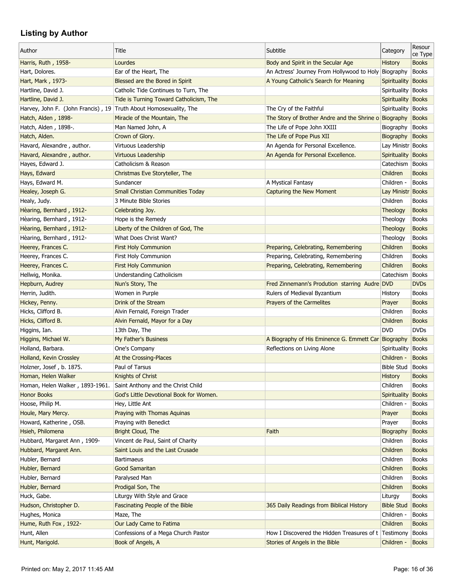| Author                                                            | Title                                    | Subtitle                                              | Category           | Resour<br>ce Type |
|-------------------------------------------------------------------|------------------------------------------|-------------------------------------------------------|--------------------|-------------------|
| Harris, Ruth, 1958-                                               | Lourdes                                  | Body and Spirit in the Secular Age                    | <b>History</b>     | <b>Books</b>      |
| Hart, Dolores.                                                    | Ear of the Heart, The                    | An Actress' Journey From Hollywood to Holy            | Biography          | <b>Books</b>      |
| Hart, Mark, 1973-                                                 | Blessed are the Bored in Spirit          | A Young Catholic's Search for Meaning                 | Spirituality       | <b>Books</b>      |
| Hartline, David J.                                                | Catholic Tide Continues to Turn, The     |                                                       | Spirituality Books |                   |
| Hartline, David J.                                                | Tide is Turning Toward Catholicism, The  |                                                       | Spirituality Books |                   |
| Harvey, John F. (John Francis), 19 Truth About Homosexuality, The |                                          | The Cry of the Faithful                               | Spirituality Books |                   |
| Hatch, Alden, 1898-                                               | Miracle of the Mountain, The             | The Story of Brother Andre and the Shrine o Biography |                    | <b>Books</b>      |
| Hatch, Alden, 1898-.                                              | Man Named John, A                        | The Life of Pope John XXIII                           | Biography          | <b>Books</b>      |
| Hatch, Alden.                                                     | Crown of Glory.                          | The Life of Pope Pius XII                             | Biography          | <b>Books</b>      |
| Havard, Alexandre, author.                                        | Virtuous Leadership                      | An Agenda for Personal Excellence.                    | Lay Ministr Books  |                   |
| Havard, Alexandre, author.                                        | <b>Virtuous Leadership</b>               | An Agenda for Personal Excellence.                    | Spirituality Books |                   |
| Hayes, Edward J.                                                  | Catholicism & Reason                     |                                                       | Catechism          | <b>Books</b>      |
| Hays, Edward                                                      | Christmas Eve Storyteller, The           |                                                       | Children           | <b>Books</b>      |
| Hays, Edward M.                                                   | Sundancer                                | A Mystical Fantasy                                    | Children -         | <b>Books</b>      |
| Healey, Joseph G.                                                 | <b>Small Christian Communities Today</b> | <b>Capturing the New Moment</b>                       | Lay Ministr Books  |                   |
| Healy, Judy.                                                      | 3 Minute Bible Stories                   |                                                       | Children           | <b>Books</b>      |
| Hèaring, Bernhard, 1912-                                          | Celebrating Joy.                         |                                                       | Theology           | <b>Books</b>      |
| Hèaring, Bernhard, 1912-                                          | Hope is the Remedy                       |                                                       | Theology           | <b>Books</b>      |
| Hèaring, Bernhard, 1912-                                          | Liberty of the Children of God, The      |                                                       | Theology           | <b>Books</b>      |
| Hèaring, Bernhard, 1912-                                          | What Does Christ Want?                   |                                                       | Theology           | <b>Books</b>      |
| Heerey, Frances C.                                                | <b>First Holy Communion</b>              | Preparing, Celebrating, Remembering                   | Children           | <b>Books</b>      |
| Heerey, Frances C.                                                | First Holy Communion                     | Preparing, Celebrating, Remembering                   | Children           | <b>Books</b>      |
| Heerey, Frances C.                                                | <b>First Holy Communion</b>              | Preparing, Celebrating, Remembering                   | Children           | <b>Books</b>      |
| Hellwig, Monika.                                                  | Understanding Catholicism                |                                                       | Catechism          | <b>Books</b>      |
| Hepburn, Audrey                                                   | Nun's Story, The                         | Fred Zinnemann's Prodution starring Audre             | <b>DVD</b>         | <b>DVDs</b>       |
| Herrin, Judith.                                                   | Women in Purple                          | Rulers of Medieval Byzantium                          | History            | <b>Books</b>      |
| Hickey, Penny.                                                    | Drink of the Stream                      | Prayers of the Carmelites                             | Prayer             | <b>Books</b>      |
| Hicks, Clifford B.                                                | Alvin Fernald, Foreign Trader            |                                                       | Children           | <b>Books</b>      |
| Hicks, Clifford B.                                                | Alvin Fernald, Mayor for a Day           |                                                       | Children           | <b>Books</b>      |
| Higgins, Ian.                                                     | 13th Day, The                            |                                                       | <b>DVD</b>         | <b>DVDs</b>       |
| Higgins, Michael W.                                               | My Father's Business                     | A Biography of His Eminence G. Emmett Car Biography   |                    | <b>Books</b>      |
| Holland, Barbara.                                                 | One's Company                            | Reflections on Living Alone                           | Spirituality       | Books             |
| Holland, Kevin Crossley                                           | At the Crossing-Places                   |                                                       | Children -         | <b>Books</b>      |
| Holzner, Josef, b. 1875.                                          | Paul of Tarsus                           |                                                       | Bible Stud Books   |                   |
| Homan, Helen Walker                                               | Knights of Christ                        |                                                       | <b>History</b>     | <b>Books</b>      |
| Homan, Helen Walker, 1893-1961.                                   | Saint Anthony and the Christ Child       |                                                       | Children           | <b>Books</b>      |
| <b>Honor Books</b>                                                | God's Little Devotional Book for Women.  |                                                       | Spirituality       | <b>Books</b>      |
| Hoose, Philip M.                                                  | Hey, Little Ant                          |                                                       | Children -         | <b>Books</b>      |
| Houle, Mary Mercy.                                                | Praying with Thomas Aquinas              |                                                       | Prayer             | <b>Books</b>      |
| Howard, Katherine, OSB.                                           | Praying with Benedict                    |                                                       | Prayer             | <b>Books</b>      |
| Hsieh, Philomena                                                  | Bright Cloud, The                        | Faith                                                 | Biography          | <b>Books</b>      |
| Hubbard, Margaret Ann, 1909-                                      | Vincent de Paul, Saint of Charity        |                                                       | Children           | <b>Books</b>      |
| Hubbard, Margaret Ann.                                            | Saint Louis and the Last Crusade         |                                                       | Children           | <b>Books</b>      |
| Hubler, Bernard                                                   | <b>Bartimaeus</b>                        |                                                       | Children           | <b>Books</b>      |
| Hubler, Bernard                                                   | <b>Good Samaritan</b>                    |                                                       | Children           | <b>Books</b>      |
| Hubler, Bernard                                                   | Paralysed Man                            |                                                       | Children           | <b>Books</b>      |
| Hubler, Bernard                                                   | Prodigal Son, The                        |                                                       | Children           | <b>Books</b>      |
| Huck, Gabe.                                                       | Liturgy With Style and Grace             |                                                       | Liturgy            | <b>Books</b>      |
| Hudson, Christopher D.                                            | Fascinating People of the Bible          | 365 Daily Readings from Biblical History              | <b>Bible Stud</b>  | <b>Books</b>      |
| Hughes, Monica                                                    | Maze, The                                |                                                       | Children -         | <b>Books</b>      |
| Hume, Ruth Fox, 1922-                                             | Our Lady Came to Fatima                  |                                                       | Children           | <b>Books</b>      |
| Hunt, Allen                                                       | Confessions of a Mega Church Pastor      | How I Discovered the Hidden Treasures of t Testimony  |                    | Books             |
| Hunt, Marigold.                                                   | Book of Angels, A                        | Stories of Angels in the Bible                        | Children -         | <b>Books</b>      |
|                                                                   |                                          |                                                       |                    |                   |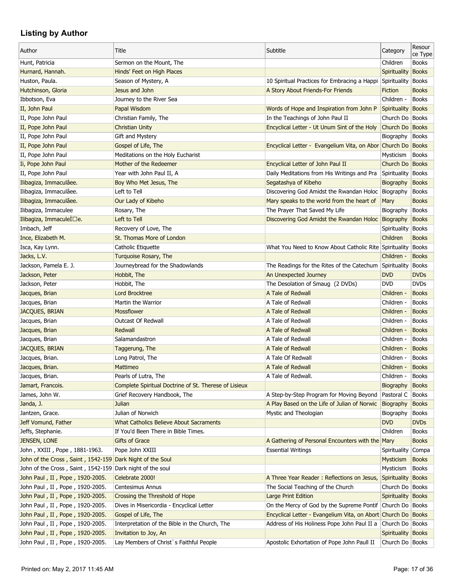| Author                                                    | Title                                                 | Subtitle                                                      | Category           | Resour<br>ce Type |
|-----------------------------------------------------------|-------------------------------------------------------|---------------------------------------------------------------|--------------------|-------------------|
| Hunt, Patricia                                            | Sermon on the Mount, The                              |                                                               | Children           | <b>Books</b>      |
| Hurnard, Hannah.                                          | Hinds' Feet on High Places                            |                                                               | Spirituality       | <b>Books</b>      |
| Huston, Paula.                                            | Season of Mystery, A                                  | 10 Spiritual Practices for Embracing a Happi                  | Spirituality       | <b>Books</b>      |
| Hutchinson, Gloria                                        | Jesus and John                                        | A Story About Friends-For Friends                             | Fiction            | <b>Books</b>      |
| Ibbotson, Eva                                             | Journey to the River Sea                              |                                                               | Children -         | <b>Books</b>      |
| II, John Paul                                             | Papal Wisdom                                          | Words of Hope and Inspiration from John P                     | Spirituality Books |                   |
| II, Pope John Paul                                        | Christian Family, The                                 | In the Teachings of John Paul II                              | Church Do   Books  |                   |
| II, Pope John Paul                                        | <b>Christian Unity</b>                                | Encyclical Letter - Ut Unum Sint of the Holy                  | Church Do Books    |                   |
| II, Pope John Paul                                        | Gift and Mystery                                      |                                                               | Biography          | <b>Books</b>      |
| II, Pope John Paul                                        | Gospel of Life, The                                   | Encyclical Letter - Evangelium Vita, on Abor Church Do Books  |                    |                   |
| II, Pope John Paul                                        | Meditations on the Holy Eucharist                     |                                                               | Mysticism          | <b>Books</b>      |
| Ii, Pope John Paul                                        | Mother of the Redeemer                                | Encyclical Letter of John Paul II                             | Church Do Books    |                   |
| II, Pope John Paul                                        | Year with John Paul II, A                             | Daily Meditations from His Writings and Pra                   | Spirituality       | <b>Books</b>      |
| Ilibagiza, Immaculâee.                                    | Boy Who Met Jesus, The                                | Segatashya of Kibeho                                          | Biography          | <b>Books</b>      |
| Ilibagiza, Immaculâee.                                    | Left to Tell                                          | Discovering God Amidst the Rwandan Holoc Biography            |                    | <b>Books</b>      |
| Ilibagiza, Immaculâee.                                    | Our Lady of Kibeho                                    | Mary speaks to the world from the heart of                    | Mary               | <b>Books</b>      |
| Ilibagiza, Immaculee                                      | Rosary, The                                           | The Prayer That Saved My Life                                 | Biography          | <b>Books</b>      |
| Ilibagiza, ImmaculeI□e.                                   | Left to Tell                                          | Discovering God Amidst the Rwandan Holoc Biography            |                    | <b>Books</b>      |
| Imbach, Jeff                                              | Recovery of Love, The                                 |                                                               | Spirituality       | <b>Books</b>      |
| Ince, Elizabeth M.                                        | St. Thomas More of London                             |                                                               | Children           | <b>Books</b>      |
| Isca, Kay Lynn.                                           | Catholic Etiquette                                    | What You Need to Know About Catholic Rite Spirituality        |                    | <b>Books</b>      |
| Jacks, L.V.                                               | Turquoise Rosary, The                                 |                                                               | Children -         | <b>Books</b>      |
| Jackson, Pamela E. J.                                     | Journeybread for the Shadowlands                      | The Readings for the Rites of the Catechum Spirituality       |                    | <b>Books</b>      |
| Jackson, Peter                                            | Hobbit, The                                           | An Unexpected Journey                                         | <b>DVD</b>         | <b>DVDs</b>       |
| Jackson, Peter                                            | Hobbit, The                                           | The Desolation of Smaug (2 DVDs)                              | <b>DVD</b>         | <b>DVDs</b>       |
| Jacques, Brian                                            | <b>Lord Brocktree</b>                                 | A Tale of Redwall                                             | Children -         | <b>Books</b>      |
| Jacques, Brian                                            | Martin the Warrior                                    | A Tale of Redwall                                             | Children -         | <b>Books</b>      |
| JACQUES, BRIAN                                            | Mossflower                                            | A Tale of Redwall                                             | Children -         | <b>Books</b>      |
| Jacques, Brian                                            | <b>Outcast Of Redwall</b>                             | A Tale of Redwall                                             | Children -         | <b>Books</b>      |
| Jacques, Brian                                            | Redwall                                               | A Tale of Redwall                                             | Children -         | <b>Books</b>      |
| Jacques, Brian                                            | Salamandastron                                        | A Tale of Redwall                                             | Children -         | <b>Books</b>      |
| JACQUES, BRIAN                                            | Taggerung, The                                        | A Tale of Redwall                                             | Children -         | <b>Books</b>      |
| Jacques, Brian.                                           | Long Patrol, The                                      | A Tale Of Redwall                                             | Children -         | <b>Books</b>      |
| Jacques, Brian.                                           | Mattimeo                                              | A Tale of Redwall                                             | Children -         | <b>Books</b>      |
| Jacques, Brian.                                           | Pearls of Lutra, The                                  |                                                               | Children -         |                   |
|                                                           |                                                       | A Tale of Redwall.                                            |                    | <b>Books</b>      |
| Jamart, Francois.                                         | Complete Spiritual Doctrine of St. Therese of Lisieux | A Step-by-Step Program for Moving Beyond                      | Biography          | <b>Books</b>      |
| James, John W.                                            | Grief Recovery Handbook, The                          |                                                               | Pastoral C         | <b>Books</b>      |
| Janda, J.                                                 | Julian                                                | A Play Based on the Life of Julian of Norwic                  | Biography          | <b>Books</b>      |
| Jantzen, Grace.                                           | Julian of Norwich                                     | Mystic and Theologian                                         | Biography          | <b>Books</b>      |
| Jeff Vomund, Father                                       | <b>What Catholics Believe About Sacraments</b>        |                                                               | <b>DVD</b>         | <b>DVDs</b>       |
| Jeffs, Stephanie.                                         | If You'd Been There in Bible Times.                   |                                                               | Children           | <b>Books</b>      |
| JENSEN, LONE                                              | <b>Gifts of Grace</b>                                 | A Gathering of Personal Encounters with the Mary              |                    | <b>Books</b>      |
| John , XXIII , Pope , 1881-1963.                          | Pope John XXIII                                       | <b>Essential Writings</b>                                     | Spirituality       | Compa             |
| John of the Cross, Saint, 1542-159 Dark Night of the Soul |                                                       |                                                               | <b>Mysticism</b>   | <b>Books</b>      |
| John of the Cross, Saint, 1542-159 Dark night of the soul |                                                       |                                                               | Mysticism          | Books             |
| John Paul, II, Pope, 1920-2005.                           | Celebrate 2000!                                       | A Three Year Reader: Reflections on Jesus,                    | Spirituality Books |                   |
| John Paul, II, Pope, 1920-2005.                           | Centesimus Annus                                      | The Social Teaching of the Church                             | Church Do   Books  |                   |
| John Paul, II, Pope, 1920-2005.                           | Crossing the Threshold of Hope                        | Large Print Edition                                           | Spirituality Books |                   |
| John Paul, II, Pope, 1920-2005.                           | Dives in Misericordia - Encyclical Letter             | On the Mercy of God by the Supreme Pontif Church Do Books     |                    |                   |
| John Paul, II, Pope, 1920-2005.                           | Gospel of Life, The                                   | Encyclical Letter - Evangelium Vita, on Abort Church Do Books |                    |                   |
| John Paul, II, Pope, 1920-2005.                           | Interpretation of the Bible in the Church, The        | Address of His Holiness Pope John Paul II a                   | Church Do   Books  |                   |
| John Paul, II, Pope, 1920-2005.                           | Invitation to Joy, An                                 |                                                               | Spirituality Books |                   |
| John Paul, II, Pope, 1920-2005.                           | Lay Members of Christ's Faithful People               | Apostolic Exhortation of Pope John Paull II                   | Church Do   Books  |                   |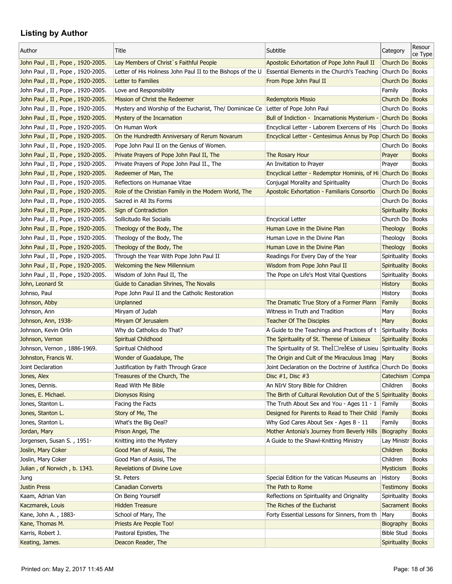| Author                          | Title                                                       | Subtitle                                                                                       | Category           | Resour<br>ce Type |
|---------------------------------|-------------------------------------------------------------|------------------------------------------------------------------------------------------------|--------------------|-------------------|
| John Paul, II, Pope, 1920-2005. | Lay Members of Christ's Faithful People                     | Apostolic Exhortation of Pope John Paull II                                                    | Church Do Books    |                   |
| John Paul, II, Pope, 1920-2005. | Letter of His Holiness John Paul II to the Bishops of the U | Essential Elements in the Church's Teaching                                                    | Church Do   Books  |                   |
| John Paul, II, Pope, 1920-2005. | Letter to Families                                          | From Pope John Paul II                                                                         | Church Do Books    |                   |
| John Paul, II, Pope, 1920-2005. | Love and Responsibility                                     |                                                                                                | Family             | <b>Books</b>      |
| John Paul, II, Pope, 1920-2005. | Mission of Christ the Redeemer                              | <b>Redemptoris Missio</b>                                                                      | Church Do Books    |                   |
| John Paul, II, Pope, 1920-2005. | Mystery and Worship of the Eucharist, The/ Dominicae Ce     | Letter of Pope John Paul                                                                       | Church Do   Books  |                   |
| John Paul, II, Pope, 1920-2005. | Mystery of the Incarnation                                  | Bull of Indiction - Incarnationis Mysterium -                                                  | Church Do Books    |                   |
| John Paul, II, Pope, 1920-2005. | On Human Work                                               | Encyclical Letter - Laborem Exercens of His                                                    | Church Do   Books  |                   |
| John Paul, II, Pope, 1920-2005. | On the Hundredth Anniversary of Rerum Novarum               | Encyclical Letter - Centesimus Annus by Pop Church Do Books                                    |                    |                   |
| John Paul, II, Pope, 1920-2005. | Pope John Paul II on the Genius of Women.                   |                                                                                                | Church Do   Books  |                   |
| John Paul, II, Pope, 1920-2005. | Private Prayers of Pope John Paul II, The                   | The Rosary Hour                                                                                | Prayer             | <b>Books</b>      |
| John Paul, II, Pope, 1920-2005. | Private Prayers of Pope John Paul II., The                  | An Invitation to Prayer                                                                        | Prayer             | <b>Books</b>      |
| John Paul, II, Pope, 1920-2005. | Redeemer of Man, The                                        | Encyclical Letter - Redemptor Hominis, of Hi Church Do Books                                   |                    |                   |
| John Paul, II, Pope, 1920-2005. | Reflections on Humanae Vitae                                | Conjugal Morality and Spirituality                                                             | Church Do   Books  |                   |
| John Paul, II, Pope, 1920-2005. | Role of the Christian Family in the Modern World, The       | Apostolic Exhortation - Familiaris Consortio                                                   | Church Do Books    |                   |
| John Paul, II, Pope, 1920-2005. | Sacred in All Its Forms                                     |                                                                                                | Church Do   Books  |                   |
| John Paul, II, Pope, 1920-2005. | Sign of Contradiction                                       |                                                                                                | Spirituality Books |                   |
| John Paul, II, Pope, 1920-2005. | Sollicitudo Rei Socialis                                    | <b>Encycical Letter</b>                                                                        | Church Do   Books  |                   |
| John Paul, II, Pope, 1920-2005. | Theology of the Body, The                                   | Human Love in the Divine Plan                                                                  | Theology           | <b>Books</b>      |
| John Paul, II, Pope, 1920-2005. | Theology of the Body, The                                   | Human Love in the Divine Plan                                                                  | Theology           | <b>Books</b>      |
| John Paul, II, Pope, 1920-2005. | Theology of the Body, The                                   | Human Love in the Divine Plan                                                                  | <b>Theology</b>    | <b>Books</b>      |
| John Paul, II, Pope, 1920-2005. | Through the Year With Pope John Paul II                     | Readings For Every Day of the Year                                                             | Spirituality Books |                   |
| John Paul, II, Pope, 1920-2005. | <b>Welcoming the New Millennium</b>                         | Wisdom from Pope John Paul II                                                                  | Spirituality Books |                   |
| John Paul, II, Pope, 1920-2005. | Wisdom of John Paul II, The                                 | The Pope on Life's Most Vital Questions                                                        | Spirituality       | <b>Books</b>      |
| John, Leonard St                | Guide to Canadian Shrines, The Novalis                      |                                                                                                | <b>History</b>     | <b>Books</b>      |
| Johnso, Paul                    | Pope John Paul II and the Catholic Restoration              |                                                                                                | History            | <b>Books</b>      |
| Johnson, Abby                   | Unplanned                                                   | The Dramatic True Story of a Former Plann                                                      | Family             | <b>Books</b>      |
| Johnson, Ann                    | Miryam of Judah                                             | Witness in Truth and Tradition                                                                 | Mary               | <b>Books</b>      |
|                                 |                                                             | <b>Teacher Of The Disciples</b>                                                                |                    | <b>Books</b>      |
| Johnson, Ann, 1938-             | Miryam Of Jerusalem                                         | A Guide to the Teachings and Practices of t Spirituality                                       | Mary               | <b>Books</b>      |
| Johnson, Kevin Orlin            | Why do Catholics do That?                                   |                                                                                                |                    |                   |
| Johnson, Vernon                 | Spiritual Childhood                                         | The Spirituality of St. Therese of Lisiseux<br>The Spirituality of St. Thet Dret Ese of Lisieu | Spirituality       | <b>Books</b>      |
| Johnson, Vernon, 1886-1969.     | Spiritual Childhood                                         |                                                                                                | Spirituality       | <b>Books</b>      |
| Johnston, Francis W.            | Wonder of Guadalupe, The                                    | The Origin and Cult of the Miraculous Imag                                                     | Mary               | <b>Books</b>      |
| Joint Declaration               | Justification by Faith Through Grace                        | Joint Declaration on the Doctrine of Justifica Church Do Books                                 |                    |                   |
| Jones, Alex                     | Treasures of the Church, The                                | Disc $#1$ , Disc $#3$                                                                          | Catechism Compa    |                   |
| Jones, Dennis.                  | Read With Me Bible                                          | An NIrV Story Bible for Children                                                               | Children           | <b>Books</b>      |
| Jones, E. Michael.              | <b>Dionysos Rising</b>                                      | The Birth of Cultural Revolution Out of the S Spirituality                                     |                    | <b>Books</b>      |
| Jones, Stanton L.               | Facing the Facts                                            | The Truth About Sex and You - Ages 11 - 1                                                      | Family             | <b>Books</b>      |
| Jones, Stanton L.               | Story of Me, The                                            | Designed for Parents to Read to Their Child Family                                             |                    | <b>Books</b>      |
| Jones, Stanton L.               | What's the Big Deal?                                        | Why God Cares About Sex - Ages 8 - 11                                                          | Family             | <b>Books</b>      |
| Jordan, Mary                    | Prison Angel, The                                           | Mother Antonia's Journey from Beverly Hills                                                    | Biography          | <b>Books</b>      |
| Jorgensen, Susan S., 1951-      | Knitting into the Mystery                                   | A Guide to the Shawl-Knitting Ministry                                                         | Lay Ministr Books  |                   |
| Joslin, Mary Coker              | Good Man of Assisi, The                                     |                                                                                                | Children           | <b>Books</b>      |
| Joslin, Mary Coker              | Good Man of Assisi, The                                     |                                                                                                | Children           | <b>Books</b>      |
| Julian, of Norwich, b. 1343.    | Revelations of Divine Love                                  |                                                                                                | Mysticism          | <b>Books</b>      |
| Jung                            | St. Peters                                                  | Special Edition for the Vatican Museums an                                                     | History            | <b>Books</b>      |
| <b>Justin Press</b>             | <b>Canadian Converts</b>                                    | The Path to Rome                                                                               | <b>Testimony</b>   | <b>Books</b>      |
| Kaam, Adrian Van                | On Being Yourself                                           | Reflections on Spirituality and Orignality                                                     | Spirituality       | <b>Books</b>      |
| Kaczmarek, Louis                | <b>Hidden Treasure</b>                                      | The Riches of the Eucharist                                                                    | Sacrament Books    |                   |
| Kane, John A., 1883-            | School of Mary, The                                         | Forty Essential Lessons for Sinners, from th                                                   | Mary               | <b>Books</b>      |
| Kane, Thomas M.                 | Priests Are People Too!                                     |                                                                                                | Biography          | <b>Books</b>      |
| Karris, Robert J.               | Pastoral Epistles, The                                      |                                                                                                | <b>Bible Stud</b>  | <b>Books</b>      |
| Keating, James.                 | Deacon Reader, The                                          |                                                                                                | Spirituality Books |                   |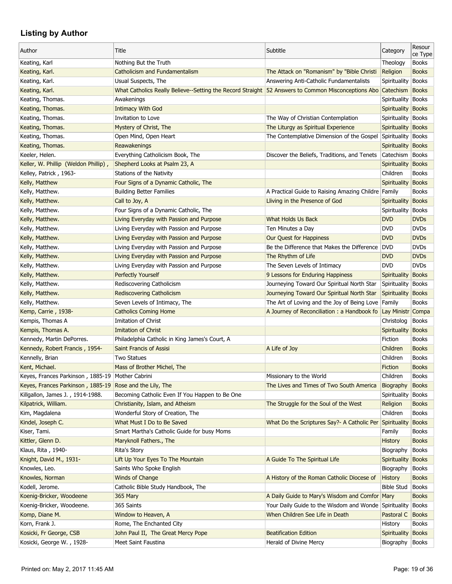| Author                                                   | Title                                                                                                        | Subtitle                                                     | Category            | Resour<br>ce Type |
|----------------------------------------------------------|--------------------------------------------------------------------------------------------------------------|--------------------------------------------------------------|---------------------|-------------------|
| Keating, Karl                                            | Nothing But the Truth                                                                                        |                                                              | Theology            | <b>Books</b>      |
| Keating, Karl.                                           | <b>Catholicism and Fundamentalism</b>                                                                        | The Attack on "Romanism" by "Bible Christi                   | Religion            | <b>Books</b>      |
| Keating, Karl.                                           | Usual Suspects, The                                                                                          | Answering Anti-Catholic Fundamentalists                      | Spirituality        | <b>Books</b>      |
| Keating, Karl.                                           | What Catholics Really Believe--Setting the Record Straight 52 Answers to Common Misconceptions Abo Catechism |                                                              |                     | <b>Books</b>      |
| Keating, Thomas.                                         | Awakenings                                                                                                   |                                                              | Spirituality Books  |                   |
| Keating, Thomas.                                         | <b>Intimacy With God</b>                                                                                     |                                                              | Spirituality Books  |                   |
| Keating, Thomas.                                         | Invitation to Love                                                                                           | The Way of Christian Contemplation                           | Spirituality        | Books             |
| Keating, Thomas.                                         | Mystery of Christ, The                                                                                       | The Liturgy as Spiritual Experience                          | Spirituality Books  |                   |
| Keating, Thomas.                                         | Open Mind, Open Heart                                                                                        | The Contemplative Dimension of the Gospel                    | Spirituality        | <b>Books</b>      |
| Keating, Thomas.                                         | Reawakenings                                                                                                 |                                                              | <b>Spirituality</b> | <b>Books</b>      |
| Keeler, Helen.                                           | Everything Catholicism Book, The                                                                             | Discover the Beliefs, Traditions, and Tenets                 | Catechism   Books   |                   |
| Keller, W. Phillip (Weldon Phillip),                     | Shepherd Looks at Psalm 23, A                                                                                |                                                              | Spirituality        | <b>Books</b>      |
| Kelley, Patrick, 1963-                                   | Stations of the Nativity                                                                                     |                                                              | Children            | <b>Books</b>      |
| Kelly, Matthew                                           | Four Signs of a Dynamic Catholic, The                                                                        |                                                              | Spirituality        | <b>Books</b>      |
| Kelly, Matthew.                                          | <b>Building Better Families</b>                                                                              | A Practical Guide to Raising Amazing Childre Family          |                     | <b>Books</b>      |
| Kelly, Matthew.                                          | Call to Joy, A                                                                                               | Lliving in the Presence of God                               | <b>Spirituality</b> | <b>Books</b>      |
| Kelly, Matthew.                                          | Four Signs of a Dynamic Catholic, The                                                                        |                                                              | Spirituality        | <b>Books</b>      |
| Kelly, Matthew.                                          | Living Everyday with Passion and Purpose                                                                     | What Holds Us Back                                           | <b>DVD</b>          | <b>DVDs</b>       |
| Kelly, Matthew.                                          | Living Everyday with Passion and Purpose                                                                     | Ten Minutes a Day                                            | <b>DVD</b>          | <b>DVDs</b>       |
| Kelly, Matthew.                                          | Living Everyday with Passion and Purpose                                                                     | Our Quest for Happiness                                      | <b>DVD</b>          | <b>DVDs</b>       |
| Kelly, Matthew.                                          | Living Everyday with Passion and Purpose                                                                     | Be the Difference that Makes the Difference                  | <b>DVD</b>          | <b>DVDs</b>       |
| Kelly, Matthew.                                          | Living Everyday with Passion and Purpose                                                                     | The Rhythm of Life                                           | <b>DVD</b>          | <b>DVDs</b>       |
| Kelly, Matthew.                                          | Living Everyday with Passion and Purpose                                                                     | The Seven Levels of Intimacy                                 | <b>DVD</b>          | <b>DVDs</b>       |
| Kelly, Matthew.                                          | Perfectly Yourself                                                                                           | 9 Lessons for Enduring Happiness                             | Spirituality        | <b>Books</b>      |
| Kelly, Matthew.                                          | Rediscovering Catholicism                                                                                    | Journeying Toward Our Spiritual North Star                   | Spirituality        | <b>Books</b>      |
| Kelly, Matthew.                                          | <b>Rediscovering Catholicism</b>                                                                             | Journeying Toward Our Spiritual North Star                   | Spirituality        | <b>Books</b>      |
| Kelly, Matthew.                                          | Seven Levels of Intimacy, The                                                                                | The Art of Loving and the Joy of Being Love                  | Family              | <b>Books</b>      |
|                                                          |                                                                                                              |                                                              |                     |                   |
| Kemp, Carrie, 1938-                                      | <b>Catholics Coming Home</b><br>Imitation of Christ                                                          | A Journey of Reconciliation: a Handbook fo Lay Ministr Compa |                     |                   |
| Kempis, Thomas A<br>Kempis, Thomas A.                    | Imitation of Christ                                                                                          |                                                              | Christolog          | <b>Books</b>      |
|                                                          |                                                                                                              |                                                              | Spirituality        | <b>Books</b>      |
| Kennedy, Martin DePorres.                                | Philadelphia Catholic in King James's Court, A                                                               |                                                              | Fiction             | <b>Books</b>      |
| Kennedy, Robert Francis, 1954-                           | Saint Francis of Assisi                                                                                      | A Life of Joy                                                | Children            | <b>Books</b>      |
| Kennelly, Brian                                          | Two Statues                                                                                                  |                                                              | Children            | <b>Books</b>      |
| Kent, Michael.                                           | Mass of Brother Michel, The                                                                                  |                                                              | Fiction             | <b>Books</b>      |
| Keyes, Frances Parkinson, 1885-19                        | Mother Cabrini                                                                                               | Missionary to the World                                      | Children            | <b>Books</b>      |
| Keyes, Frances Parkinson, 1885-19 Rose and the Lily, The |                                                                                                              | The Lives and Times of Two South America                     | Biography           | <b>Books</b>      |
| Killgallon, James J., 1914-1988.                         | Becoming Catholic Even If You Happen to Be One                                                               |                                                              | Spirituality        | <b>Books</b>      |
| Kilpatrick, William.                                     | Christianity, Islam, and Atheism                                                                             | The Struggle for the Soul of the West                        | Religion            | <b>Books</b>      |
| Kim, Magdalena                                           | Wonderful Story of Creation, The                                                                             |                                                              | Children            | <b>Books</b>      |
| Kindel, Joseph C.                                        | What Must I Do to Be Saved                                                                                   | What Do the Scriptures Say?- A Catholic Per Spirituality     |                     | <b>Books</b>      |
| Kiser, Tami.                                             | Smart Martha's Catholic Guide for busy Moms                                                                  |                                                              | Family              | <b>Books</b>      |
| Kittler, Glenn D.                                        | Maryknoll Fathers., The                                                                                      |                                                              | <b>History</b>      | <b>Books</b>      |
| Klaus, Rita, 1940-                                       | <b>Rita's Story</b>                                                                                          |                                                              | Biography           | <b>Books</b>      |
| Knight, David M., 1931-                                  | Lift Up Your Eyes To The Mountain                                                                            | A Guide To The Spiritual Life                                | <b>Spirituality</b> | <b>Books</b>      |
| Knowles, Leo.                                            | Saints Who Spoke English                                                                                     |                                                              | Biography           | <b>Books</b>      |
| Knowles, Norman                                          | Winds of Change                                                                                              | A History of the Roman Catholic Diocese of                   | <b>History</b>      | <b>Books</b>      |
| Kodell, Jerome.                                          | Catholic Bible Study Handbook, The                                                                           |                                                              | <b>Bible Stud</b>   | <b>Books</b>      |
| Koenig-Bricker, Woodeene                                 | 365 Mary                                                                                                     | A Daily Guide to Mary's Wisdom and Comfor Mary               |                     | <b>Books</b>      |
| Koenig-Bricker, Woodeene.                                | 365 Saints                                                                                                   | Your Daily Guide to the Wisdom and Wonde Spirituality        |                     | <b>Books</b>      |
| Komp, Diane M.                                           | Window to Heaven, A                                                                                          | When Children See Life in Death                              | Pastoral C          | <b>Books</b>      |
| Korn, Frank J.                                           | Rome, The Enchanted City                                                                                     |                                                              | History             | <b>Books</b>      |
| Kosicki, Fr George, CSB                                  | John Paul II, The Great Mercy Pope                                                                           | <b>Beatification Edition</b>                                 | Spirituality        | <b>Books</b>      |
| Kosicki, George W., 1928-                                | Meet Saint Faustina                                                                                          | Herald of Divine Mercy                                       | Biography           | <b>Books</b>      |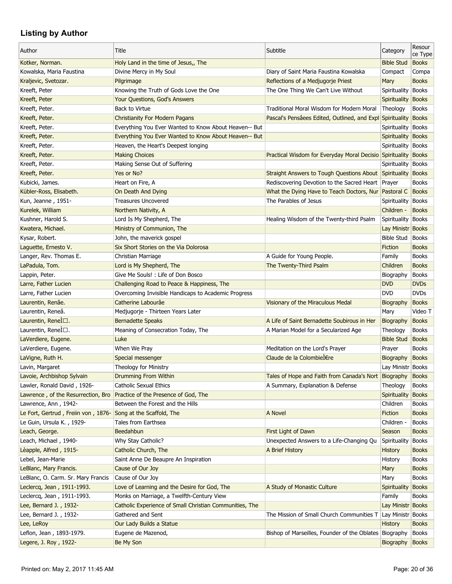| Kotker, Norman.<br>Holy Land in the time of Jesus,, The<br><b>Bible Stud</b><br><b>Books</b><br>Kowalska, Maria Faustina<br>Divine Mercy in My Soul<br>Diary of Saint Maria Faustina Kowalska<br>Compact<br>Compa<br><b>Books</b><br>Kraljevic, Svetozar.<br>Pilgrimage<br>Reflections of a Medjugorje Priest<br>Mary<br>Kreeft, Peter<br>Knowing the Truth of Gods Love the One<br>The One Thing We Can't Live Without<br>Spirituality<br><b>Books</b><br>Kreeft, Peter<br>Your Questions, God's Answers<br>Spirituality Books<br>Kreeft, Peter.<br><b>Back to Virtue</b><br>Traditional Moral Wisdom for Modern Moral<br>Theology<br><b>Books</b><br>Pascal's Pensâees Edited, Outlined, and Expl<br>Kreeft, Peter.<br><b>Christianity For Modern Pagans</b><br>Spirituality Books<br>Kreeft, Peter.<br>Everything You Ever Wanted to Know About Heaven-- But<br>Spirituality<br><b>Books</b><br>Kreeft, Peter.<br>Everything You Ever Wanted to Know About Heaven-- But<br>Spirituality Books<br>Kreeft, Peter.<br>Heaven, the Heart's Deepest longing<br>Spirituality Books<br><b>Making Choices</b><br>Kreeft, Peter.<br>Practical Wisdom for Everyday Moral Decisio Spirituality Books<br>Making Sense Out of Suffering<br>Kreeft, Peter.<br>Spirituality<br><b>Books</b><br>Kreeft, Peter.<br>Yes or No?<br>Straight Answers to Tough Questions About Spirituality<br><b>Books</b><br>Kubicki, James.<br>Rediscovering Devotion to the Sacred Heart Prayer<br><b>Books</b><br>Heart on Fire, A<br>Kübler-Ross, Elisabeth.<br>What the Dying Have to Teach Doctors, Nur Pastoral C<br><b>Books</b><br>On Death And Dying<br>Kun, Jeanne, 1951-<br><b>Treasures Uncovered</b><br>The Parables of Jesus<br>Spirituality   Books<br>Kurelek, William<br>Northern Nativity, A<br>Children -<br><b>Books</b><br>Kushner, Harold S.<br>Lord Is My Shepherd, The<br>Healing Wisdom of the Twenty-third Psalm<br><b>Books</b><br>Spirituality<br>Kwatera, Michael.<br>Ministry of Communion, The<br>Lay Ministr Books<br><b>Bible Stud</b><br>Kysar, Robert.<br>John, the maverick gospel<br><b>Books</b><br>Six Short Stories on the Via Dolorosa<br>Laguette, Ernesto V.<br>Fiction<br><b>Books</b><br>Langer, Rev. Thomas E.<br>Christian Marriage<br>A Guide for Young People.<br><b>Books</b><br>Family<br>Lord is My Shepherd, The<br>The Twenty-Third Psalm<br>LaPadula, Tom.<br>Children<br><b>Books</b><br>Lappin, Peter.<br>Give Me Souls! : Life of Don Bosco<br><b>Books</b><br>Biography<br><b>DVDs</b><br><b>DVD</b><br>Challenging Road to Peace & Happiness, The<br>Larre, Father Lucien<br><b>DVD</b><br><b>DVDs</b><br>Larre, Father Lucien<br>Overcoming Invisible Handicaps to Academic Progress<br>Catherine Labourâe<br>Laurentin, Renâe.<br>Visionary of the Miraculous Medal<br><b>Books</b><br>Biography<br>Laurentin, Reneâ.<br>Medjugorje - Thirteen Years Later<br>Video T<br>Mary<br>Laurentin, Renel $\square$ .<br><b>Bernadette Speaks</b><br>A Life of Saint Bernadette Soubirous in Her<br><b>Books</b><br>Biography<br>Laurentin, Renel <sup> </sup> □.<br>Meaning of Consecration Today, The<br>A Marian Model for a Secularized Age<br><b>Books</b><br>Theology<br><b>Bible Stud</b><br><b>Books</b><br>LaVerdiere, Eugene.<br>Luke<br>When We Pray<br>LaVerdiere, Eugene.<br>Meditation on the Lord's Prayer<br><b>Books</b><br>Prayer<br>Claude de la Colombière<br>LaVigne, Ruth H.<br>Special messenger<br>Biography<br><b>Books</b><br>Theology for Ministry<br>Lavin, Margaret<br>Lay Ministr Books<br>Lavoie, Archbishop Sylvain<br><b>Drumming From Within</b><br>Tales of Hope and Faith from Canada's Nort Biography<br><b>Books</b><br>Lawler, Ronald David, 1926-<br><b>Catholic Sexual Ethics</b><br>A Summary, Explanation & Defense<br>Theology<br><b>Books</b><br>Practice of the Presence of God, The<br>Lawrence, of the Resurrection, Bro<br>Spirituality<br><b>Books</b><br>Lawrence, Ann, 1942-<br>Between the Forest and the Hills<br>Children<br><b>Books</b><br>Le Fort, Gertrud, Freiin von, 1876- Song at the Scaffold, The<br><b>Books</b><br>A Novel<br>Fiction<br>Le Guin, Ursula K., 1929-<br>Tales from Earthsea<br><b>Books</b><br>Children -<br>Leach, George.<br>Beedahbun<br>First Light of Dawn<br>Season<br><b>Books</b><br>Leach, Michael, 1940-<br>Why Stay Catholic?<br>Unexpected Answers to a Life-Changing Qu<br><b>Books</b><br>Spirituality<br>Lèapple, Alfred, 1915-<br>A Brief History<br>Catholic Church, The<br><b>Books</b><br><b>History</b><br>Lebel, Jean-Marie<br>Saint Anne De Beaupre An Inspiration<br><b>Books</b><br>History<br><b>Books</b><br>LeBlanc, Mary Francis.<br>Cause of Our Joy<br>Mary<br>Cause of Our Joy<br>LeBlanc, O. Carm. Sr. Mary Francis<br><b>Books</b><br>Mary<br>Leclercq, Jean, 1911-1993.<br>Love of Learning and the Desire for God, The<br>A Study of Monastic Culture<br><b>Books</b><br><b>Spirituality</b><br>Leclercq, Jean, 1911-1993.<br>Monks on Marriage, a Twelfth-Century View<br>Family<br><b>Books</b><br>Catholic Experience of Small Christian Communities, The<br>Lee, Bernard J., 1932-<br>Lay Ministr Books<br>Lee, Bernard J., 1932-<br>Gathered and Sent<br>The Mission of Small Church Communities T Lay Ministr Books<br>Lee, LeRoy<br>Our Lady Builds a Statue<br><b>Books</b><br><b>History</b><br>Bishop of Marseilles, Founder of the Oblates Biography<br>Leflon, Jean, 1893-1979.<br>Eugene de Mazenod,<br>Books<br>Legere, J. Roy, 1922-<br>Be My Son<br><b>Books</b><br>Biography | Author | Title | Subtitle | Category | Resour  |
|-----------------------------------------------------------------------------------------------------------------------------------------------------------------------------------------------------------------------------------------------------------------------------------------------------------------------------------------------------------------------------------------------------------------------------------------------------------------------------------------------------------------------------------------------------------------------------------------------------------------------------------------------------------------------------------------------------------------------------------------------------------------------------------------------------------------------------------------------------------------------------------------------------------------------------------------------------------------------------------------------------------------------------------------------------------------------------------------------------------------------------------------------------------------------------------------------------------------------------------------------------------------------------------------------------------------------------------------------------------------------------------------------------------------------------------------------------------------------------------------------------------------------------------------------------------------------------------------------------------------------------------------------------------------------------------------------------------------------------------------------------------------------------------------------------------------------------------------------------------------------------------------------------------------------------------------------------------------------------------------------------------------------------------------------------------------------------------------------------------------------------------------------------------------------------------------------------------------------------------------------------------------------------------------------------------------------------------------------------------------------------------------------------------------------------------------------------------------------------------------------------------------------------------------------------------------------------------------------------------------------------------------------------------------------------------------------------------------------------------------------------------------------------------------------------------------------------------------------------------------------------------------------------------------------------------------------------------------------------------------------------------------------------------------------------------------------------------------------------------------------------------------------------------------------------------------------------------------------------------------------------------------------------------------------------------------------------------------------------------------------------------------------------------------------------------------------------------------------------------------------------------------------------------------------------------------------------------------------------------------------------------------------------------------------------------------------------------------------------------------------------------------------------------------------------------------------------------------------------------------------------------------------------------------------------------------------------------------------------------------------------------------------------------------------------------------------------------------------------------------------------------------------------------------------------------------------------------------------------------------------------------------------------------------------------------------------------------------------------------------------------------------------------------------------------------------------------------------------------------------------------------------------------------------------------------------------------------------------------------------------------------------------------------------------------------------------------------------------------------------------------------------------------------------------------------------------------------------------------------------------------------------------------------------------------------------------------------------------------------------------------------------------------------------------------------------------------------------------------------------------------------------------------------------------------------------------------------------------------------------------------------------------------------------------------------------------------------------------------------------------------------------------------------------------------------------------------------------------------------------------------------------------------------------|--------|-------|----------|----------|---------|
|                                                                                                                                                                                                                                                                                                                                                                                                                                                                                                                                                                                                                                                                                                                                                                                                                                                                                                                                                                                                                                                                                                                                                                                                                                                                                                                                                                                                                                                                                                                                                                                                                                                                                                                                                                                                                                                                                                                                                                                                                                                                                                                                                                                                                                                                                                                                                                                                                                                                                                                                                                                                                                                                                                                                                                                                                                                                                                                                                                                                                                                                                                                                                                                                                                                                                                                                                                                                                                                                                                                                                                                                                                                                                                                                                                                                                                                                                                                                                                                                                                                                                                                                                                                                                                                                                                                                                                                                                                                                                                                                                                                                                                                                                                                                                                                                                                                                                                                                                                                                                                                                                                                                                                                                                                                                                                                                                                                                                                                                                                                                         |        |       |          |          | ce Type |
|                                                                                                                                                                                                                                                                                                                                                                                                                                                                                                                                                                                                                                                                                                                                                                                                                                                                                                                                                                                                                                                                                                                                                                                                                                                                                                                                                                                                                                                                                                                                                                                                                                                                                                                                                                                                                                                                                                                                                                                                                                                                                                                                                                                                                                                                                                                                                                                                                                                                                                                                                                                                                                                                                                                                                                                                                                                                                                                                                                                                                                                                                                                                                                                                                                                                                                                                                                                                                                                                                                                                                                                                                                                                                                                                                                                                                                                                                                                                                                                                                                                                                                                                                                                                                                                                                                                                                                                                                                                                                                                                                                                                                                                                                                                                                                                                                                                                                                                                                                                                                                                                                                                                                                                                                                                                                                                                                                                                                                                                                                                                         |        |       |          |          |         |
|                                                                                                                                                                                                                                                                                                                                                                                                                                                                                                                                                                                                                                                                                                                                                                                                                                                                                                                                                                                                                                                                                                                                                                                                                                                                                                                                                                                                                                                                                                                                                                                                                                                                                                                                                                                                                                                                                                                                                                                                                                                                                                                                                                                                                                                                                                                                                                                                                                                                                                                                                                                                                                                                                                                                                                                                                                                                                                                                                                                                                                                                                                                                                                                                                                                                                                                                                                                                                                                                                                                                                                                                                                                                                                                                                                                                                                                                                                                                                                                                                                                                                                                                                                                                                                                                                                                                                                                                                                                                                                                                                                                                                                                                                                                                                                                                                                                                                                                                                                                                                                                                                                                                                                                                                                                                                                                                                                                                                                                                                                                                         |        |       |          |          |         |
|                                                                                                                                                                                                                                                                                                                                                                                                                                                                                                                                                                                                                                                                                                                                                                                                                                                                                                                                                                                                                                                                                                                                                                                                                                                                                                                                                                                                                                                                                                                                                                                                                                                                                                                                                                                                                                                                                                                                                                                                                                                                                                                                                                                                                                                                                                                                                                                                                                                                                                                                                                                                                                                                                                                                                                                                                                                                                                                                                                                                                                                                                                                                                                                                                                                                                                                                                                                                                                                                                                                                                                                                                                                                                                                                                                                                                                                                                                                                                                                                                                                                                                                                                                                                                                                                                                                                                                                                                                                                                                                                                                                                                                                                                                                                                                                                                                                                                                                                                                                                                                                                                                                                                                                                                                                                                                                                                                                                                                                                                                                                         |        |       |          |          |         |
|                                                                                                                                                                                                                                                                                                                                                                                                                                                                                                                                                                                                                                                                                                                                                                                                                                                                                                                                                                                                                                                                                                                                                                                                                                                                                                                                                                                                                                                                                                                                                                                                                                                                                                                                                                                                                                                                                                                                                                                                                                                                                                                                                                                                                                                                                                                                                                                                                                                                                                                                                                                                                                                                                                                                                                                                                                                                                                                                                                                                                                                                                                                                                                                                                                                                                                                                                                                                                                                                                                                                                                                                                                                                                                                                                                                                                                                                                                                                                                                                                                                                                                                                                                                                                                                                                                                                                                                                                                                                                                                                                                                                                                                                                                                                                                                                                                                                                                                                                                                                                                                                                                                                                                                                                                                                                                                                                                                                                                                                                                                                         |        |       |          |          |         |
|                                                                                                                                                                                                                                                                                                                                                                                                                                                                                                                                                                                                                                                                                                                                                                                                                                                                                                                                                                                                                                                                                                                                                                                                                                                                                                                                                                                                                                                                                                                                                                                                                                                                                                                                                                                                                                                                                                                                                                                                                                                                                                                                                                                                                                                                                                                                                                                                                                                                                                                                                                                                                                                                                                                                                                                                                                                                                                                                                                                                                                                                                                                                                                                                                                                                                                                                                                                                                                                                                                                                                                                                                                                                                                                                                                                                                                                                                                                                                                                                                                                                                                                                                                                                                                                                                                                                                                                                                                                                                                                                                                                                                                                                                                                                                                                                                                                                                                                                                                                                                                                                                                                                                                                                                                                                                                                                                                                                                                                                                                                                         |        |       |          |          |         |
|                                                                                                                                                                                                                                                                                                                                                                                                                                                                                                                                                                                                                                                                                                                                                                                                                                                                                                                                                                                                                                                                                                                                                                                                                                                                                                                                                                                                                                                                                                                                                                                                                                                                                                                                                                                                                                                                                                                                                                                                                                                                                                                                                                                                                                                                                                                                                                                                                                                                                                                                                                                                                                                                                                                                                                                                                                                                                                                                                                                                                                                                                                                                                                                                                                                                                                                                                                                                                                                                                                                                                                                                                                                                                                                                                                                                                                                                                                                                                                                                                                                                                                                                                                                                                                                                                                                                                                                                                                                                                                                                                                                                                                                                                                                                                                                                                                                                                                                                                                                                                                                                                                                                                                                                                                                                                                                                                                                                                                                                                                                                         |        |       |          |          |         |
|                                                                                                                                                                                                                                                                                                                                                                                                                                                                                                                                                                                                                                                                                                                                                                                                                                                                                                                                                                                                                                                                                                                                                                                                                                                                                                                                                                                                                                                                                                                                                                                                                                                                                                                                                                                                                                                                                                                                                                                                                                                                                                                                                                                                                                                                                                                                                                                                                                                                                                                                                                                                                                                                                                                                                                                                                                                                                                                                                                                                                                                                                                                                                                                                                                                                                                                                                                                                                                                                                                                                                                                                                                                                                                                                                                                                                                                                                                                                                                                                                                                                                                                                                                                                                                                                                                                                                                                                                                                                                                                                                                                                                                                                                                                                                                                                                                                                                                                                                                                                                                                                                                                                                                                                                                                                                                                                                                                                                                                                                                                                         |        |       |          |          |         |
|                                                                                                                                                                                                                                                                                                                                                                                                                                                                                                                                                                                                                                                                                                                                                                                                                                                                                                                                                                                                                                                                                                                                                                                                                                                                                                                                                                                                                                                                                                                                                                                                                                                                                                                                                                                                                                                                                                                                                                                                                                                                                                                                                                                                                                                                                                                                                                                                                                                                                                                                                                                                                                                                                                                                                                                                                                                                                                                                                                                                                                                                                                                                                                                                                                                                                                                                                                                                                                                                                                                                                                                                                                                                                                                                                                                                                                                                                                                                                                                                                                                                                                                                                                                                                                                                                                                                                                                                                                                                                                                                                                                                                                                                                                                                                                                                                                                                                                                                                                                                                                                                                                                                                                                                                                                                                                                                                                                                                                                                                                                                         |        |       |          |          |         |
|                                                                                                                                                                                                                                                                                                                                                                                                                                                                                                                                                                                                                                                                                                                                                                                                                                                                                                                                                                                                                                                                                                                                                                                                                                                                                                                                                                                                                                                                                                                                                                                                                                                                                                                                                                                                                                                                                                                                                                                                                                                                                                                                                                                                                                                                                                                                                                                                                                                                                                                                                                                                                                                                                                                                                                                                                                                                                                                                                                                                                                                                                                                                                                                                                                                                                                                                                                                                                                                                                                                                                                                                                                                                                                                                                                                                                                                                                                                                                                                                                                                                                                                                                                                                                                                                                                                                                                                                                                                                                                                                                                                                                                                                                                                                                                                                                                                                                                                                                                                                                                                                                                                                                                                                                                                                                                                                                                                                                                                                                                                                         |        |       |          |          |         |
|                                                                                                                                                                                                                                                                                                                                                                                                                                                                                                                                                                                                                                                                                                                                                                                                                                                                                                                                                                                                                                                                                                                                                                                                                                                                                                                                                                                                                                                                                                                                                                                                                                                                                                                                                                                                                                                                                                                                                                                                                                                                                                                                                                                                                                                                                                                                                                                                                                                                                                                                                                                                                                                                                                                                                                                                                                                                                                                                                                                                                                                                                                                                                                                                                                                                                                                                                                                                                                                                                                                                                                                                                                                                                                                                                                                                                                                                                                                                                                                                                                                                                                                                                                                                                                                                                                                                                                                                                                                                                                                                                                                                                                                                                                                                                                                                                                                                                                                                                                                                                                                                                                                                                                                                                                                                                                                                                                                                                                                                                                                                         |        |       |          |          |         |
|                                                                                                                                                                                                                                                                                                                                                                                                                                                                                                                                                                                                                                                                                                                                                                                                                                                                                                                                                                                                                                                                                                                                                                                                                                                                                                                                                                                                                                                                                                                                                                                                                                                                                                                                                                                                                                                                                                                                                                                                                                                                                                                                                                                                                                                                                                                                                                                                                                                                                                                                                                                                                                                                                                                                                                                                                                                                                                                                                                                                                                                                                                                                                                                                                                                                                                                                                                                                                                                                                                                                                                                                                                                                                                                                                                                                                                                                                                                                                                                                                                                                                                                                                                                                                                                                                                                                                                                                                                                                                                                                                                                                                                                                                                                                                                                                                                                                                                                                                                                                                                                                                                                                                                                                                                                                                                                                                                                                                                                                                                                                         |        |       |          |          |         |
|                                                                                                                                                                                                                                                                                                                                                                                                                                                                                                                                                                                                                                                                                                                                                                                                                                                                                                                                                                                                                                                                                                                                                                                                                                                                                                                                                                                                                                                                                                                                                                                                                                                                                                                                                                                                                                                                                                                                                                                                                                                                                                                                                                                                                                                                                                                                                                                                                                                                                                                                                                                                                                                                                                                                                                                                                                                                                                                                                                                                                                                                                                                                                                                                                                                                                                                                                                                                                                                                                                                                                                                                                                                                                                                                                                                                                                                                                                                                                                                                                                                                                                                                                                                                                                                                                                                                                                                                                                                                                                                                                                                                                                                                                                                                                                                                                                                                                                                                                                                                                                                                                                                                                                                                                                                                                                                                                                                                                                                                                                                                         |        |       |          |          |         |
|                                                                                                                                                                                                                                                                                                                                                                                                                                                                                                                                                                                                                                                                                                                                                                                                                                                                                                                                                                                                                                                                                                                                                                                                                                                                                                                                                                                                                                                                                                                                                                                                                                                                                                                                                                                                                                                                                                                                                                                                                                                                                                                                                                                                                                                                                                                                                                                                                                                                                                                                                                                                                                                                                                                                                                                                                                                                                                                                                                                                                                                                                                                                                                                                                                                                                                                                                                                                                                                                                                                                                                                                                                                                                                                                                                                                                                                                                                                                                                                                                                                                                                                                                                                                                                                                                                                                                                                                                                                                                                                                                                                                                                                                                                                                                                                                                                                                                                                                                                                                                                                                                                                                                                                                                                                                                                                                                                                                                                                                                                                                         |        |       |          |          |         |
|                                                                                                                                                                                                                                                                                                                                                                                                                                                                                                                                                                                                                                                                                                                                                                                                                                                                                                                                                                                                                                                                                                                                                                                                                                                                                                                                                                                                                                                                                                                                                                                                                                                                                                                                                                                                                                                                                                                                                                                                                                                                                                                                                                                                                                                                                                                                                                                                                                                                                                                                                                                                                                                                                                                                                                                                                                                                                                                                                                                                                                                                                                                                                                                                                                                                                                                                                                                                                                                                                                                                                                                                                                                                                                                                                                                                                                                                                                                                                                                                                                                                                                                                                                                                                                                                                                                                                                                                                                                                                                                                                                                                                                                                                                                                                                                                                                                                                                                                                                                                                                                                                                                                                                                                                                                                                                                                                                                                                                                                                                                                         |        |       |          |          |         |
|                                                                                                                                                                                                                                                                                                                                                                                                                                                                                                                                                                                                                                                                                                                                                                                                                                                                                                                                                                                                                                                                                                                                                                                                                                                                                                                                                                                                                                                                                                                                                                                                                                                                                                                                                                                                                                                                                                                                                                                                                                                                                                                                                                                                                                                                                                                                                                                                                                                                                                                                                                                                                                                                                                                                                                                                                                                                                                                                                                                                                                                                                                                                                                                                                                                                                                                                                                                                                                                                                                                                                                                                                                                                                                                                                                                                                                                                                                                                                                                                                                                                                                                                                                                                                                                                                                                                                                                                                                                                                                                                                                                                                                                                                                                                                                                                                                                                                                                                                                                                                                                                                                                                                                                                                                                                                                                                                                                                                                                                                                                                         |        |       |          |          |         |
|                                                                                                                                                                                                                                                                                                                                                                                                                                                                                                                                                                                                                                                                                                                                                                                                                                                                                                                                                                                                                                                                                                                                                                                                                                                                                                                                                                                                                                                                                                                                                                                                                                                                                                                                                                                                                                                                                                                                                                                                                                                                                                                                                                                                                                                                                                                                                                                                                                                                                                                                                                                                                                                                                                                                                                                                                                                                                                                                                                                                                                                                                                                                                                                                                                                                                                                                                                                                                                                                                                                                                                                                                                                                                                                                                                                                                                                                                                                                                                                                                                                                                                                                                                                                                                                                                                                                                                                                                                                                                                                                                                                                                                                                                                                                                                                                                                                                                                                                                                                                                                                                                                                                                                                                                                                                                                                                                                                                                                                                                                                                         |        |       |          |          |         |
|                                                                                                                                                                                                                                                                                                                                                                                                                                                                                                                                                                                                                                                                                                                                                                                                                                                                                                                                                                                                                                                                                                                                                                                                                                                                                                                                                                                                                                                                                                                                                                                                                                                                                                                                                                                                                                                                                                                                                                                                                                                                                                                                                                                                                                                                                                                                                                                                                                                                                                                                                                                                                                                                                                                                                                                                                                                                                                                                                                                                                                                                                                                                                                                                                                                                                                                                                                                                                                                                                                                                                                                                                                                                                                                                                                                                                                                                                                                                                                                                                                                                                                                                                                                                                                                                                                                                                                                                                                                                                                                                                                                                                                                                                                                                                                                                                                                                                                                                                                                                                                                                                                                                                                                                                                                                                                                                                                                                                                                                                                                                         |        |       |          |          |         |
|                                                                                                                                                                                                                                                                                                                                                                                                                                                                                                                                                                                                                                                                                                                                                                                                                                                                                                                                                                                                                                                                                                                                                                                                                                                                                                                                                                                                                                                                                                                                                                                                                                                                                                                                                                                                                                                                                                                                                                                                                                                                                                                                                                                                                                                                                                                                                                                                                                                                                                                                                                                                                                                                                                                                                                                                                                                                                                                                                                                                                                                                                                                                                                                                                                                                                                                                                                                                                                                                                                                                                                                                                                                                                                                                                                                                                                                                                                                                                                                                                                                                                                                                                                                                                                                                                                                                                                                                                                                                                                                                                                                                                                                                                                                                                                                                                                                                                                                                                                                                                                                                                                                                                                                                                                                                                                                                                                                                                                                                                                                                         |        |       |          |          |         |
|                                                                                                                                                                                                                                                                                                                                                                                                                                                                                                                                                                                                                                                                                                                                                                                                                                                                                                                                                                                                                                                                                                                                                                                                                                                                                                                                                                                                                                                                                                                                                                                                                                                                                                                                                                                                                                                                                                                                                                                                                                                                                                                                                                                                                                                                                                                                                                                                                                                                                                                                                                                                                                                                                                                                                                                                                                                                                                                                                                                                                                                                                                                                                                                                                                                                                                                                                                                                                                                                                                                                                                                                                                                                                                                                                                                                                                                                                                                                                                                                                                                                                                                                                                                                                                                                                                                                                                                                                                                                                                                                                                                                                                                                                                                                                                                                                                                                                                                                                                                                                                                                                                                                                                                                                                                                                                                                                                                                                                                                                                                                         |        |       |          |          |         |
|                                                                                                                                                                                                                                                                                                                                                                                                                                                                                                                                                                                                                                                                                                                                                                                                                                                                                                                                                                                                                                                                                                                                                                                                                                                                                                                                                                                                                                                                                                                                                                                                                                                                                                                                                                                                                                                                                                                                                                                                                                                                                                                                                                                                                                                                                                                                                                                                                                                                                                                                                                                                                                                                                                                                                                                                                                                                                                                                                                                                                                                                                                                                                                                                                                                                                                                                                                                                                                                                                                                                                                                                                                                                                                                                                                                                                                                                                                                                                                                                                                                                                                                                                                                                                                                                                                                                                                                                                                                                                                                                                                                                                                                                                                                                                                                                                                                                                                                                                                                                                                                                                                                                                                                                                                                                                                                                                                                                                                                                                                                                         |        |       |          |          |         |
|                                                                                                                                                                                                                                                                                                                                                                                                                                                                                                                                                                                                                                                                                                                                                                                                                                                                                                                                                                                                                                                                                                                                                                                                                                                                                                                                                                                                                                                                                                                                                                                                                                                                                                                                                                                                                                                                                                                                                                                                                                                                                                                                                                                                                                                                                                                                                                                                                                                                                                                                                                                                                                                                                                                                                                                                                                                                                                                                                                                                                                                                                                                                                                                                                                                                                                                                                                                                                                                                                                                                                                                                                                                                                                                                                                                                                                                                                                                                                                                                                                                                                                                                                                                                                                                                                                                                                                                                                                                                                                                                                                                                                                                                                                                                                                                                                                                                                                                                                                                                                                                                                                                                                                                                                                                                                                                                                                                                                                                                                                                                         |        |       |          |          |         |
|                                                                                                                                                                                                                                                                                                                                                                                                                                                                                                                                                                                                                                                                                                                                                                                                                                                                                                                                                                                                                                                                                                                                                                                                                                                                                                                                                                                                                                                                                                                                                                                                                                                                                                                                                                                                                                                                                                                                                                                                                                                                                                                                                                                                                                                                                                                                                                                                                                                                                                                                                                                                                                                                                                                                                                                                                                                                                                                                                                                                                                                                                                                                                                                                                                                                                                                                                                                                                                                                                                                                                                                                                                                                                                                                                                                                                                                                                                                                                                                                                                                                                                                                                                                                                                                                                                                                                                                                                                                                                                                                                                                                                                                                                                                                                                                                                                                                                                                                                                                                                                                                                                                                                                                                                                                                                                                                                                                                                                                                                                                                         |        |       |          |          |         |
|                                                                                                                                                                                                                                                                                                                                                                                                                                                                                                                                                                                                                                                                                                                                                                                                                                                                                                                                                                                                                                                                                                                                                                                                                                                                                                                                                                                                                                                                                                                                                                                                                                                                                                                                                                                                                                                                                                                                                                                                                                                                                                                                                                                                                                                                                                                                                                                                                                                                                                                                                                                                                                                                                                                                                                                                                                                                                                                                                                                                                                                                                                                                                                                                                                                                                                                                                                                                                                                                                                                                                                                                                                                                                                                                                                                                                                                                                                                                                                                                                                                                                                                                                                                                                                                                                                                                                                                                                                                                                                                                                                                                                                                                                                                                                                                                                                                                                                                                                                                                                                                                                                                                                                                                                                                                                                                                                                                                                                                                                                                                         |        |       |          |          |         |
|                                                                                                                                                                                                                                                                                                                                                                                                                                                                                                                                                                                                                                                                                                                                                                                                                                                                                                                                                                                                                                                                                                                                                                                                                                                                                                                                                                                                                                                                                                                                                                                                                                                                                                                                                                                                                                                                                                                                                                                                                                                                                                                                                                                                                                                                                                                                                                                                                                                                                                                                                                                                                                                                                                                                                                                                                                                                                                                                                                                                                                                                                                                                                                                                                                                                                                                                                                                                                                                                                                                                                                                                                                                                                                                                                                                                                                                                                                                                                                                                                                                                                                                                                                                                                                                                                                                                                                                                                                                                                                                                                                                                                                                                                                                                                                                                                                                                                                                                                                                                                                                                                                                                                                                                                                                                                                                                                                                                                                                                                                                                         |        |       |          |          |         |
|                                                                                                                                                                                                                                                                                                                                                                                                                                                                                                                                                                                                                                                                                                                                                                                                                                                                                                                                                                                                                                                                                                                                                                                                                                                                                                                                                                                                                                                                                                                                                                                                                                                                                                                                                                                                                                                                                                                                                                                                                                                                                                                                                                                                                                                                                                                                                                                                                                                                                                                                                                                                                                                                                                                                                                                                                                                                                                                                                                                                                                                                                                                                                                                                                                                                                                                                                                                                                                                                                                                                                                                                                                                                                                                                                                                                                                                                                                                                                                                                                                                                                                                                                                                                                                                                                                                                                                                                                                                                                                                                                                                                                                                                                                                                                                                                                                                                                                                                                                                                                                                                                                                                                                                                                                                                                                                                                                                                                                                                                                                                         |        |       |          |          |         |
|                                                                                                                                                                                                                                                                                                                                                                                                                                                                                                                                                                                                                                                                                                                                                                                                                                                                                                                                                                                                                                                                                                                                                                                                                                                                                                                                                                                                                                                                                                                                                                                                                                                                                                                                                                                                                                                                                                                                                                                                                                                                                                                                                                                                                                                                                                                                                                                                                                                                                                                                                                                                                                                                                                                                                                                                                                                                                                                                                                                                                                                                                                                                                                                                                                                                                                                                                                                                                                                                                                                                                                                                                                                                                                                                                                                                                                                                                                                                                                                                                                                                                                                                                                                                                                                                                                                                                                                                                                                                                                                                                                                                                                                                                                                                                                                                                                                                                                                                                                                                                                                                                                                                                                                                                                                                                                                                                                                                                                                                                                                                         |        |       |          |          |         |
|                                                                                                                                                                                                                                                                                                                                                                                                                                                                                                                                                                                                                                                                                                                                                                                                                                                                                                                                                                                                                                                                                                                                                                                                                                                                                                                                                                                                                                                                                                                                                                                                                                                                                                                                                                                                                                                                                                                                                                                                                                                                                                                                                                                                                                                                                                                                                                                                                                                                                                                                                                                                                                                                                                                                                                                                                                                                                                                                                                                                                                                                                                                                                                                                                                                                                                                                                                                                                                                                                                                                                                                                                                                                                                                                                                                                                                                                                                                                                                                                                                                                                                                                                                                                                                                                                                                                                                                                                                                                                                                                                                                                                                                                                                                                                                                                                                                                                                                                                                                                                                                                                                                                                                                                                                                                                                                                                                                                                                                                                                                                         |        |       |          |          |         |
|                                                                                                                                                                                                                                                                                                                                                                                                                                                                                                                                                                                                                                                                                                                                                                                                                                                                                                                                                                                                                                                                                                                                                                                                                                                                                                                                                                                                                                                                                                                                                                                                                                                                                                                                                                                                                                                                                                                                                                                                                                                                                                                                                                                                                                                                                                                                                                                                                                                                                                                                                                                                                                                                                                                                                                                                                                                                                                                                                                                                                                                                                                                                                                                                                                                                                                                                                                                                                                                                                                                                                                                                                                                                                                                                                                                                                                                                                                                                                                                                                                                                                                                                                                                                                                                                                                                                                                                                                                                                                                                                                                                                                                                                                                                                                                                                                                                                                                                                                                                                                                                                                                                                                                                                                                                                                                                                                                                                                                                                                                                                         |        |       |          |          |         |
|                                                                                                                                                                                                                                                                                                                                                                                                                                                                                                                                                                                                                                                                                                                                                                                                                                                                                                                                                                                                                                                                                                                                                                                                                                                                                                                                                                                                                                                                                                                                                                                                                                                                                                                                                                                                                                                                                                                                                                                                                                                                                                                                                                                                                                                                                                                                                                                                                                                                                                                                                                                                                                                                                                                                                                                                                                                                                                                                                                                                                                                                                                                                                                                                                                                                                                                                                                                                                                                                                                                                                                                                                                                                                                                                                                                                                                                                                                                                                                                                                                                                                                                                                                                                                                                                                                                                                                                                                                                                                                                                                                                                                                                                                                                                                                                                                                                                                                                                                                                                                                                                                                                                                                                                                                                                                                                                                                                                                                                                                                                                         |        |       |          |          |         |
|                                                                                                                                                                                                                                                                                                                                                                                                                                                                                                                                                                                                                                                                                                                                                                                                                                                                                                                                                                                                                                                                                                                                                                                                                                                                                                                                                                                                                                                                                                                                                                                                                                                                                                                                                                                                                                                                                                                                                                                                                                                                                                                                                                                                                                                                                                                                                                                                                                                                                                                                                                                                                                                                                                                                                                                                                                                                                                                                                                                                                                                                                                                                                                                                                                                                                                                                                                                                                                                                                                                                                                                                                                                                                                                                                                                                                                                                                                                                                                                                                                                                                                                                                                                                                                                                                                                                                                                                                                                                                                                                                                                                                                                                                                                                                                                                                                                                                                                                                                                                                                                                                                                                                                                                                                                                                                                                                                                                                                                                                                                                         |        |       |          |          |         |
|                                                                                                                                                                                                                                                                                                                                                                                                                                                                                                                                                                                                                                                                                                                                                                                                                                                                                                                                                                                                                                                                                                                                                                                                                                                                                                                                                                                                                                                                                                                                                                                                                                                                                                                                                                                                                                                                                                                                                                                                                                                                                                                                                                                                                                                                                                                                                                                                                                                                                                                                                                                                                                                                                                                                                                                                                                                                                                                                                                                                                                                                                                                                                                                                                                                                                                                                                                                                                                                                                                                                                                                                                                                                                                                                                                                                                                                                                                                                                                                                                                                                                                                                                                                                                                                                                                                                                                                                                                                                                                                                                                                                                                                                                                                                                                                                                                                                                                                                                                                                                                                                                                                                                                                                                                                                                                                                                                                                                                                                                                                                         |        |       |          |          |         |
|                                                                                                                                                                                                                                                                                                                                                                                                                                                                                                                                                                                                                                                                                                                                                                                                                                                                                                                                                                                                                                                                                                                                                                                                                                                                                                                                                                                                                                                                                                                                                                                                                                                                                                                                                                                                                                                                                                                                                                                                                                                                                                                                                                                                                                                                                                                                                                                                                                                                                                                                                                                                                                                                                                                                                                                                                                                                                                                                                                                                                                                                                                                                                                                                                                                                                                                                                                                                                                                                                                                                                                                                                                                                                                                                                                                                                                                                                                                                                                                                                                                                                                                                                                                                                                                                                                                                                                                                                                                                                                                                                                                                                                                                                                                                                                                                                                                                                                                                                                                                                                                                                                                                                                                                                                                                                                                                                                                                                                                                                                                                         |        |       |          |          |         |
|                                                                                                                                                                                                                                                                                                                                                                                                                                                                                                                                                                                                                                                                                                                                                                                                                                                                                                                                                                                                                                                                                                                                                                                                                                                                                                                                                                                                                                                                                                                                                                                                                                                                                                                                                                                                                                                                                                                                                                                                                                                                                                                                                                                                                                                                                                                                                                                                                                                                                                                                                                                                                                                                                                                                                                                                                                                                                                                                                                                                                                                                                                                                                                                                                                                                                                                                                                                                                                                                                                                                                                                                                                                                                                                                                                                                                                                                                                                                                                                                                                                                                                                                                                                                                                                                                                                                                                                                                                                                                                                                                                                                                                                                                                                                                                                                                                                                                                                                                                                                                                                                                                                                                                                                                                                                                                                                                                                                                                                                                                                                         |        |       |          |          |         |
|                                                                                                                                                                                                                                                                                                                                                                                                                                                                                                                                                                                                                                                                                                                                                                                                                                                                                                                                                                                                                                                                                                                                                                                                                                                                                                                                                                                                                                                                                                                                                                                                                                                                                                                                                                                                                                                                                                                                                                                                                                                                                                                                                                                                                                                                                                                                                                                                                                                                                                                                                                                                                                                                                                                                                                                                                                                                                                                                                                                                                                                                                                                                                                                                                                                                                                                                                                                                                                                                                                                                                                                                                                                                                                                                                                                                                                                                                                                                                                                                                                                                                                                                                                                                                                                                                                                                                                                                                                                                                                                                                                                                                                                                                                                                                                                                                                                                                                                                                                                                                                                                                                                                                                                                                                                                                                                                                                                                                                                                                                                                         |        |       |          |          |         |
|                                                                                                                                                                                                                                                                                                                                                                                                                                                                                                                                                                                                                                                                                                                                                                                                                                                                                                                                                                                                                                                                                                                                                                                                                                                                                                                                                                                                                                                                                                                                                                                                                                                                                                                                                                                                                                                                                                                                                                                                                                                                                                                                                                                                                                                                                                                                                                                                                                                                                                                                                                                                                                                                                                                                                                                                                                                                                                                                                                                                                                                                                                                                                                                                                                                                                                                                                                                                                                                                                                                                                                                                                                                                                                                                                                                                                                                                                                                                                                                                                                                                                                                                                                                                                                                                                                                                                                                                                                                                                                                                                                                                                                                                                                                                                                                                                                                                                                                                                                                                                                                                                                                                                                                                                                                                                                                                                                                                                                                                                                                                         |        |       |          |          |         |
|                                                                                                                                                                                                                                                                                                                                                                                                                                                                                                                                                                                                                                                                                                                                                                                                                                                                                                                                                                                                                                                                                                                                                                                                                                                                                                                                                                                                                                                                                                                                                                                                                                                                                                                                                                                                                                                                                                                                                                                                                                                                                                                                                                                                                                                                                                                                                                                                                                                                                                                                                                                                                                                                                                                                                                                                                                                                                                                                                                                                                                                                                                                                                                                                                                                                                                                                                                                                                                                                                                                                                                                                                                                                                                                                                                                                                                                                                                                                                                                                                                                                                                                                                                                                                                                                                                                                                                                                                                                                                                                                                                                                                                                                                                                                                                                                                                                                                                                                                                                                                                                                                                                                                                                                                                                                                                                                                                                                                                                                                                                                         |        |       |          |          |         |
|                                                                                                                                                                                                                                                                                                                                                                                                                                                                                                                                                                                                                                                                                                                                                                                                                                                                                                                                                                                                                                                                                                                                                                                                                                                                                                                                                                                                                                                                                                                                                                                                                                                                                                                                                                                                                                                                                                                                                                                                                                                                                                                                                                                                                                                                                                                                                                                                                                                                                                                                                                                                                                                                                                                                                                                                                                                                                                                                                                                                                                                                                                                                                                                                                                                                                                                                                                                                                                                                                                                                                                                                                                                                                                                                                                                                                                                                                                                                                                                                                                                                                                                                                                                                                                                                                                                                                                                                                                                                                                                                                                                                                                                                                                                                                                                                                                                                                                                                                                                                                                                                                                                                                                                                                                                                                                                                                                                                                                                                                                                                         |        |       |          |          |         |
|                                                                                                                                                                                                                                                                                                                                                                                                                                                                                                                                                                                                                                                                                                                                                                                                                                                                                                                                                                                                                                                                                                                                                                                                                                                                                                                                                                                                                                                                                                                                                                                                                                                                                                                                                                                                                                                                                                                                                                                                                                                                                                                                                                                                                                                                                                                                                                                                                                                                                                                                                                                                                                                                                                                                                                                                                                                                                                                                                                                                                                                                                                                                                                                                                                                                                                                                                                                                                                                                                                                                                                                                                                                                                                                                                                                                                                                                                                                                                                                                                                                                                                                                                                                                                                                                                                                                                                                                                                                                                                                                                                                                                                                                                                                                                                                                                                                                                                                                                                                                                                                                                                                                                                                                                                                                                                                                                                                                                                                                                                                                         |        |       |          |          |         |
|                                                                                                                                                                                                                                                                                                                                                                                                                                                                                                                                                                                                                                                                                                                                                                                                                                                                                                                                                                                                                                                                                                                                                                                                                                                                                                                                                                                                                                                                                                                                                                                                                                                                                                                                                                                                                                                                                                                                                                                                                                                                                                                                                                                                                                                                                                                                                                                                                                                                                                                                                                                                                                                                                                                                                                                                                                                                                                                                                                                                                                                                                                                                                                                                                                                                                                                                                                                                                                                                                                                                                                                                                                                                                                                                                                                                                                                                                                                                                                                                                                                                                                                                                                                                                                                                                                                                                                                                                                                                                                                                                                                                                                                                                                                                                                                                                                                                                                                                                                                                                                                                                                                                                                                                                                                                                                                                                                                                                                                                                                                                         |        |       |          |          |         |
|                                                                                                                                                                                                                                                                                                                                                                                                                                                                                                                                                                                                                                                                                                                                                                                                                                                                                                                                                                                                                                                                                                                                                                                                                                                                                                                                                                                                                                                                                                                                                                                                                                                                                                                                                                                                                                                                                                                                                                                                                                                                                                                                                                                                                                                                                                                                                                                                                                                                                                                                                                                                                                                                                                                                                                                                                                                                                                                                                                                                                                                                                                                                                                                                                                                                                                                                                                                                                                                                                                                                                                                                                                                                                                                                                                                                                                                                                                                                                                                                                                                                                                                                                                                                                                                                                                                                                                                                                                                                                                                                                                                                                                                                                                                                                                                                                                                                                                                                                                                                                                                                                                                                                                                                                                                                                                                                                                                                                                                                                                                                         |        |       |          |          |         |
|                                                                                                                                                                                                                                                                                                                                                                                                                                                                                                                                                                                                                                                                                                                                                                                                                                                                                                                                                                                                                                                                                                                                                                                                                                                                                                                                                                                                                                                                                                                                                                                                                                                                                                                                                                                                                                                                                                                                                                                                                                                                                                                                                                                                                                                                                                                                                                                                                                                                                                                                                                                                                                                                                                                                                                                                                                                                                                                                                                                                                                                                                                                                                                                                                                                                                                                                                                                                                                                                                                                                                                                                                                                                                                                                                                                                                                                                                                                                                                                                                                                                                                                                                                                                                                                                                                                                                                                                                                                                                                                                                                                                                                                                                                                                                                                                                                                                                                                                                                                                                                                                                                                                                                                                                                                                                                                                                                                                                                                                                                                                         |        |       |          |          |         |
|                                                                                                                                                                                                                                                                                                                                                                                                                                                                                                                                                                                                                                                                                                                                                                                                                                                                                                                                                                                                                                                                                                                                                                                                                                                                                                                                                                                                                                                                                                                                                                                                                                                                                                                                                                                                                                                                                                                                                                                                                                                                                                                                                                                                                                                                                                                                                                                                                                                                                                                                                                                                                                                                                                                                                                                                                                                                                                                                                                                                                                                                                                                                                                                                                                                                                                                                                                                                                                                                                                                                                                                                                                                                                                                                                                                                                                                                                                                                                                                                                                                                                                                                                                                                                                                                                                                                                                                                                                                                                                                                                                                                                                                                                                                                                                                                                                                                                                                                                                                                                                                                                                                                                                                                                                                                                                                                                                                                                                                                                                                                         |        |       |          |          |         |
|                                                                                                                                                                                                                                                                                                                                                                                                                                                                                                                                                                                                                                                                                                                                                                                                                                                                                                                                                                                                                                                                                                                                                                                                                                                                                                                                                                                                                                                                                                                                                                                                                                                                                                                                                                                                                                                                                                                                                                                                                                                                                                                                                                                                                                                                                                                                                                                                                                                                                                                                                                                                                                                                                                                                                                                                                                                                                                                                                                                                                                                                                                                                                                                                                                                                                                                                                                                                                                                                                                                                                                                                                                                                                                                                                                                                                                                                                                                                                                                                                                                                                                                                                                                                                                                                                                                                                                                                                                                                                                                                                                                                                                                                                                                                                                                                                                                                                                                                                                                                                                                                                                                                                                                                                                                                                                                                                                                                                                                                                                                                         |        |       |          |          |         |
|                                                                                                                                                                                                                                                                                                                                                                                                                                                                                                                                                                                                                                                                                                                                                                                                                                                                                                                                                                                                                                                                                                                                                                                                                                                                                                                                                                                                                                                                                                                                                                                                                                                                                                                                                                                                                                                                                                                                                                                                                                                                                                                                                                                                                                                                                                                                                                                                                                                                                                                                                                                                                                                                                                                                                                                                                                                                                                                                                                                                                                                                                                                                                                                                                                                                                                                                                                                                                                                                                                                                                                                                                                                                                                                                                                                                                                                                                                                                                                                                                                                                                                                                                                                                                                                                                                                                                                                                                                                                                                                                                                                                                                                                                                                                                                                                                                                                                                                                                                                                                                                                                                                                                                                                                                                                                                                                                                                                                                                                                                                                         |        |       |          |          |         |
|                                                                                                                                                                                                                                                                                                                                                                                                                                                                                                                                                                                                                                                                                                                                                                                                                                                                                                                                                                                                                                                                                                                                                                                                                                                                                                                                                                                                                                                                                                                                                                                                                                                                                                                                                                                                                                                                                                                                                                                                                                                                                                                                                                                                                                                                                                                                                                                                                                                                                                                                                                                                                                                                                                                                                                                                                                                                                                                                                                                                                                                                                                                                                                                                                                                                                                                                                                                                                                                                                                                                                                                                                                                                                                                                                                                                                                                                                                                                                                                                                                                                                                                                                                                                                                                                                                                                                                                                                                                                                                                                                                                                                                                                                                                                                                                                                                                                                                                                                                                                                                                                                                                                                                                                                                                                                                                                                                                                                                                                                                                                         |        |       |          |          |         |
|                                                                                                                                                                                                                                                                                                                                                                                                                                                                                                                                                                                                                                                                                                                                                                                                                                                                                                                                                                                                                                                                                                                                                                                                                                                                                                                                                                                                                                                                                                                                                                                                                                                                                                                                                                                                                                                                                                                                                                                                                                                                                                                                                                                                                                                                                                                                                                                                                                                                                                                                                                                                                                                                                                                                                                                                                                                                                                                                                                                                                                                                                                                                                                                                                                                                                                                                                                                                                                                                                                                                                                                                                                                                                                                                                                                                                                                                                                                                                                                                                                                                                                                                                                                                                                                                                                                                                                                                                                                                                                                                                                                                                                                                                                                                                                                                                                                                                                                                                                                                                                                                                                                                                                                                                                                                                                                                                                                                                                                                                                                                         |        |       |          |          |         |
|                                                                                                                                                                                                                                                                                                                                                                                                                                                                                                                                                                                                                                                                                                                                                                                                                                                                                                                                                                                                                                                                                                                                                                                                                                                                                                                                                                                                                                                                                                                                                                                                                                                                                                                                                                                                                                                                                                                                                                                                                                                                                                                                                                                                                                                                                                                                                                                                                                                                                                                                                                                                                                                                                                                                                                                                                                                                                                                                                                                                                                                                                                                                                                                                                                                                                                                                                                                                                                                                                                                                                                                                                                                                                                                                                                                                                                                                                                                                                                                                                                                                                                                                                                                                                                                                                                                                                                                                                                                                                                                                                                                                                                                                                                                                                                                                                                                                                                                                                                                                                                                                                                                                                                                                                                                                                                                                                                                                                                                                                                                                         |        |       |          |          |         |
|                                                                                                                                                                                                                                                                                                                                                                                                                                                                                                                                                                                                                                                                                                                                                                                                                                                                                                                                                                                                                                                                                                                                                                                                                                                                                                                                                                                                                                                                                                                                                                                                                                                                                                                                                                                                                                                                                                                                                                                                                                                                                                                                                                                                                                                                                                                                                                                                                                                                                                                                                                                                                                                                                                                                                                                                                                                                                                                                                                                                                                                                                                                                                                                                                                                                                                                                                                                                                                                                                                                                                                                                                                                                                                                                                                                                                                                                                                                                                                                                                                                                                                                                                                                                                                                                                                                                                                                                                                                                                                                                                                                                                                                                                                                                                                                                                                                                                                                                                                                                                                                                                                                                                                                                                                                                                                                                                                                                                                                                                                                                         |        |       |          |          |         |
|                                                                                                                                                                                                                                                                                                                                                                                                                                                                                                                                                                                                                                                                                                                                                                                                                                                                                                                                                                                                                                                                                                                                                                                                                                                                                                                                                                                                                                                                                                                                                                                                                                                                                                                                                                                                                                                                                                                                                                                                                                                                                                                                                                                                                                                                                                                                                                                                                                                                                                                                                                                                                                                                                                                                                                                                                                                                                                                                                                                                                                                                                                                                                                                                                                                                                                                                                                                                                                                                                                                                                                                                                                                                                                                                                                                                                                                                                                                                                                                                                                                                                                                                                                                                                                                                                                                                                                                                                                                                                                                                                                                                                                                                                                                                                                                                                                                                                                                                                                                                                                                                                                                                                                                                                                                                                                                                                                                                                                                                                                                                         |        |       |          |          |         |
|                                                                                                                                                                                                                                                                                                                                                                                                                                                                                                                                                                                                                                                                                                                                                                                                                                                                                                                                                                                                                                                                                                                                                                                                                                                                                                                                                                                                                                                                                                                                                                                                                                                                                                                                                                                                                                                                                                                                                                                                                                                                                                                                                                                                                                                                                                                                                                                                                                                                                                                                                                                                                                                                                                                                                                                                                                                                                                                                                                                                                                                                                                                                                                                                                                                                                                                                                                                                                                                                                                                                                                                                                                                                                                                                                                                                                                                                                                                                                                                                                                                                                                                                                                                                                                                                                                                                                                                                                                                                                                                                                                                                                                                                                                                                                                                                                                                                                                                                                                                                                                                                                                                                                                                                                                                                                                                                                                                                                                                                                                                                         |        |       |          |          |         |
|                                                                                                                                                                                                                                                                                                                                                                                                                                                                                                                                                                                                                                                                                                                                                                                                                                                                                                                                                                                                                                                                                                                                                                                                                                                                                                                                                                                                                                                                                                                                                                                                                                                                                                                                                                                                                                                                                                                                                                                                                                                                                                                                                                                                                                                                                                                                                                                                                                                                                                                                                                                                                                                                                                                                                                                                                                                                                                                                                                                                                                                                                                                                                                                                                                                                                                                                                                                                                                                                                                                                                                                                                                                                                                                                                                                                                                                                                                                                                                                                                                                                                                                                                                                                                                                                                                                                                                                                                                                                                                                                                                                                                                                                                                                                                                                                                                                                                                                                                                                                                                                                                                                                                                                                                                                                                                                                                                                                                                                                                                                                         |        |       |          |          |         |
|                                                                                                                                                                                                                                                                                                                                                                                                                                                                                                                                                                                                                                                                                                                                                                                                                                                                                                                                                                                                                                                                                                                                                                                                                                                                                                                                                                                                                                                                                                                                                                                                                                                                                                                                                                                                                                                                                                                                                                                                                                                                                                                                                                                                                                                                                                                                                                                                                                                                                                                                                                                                                                                                                                                                                                                                                                                                                                                                                                                                                                                                                                                                                                                                                                                                                                                                                                                                                                                                                                                                                                                                                                                                                                                                                                                                                                                                                                                                                                                                                                                                                                                                                                                                                                                                                                                                                                                                                                                                                                                                                                                                                                                                                                                                                                                                                                                                                                                                                                                                                                                                                                                                                                                                                                                                                                                                                                                                                                                                                                                                         |        |       |          |          |         |
|                                                                                                                                                                                                                                                                                                                                                                                                                                                                                                                                                                                                                                                                                                                                                                                                                                                                                                                                                                                                                                                                                                                                                                                                                                                                                                                                                                                                                                                                                                                                                                                                                                                                                                                                                                                                                                                                                                                                                                                                                                                                                                                                                                                                                                                                                                                                                                                                                                                                                                                                                                                                                                                                                                                                                                                                                                                                                                                                                                                                                                                                                                                                                                                                                                                                                                                                                                                                                                                                                                                                                                                                                                                                                                                                                                                                                                                                                                                                                                                                                                                                                                                                                                                                                                                                                                                                                                                                                                                                                                                                                                                                                                                                                                                                                                                                                                                                                                                                                                                                                                                                                                                                                                                                                                                                                                                                                                                                                                                                                                                                         |        |       |          |          |         |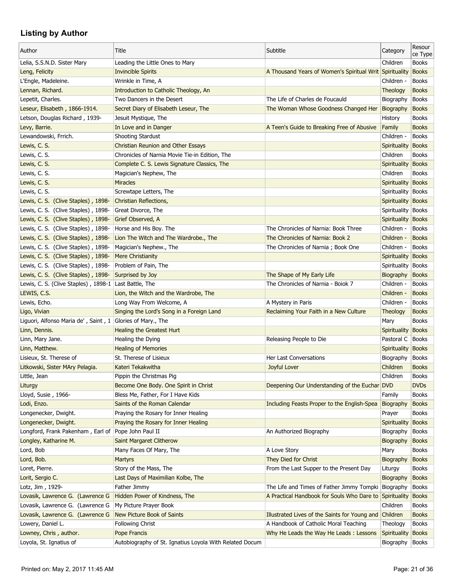| Author                                                       | Title                                                   | Subtitle                                                | Category            | Resour<br>ce Type |
|--------------------------------------------------------------|---------------------------------------------------------|---------------------------------------------------------|---------------------|-------------------|
| Lelia, S.S.N.D. Sister Mary                                  | Leading the Little Ones to Mary                         |                                                         | Children            | <b>Books</b>      |
| Leng, Felicity                                               | <b>Invincible Spirits</b>                               | A Thousand Years of Women's Spiritual Writ Spirituality |                     | <b>Books</b>      |
| L'Engle, Madeleine.                                          | Wrinkle in Time, A                                      |                                                         | Children -          | <b>Books</b>      |
| Lennan, Richard.                                             | Introduction to Catholic Theology, An                   |                                                         | Theology            | <b>Books</b>      |
| Lepetit, Charles.                                            | Two Dancers in the Desert                               | The Life of Charles de Foucauld                         | Biography           | <b>Books</b>      |
| Leseur, Elisabeth, 1866-1914.                                | Secret Diary of Elisabeth Leseur, The                   | The Woman Whose Goodness Changed Her                    | Biography           | <b>Books</b>      |
| Letson, Douglas Richard, 1939-                               | Jesuit Mystique, The                                    |                                                         | History             | <b>Books</b>      |
| Levy, Barrie.                                                | In Love and in Danger                                   | A Teen's Guide to Breaking Free of Abusive              | Family              | <b>Books</b>      |
| Lewandowski, Frrich.                                         | Shooting Stardust                                       |                                                         | Children -          | <b>Books</b>      |
| Lewis, C. S.                                                 | <b>Christian Reunion and Other Essays</b>               |                                                         | <b>Spirituality</b> | <b>Books</b>      |
| Lewis, C. S.                                                 | Chronicles of Narnia Movie Tie-in Edition, The          |                                                         | Children            | <b>Books</b>      |
| Lewis, C. S.                                                 | Complete C. S. Lewis Signature Classics, The            |                                                         | Spirituality        | Books             |
| Lewis, C. S.                                                 | Magician's Nephew, The                                  |                                                         | Children            | <b>Books</b>      |
| Lewis, C. S.                                                 | <b>Miracles</b>                                         |                                                         | Spirituality        | Books             |
| Lewis, C. S.                                                 | Screwtape Letters, The                                  |                                                         | Spirituality        | Books             |
| Lewis, C. S. (Clive Staples), 1898-                          | Christian Reflections,                                  |                                                         | Spirituality        | <b>Books</b>      |
| Lewis, C. S. (Clive Staples), 1898-                          | Great Divorce, The                                      |                                                         | Spirituality Books  |                   |
| Lewis, C. S. (Clive Staples), 1898-                          | Grief Observed, A                                       |                                                         | Spirituality Books  |                   |
| Lewis, C. S. (Clive Staples), 1898-                          | Horse and His Boy. The                                  | The Chronicles of Narnia: Book Three                    | Children -          | <b>Books</b>      |
| Lewis, C. S. (Clive Staples), 1898-                          | Lion The Witch and The Wardrobe., The                   | The Chronicles of Narnia: Book 2                        | Children -          | <b>Books</b>      |
| Lewis, C. S. (Clive Staples), 1898-                          | Magician's Nephew., The                                 | The Chronicles of Narnia ; Book One                     | Children -          | <b>Books</b>      |
| Lewis, C. S. (Clive Staples), 1898-                          | <b>Mere Christianity</b>                                |                                                         | Spirituality        | Books             |
| Lewis, C. S. (Clive Staples), 1898-                          | Problem of Pain, The                                    |                                                         | Spirituality Books  |                   |
| Lewis, C. S. (Clive Staples), 1898-                          | Surprised by Joy                                        | The Shape of My Early Life                              | <b>Biography</b>    | <b>Books</b>      |
| Lewis, C. S. (Clive Staples), 1898-1                         | Last Battle, The                                        | The Chronicles of Narnia - Boiok 7                      | Children -          | <b>Books</b>      |
| LEWIS, C.S.                                                  | Lion, the Witch and the Wardrobe, The                   |                                                         | Children -          | <b>Books</b>      |
| Lewis, Echo.                                                 | Long Way From Welcome, A                                | A Mystery in Paris                                      | Children -          | <b>Books</b>      |
| Ligo, Vivian                                                 |                                                         |                                                         |                     | <b>Books</b>      |
|                                                              | Singing the Lord's Song in a Foreign Land               | Reclaiming Your Faith in a New Culture                  | Theology            | <b>Books</b>      |
| Liguori, Alfonso Maria de', Saint, $1$ Glories of Mary., The | <b>Healing the Greatest Hurt</b>                        |                                                         | Mary                |                   |
| Linn, Dennis.                                                |                                                         |                                                         | Spirituality Books  |                   |
| Linn, Mary Jane.                                             | Healing the Dying                                       | Releasing People to Die                                 | Pastoral C          | <b>Books</b>      |
| Linn, Matthew.                                               | <b>Healing of Memories</b>                              |                                                         | Spirituality Books  |                   |
| Lisieux, St. Therese of                                      | St. Therese of Lisieux                                  | Her Last Conversations                                  | Biography           | <b>Books</b>      |
| Litkowski, Sister MAry Pelagia.                              | Kateri Tekakwitha                                       | Joyful Lover                                            | Children            | <b>Books</b>      |
| Little, Jean                                                 | Pippin the Christmas Pig                                |                                                         | Children            | <b>Books</b>      |
| Liturgy                                                      | Become One Body. One Spirit in Christ                   | Deepening Our Understanding of the Euchar               | <b>DVD</b>          | <b>DVDs</b>       |
| Lloyd, Susie, 1966-                                          | Bless Me, Father, For I Have Kids                       |                                                         | Family              | <b>Books</b>      |
| Lodi, Enzo.                                                  | Saints of the Roman Calendar                            | Including Feasts Proper to the English-Spea             | Biography           | <b>Books</b>      |
| Longenecker, Dwight.                                         | Praying the Rosary for Inner Healing                    |                                                         | Prayer              | <b>Books</b>      |
| Longenecker, Dwight.                                         | Praying the Rosary for Inner Healing                    |                                                         | Spirituality        | Books             |
| Longford, Frank Pakenham, Earl of Pope John Paul II          |                                                         | An Authorized Biography                                 | Biography           | Books             |
| Longley, Katharine M.                                        | Saint Margaret Clitherow                                |                                                         | Biography           | <b>Books</b>      |
| Lord, Bob                                                    | Many Faces Of Mary, The                                 | A Love Story                                            | Mary                | <b>Books</b>      |
| Lord, Bob.                                                   | <b>Martyrs</b>                                          | They Died for Christ                                    | Biography           | <b>Books</b>      |
| Loret, Pierre.                                               | Story of the Mass, The                                  | From the Last Supper to the Present Day                 | Liturgy             | <b>Books</b>      |
| Lorit, Sergio C.                                             | Last Days of Maximilian Kolbe, The                      |                                                         | Biography           | <b>Books</b>      |
| Lotz, Jim, 1929-                                             | Father Jimmy                                            | The Life and Times of Father Jimmy Tompki Biography     |                     | <b>Books</b>      |
| Lovasik, Lawrence G. (Lawrence G                             | Hidden Power of Kindness, The                           | A Practical Handbook for Souls Who Dare to Spirituality |                     | <b>Books</b>      |
| Lovasik, Lawrence G. (Lawrence G                             | My Picture Prayer Book                                  |                                                         | Children            | <b>Books</b>      |
| Lovasik, Lawrence G. (Lawrence G                             | New Picture Book of Saints                              | Illustrated Lives of the Saints for Young and           | Children            | <b>Books</b>      |
| Lowery, Daniel L.                                            | Following Christ                                        | A Handbook of Catholic Moral Teaching                   | Theology            | <b>Books</b>      |
| Lowney, Chris, author.                                       | Pope Francis                                            | Why He Leads the Way He Leads: Lessons                  | Spirituality Books  |                   |
| Loyola, St. Ignatius of                                      | Autobiography of St. Ignatius Loyola With Related Docum |                                                         | Biography Books     |                   |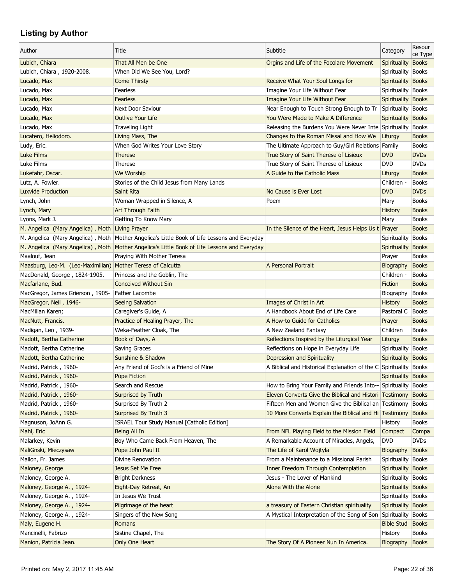| Author                                                      | Title                                                                                          | Subtitle                                                          | Category            | Resour<br>ce Type            |
|-------------------------------------------------------------|------------------------------------------------------------------------------------------------|-------------------------------------------------------------------|---------------------|------------------------------|
| Lubich, Chiara                                              | That All Men be One                                                                            | Orgins and Life of the Focolare Movement                          | <b>Spirituality</b> | <b>Books</b>                 |
| Lubich, Chiara, 1920-2008.                                  | When Did We See You, Lord?                                                                     |                                                                   | Spirituality        | <b>Books</b>                 |
| Lucado, Max                                                 | <b>Come Thirsty</b>                                                                            | Receive What Your Soul Longs for                                  | Spirituality        | <b>Books</b>                 |
| Lucado, Max                                                 | Fearless                                                                                       | Imagine Your Life Without Fear                                    | Spirituality        | <b>Books</b>                 |
| Lucado, Max                                                 | <b>Fearless</b>                                                                                | Imagine Your Life Without Fear                                    | Spirituality Books  |                              |
| Lucado, Max                                                 | Next Door Saviour                                                                              | Near Enough to Touch Strong Enough to Tr Spirituality Books       |                     |                              |
| Lucado, Max                                                 | <b>Outlive Your Life</b>                                                                       | You Were Made to Make A Difference                                | Spirituality        | <b>Books</b>                 |
| Lucado, Max                                                 | <b>Traveling Light</b>                                                                         | Releasing the Burdens You Were Never Inte Spirituality            |                     | <b>Books</b>                 |
| Lucatero, Heliodoro.                                        | Living Mass, The                                                                               | Changes to the Roman Missal and How We                            | Liturgy             | <b>Books</b>                 |
| Ludy, Eric.                                                 | When God Writes Your Love Story                                                                | The Ultimate Approach to Guy/Girl Relations Family                |                     | <b>Books</b>                 |
| <b>Luke Films</b>                                           | <b>Therese</b>                                                                                 | True Story of Saint Therese of Lisieux                            | <b>DVD</b>          | <b>DVDs</b>                  |
| Luke Films                                                  | Therese                                                                                        | True Story of Saint Therese of Lisieux                            | <b>DVD</b>          | <b>DVDs</b>                  |
| Lukefahr, Oscar.                                            | We Worship                                                                                     | A Guide to the Catholic Mass                                      | Liturgy             | <b>Books</b>                 |
| Lutz, A. Fowler.                                            | Stories of the Child Jesus from Many Lands                                                     |                                                                   | Children -          | <b>Books</b>                 |
| <b>Luxvide Production</b>                                   | <b>Saint Rita</b>                                                                              | No Cause is Ever Lost                                             | <b>DVD</b>          | <b>DVDs</b>                  |
| Lynch, John                                                 | Woman Wrapped in Silence, A                                                                    | Poem                                                              | Mary                | <b>Books</b>                 |
| Lynch, Mary                                                 | Art Through Faith                                                                              |                                                                   | <b>History</b>      | <b>Books</b>                 |
| Lyons, Mark J.                                              | Getting To Know Mary                                                                           |                                                                   | Mary                | <b>Books</b>                 |
| M. Angelica (Mary Angelica), Moth Living Prayer             |                                                                                                | In the Silence of the Heart, Jesus Helps Us t Prayer              |                     | <b>Books</b>                 |
|                                                             | M. Angelica (Mary Angelica), Moth   Mother Angelica's Little Book of Life Lessons and Everyday |                                                                   | Spirituality        | <b>Books</b>                 |
| M. Angelica (Mary Angelica), Moth                           | Mother Angelica's Little Book of Life Lessons and Everyday                                     |                                                                   | Spirituality        | <b>Books</b>                 |
| Maalouf, Jean                                               | Praying With Mother Teresa                                                                     |                                                                   | Prayer              | <b>Books</b>                 |
| Maasburg, Leo-M. (Leo-Maximilian) Mother Teresa of Calcutta |                                                                                                | A Personal Portrait                                               | <b>Biography</b>    | <b>Books</b>                 |
| MacDonald, George, 1824-1905.                               | Princess and the Goblin, The                                                                   |                                                                   | Children -          | <b>Books</b>                 |
|                                                             | <b>Conceived Without Sin</b>                                                                   |                                                                   |                     |                              |
| Macfarlane, Bud.<br>MacGregor, James Grierson, 1905-        | Father Lacombe                                                                                 |                                                                   | Fiction             | <b>Books</b><br><b>Books</b> |
|                                                             | <b>Seeing Salvation</b>                                                                        | Images of Christ in Art                                           | Biography           | <b>Books</b>                 |
| MacGregor, Neil, 1946-                                      |                                                                                                | A Handbook About End of Life Care                                 | <b>History</b>      | Books                        |
| MacMillan Karen;                                            | Caregiver's Guide, A                                                                           |                                                                   | Pastoral C          |                              |
| MacNutt, Francis.                                           | Practice of Healing Prayer, The                                                                | A How-to Guide for Catholics                                      | Prayer              | <b>Books</b>                 |
| Madigan, Leo, 1939-                                         | Weka-Feather Cloak, The                                                                        | A New Zealand Fantasy                                             | Children            | <b>Books</b>                 |
| Madott, Bertha Catherine                                    | Book of Days, A                                                                                | Reflections Inspired by the Liturgical Year                       | Liturgy             | <b>Books</b>                 |
| Madott, Bertha Catherine                                    | Saving Graces                                                                                  | Reflections on Hope in Everyday Life                              | Spirituality        | <b>Books</b>                 |
| Madott, Bertha Catherine                                    | Sunshine & Shadow                                                                              | Depression and Spirituality                                       | Spirituality        | <b>Books</b>                 |
| Madrid, Patrick, 1960-                                      | Any Friend of God's is a Friend of Mine                                                        | A Biblical and Historical Explanation of the C Spirituality Books |                     |                              |
| Madrid, Patrick, 1960-                                      | Pope Fiction                                                                                   |                                                                   | Spirituality Books  |                              |
| Madrid, Patrick, 1960-                                      | Search and Rescue                                                                              | How to Bring Your Family and Friends Into-- Spirituality          |                     | <b>Books</b>                 |
| Madrid, Patrick, 1960-                                      | Surprised by Truth                                                                             | Eleven Converts Give the Biblical and Histori Testimony           |                     | <b>Books</b>                 |
| Madrid, Patrick, 1960-                                      | Surprised By Truth 2                                                                           | Fifteen Men and Women Give the Biblical an Testimony              |                     | <b>Books</b>                 |
| Madrid, Patrick, 1960-                                      | Surprised By Truth 3                                                                           | 10 More Converts Explain the Biblical and Hi Testimony            |                     | <b>Books</b>                 |
| Magnuson, JoAnn G.                                          | ISRAEL Tour Study Manual [Catholic Edition]                                                    |                                                                   | History             | <b>Books</b>                 |
| Mahl, Eric                                                  | Being All In                                                                                   | From NFL Playing Field to the Mission Field                       | Compact             | Compa                        |
| Malarkey, Kevin                                             | Boy Who Came Back From Heaven, The                                                             | A Remarkable Account of Miracles, Angels,                         | <b>DVD</b>          | <b>DVDs</b>                  |
| MaliGnski, Mieczysaw                                        | Pope John Paul II                                                                              | The Life of Karol Wojtyla                                         | Biography           | <b>Books</b>                 |
| Mallon, Fr. James                                           | Divine Renovation                                                                              | From a Maintenance to a Missional Parish                          | Spirituality        | <b>Books</b>                 |
| Maloney, George                                             | Jesus Set Me Free                                                                              | <b>Inner Freedom Through Contemplation</b>                        | Spirituality Books  |                              |
| Maloney, George A.                                          | <b>Bright Darkness</b>                                                                         | Jesus - The Lover of Mankind                                      | Spirituality Books  |                              |
| Maloney, George A., 1924-                                   | Eight-Day Retreat, An                                                                          | Alone With the Alone                                              | Spirituality Books  |                              |
| Maloney, George A., 1924-                                   | In Jesus We Trust                                                                              |                                                                   | Spirituality Books  |                              |
| Maloney, George A., 1924-                                   | Pilgrimage of the heart                                                                        | a treasury of Eastern Christian spirituality                      | Spirituality Books  |                              |
| Maloney, George A., 1924-                                   | Singers of the New Song                                                                        | A Mystical Interpretation of the Song of Son                      | Spirituality        | <b>Books</b>                 |
| Maly, Eugene H.                                             | Romans                                                                                         |                                                                   | <b>Bible Stud</b>   | <b>Books</b>                 |
| Mancinelli, Fabrizo                                         | Sistine Chapel, The                                                                            |                                                                   | History             | <b>Books</b>                 |
| Manion, Patricia Jean.                                      | Only One Heart                                                                                 | The Story Of A Pioneer Nun In America.                            | Biography           | <b>Books</b>                 |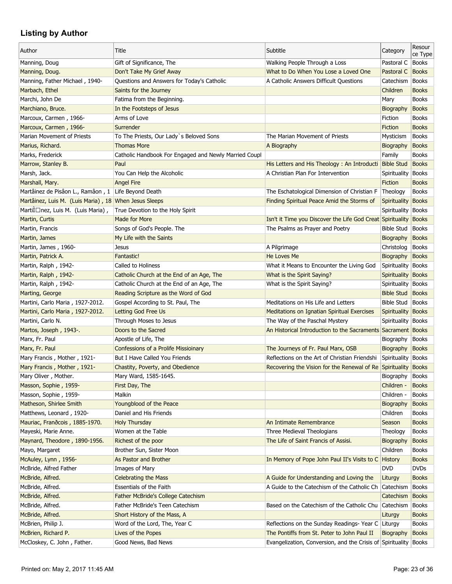| Subtitle<br>Author<br>Title<br>Category                                                                                               | ce Type      |
|---------------------------------------------------------------------------------------------------------------------------------------|--------------|
|                                                                                                                                       |              |
| Manning, Doug<br>Gift of Significance, The<br>Walking People Through a Loss<br>Pastoral C                                             | <b>Books</b> |
| Manning, Doug.<br>Don't Take My Grief Away<br>What to Do When You Lose a Loved One<br>Pastoral C                                      | <b>Books</b> |
| Questions and Answers for Today's Catholic<br>A Catholic Answers Difficult Questions<br>Catechism  <br>Manning, Father Michael, 1940- | Books        |
| Children<br>Marbach, Ethel<br>Saints for the Journey                                                                                  | <b>Books</b> |
| Marchi, John De<br>Fatima from the Beginning.<br>Mary                                                                                 | <b>Books</b> |
| In the Footsteps of Jesus<br>Marchiano, Bruce.<br>Biography                                                                           | <b>Books</b> |
| Arms of Love<br>Marcoux, Carmen, 1966-<br>Fiction                                                                                     | <b>Books</b> |
| Marcoux, Carmen, 1966-<br>Surrender<br>Fiction                                                                                        | <b>Books</b> |
| Marian Movement of Priests<br>To The Priests, Our Lady's Beloved Sons<br>The Marian Movement of Priests<br>Mysticism                  | <b>Books</b> |
| <b>Thomas More</b><br>A Biography<br>Biography<br>Marius, Richard.                                                                    | <b>Books</b> |
| Marks, Frederick<br>Catholic Handbook For Engaged and Newly Married Coupl<br>Family                                                   | <b>Books</b> |
| Marrow, Stanley B.<br>Paul<br>His Letters and His Theology: An Introducti Bible Stud                                                  | <b>Books</b> |
| Marsh, Jack.<br>You Can Help the Alcoholic<br>A Christian Plan For Intervention<br>Spirituality                                       | <b>Books</b> |
| Marshall, Mary.<br><b>Angel Fire</b><br>Fiction                                                                                       | <b>Books</b> |
| Martâinez de Pisâon L., Ramâon, 1 Life Beyond Death<br>The Eschatological Dimension of Christian F<br>Theology                        | <b>Books</b> |
| Martâinez, Luis M. (Luis Maria), 18 When Jesus Sleeps<br>Finding Spiritual Peace Amid the Storms of<br>Spirituality Books             |              |
| Martilnez, Luis M. (Luis Maria),<br>True Devotion to the Holy Spirit<br>Spirituality                                                  | <b>Books</b> |
| Isn't it Time you Discover the Life God Creat Spirituality<br>Martin, Curtis<br>Made for More                                         | <b>Books</b> |
| Martin, Francis<br>Songs of God's People. The<br>The Psalms as Prayer and Poetry<br><b>Bible Stud</b>                                 | <b>Books</b> |
| Martin, James<br>My Life with the Saints<br>Biography                                                                                 | <b>Books</b> |
| Martin, James, 1960-<br>A Pilgrimage<br>Christolog<br><b>Jesus</b>                                                                    | <b>Books</b> |
| He Loves Me<br>Martin, Patrick A.<br>Fantastic!<br>Biography                                                                          | <b>Books</b> |
| Called to Holiness<br>Martin, Ralph, 1942-<br>What it Means to Encounter the Living God<br>Spirituality Books                         |              |
|                                                                                                                                       |              |
| Catholic Church at the End of an Age, The<br>Martin, Ralph, 1942-<br>What is the Spirit Saying?<br>Spirituality Books                 |              |
| Martin, Ralph, 1942-<br>Catholic Church at the End of an Age, The<br>What is the Spirit Saying?<br>Spirituality                       | <b>Books</b> |
| Reading Scripture as the Word of God<br><b>Bible Stud</b><br>Marting, George                                                          | <b>Books</b> |
| Meditations on His Life and Letters<br>Martini, Carlo Maria, 1927-2012.<br>Gospel According to St. Paul, The<br>Bible Stud   Books    |              |
| Martini, Carlo Maria, 1927-2012.<br><b>Letting God Free Us</b><br>Meditations on Ignatian Spiritual Exercises<br>Spirituality Books   |              |
| The Way of the Paschal Mystery<br>Martini, Carlo N.<br>Through Moses to Jesus<br>Spirituality   Books                                 |              |
| An Historical Introduction to the Sacraments Sacrament Books<br>Martos, Joseph, 1943-.<br>Doors to the Sacred                         |              |
| Marx, Fr. Paul<br>Apostle of Life, The<br>Biography                                                                                   | <b>Books</b> |
| Marx, Fr. Paul<br>Confessions of a Prolife Missioinary<br>The Journeys of Fr. Paul Marx, OSB<br>Biography                             | <b>Books</b> |
| Reflections on the Art of Christian Friendshi<br>Mary Francis, Mother, 1921-<br>But I Have Called You Friends<br>Spirituality         | <b>Books</b> |
| Mary Francis, Mother, 1921-<br>Chastity, Poverty, and Obedience<br>Recovering the Vision for the Renewal of Re Spirituality Books     |              |
| Mary Oliver, Mother.<br>Mary Ward, 1585-1645.<br>Biography                                                                            | <b>Books</b> |
| Masson, Sophie, 1959-<br>Children -<br>First Day, The                                                                                 | <b>Books</b> |
| Masson, Sophie, 1959-<br>Malkin<br>Children -                                                                                         | <b>Books</b> |
| Matheson, Shirlee Smith<br>Youngblood of the Peace<br>Biography                                                                       | <b>Books</b> |
| Matthews, Leonard, 1920-<br>Daniel and His Friends<br>Children                                                                        | <b>Books</b> |
| Mauriac, Frandcois, 1885-1970.<br><b>Holy Thursday</b><br>An Intimate Remembrance<br>Season                                           | <b>Books</b> |
| Mayeski, Marie Anne.<br>Women at the Table<br>Three Medieval Theologians<br>Theology                                                  | <b>Books</b> |
| Richest of the poor<br>The Life of Saint Francis of Assisi.<br>Maynard, Theodore, 1890-1956.<br>Biography                             | <b>Books</b> |
| Mayo, Margaret<br>Brother Sun, Sister Moon<br>Children                                                                                | <b>Books</b> |
| McAuley, Lynn, 1956-<br>As Pastor and Brother<br>In Memory of Pope John Paul II's Visits to C History                                 | <b>Books</b> |
| McBride, Alfred Father<br>Images of Mary<br><b>DVD</b>                                                                                | <b>DVDs</b>  |
| McBride, Alfred.<br><b>Celebrating the Mass</b><br>A Guide for Understanding and Loving the<br>Liturgy                                | <b>Books</b> |
| McBride, Alfred.<br><b>Essentials of the Faith</b><br>A Guide to the Catechism of the Catholic Ch<br>Catechism                        | <b>Books</b> |
| <b>Father McBride's College Catechism</b><br>McBride, Alfred.<br>Catechism                                                            | <b>Books</b> |
| McBride, Alfred.<br>Father McBride's Teen Catechism<br>Based on the Catechism of the Catholic Chu<br>Catechism                        | <b>Books</b> |
| McBride, Alfred.<br>Short History of the Mass, A<br>Liturgy                                                                           | <b>Books</b> |
| McBrien, Philip J.<br>Word of the Lord, The, Year C<br>Reflections on the Sunday Readings- Year C Liturgy                             | <b>Books</b> |
| McBrien, Richard P.<br>Lives of the Popes<br>The Pontiffs from St. Peter to John Paul II<br>Biography                                 | <b>Books</b> |
| McCloskey, C. John, Father.<br>Good News, Bad News<br>Evangelization, Conversion, and the Crisis of Spirituality Books                |              |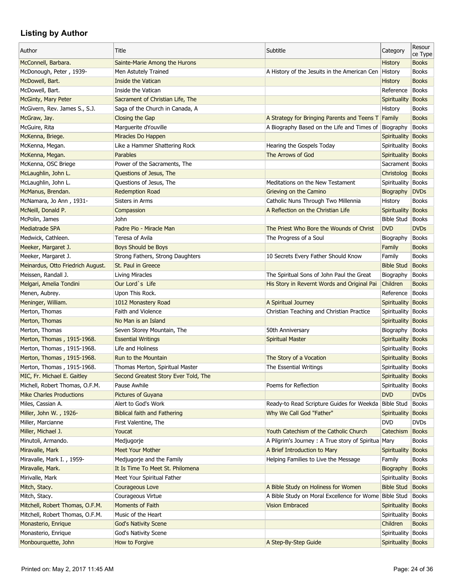|                                   |                                      |                                                        |                      | Resour       |
|-----------------------------------|--------------------------------------|--------------------------------------------------------|----------------------|--------------|
| Author                            | Title                                | Subtitle                                               | Category             | ce Type      |
| McConnell, Barbara.               | Sainte-Marie Among the Hurons        |                                                        | <b>History</b>       | <b>Books</b> |
| McDonough, Peter, 1939-           | Men Astutely Trained                 | A History of the Jesuits in the American Cen   History |                      | <b>Books</b> |
| McDowell, Bart.                   | <b>Inside the Vatican</b>            |                                                        | <b>History</b>       | <b>Books</b> |
| McDowell, Bart.                   | Inside the Vatican                   |                                                        | Reference            | <b>Books</b> |
| McGinty, Mary Peter               | Sacrament of Christian Life, The     |                                                        | <b>Spirituality</b>  | <b>Books</b> |
| McGivern, Rev. James S., S.J.     | Saga of the Church in Canada, A      |                                                        | History              | <b>Books</b> |
| McGraw, Jay.                      | Closing the Gap                      | A Strategy for Bringing Parents and Teens T Family     |                      | <b>Books</b> |
| McGuire, Rita                     | Marguerite dYouville                 | A Biography Based on the Life and Times of             | Biography            | <b>Books</b> |
| McKenna, Briege.                  | Miracles Do Happen                   |                                                        | Spirituality         | <b>Books</b> |
| McKenna, Megan.                   | Like a Hammer Shattering Rock        | Hearing the Gospels Today                              | Spirituality Books   |              |
| McKenna, Megan.                   | <b>Parables</b>                      | The Arrows of God                                      | Spirituality Books   |              |
| McKenna, OSC Briege               | Power of the Sacraments, The         |                                                        | Sacrament   Books    |              |
| McLaughlin, John L.               | Questions of Jesus, The              |                                                        | Christolog           | <b>Books</b> |
| McLaughlin, John L.               | Questions of Jesus, The              | Meditations on the New Testament                       | Spirituality         | <b>Books</b> |
| McManus, Brendan.                 | <b>Redemption Road</b>               | Grieving on the Camino                                 | Biography            | <b>DVDs</b>  |
| McNamara, Jo Ann, 1931-           | Sisters in Arms                      | Catholic Nuns Through Two Millennia                    | History              | <b>Books</b> |
| McNeill, Donald P.                | Compassion                           | A Reflection on the Christian Life                     | Spirituality         | <b>Books</b> |
| McPolin, James                    | John                                 |                                                        | <b>Bible Stud</b>    | <b>Books</b> |
| <b>Mediatrade SPA</b>             | Padre Pio - Miracle Man              | The Priest Who Bore the Wounds of Christ               | <b>DVD</b>           | <b>DVDs</b>  |
|                                   |                                      |                                                        |                      |              |
| Medwick, Cathleen.                | Teresa of Avila                      | The Progress of a Soul                                 | Biography            | <b>Books</b> |
| Meeker, Margaret J.               | Boys Should be Boys                  |                                                        | Family               | <b>Books</b> |
| Meeker, Margaret J.               | Strong Fathers, Strong Daughters     | 10 Secrets Every Father Should Know                    | Family               | <b>Books</b> |
| Meinardus, Otto Friedrich August. | St. Paul in Greece                   |                                                        | <b>Bible Stud</b>    | <b>Books</b> |
| Meissen, Randall J.               | Living Miracles                      | The Spiritual Sons of John Paul the Great              | Biography            | <b>Books</b> |
| Melgari, Amelia Tondini           | Our Lord's Life                      | His Story in Revernt Words and Original Pai            | Children             | <b>Books</b> |
| Menen, Aubrey.                    | Upon This Rock.                      |                                                        | Reference            | Books        |
| Meninger, William.                | 1012 Monastery Road                  | A Spiritual Journey                                    | Spirituality Books   |              |
| Merton, Thomas                    | Faith and Violence                   | Christian Teaching and Christian Practice              | Spirituality   Books |              |
| Merton, Thomas                    | No Man is an Island                  |                                                        | Spirituality Books   |              |
| Merton, Thomas                    | Seven Storey Mountain, The           | 50th Anniversary                                       | Biography            | <b>Books</b> |
| Merton, Thomas, 1915-1968.        | <b>Essential Writings</b>            | <b>Spiritual Master</b>                                | Spirituality         | <b>Books</b> |
| Merton, Thomas, 1915-1968.        | Life and Holiness                    |                                                        | Spirituality Books   |              |
| Merton, Thomas, 1915-1968.        | Run to the Mountain                  | The Story of a Vocation                                | Spirituality Books   |              |
| Merton, Thomas, 1915-1968.        | Thomas Merton, Spiritual Master      | The Essential Writings                                 | Spirituality Books   |              |
| MIC, Fr. Michael E. Gaitley       | Second Greatest Story Ever Told, The |                                                        | Spirituality Books   |              |
| Michell, Robert Thomas, O.F.M.    | Pause Awhile                         | Poems for Reflection                                   | Spirituality         | <b>Books</b> |
| <b>Mike Charles Productions</b>   | Pictures of Guyana                   |                                                        | <b>DVD</b>           | <b>DVDs</b>  |
| Miles, Cassian A.                 | Alert to God's Work                  | Ready-to Read Scripture Guides for Weekda Bible Stud   |                      | <b>Books</b> |
| Miller, John W., 1926-            | <b>Biblical faith and Fathering</b>  | Why We Call God "Father"                               | <b>Spirituality</b>  | <b>Books</b> |
| Miller, Marcianne                 | First Valentine, The                 |                                                        | <b>DVD</b>           | <b>DVDs</b>  |
| Miller, Michael J.                | Youcat                               | Youth Catechism of the Catholic Church                 | Catechism            | <b>Books</b> |
| Minutoli, Armando.                | Medjugorje                           | A Pilgrim's Journey: A True story of Spiritua Mary     |                      | <b>Books</b> |
| Miravalle, Mark                   | <b>Meet Your Mother</b>              | A Brief Introduction to Mary                           | Spirituality         | <b>Books</b> |
| Miravalle, Mark I., 1959-         | Medjugorje and the Family            | Helping Families to Live the Message                   | Family               | <b>Books</b> |
| Miravalle, Mark.                  | It Is Time To Meet St. Philomena     |                                                        | <b>Biography</b>     | <b>Books</b> |
| Mirivalle, Mark                   | Meet Your Spiritual Father           |                                                        | Spirituality         | <b>Books</b> |
| Mitch, Stacy.                     | Courageous Love                      | A Bible Study on Holiness for Women                    | <b>Bible Stud</b>    | <b>Books</b> |
| Mitch, Stacy.                     | Courageous Virtue                    | A Bible Study on Moral Excellence for Wome Bible Stud  |                      | <b>Books</b> |
| Mitchell, Robert Thomas, O.F.M.   | Moments of Faith                     | <b>Vision Embraced</b>                                 | Spirituality         | <b>Books</b> |
| Mitchell, Robert Thomas, O.F.M.   | Music of the Heart                   |                                                        | Spirituality         | <b>Books</b> |
| Monasterio, Enrique               | <b>God's Nativity Scene</b>          |                                                        | Children             | <b>Books</b> |
| Monasterio, Enrique               | God's Nativity Scene                 |                                                        | Spirituality   Books |              |
| Monbourquette, John               | How to Forgive                       | A Step-By-Step Guide                                   | Spirituality Books   |              |
|                                   |                                      |                                                        |                      |              |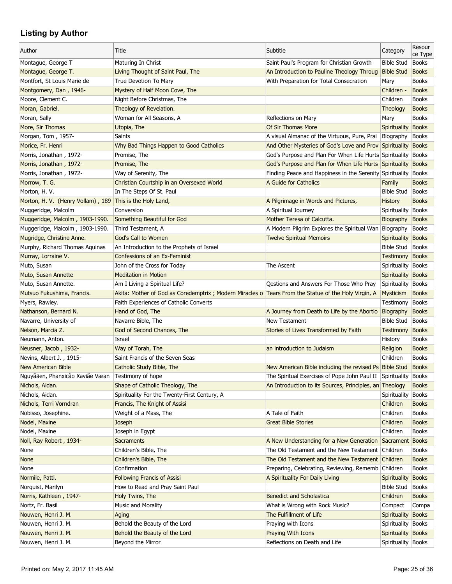| Author                                                   | Title                                                                                               | Subtitle                                                  | Category               | Resour<br>ce Type |
|----------------------------------------------------------|-----------------------------------------------------------------------------------------------------|-----------------------------------------------------------|------------------------|-------------------|
| Montague, George T                                       | Maturing In Christ                                                                                  | Saint Paul's Program for Christian Growth                 | <b>Bible Stud</b>      | <b>Books</b>      |
| Montague, George T.                                      | Living Thought of Saint Paul, The                                                                   | An Introduction to Pauline Theology Throug                | <b>Bible Stud</b>      | <b>Books</b>      |
| Montfort, St Louis Marie de                              | True Devotion To Mary                                                                               | With Preparation for Total Consecration                   | Mary                   | <b>Books</b>      |
| Montgomery, Dan, 1946-                                   | Mystery of Half Moon Cove, The                                                                      |                                                           | Children -             | <b>Books</b>      |
| Moore, Clement C.                                        | Night Before Christmas, The                                                                         |                                                           | Children               | <b>Books</b>      |
| Moran, Gabriel.                                          | Theology of Revelation.                                                                             |                                                           | Theology               | <b>Books</b>      |
| Moran, Sally                                             | Woman for All Seasons, A                                                                            | Reflections on Mary                                       | Mary                   | <b>Books</b>      |
| More, Sir Thomas                                         | Utopia, The                                                                                         | Of Sir Thomas More                                        | Spirituality           | <b>Books</b>      |
| Morgan, Tom, 1957-                                       | Saints                                                                                              | A visual Almanac of the Virtuous, Pure, Prai Biography    |                        | <b>Books</b>      |
| Morice, Fr. Henri                                        | Why Bad Things Happen to Good Catholics                                                             | And Other Mysteries of God's Love and Prov Spirituality   |                        | <b>Books</b>      |
| Morris, Jonathan, 1972-                                  | Promise, The                                                                                        | God's Purpose and Plan For When Life Hurts Spirituality   |                        | <b>Books</b>      |
| Morris, Jonathan, 1972-                                  | Promise, The                                                                                        | God's Purpose and Plan for When Life Hurts Spirituality   |                        | <b>Books</b>      |
| Morris, Jonathan, 1972-                                  | Way of Serenity, The                                                                                | Finding Peace and Happiness in the Serenity Spirituality  |                        | <b>Books</b>      |
| Morrow, T. G.                                            | Christian Courtship in an Oversexed World                                                           | A Guide for Catholics                                     | Family                 | <b>Books</b>      |
| Morton, H. V.                                            | In The Steps Of St. Paul                                                                            |                                                           | <b>Bible Stud</b>      | <b>Books</b>      |
| Morton, H. V. (Henry Vollam), 189 This is the Holy Land, |                                                                                                     | A Pilgrimage in Words and Pictures,                       | <b>History</b>         | <b>Books</b>      |
| Muggeridge, Malcolm                                      | Conversion                                                                                          | A Spiritual Journey                                       | Spirituality           | <b>Books</b>      |
| Muggeridge, Malcolm, 1903-1990.                          | Something Beautiful for God                                                                         | Mother Teresa of Calcutta.                                | Biography              | <b>Books</b>      |
| Muggeridge, Malcolm, 1903-1990.                          | Third Testament, A                                                                                  | A Modern Pilgrim Explores the Spiritual Wan   Biography   |                        | <b>Books</b>      |
| Mugridge, Christine Anne.                                | God's Call to Women                                                                                 | <b>Twelve Spiritual Memoirs</b>                           | <b>Spirituality</b>    | <b>Books</b>      |
| Murphy, Richard Thomas Aquinas                           | An Introduction to the Prophets of Israel                                                           |                                                           | <b>Bible Stud</b>      | Books             |
| Murray, Lorraine V.                                      | Confessions of an Ex-Feminist                                                                       |                                                           | <b>Testimony Books</b> |                   |
| Muto, Susan                                              | John of the Cross for Today                                                                         | The Ascent                                                | Spirituality Books     |                   |
| Muto, Susan Annette                                      | <b>Meditation in Motion</b>                                                                         |                                                           | Spirituality Books     |                   |
| Muto, Susan Annette.                                     | Am I Living a Spiritual Life?                                                                       | Qestions and Answers For Those Who Pray                   | Spirituality           | <b>Books</b>      |
| Mutsuo Fukushima, Francis.                               | Akita: Mother of God as Coredemptrix; Modern Miracles o Tears From the Statue of the Holy Virgin, A |                                                           | Mysticism              | <b>Books</b>      |
| Myers, Rawley.                                           | Faith Experiences of Catholic Converts                                                              |                                                           | Testimony              | <b>Books</b>      |
| Nathanson, Bernard N.                                    | Hand of God, The                                                                                    | A Journey from Death to Life by the Abortio Biography     |                        | <b>Books</b>      |
| Navarre, University of                                   | Navarre Bible, The                                                                                  | New Testament                                             | <b>Bible Stud</b>      | <b>Books</b>      |
| Nelson, Marcia Z.                                        | God of Second Chances, The                                                                          | Stories of Lives Transformed by Faith                     | Testimony              | Books             |
| Neumann, Anton.                                          | Israel                                                                                              |                                                           | History                | <b>Books</b>      |
| Neusner, Jacob, 1932-                                    | Way of Torah, The                                                                                   | an introduction to Judaism                                | Religion               | <b>Books</b>      |
| Nevins, Albert J., 1915-                                 | Saint Francis of the Seven Seas                                                                     |                                                           | Children               | <b>Books</b>      |
| New American Bible                                       | Catholic Study Bible, The                                                                           | New American Bible including the revised Ps Bible Stud    |                        | <b>Books</b>      |
| Nguyãäen, Phanxicão Xaviãe Væan                          | Testimony of hope                                                                                   | The Spiritual Exercises of Pope John Paul II Spirituality |                        |                   |
|                                                          |                                                                                                     |                                                           |                        | <b>Books</b>      |
| Nichols, Aidan.                                          | Shape of Catholic Theology, The                                                                     | An Introduction to its Sources, Principles, an Theology   |                        | <b>Books</b>      |
| Nichols, Aidan.                                          | Spirituality For the Twenty-First Century, A<br>Francis, The Knight of Assisi                       |                                                           | Spirituality           | <b>Books</b>      |
| Nichols, Terri Vorndran                                  |                                                                                                     |                                                           | Children               | <b>Books</b>      |
| Nobisso, Josephine.                                      | Weight of a Mass, The                                                                               | A Tale of Faith                                           | Children               | <b>Books</b>      |
| Nodel, Maxine                                            | Joseph                                                                                              | <b>Great Bible Stories</b>                                | Children               | <b>Books</b>      |
| Nodel, Maxine                                            | Joseph in Egypt                                                                                     |                                                           | Children               | <b>Books</b>      |
| Noll, Ray Robert, 1934-                                  | <b>Sacraments</b>                                                                                   | A New Understanding for a New Generation                  | Sacrament Books        |                   |
| None                                                     | Children's Bible, The                                                                               | The Old Testament and the New Testament Children          |                        | <b>Books</b>      |
| <b>None</b>                                              | Children's Bible, The                                                                               | The Old Testament and the New Testament Children          |                        | <b>Books</b>      |
| None                                                     | Confirmation                                                                                        | Preparing, Celebrating, Reviewing, Rememb Children        |                        | <b>Books</b>      |
| Normile, Patti.                                          | <b>Following Francis of Assisi</b>                                                                  | A Spirituality For Daily Living                           | Spirituality           | <b>Books</b>      |
| Norquist, Marilyn                                        | How to Read and Pray Saint Paul                                                                     |                                                           | <b>Bible Stud</b>      | <b>Books</b>      |
| Norris, Kathleen, 1947-                                  | Holy Twins, The                                                                                     | <b>Benedict and Scholastica</b>                           | Children               | <b>Books</b>      |
| Nortz, Fr. Basil                                         | <b>Music and Morality</b>                                                                           | What is Wrong with Rock Music?                            | Compact                | Compa             |
| Nouwen, Henri J. M.                                      | Aging                                                                                               | The Fulfillment of Life                                   | Spirituality           | <b>Books</b>      |
| Nouwen, Henri J. M.                                      | Behold the Beauty of the Lord                                                                       | Praying with Icons                                        | Spirituality Books     |                   |
| Nouwen, Henri J. M.                                      | Behold the Beauty of the Lord                                                                       | Praying With Icons                                        | Spirituality Books     |                   |
| Nouwen, Henri J. M.                                      | Beyond the Mirror                                                                                   | Reflections on Death and Life                             | Spirituality Books     |                   |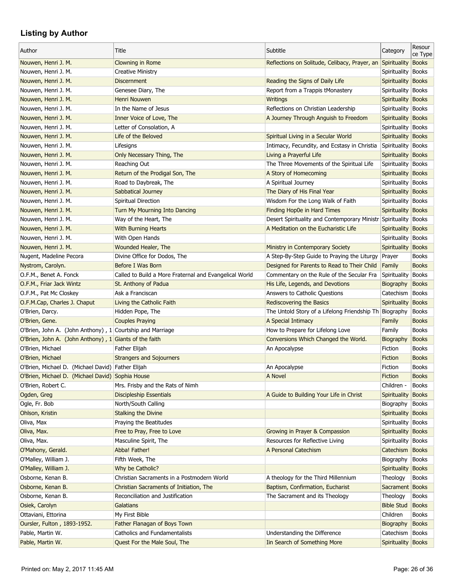| Author                                                      | Title                                                  | Subtitle                                                   | Category                  | Resour<br>ce Type |
|-------------------------------------------------------------|--------------------------------------------------------|------------------------------------------------------------|---------------------------|-------------------|
| Nouwen, Henri J. M.                                         | Clowning in Rome                                       | Reflections on Solitude, Celibacy, Prayer, an Spirituality |                           | <b>Books</b>      |
| Nouwen, Henri J. M.                                         | <b>Creative Ministry</b>                               |                                                            | Spirituality              | <b>Books</b>      |
| Nouwen, Henri J. M.                                         | <b>Discernment</b>                                     | Reading the Signs of Daily Life                            | Spirituality Books        |                   |
| Nouwen, Henri J. M.                                         | Genesee Diary, The                                     | Report from a Trappis tMonastery                           | Spirituality              | <b>Books</b>      |
| Nouwen, Henri J. M.                                         | Henri Nouwen                                           | <b>Writings</b>                                            | Spirituality Books        |                   |
| Nouwen, Henri J. M.                                         | In the Name of Jesus                                   | Reflections on Christian Leadership                        | Spirituality   Books      |                   |
| Nouwen, Henri J. M.                                         | Inner Voice of Love, The                               | A Journey Through Anguish to Freedom                       | Spirituality Books        |                   |
| Nouwen, Henri J. M.                                         | Letter of Consolation, A                               |                                                            | Spirituality Books        |                   |
| Nouwen, Henri J. M.                                         | Life of the Beloved                                    | Spiritual Living in a Secular World                        | Spirituality Books        |                   |
| Nouwen, Henri J. M.                                         | Lifesigns                                              | Intimacy, Fecundity, and Ecstasy in Christia               | Spirituality Books        |                   |
| Nouwen, Henri J. M.                                         | Only Necessary Thing, The                              | Living a Prayerful Life                                    | Spirituality Books        |                   |
| Nouwen, Henri J. M.                                         | Reaching Out                                           | The Three Movements of the Spiritual Life                  | Spirituality Books        |                   |
| Nouwen, Henri J. M.                                         | Return of the Prodigal Son, The                        | A Story of Homecoming                                      | Spirituality              | <b>Books</b>      |
| Nouwen, Henri J. M.                                         | Road to Daybreak, The                                  | A Spiritual Journey                                        | Spirituality              | <b>Books</b>      |
| Nouwen, Henri J. M.                                         | Sabbatical Journey                                     | The Diary of His Final Year                                | <b>Spirituality Books</b> |                   |
| Nouwen, Henri J. M.                                         | Spiritual Direction                                    | Wisdom For the Long Walk of Faith                          | Spirituality   Books      |                   |
| Nouwen, Henri J. M.                                         | Turn My Mourning Into Dancing                          | Finding Hop0e in Hard Times                                | Spirituality Books        |                   |
| Nouwen, Henri J. M.                                         | Way of the Heart, The                                  | Desert Spirituality and Contemporary Ministr Spirituality  |                           | <b>Books</b>      |
| Nouwen, Henri J. M.                                         | With Burning Hearts                                    | A Meditation on the Eucharistic Life                       | Spirituality              | <b>Books</b>      |
| Nouwen, Henri J. M.                                         | With Open Hands                                        |                                                            | Spirituality              | <b>Books</b>      |
| Nouwen, Henri J. M.                                         | Wounded Healer, The                                    | Ministry in Contemporary Society                           | Spirituality              | <b>Books</b>      |
| Nugent, Madeline Pecora                                     | Divine Office for Dodos, The                           | A Step-By-Step Guide to Praying the Liturgy                |                           | <b>Books</b>      |
|                                                             | <b>Before I Was Born</b>                               | Designed for Parents to Read to Their Child                | Prayer<br>Family          | <b>Books</b>      |
| Nystrom, Carolyn.                                           |                                                        |                                                            |                           |                   |
| O.F.M., Benet A. Fonck                                      | Called to Build a More Fraternal and Evangelical World | Commentary on the Rule of the Secular Fra                  | Spirituality              | <b>Books</b>      |
| O.F.M., Friar Jack Wintz                                    | St. Anthony of Padua                                   | His Life, Legends, and Devotions                           | Biography                 | <b>Books</b>      |
| O.F.M., Pat Mc Closkey                                      | Ask a Franciscan                                       | Answers to Catholic Questions                              | Catechism                 | <b>Books</b>      |
| O.F.M.Cap, Charles J. Chaput                                | Living the Catholic Faith                              | Rediscovering the Basics                                   | Spirituality              | <b>Books</b>      |
| O'Brien, Darcy.                                             | Hidden Pope, The                                       | The Untold Story of a Lifelong Friendship Th Biography     |                           | <b>Books</b>      |
| O'Brien, Gene.                                              | <b>Couples Praying</b>                                 | A Special Intimacy                                         | Family                    | <b>Books</b>      |
| O'Brien, John A. (John Anthony), $1$ Courtship and Marriage |                                                        | How to Prepare for Lifelong Love                           | Family                    | <b>Books</b>      |
| O'Brien, John A. (John Anthony), 1 Giants of the faith      |                                                        | Conversions Which Changed the World.                       | Biography                 | <b>Books</b>      |
| O'Brien, Michael                                            | <b>Father Elijah</b>                                   | An Apocalypse                                              | Fiction                   | <b>Books</b>      |
| O'Brien, Michael                                            | <b>Strangers and Sojourners</b>                        |                                                            | Fiction                   | <b>Books</b>      |
| O'Brien, Michael D. (Michael David) Father Elijah           |                                                        | An Apocalypse                                              | Fiction                   | <b>Books</b>      |
| O'Brien, Michael D. (Michael David) Sophia House            |                                                        | A Novel                                                    | Fiction                   | <b>Books</b>      |
| O'Brien, Robert C.                                          | Mrs. Frisby and the Rats of Nimh                       |                                                            | Children -                | <b>Books</b>      |
| Ogden, Greg                                                 | <b>Discipleship Essentials</b>                         | A Guide to Building Your Life in Christ                    | Spirituality              | <b>Books</b>      |
| Ogle, Fr. Bob                                               | North/South Calling                                    |                                                            | Biography                 | <b>Books</b>      |
| Ohlson, Kristin                                             | <b>Stalking the Divine</b>                             |                                                            | Spirituality Books        |                   |
| Oliva, Max                                                  | Praying the Beatitudes                                 |                                                            | Spirituality Books        |                   |
| Oliva, Max.                                                 | Free to Pray, Free to Love                             | Growing in Prayer & Compassion                             | Spirituality Books        |                   |
| Oliva, Max.                                                 | Masculine Spirit, The                                  | Resources for Reflective Living                            | Spirituality              | <b>Books</b>      |
| O'Mahony, Gerald.                                           | Abba! Father!                                          | A Personal Catechism                                       | Catechism                 | <b>Books</b>      |
| O'Malley, William J.                                        | Fifth Week, The                                        |                                                            | Biography                 | <b>Books</b>      |
| O'Malley, William J.                                        | Why be Catholic?                                       |                                                            | Spirituality              | <b>Books</b>      |
| Osborne, Kenan B.                                           | Christian Sacraments in a Postmodern World             | A theology for the Third Millennium                        | Theology                  | <b>Books</b>      |
| Osborne, Kenan B.                                           | Christian Sacraments of Initiation, The                | Baptism, Confirmation, Eucharist                           | Sacrament Books           |                   |
| Osborne, Kenan B.                                           | Reconciliation and Justification                       | The Sacrament and its Theology                             | Theology                  | <b>Books</b>      |
| Osiek, Carolyn                                              | Galatians                                              |                                                            | <b>Bible Stud</b>         | <b>Books</b>      |
| Ottaviani, Ettorina                                         | My First Bible                                         |                                                            | Children                  | <b>Books</b>      |
| Oursler, Fulton, 1893-1952.                                 | Father Flanagan of Boys Town                           |                                                            | Biography                 | <b>Books</b>      |
| Pable, Martin W.                                            | <b>Catholics and Fundamentalists</b>                   | Understanding the Difference                               | Catechism   Books         |                   |
| Pable, Martin W.                                            | Quest For the Male Soul, The                           | Iin Search of Something More                               | Spirituality Books        |                   |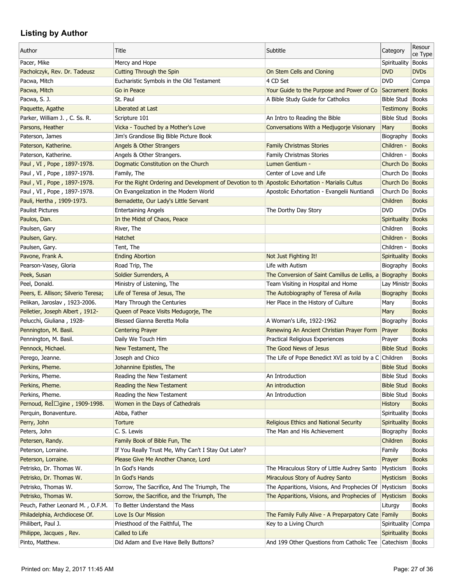| Author                              | Title                                                                                             | Subtitle                                                  | Category                    | Resour<br>ce Type |
|-------------------------------------|---------------------------------------------------------------------------------------------------|-----------------------------------------------------------|-----------------------------|-------------------|
| Pacer, Mike                         | Mercy and Hope                                                                                    |                                                           | Spirituality                | <b>Books</b>      |
| Pacholczyk, Rev. Dr. Tadeusz        | <b>Cutting Through the Spin</b>                                                                   | On Stem Cells and Cloning                                 | <b>DVD</b>                  | <b>DVDs</b>       |
| Pacwa, Mitch                        | Eucharistic Symbols in the Old Testament                                                          | 4 CD Set                                                  | <b>DVD</b>                  | Compa             |
| Pacwa, Mitch                        | Go in Peace                                                                                       | Your Guide to the Purpose and Power of Co                 | Sacrament Books             |                   |
| Pacwa, S. J.                        | St. Paul                                                                                          | A Bible Study Guide for Catholics                         | Bible Stud   Books          |                   |
| Paquette, Agathe                    | Liberated at Last                                                                                 |                                                           | <b>Testimony Books</b>      |                   |
| Parker, William J., C. Ss. R.       | Scripture 101                                                                                     | An Intro to Reading the Bible                             | Bible Stud                  | <b>Books</b>      |
| Parsons, Heather                    | Vicka - Touched by a Mother's Love                                                                | Conversations With a Medjugorje Visionary                 | Mary                        | <b>Books</b>      |
| Paterson, James                     | Jim's Grandiose Big Bible Picture Book                                                            |                                                           | Biography                   | <b>Books</b>      |
| Paterson, Katherine.                | Angels & Other Strangers                                                                          | <b>Family Christmas Stories</b>                           | Children -                  | <b>Books</b>      |
| Paterson, Katherine.                | Angels & Other Strangers.                                                                         | <b>Family Christmas Stories</b>                           | Children -                  | <b>Books</b>      |
| Paul, VI, Pope, 1897-1978.          | Dogmatic Constitution on the Church                                                               | Lumen Gentium -                                           | Church Do Books             |                   |
| Paul, VI, Pope, 1897-1978.          | Family, The                                                                                       | Center of Love and Life                                   | Church Do   Books           |                   |
| Paul, VI, Pope, 1897-1978.          | For the Right Ordering and Development of Devotion to the Apostolic Exhortation - Marialis Cultus |                                                           | Church Do   Books           |                   |
| Paul, VI, Pope, 1897-1978.          | On Evangelization in the Modern World                                                             | Apostolic Exhortation - Evangelii Nuntiandi               | Church Do   Books           |                   |
| Pauli, Hertha, 1909-1973.           | Bernadette, Our Lady's Little Servant                                                             |                                                           | <b>Children</b>             | <b>Books</b>      |
| <b>Paulist Pictures</b>             | <b>Entertaining Angels</b>                                                                        | The Dorthy Day Story                                      | <b>DVD</b>                  | <b>DVDs</b>       |
| Paulos, Dan.                        | In the Midst of Chaos, Peace                                                                      |                                                           | Spirituality                | <b>Books</b>      |
| Paulsen, Gary                       | River, The                                                                                        |                                                           | Children                    | <b>Books</b>      |
| Paulsen, Gary.                      | Hatchet                                                                                           |                                                           | Children -                  | <b>Books</b>      |
| Paulsen, Gary.                      | Tent, The                                                                                         |                                                           | Children -                  | <b>Books</b>      |
| Pavone, Frank A.                    | <b>Ending Abortion</b>                                                                            | Not Just Fighting It!                                     | Spirituality                | <b>Books</b>      |
| Pearson-Vasey, Gloria               | Road Trip, The                                                                                    | Life with Autism                                          | Biography                   | <b>Books</b>      |
| Peek, Susan                         | Soldier Surrenders, A                                                                             | The Conversion of Saint Camillus de Lellis, a Biography   |                             | <b>Books</b>      |
| Peel, Donald.                       | Ministry of Listening, The                                                                        | Team Visiting in Hospital and Home                        | Lay Ministr Books           |                   |
| Peers, E. Allison; Silverio Teresa; | Life of Teresa of Jesus, The                                                                      | The Autobiography of Teresa of Avila                      | Biography                   | <b>Books</b>      |
| Pelikan, Jaroslav, 1923-2006.       | Mary Through the Centuries                                                                        | Her Place in the History of Culture                       | Mary                        | <b>Books</b>      |
| Pelletier, Joseph Albert, 1912-     | Queen of Peace Visits Medugorje, The                                                              |                                                           | Mary                        | <b>Books</b>      |
| Pelucchi, Giuliana, 1928-           | Blessed Gianna Beretta Molla                                                                      | A Woman's Life, 1922-1962                                 | Biography                   | <b>Books</b>      |
| Pennington, M. Basil.               | <b>Centering Prayer</b>                                                                           | Renewing An Ancient Christian Prayer Form                 | Prayer                      | <b>Books</b>      |
| Pennington, M. Basil.               | Daily We Touch Him                                                                                | Practical Religious Experiences                           |                             | <b>Books</b>      |
|                                     | New Testament, The                                                                                | The Good News of Jesus                                    | Prayer<br><b>Bible Stud</b> | <b>Books</b>      |
| Pennock, Michael.                   |                                                                                                   |                                                           |                             |                   |
| Perego, Jeanne.                     | Joseph and Chico                                                                                  | The Life of Pope Benedict XVI as told by a $C$ Children   |                             | <b>Books</b>      |
| Perkins, Pheme.                     | Johannine Epistles, The                                                                           |                                                           | <b>Bible Stud</b>           | <b>Books</b>      |
| Perkins, Pheme.                     | Reading the New Testament                                                                         | An Introduction                                           | Bible Stud Books            |                   |
| Perkins, Pheme.                     | Reading the New Testament                                                                         | An introduction                                           | <b>Bible Stud</b>           | <b>Books</b>      |
| Perkins, Pheme.                     | Reading the New Testament                                                                         | An Introduction                                           | <b>Bible Stud</b>           | <b>Books</b>      |
| Pernoud, Rel⊤gine, 1909-1998.       | Women in the Days of Cathedrals                                                                   |                                                           | <b>History</b>              | <b>Books</b>      |
| Perquin, Bonaventure.               | Abba, Father                                                                                      |                                                           | Spirituality                | <b>Books</b>      |
| Perry, John                         | <b>Torture</b>                                                                                    | Religious Ethics and National Security                    | Spirituality                | <b>Books</b>      |
| Peters, John                        | C. S. Lewis                                                                                       | The Man and His Achievement                               | Biography                   | <b>Books</b>      |
| Petersen, Randy.                    | Family Book of Bible Fun, The                                                                     |                                                           | Children                    | <b>Books</b>      |
| Peterson, Lorraine.                 | If You Really Trust Me, Why Can't I Stay Out Later?                                               |                                                           | Family                      | <b>Books</b>      |
| Peterson, Lorraine.                 | Please Give Me Another Chance, Lord                                                               |                                                           | Prayer                      | <b>Books</b>      |
| Petrisko, Dr. Thomas W.             | In God's Hands                                                                                    | The Miraculous Story of Little Audrey Santo               | Mysticism                   | <b>Books</b>      |
| Petrisko, Dr. Thomas W.             | In God's Hands                                                                                    | Miraculous Story of Audrey Santo                          | Mysticism                   | <b>Books</b>      |
| Petrisko, Thomas W.                 | Sorrow, The Sacrifice, And The Triumph, The                                                       | The Apparitions, Visions, And Prophecies Of Mysticism     |                             | <b>Books</b>      |
| Petrisko, Thomas W.                 | Sorrow, the Sacrifice, and the Triumph, The                                                       | The Apparitions, Visions, and Prophecies of               | <b>Mysticism</b>            | <b>Books</b>      |
| Peuch, Father Leonard M., O.F.M.    | To Better Understand the Mass                                                                     |                                                           | Liturgy                     | <b>Books</b>      |
| Philadelphia, Archdiocese Of.       | Love Is Our Mission                                                                               | The Family Fully Alive - A Preparpatory Cate Family       |                             | <b>Books</b>      |
| Philibert, Paul J.                  | Priesthood of the Faithful, The                                                                   | Key to a Living Church                                    | Spirituality                | Compa             |
| Philippe, Jacques, Rev.             | Called to Life                                                                                    |                                                           | Spirituality                | <b>Books</b>      |
| Pinto, Matthew.                     | Did Adam and Eve Have Belly Buttons?                                                              | And 199 Other Questions from Catholic Tee Catechism Books |                             |                   |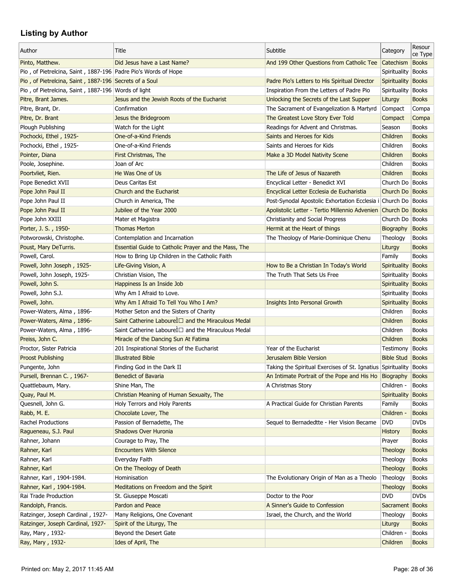| Author                                                         | Title                                                    | Subtitle                                                          | Category                     | Resour<br>ce Type            |
|----------------------------------------------------------------|----------------------------------------------------------|-------------------------------------------------------------------|------------------------------|------------------------------|
| Pinto, Matthew.                                                | Did Jesus have a Last Name?                              | And 199 Other Questions from Catholic Tee                         | Catechism                    | <b>Books</b>                 |
| Pio, of Pietrelcina, Saint, 1887-196 Padre Pio's Words of Hope |                                                          |                                                                   | Spirituality                 | <b>Books</b>                 |
| Pio, of Pietrelcina, Saint, 1887-196 Secrets of a Soul         |                                                          | Padre Pio's Letters to His Spiritual Director                     | Spirituality                 | <b>Books</b>                 |
| Pio, of Pietrelcina, Saint, 1887-196 Words of light            |                                                          | Inspiration From the Letters of Padre Pio                         | Spirituality                 | <b>Books</b>                 |
| Pitre, Brant James.                                            | Jesus and the Jewish Roots of the Eucharist              | Unlocking the Secrets of the Last Supper                          | Liturgy                      | <b>Books</b>                 |
| Pitre, Brant, Dr.                                              | Confirmation                                             | The Sacrament of Evangelization & Martyrd                         | Compact                      | Compa                        |
| Pitre, Dr. Brant                                               | Jesus the Bridegroom                                     | The Greatest Love Story Ever Told                                 | Compact                      | Compa                        |
| Plough Publishing                                              | Watch for the Light                                      | Readings for Advent and Christmas.                                | Season                       | <b>Books</b>                 |
| Pochocki, Ethel, 1925-                                         | One-of-a-Kind Friends                                    | Saints and Heroes for Kids                                        | Children                     | <b>Books</b>                 |
| Pochocki, Ethel, 1925-                                         | One-of-a-Kind Friends                                    | Saints and Heroes for Kids                                        | Children                     | <b>Books</b>                 |
| Pointer, Diana                                                 | First Christmas, The                                     | Make a 3D Model Nativity Scene                                    | Children                     | <b>Books</b>                 |
| Poole, Josephine.                                              | Joan of Arc                                              |                                                                   | Children                     | <b>Books</b>                 |
| Poortvliet, Rien.                                              | He Was One of Us                                         | The Life of Jesus of Nazareth                                     | Children                     | <b>Books</b>                 |
| Pope Benedict XVII                                             | Deus Caritas Est                                         | Encyclical Letter - Benedict XVI                                  | Church Do   Books            |                              |
| Pope John Paul II                                              | Church and the Eucharist                                 | Encyclical Letter Ecclesia de Eucharistia                         | Church Do Books              |                              |
| Pope John Paul II                                              | Church in America, The                                   | Post-Synodal Apostolic Exhortation Ecclesia i Church Do Books     |                              |                              |
| Pope John Paul II                                              | Jubilee of the Year 2000                                 | Apolistolic Letter - Tertio Millennio Advenien Church Do Books    |                              |                              |
| Pope John XXIII                                                | Mater et Magistra                                        | Christianity and Social Progress                                  | Church Do   Books            |                              |
| Porter, J. S., 1950-                                           | <b>Thomas Merton</b>                                     | Hermit at the Heart of things                                     | Biography                    | <b>Books</b>                 |
| Potworowski, Christophe.                                       | Contemplation and Incarnation                            | The Theology of Marie-Dominique Chenu                             | Theology                     | <b>Books</b>                 |
| Poust, Mary DeTurris.                                          | Essential Guide to Catholic Prayer and the Mass, The     |                                                                   | Liturgy                      | <b>Books</b>                 |
| Powell, Carol.                                                 | How to Bring Up Children in the Catholic Faith           |                                                                   | Family                       | <b>Books</b>                 |
| Powell, John Joseph, 1925-                                     | Life-Giving Vision, A                                    | How to Be a Christian In Today's World                            | <b>Spirituality</b>          | <b>Books</b>                 |
| Powell, John Joseph, 1925-                                     | Christian Vision, The                                    | The Truth That Sets Us Free                                       | Spirituality                 | <b>Books</b>                 |
| Powell, John S.                                                | Happiness Is an Inside Job                               |                                                                   |                              | <b>Books</b>                 |
| Powell, John S.J.                                              | Why Am I Afraid to Love.                                 |                                                                   | Spirituality                 |                              |
| Powell, John.                                                  | Why Am I Afraid To Tell You Who I Am?                    | <b>Insights Into Personal Growth</b>                              | Spirituality<br>Spirituality | <b>Books</b><br><b>Books</b> |
|                                                                |                                                          |                                                                   |                              |                              |
| Power-Waters, Alma, 1896-                                      | Mother Seton and the Sisters of Charity                  |                                                                   | Children                     | <b>Books</b>                 |
| Power-Waters, Alma, 1896-                                      | Saint Catherine Labourel $\Box$ and the Miraculous Medal |                                                                   | Children                     | <b>Books</b>                 |
| Power-Waters, Alma, 1896-                                      | Saint Catherine Labourel □ and the Miraculous Medal      |                                                                   | Children                     | <b>Books</b>                 |
| Preiss, John C.                                                | Miracle of the Dancing Sun At Fatima                     |                                                                   | Children                     | <b>Books</b>                 |
| Proctor, Sister Patricia                                       | 201 Inspirational Stories of the Eucharist               | Year of the Eucharist                                             | Testimony                    | <b>Books</b>                 |
| <b>Proost Publishing</b>                                       | <b>Illustrated Bible</b>                                 | Jerusalem Bible Version                                           | <b>Bible Stud</b>            | <b>Books</b>                 |
| Pungente, John                                                 | Finding God in the Dark II                               | Taking the Spiritual Exercises of St. Ignatius Spirituality Books |                              |                              |
| Pursell, Brennan C., 1967-                                     | Benedict of Bavaria                                      | An Intimate Portrait of the Pope and His Ho Biography             |                              | <b>Books</b>                 |
| Quattlebaum, Mary.                                             | Shine Man, The                                           | A Christmas Story                                                 | Children -                   | <b>Books</b>                 |
| Quay, Paul M.                                                  | Christian Meaning of Human Sexuaity, The                 |                                                                   | Spirituality                 | <b>Books</b>                 |
| Quesnell, John G.                                              | Holy Terrors and Holy Parents                            | A Practical Guide for Christian Parents                           | Family                       | <b>Books</b>                 |
| Rabb, M. E.                                                    | Chocolate Lover, The                                     |                                                                   | Children -                   | <b>Books</b>                 |
| Rachel Productions                                             | Passion of Bernadette, The                               | Sequel to Bernadedtte - Her Vision Became                         | <b>DVD</b>                   | <b>DVDs</b>                  |
| Ragueneau, S.J. Paul                                           | Shadows Over Huronia                                     |                                                                   | <b>History</b>               | <b>Books</b>                 |
| Rahner, Johann                                                 | Courage to Pray, The                                     |                                                                   | Prayer                       | <b>Books</b>                 |
| Rahner, Karl                                                   | <b>Encounters With Silence</b>                           |                                                                   | Theology                     | <b>Books</b>                 |
| Rahner, Karl                                                   | Everyday Faith                                           |                                                                   | Theology                     | <b>Books</b>                 |
| Rahner, Karl                                                   | On the Theology of Death                                 |                                                                   | Theology                     | <b>Books</b>                 |
| Rahner, Karl, 1904-1984.                                       | Hominisation                                             | The Evolutionary Origin of Man as a Theolo                        | Theology                     | <b>Books</b>                 |
| Rahner, Karl, 1904-1984.                                       | Meditations on Freedom and the Spirit                    |                                                                   | Theology                     | <b>Books</b>                 |
| Rai Trade Production                                           | St. Giuseppe Moscati                                     | Doctor to the Poor                                                | <b>DVD</b>                   | <b>DVDs</b>                  |
| Randolph, Francis.                                             | Pardon and Peace                                         | A Sinner's Guide to Confession                                    | Sacrament Books              |                              |
| Ratzinger, Joseph Cardinal, 1927-                              | Many Religions, One Covenant                             | Israel, the Church, and the World                                 | Theology                     | <b>Books</b>                 |
| Ratzinger, Joseph Cardinal, 1927-                              | Spirit of the Liturgy, The                               |                                                                   | Liturgy                      | <b>Books</b>                 |
| Ray, Mary, 1932-                                               | Beyond the Desert Gate                                   |                                                                   | Children -                   | <b>Books</b>                 |
| Ray, Mary, 1932-                                               | Ides of April, The                                       |                                                                   | Children                     | <b>Books</b>                 |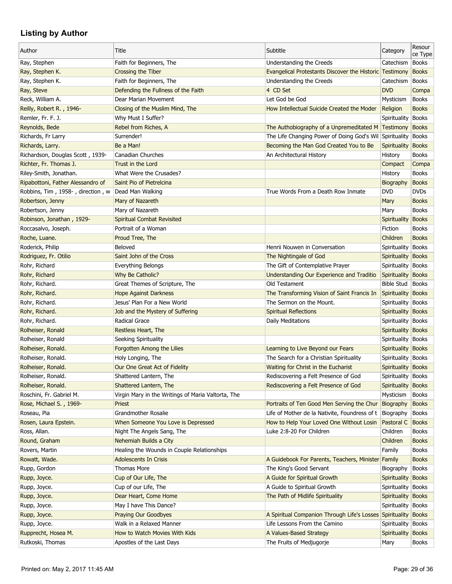| Author                            | Title                                                   | Subtitle                                                                                 | Category                     | Resour<br>ce Type            |
|-----------------------------------|---------------------------------------------------------|------------------------------------------------------------------------------------------|------------------------------|------------------------------|
| Ray, Stephen                      | Faith for Beginners, The                                | Understanding the Creeds                                                                 | Catechism                    | <b>Books</b>                 |
| Ray, Stephen K.                   | <b>Crossing the Tiber</b>                               | <b>Evangelical Protestants Discover the Historic Testimony</b>                           |                              | <b>Books</b>                 |
| Ray, Stephen K.                   | Faith for Beginners, The                                | Understanding the Creeds                                                                 | Catechism                    | <b>Books</b>                 |
| Ray, Steve                        | Defending the Fullness of the Faith                     | 4 CD Set                                                                                 | <b>DVD</b>                   | Compa                        |
| Reck, William A.                  | Dear Marian Movement                                    | Let God be God                                                                           | Mysticism                    | <b>Books</b>                 |
| Reilly, Robert R., 1946-          | Closing of the Muslim Mind, The                         | How Intellectual Suicide Created the Moder                                               | Religion                     | <b>Books</b>                 |
| Remler, Fr. F. J.                 | Why Must I Suffer?                                      |                                                                                          | <b>Spirituality</b>          | <b>Books</b>                 |
| Reynolds, Bede                    | Rebel from Riches, A                                    | The Authobiography of a Unpremeditated M Testimony                                       |                              | <b>Books</b>                 |
| Richards, Fr Larry                | Surrender!                                              | The Life Changing Power of Doing God's Wil Spirituality                                  |                              | <b>Books</b>                 |
| Richards, Larry.                  | Be a Man!                                               | Becoming the Man God Created You to Be                                                   | Spirituality                 | <b>Books</b>                 |
| Richardson, Douglas Scott, 1939-  | Canadian Churches                                       | An Architectural History                                                                 | History                      | <b>Books</b>                 |
| Richter, Fr. Thomas J.            | Trust in the Lord                                       |                                                                                          | Compact                      | Compa                        |
| Riley-Smith, Jonathan.            | What Were the Crusades?                                 |                                                                                          | History                      | <b>Books</b>                 |
| Ripabottoni, Father Alessandro of | Saint Pio of Pietrelcina                                |                                                                                          | Biography                    | <b>Books</b>                 |
| Robbins, Tim, 1958-, direction, w | Dead Man Walking                                        | True Words From a Death Row Inmate                                                       | <b>DVD</b>                   | <b>DVDs</b>                  |
| Robertson, Jenny                  | Mary of Nazareth                                        |                                                                                          | Mary                         | <b>Books</b>                 |
| Robertson, Jenny                  | Mary of Nazareth                                        |                                                                                          | Mary                         | <b>Books</b>                 |
| Robinson, Jonathan, 1929-         | <b>Spiritual Combat Revisited</b>                       |                                                                                          | Spirituality                 | <b>Books</b>                 |
| Roccasalvo, Joseph.               | Portrait of a Woman                                     |                                                                                          | Fiction                      | <b>Books</b>                 |
| Roche, Luane.                     | Proud Tree, The                                         |                                                                                          | Children                     | <b>Books</b>                 |
| Roderick, Philip                  | Beloved                                                 | Henrii Nouwen in Conversation                                                            | Spirituality                 | <b>Books</b>                 |
| Rodriguez, Fr. Otilio             | Saint John of the Cross                                 | The Nightingale of God                                                                   | Spirituality                 | <b>Books</b>                 |
| Rohr, Richard                     | Everything Belongs                                      | The Gift of Contemplative Prayer                                                         | Spirituality                 | <b>Books</b>                 |
| Rohr, Richard                     | Why Be Catholic?                                        | Understanding Our Experience and Traditio                                                | Spirituality                 | <b>Books</b>                 |
| Rohr, Richard.                    | Great Themes of Scripture, The                          | Old Testament                                                                            | <b>Bible Stud</b>            | <b>Books</b>                 |
| Rohr, Richard.                    | <b>Hope Against Darkness</b>                            | The Transforming Vision of Saint Francis In                                              | Spirituality                 | <b>Books</b>                 |
| Rohr, Richard.                    | Jesus' Plan For a New World                             | The Sermon on the Mount.                                                                 | Spirituality                 | <b>Books</b>                 |
| Rohr, Richard.                    | Job and the Mystery of Suffering                        | <b>Spiritual Reflections</b>                                                             | <b>Spirituality Books</b>    |                              |
| Rohr, Richard.                    | Radical Grace                                           | Daily Meditations                                                                        | Spirituality   Books         |                              |
| Rolheiser, Ronald                 | Restless Heart, The                                     |                                                                                          | Spirituality Books           |                              |
| Rolheiser, Ronald                 | Seeking Spirituality                                    |                                                                                          | Spirituality   Books         |                              |
| Rolheiser, Ronald.                | Forgotten Among the Lilies                              | Learning to Live Beyond our Fears                                                        | Spirituality Books           |                              |
| Rolheiser, Ronald.                | Holy Longing, The                                       | The Search for a Christian Spirituality                                                  | Spirituality Books           |                              |
| Rolheiser, Ronald.                | Our One Great Act of Fidelity                           | Waiting for Christ in the Eucharist                                                      | Spirituality Books           |                              |
| Rolheiser, Ronald.                | Shattered Lantern, The                                  | Rediscovering a Felt Presence of God                                                     | Spirituality Books           |                              |
| Rolheiser, Ronald.                | Shattered Lantern, The                                  | Rediscovering a Felt Presence of God                                                     | Spirituality                 | <b>Books</b>                 |
| Roschini, Fr. Gabriel M.          | Virgin Mary in the Writings of Maria Valtorta, The      |                                                                                          | Mysticism                    | <b>Books</b>                 |
| Rose, Michael S., 1969-           | Priest                                                  | Portraits of Ten Good Men Serving the Chur                                               | Biography                    | <b>Books</b>                 |
| Roseau, Pia                       | Grandmother Rosalie                                     | Life of Mother de la Nativite, Foundress of t   Biography                                |                              | <b>Books</b>                 |
| Rosen, Laura Epstein.             | When Someone You Love is Depressed                      | How to Help Your Loved One Without Losin                                                 | Pastoral C                   | <b>Books</b>                 |
| Ross, Allan.                      | Night The Angels Sang, The                              | Luke 2:8-20 For Children                                                                 | Children                     | <b>Books</b>                 |
| Round, Graham                     | Nehemiah Builds a City                                  |                                                                                          | Children                     | <b>Books</b>                 |
| Rovers, Martin                    | Healing the Wounds in Couple Relationships              |                                                                                          | Family                       | <b>Books</b>                 |
| Rowatt, Wade.                     | <b>Adolescents In Crisis</b>                            | A Guidebook For Parents, Teachers, Minister Family                                       |                              | <b>Books</b>                 |
| Rupp, Gordon                      | <b>Thomas More</b>                                      | The King's Good Servant                                                                  | Biography                    | <b>Books</b>                 |
| Rupp, Joyce.                      | Cup of Our Life, The                                    | A Guide for Spiritual Growth                                                             | Spirituality Books           |                              |
|                                   |                                                         |                                                                                          |                              |                              |
| Rupp, Joyce.                      | Cup of our Life, The                                    | A Guide to Spiritual Growth<br>The Path of Midlife Spirituality                          | Spirituality Books           | <b>Books</b>                 |
| Rupp, Joyce.                      | Dear Heart, Come Home<br>May I have This Dance?         |                                                                                          | Spirituality<br>Spirituality |                              |
| Rupp, Joyce.                      |                                                         |                                                                                          |                              | <b>Books</b>                 |
| Rupp, Joyce.                      | <b>Praying Our Goodbyes</b><br>Walk in a Relaxed Manner | A Spiritual Companion Through Life's Losses Spirituality<br>Life Lessons From the Camino |                              | <b>Books</b>                 |
| Rupp, Joyce.                      | How to Watch Movies With Kids                           |                                                                                          | Spirituality                 | <b>Books</b>                 |
| Rupprecht, Hosea M.               |                                                         | A Values-Based Strategy                                                                  | Spirituality                 | <b>Books</b><br><b>Books</b> |
| Rutkoski, Thomas                  | Apostles of the Last Days                               | The Fruits of Medjugorje                                                                 | Mary                         |                              |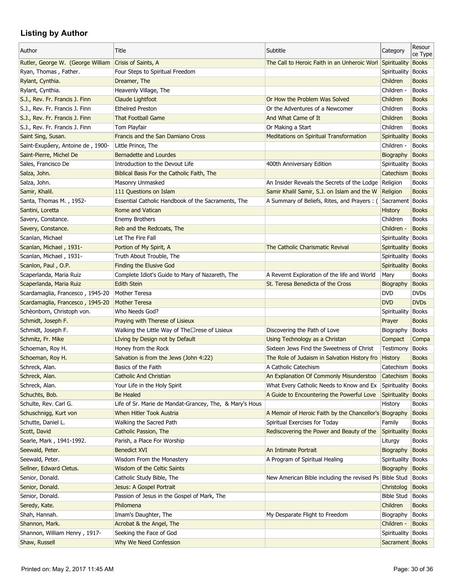| Author                                      | Title                                                    | Subtitle                                                                              | Category                  | Resour<br>ce Type            |
|---------------------------------------------|----------------------------------------------------------|---------------------------------------------------------------------------------------|---------------------------|------------------------------|
| Rutler, George W. (George William           | Crisis of Saints, A                                      | The Call to Heroic Faith in an Unheroic Worl                                          | Spirituality              | <b>Books</b>                 |
| Ryan, Thomas, Father.                       | Four Steps to Spiritual Freedom                          |                                                                                       | Spirituality              | <b>Books</b>                 |
| Rylant, Cynthia.                            | Dreamer, The                                             |                                                                                       | Children                  | <b>Books</b>                 |
| Rylant, Cynthia.                            | Heavenly Village, The                                    |                                                                                       | Children -                | <b>Books</b>                 |
| S.J., Rev. Fr. Francis J. Finn              | Claude Lightfoot                                         | Or How the Problem Was Solved                                                         | Children                  | <b>Books</b>                 |
| S.J., Rev. Fr. Francis J. Finn              | <b>Ethelred Preston</b>                                  | Or the Adventures of a Newcomer                                                       | Children                  | <b>Books</b>                 |
| S.J., Rev. Fr. Francis J. Finn              | <b>That Football Game</b>                                | And What Came of It                                                                   | Children                  | <b>Books</b>                 |
| S.J., Rev. Fr. Francis J. Finn              | <b>Tom Playfair</b>                                      | Or Making a Start                                                                     | Children                  | <b>Books</b>                 |
| Saint Sing, Susan.                          | Francis and the San Damiano Cross                        | <b>Meditations on Spiritual Transformation</b>                                        | <b>Spirituality</b>       | <b>Books</b>                 |
| Saint-Exupâery, Antoine de, 1900-           | Little Prince, The                                       |                                                                                       | Children -                | <b>Books</b>                 |
| Saint-Pierre, Michel De                     | <b>Bernadette and Lourdes</b>                            |                                                                                       | Biography                 | <b>Books</b>                 |
| Sales, Francisco De                         | Introduction to the Devout Life                          | 400th Anniversary Edition                                                             | Spirituality              | <b>Books</b>                 |
| Salza, John.                                | Biblical Basis For the Catholic Faith, The               |                                                                                       | Catechism                 | <b>Books</b>                 |
| Salza, John.                                | Masonry Unmasked                                         | An Insider Reveals the Secrets of the Lodge Religion                                  |                           | <b>Books</b>                 |
| Samir, Khalil.                              | 111 Questions on Islam                                   | Samir Khalil Samir, S.J. on Islam and the W                                           | Religion                  | <b>Books</b>                 |
| Santa, Thomas M., 1952-                     | Essential Catholic Handbook of the Sacraments, The       | A Summary of Beliefs, Rites, and Prayers : (                                          | Sacrament   Books         |                              |
| Santini, Loretta                            | Rome and Vatican                                         |                                                                                       | <b>History</b>            | <b>Books</b>                 |
| Savery, Constance.                          | <b>Enemy Brothers</b>                                    |                                                                                       | Children                  | <b>Books</b>                 |
| Savery, Constance.                          | Reb and the Redcoats, The                                |                                                                                       | Children -                | <b>Books</b>                 |
| Scanlan, Michael                            | Let The Fire Fall                                        |                                                                                       | Spirituality              | <b>Books</b>                 |
| Scanlan, Michael, 1931-                     | Portion of My Spirit, A                                  | The Catholic Charismatic Revival                                                      | Spirituality              | <b>Books</b>                 |
| Scanlan, Michael, 1931-                     | Truth About Trouble, The                                 |                                                                                       | Spirituality              | <b>Books</b>                 |
| Scanlon, Paul, O.P.                         | <b>Finding the Elusive God</b>                           |                                                                                       | <b>Spirituality</b>       | <b>Books</b>                 |
| Scaperlanda, Maria Ruiz                     | Complete Idiot's Guide to Mary of Nazareth, The          | A Revernt Exploration of the life and World                                           | Mary                      | <b>Books</b>                 |
| Scaperlanda, Maria Ruiz                     | <b>Edith Stein</b>                                       | St. Teresa Benedicta of the Cross                                                     | Biography                 | <b>Books</b>                 |
| Scardamaglia, Francesco, 1945-20            | <b>Mother Teresa</b>                                     |                                                                                       | <b>DVD</b>                | <b>DVDs</b>                  |
| Scardamaglia, Francesco, 1945-20            | <b>Mother Teresa</b>                                     |                                                                                       | <b>DVD</b>                | <b>DVDs</b>                  |
| Schèonborn, Christoph von.                  | Who Needs God?                                           |                                                                                       | Spirituality              | <b>Books</b>                 |
| Schmidt, Joseph F.                          | Praying with Therese of Lisieux                          |                                                                                       | Prayer                    | <b>Books</b>                 |
| Schmidt, Joseph F.                          | Walking the Little Way of The□rese of Lisieux            | Discovering the Path of Love                                                          | Biography                 | <b>Books</b>                 |
| Schmitz, Fr. Mike                           | LIving by Design not by Default                          | Using Technology as a Christan                                                        | Compact                   | Compa                        |
| Schoeman, Roy H.                            | Honey from the Rock                                      | Sixteen Jews Find the Sweetness of Christ                                             | Testimony                 | <b>Books</b>                 |
| Schoeman, Roy H.                            | Salvation is from the Jews (John 4:22)                   | The Role of Judaism in Salvation History fro                                          | <b>History</b>            | <b>Books</b>                 |
| Schreck, Alan.                              | Basics of the Faith                                      | A Catholic Catechism                                                                  | Catechism Books           |                              |
| Schreck, Alan.                              | <b>Catholic And Christian</b>                            | An Explanation Of Commonly Misunderstoo                                               | Catechism Books           |                              |
| Schreck, Alan.                              |                                                          |                                                                                       | Spirituality              |                              |
| Schuchts, Bob.                              | Your Life in the Holy Spirit<br><b>Be Healed</b>         | What Every Catholic Needs to Know and Ex<br>A Guide to Encountering the Powerful Love | Spirituality              | <b>Books</b><br><b>Books</b> |
| Schulte, Rev. Carl G.                       | Life of Sr. Marie de Mandat-Grancey, The, & Mary's Hous  |                                                                                       | History                   | <b>Books</b>                 |
|                                             | When Hitler Took Austria                                 |                                                                                       |                           | <b>Books</b>                 |
| Schuschnigg, Kurt von<br>Schutte, Daniel L. | Walking the Sacred Path                                  | A Memoir of Heroic Faith by the Chancellor's Biography                                |                           | <b>Books</b>                 |
|                                             |                                                          | Spiritual Exercises for Today<br>Rediscovering the Power and Beauty of the            | Family                    |                              |
| Scott, David                                | Catholic Passion, The                                    |                                                                                       | Spirituality              | <b>Books</b>                 |
| Searle, Mark, 1941-1992.<br>Seewald, Peter. | Parish, a Place For Worship<br><b>Benedict XVI</b>       | An Intimate Portrait                                                                  | Liturgy                   | <b>Books</b><br><b>Books</b> |
|                                             |                                                          | A Program of Spiritual Healing                                                        | Biography<br>Spirituality |                              |
| Seewald, Peter.                             | Wisdom From the Monastery<br>Wisdom of the Celtic Saints |                                                                                       |                           | <b>Books</b>                 |
| Sellner, Edward Cletus.                     |                                                          |                                                                                       | Biography                 | <b>Books</b>                 |
| Senior, Donald.                             | Catholic Study Bible, The                                | New American Bible including the revised Ps Bible Stud                                |                           | <b>Books</b>                 |
| Senior, Donald.                             | Jesus: A Gospel Portrait                                 |                                                                                       | Christolog                | <b>Books</b>                 |
| Senior, Donald.                             | Passion of Jesus in the Gospel of Mark, The              |                                                                                       | <b>Bible Stud</b>         | <b>Books</b>                 |
| Seredy, Kate.                               | Philomena                                                |                                                                                       | Children                  | <b>Books</b>                 |
| Shah, Hannah.                               | Imam's Daughter, The                                     | My Desparate Flight to Freedom                                                        | Biography                 | <b>Books</b>                 |
| Shannon, Mark.                              | Acrobat & the Angel, The                                 |                                                                                       | Children -                | <b>Books</b>                 |
| Shannon, William Henry, 1917-               | Seeking the Face of God                                  |                                                                                       | Spirituality              | <b>Books</b>                 |
| Shaw, Russell                               | Why We Need Confession                                   |                                                                                       | Sacrament Books           |                              |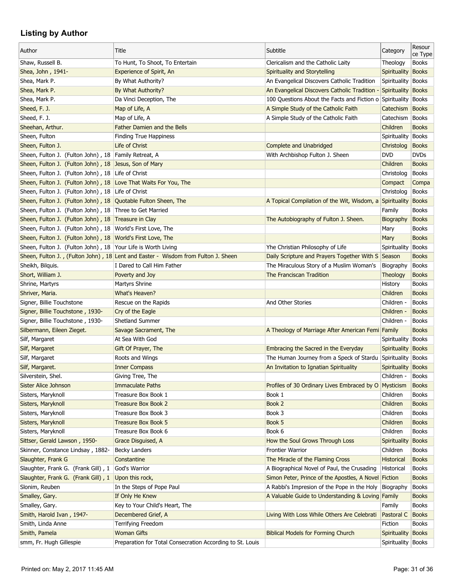| Author                                                          | Title                                                                             | Subtitle                                                       | Category             | Resour<br>ce Type |
|-----------------------------------------------------------------|-----------------------------------------------------------------------------------|----------------------------------------------------------------|----------------------|-------------------|
| Shaw, Russell B.                                                | To Hunt, To Shoot, To Entertain                                                   | Clericalism and the Catholic Laity                             | Theology             | <b>Books</b>      |
| Shea, John, 1941-                                               | Experience of Spirit, An                                                          | Spirituality and Storytelling                                  | Spirituality         | <b>Books</b>      |
| Shea, Mark P.                                                   | By What Authority?                                                                | An Evangelical Discovers Catholic Tradition                    | Spirituality         | <b>Books</b>      |
| Shea, Mark P.                                                   | By What Authority?                                                                | An Evangelical Discovers Catholic Tradition -                  | Spirituality         | <b>Books</b>      |
| Shea, Mark P.                                                   | Da Vinci Deception, The                                                           | 100 Questions About the Facts and Fiction o Spirituality Books |                      |                   |
| Sheed, F. J.                                                    | Map of Life, A                                                                    | A Simple Study of the Catholic Faith                           | Catechism Books      |                   |
| Sheed, F. J.                                                    | Map of Life, A                                                                    | A Simple Study of the Catholic Faith                           | Catechism            | <b>Books</b>      |
| Sheehan, Arthur.                                                | <b>Father Damien and the Bells</b>                                                |                                                                | Children             | <b>Books</b>      |
| Sheen, Fulton                                                   | <b>Finding True Happiness</b>                                                     |                                                                | Spirituality         | <b>Books</b>      |
| Sheen, Fulton J.                                                | Life of Christ                                                                    | <b>Complete and Unabridged</b>                                 | Christolog           | <b>Books</b>      |
| Sheen, Fulton J. (Fulton John), 18 Family Retreat, A            |                                                                                   | With Archbishop Fulton J. Sheen                                | <b>DVD</b>           | <b>DVDs</b>       |
| Sheen, Fulton J. (Fulton John), 18 Jesus, Son of Mary           |                                                                                   |                                                                | Children             | <b>Books</b>      |
| Sheen, Fulton J. (Fulton John), 18 Life of Christ               |                                                                                   |                                                                | Christolog           | <b>Books</b>      |
| Sheen, Fulton J. (Fulton John), 18 Love That Waits For You, The |                                                                                   |                                                                | Compact              | Compa             |
| Sheen, Fulton J. (Fulton John), 18 Life of Christ               |                                                                                   |                                                                | Christolog           | <b>Books</b>      |
| Sheen, Fulton J. (Fulton John), 18 Quotable Fulton Sheen, The   |                                                                                   | A Topical Compilation of the Wit, Wisdom, a Spirituality       |                      | <b>Books</b>      |
| Sheen, Fulton J. (Fulton John), 18 Three to Get Married         |                                                                                   |                                                                | Family               | <b>Books</b>      |
| Sheen, Fulton J. (Fulton John), 18 Treasure in Clay             |                                                                                   | The Autobiography of Fulton J. Sheen.                          | Biography            | <b>Books</b>      |
| Sheen, Fulton J. (Fulton John), 18 World's First Love, The      |                                                                                   |                                                                | Mary                 | <b>Books</b>      |
| Sheen, Fulton J. (Fulton John), 18 World's First Love, The      |                                                                                   |                                                                | Mary                 | <b>Books</b>      |
| Sheen, Fulton J. (Fulton John), 18 Your Life is Worth Living    |                                                                                   | Yhe Christian Philosophy of Life                               | Spirituality         | <b>Books</b>      |
|                                                                 | Sheen, Fulton J., (Fulton John), 18 Lent and Easter - Wisdom from Fulton J. Sheen | Daily Scripture and Prayers Together With S Season             |                      | <b>Books</b>      |
| Sheikh, Bilguis.                                                | I Dared to Call Him Father                                                        | The Miraculous Story of a Muslim Woman's                       | Biography            | <b>Books</b>      |
| Short, William J.                                               | Poverty and Joy                                                                   | The Franciscan Tradition                                       | Theology             | <b>Books</b>      |
| Shrine, Martyrs                                                 | Martyrs Shrine                                                                    |                                                                | History              | <b>Books</b>      |
| Shriver, Maria.                                                 | What's Heaven?                                                                    |                                                                | Children             | <b>Books</b>      |
| Signer, Billie Touchstone                                       | Rescue on the Rapids                                                              | And Other Stories                                              | Children -           | <b>Books</b>      |
| Signer, Billie Touchstone, 1930-                                | Cry of the Eagle                                                                  |                                                                | Children -           | <b>Books</b>      |
| Signer, Billie Touchstone, 1930-                                | <b>Shetland Summer</b>                                                            |                                                                | Children -           | <b>Books</b>      |
| Silbermann, Eileen Zieget.                                      | Savage Sacrament, The                                                             | A Theology of Marriage After American Femi Family              |                      | <b>Books</b>      |
| Silf, Margaret                                                  | At Sea With God                                                                   |                                                                | Spirituality         | <b>Books</b>      |
| Silf, Margaret                                                  | Gift Of Prayer, The                                                               | Embracing the Sacred in the Everyday                           | Spirituality         | <b>Books</b>      |
|                                                                 |                                                                                   | The Human Journey from a Speck of Stardu                       | Spirituality         | <b>Books</b>      |
| Silf, Margaret<br>Silf, Margaret.                               | Roots and Wings                                                                   | An Invitation to Ignatian Spirituality                         | Spirituality Books   |                   |
| Silverstein, Shel.                                              | <b>Inner Compass</b><br>Giving Tree, The                                          |                                                                | Children -           |                   |
|                                                                 |                                                                                   |                                                                |                      | <b>Books</b>      |
| Sister Alice Johnson                                            | <b>Immaculate Paths</b>                                                           | Profiles of 30 Ordinary Lives Embraced by O                    | Mysticism            | <b>Books</b>      |
| Sisters, Maryknoll                                              | Treasure Box Book 1<br><b>Treasure Box Book 2</b>                                 | Book 1<br>Book 2                                               | Children<br>Children | <b>Books</b>      |
| Sisters, Maryknoll                                              |                                                                                   |                                                                |                      | <b>Books</b>      |
| Sisters, Maryknoll                                              | Treasure Box Book 3                                                               | Book 3                                                         | Children             | <b>Books</b>      |
| Sisters, Maryknoll                                              | Treasure Box Book 5                                                               | Book 5                                                         | Children             | <b>Books</b>      |
| Sisters, Maryknoll                                              | Treasure Box Book 6                                                               | Book 6                                                         | Children             | <b>Books</b>      |
| Sittser, Gerald Lawson, 1950-                                   | Grace Disguised, A                                                                | How the Soul Grows Through Loss                                | Spirituality         | <b>Books</b>      |
| Skinner, Constance Lindsay, 1882-                               | <b>Becky Landers</b>                                                              | <b>Frontier Warrior</b>                                        | Children             | <b>Books</b>      |
| Slaughter, Frank G                                              | Constantine                                                                       | The Miracle of the Flaming Cross                               | <b>Historical</b>    | <b>Books</b>      |
| Slaughter, Frank G. (Frank Gill), 1                             | God's Warrior                                                                     | A Biographical Novel of Paul, the Crusading                    | Historical           | <b>Books</b>      |
| Slaughter, Frank G. (Frank Gill), 1                             | Upon this rock,                                                                   | Simon Peter, Prince of the Apostles, A Novel Fiction           |                      | <b>Books</b>      |
| Slonim, Reuben                                                  | In the Steps of Pope Paul                                                         | A Rabbi's Impresion of the Pope in the Holy                    | Biography            | <b>Books</b>      |
| Smalley, Gary.                                                  | If Only He Knew                                                                   | A Valuable Guide to Understanding & Loving Family              |                      | <b>Books</b>      |
| Smalley, Gary.                                                  | Key to Your Child's Heart, The                                                    |                                                                | Family               | <b>Books</b>      |
| Smith, Harold Ivan, 1947-                                       | Decembered Grief, A                                                               | Living With Loss While Others Are Celebrati                    | Pastoral C           | <b>Books</b>      |
| Smith, Linda Anne                                               | Terrifying Freedom                                                                |                                                                | Fiction              | <b>Books</b>      |
| Smith, Pamela                                                   | <b>Woman Gifts</b>                                                                | <b>Biblical Models for Forming Church</b>                      | Spirituality         | <b>Books</b>      |
| smm, Fr. Hugh Gillespie                                         | Preparation for Total Consecration According to St. Louis                         |                                                                | Spirituality Books   |                   |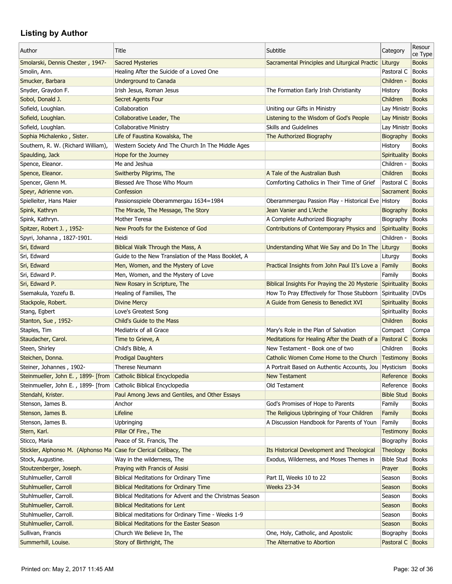| Author                                                             | Title                                                    | Subtitle                                                                              | Category             | Resour<br>ce Type            |
|--------------------------------------------------------------------|----------------------------------------------------------|---------------------------------------------------------------------------------------|----------------------|------------------------------|
| Smolarski, Dennis Chester, 1947-                                   | <b>Sacred Mysteries</b>                                  | Sacramental Principles and Liturgical Practic                                         | Liturgy              | <b>Books</b>                 |
| Smolin, Ann.                                                       | Healing After the Suicide of a Loved One                 |                                                                                       | Pastoral C           | <b>Books</b>                 |
| Smucker, Barbara                                                   | <b>Underground to Canada</b>                             |                                                                                       | Children -           | <b>Books</b>                 |
| Snyder, Graydon F.                                                 | Irish Jesus, Roman Jesus                                 | The Formation Early Irish Christianity                                                | History              | <b>Books</b>                 |
| Sobol, Donald J.                                                   | <b>Secret Agents Four</b>                                |                                                                                       | Children             | <b>Books</b>                 |
| Sofield, Loughlan.                                                 | Collaboration                                            | Uniting our Gifts in Ministry                                                         | Lay Ministr Books    |                              |
| Sofield, Loughlan.                                                 | Collaborative Leader, The                                | Listening to the Wisdom of God's People                                               | Lay Ministr Books    |                              |
| Sofield, Loughlan.                                                 | <b>Collaborative Ministry</b>                            | <b>Skills and Guidelines</b>                                                          | Lay Ministr Books    |                              |
| Sophia Michalenko, Sister.                                         | Life of Faustina Kowalska, The                           | The Authorized Biography                                                              | Biography            | <b>Books</b>                 |
| Southern, R. W. (Richard William),                                 | Western Society And The Church In The Middle Ages        |                                                                                       | History              | <b>Books</b>                 |
| Spaulding, Jack                                                    | Hope for the Journey                                     |                                                                                       | Spirituality         | <b>Books</b>                 |
| Spence, Eleanor.                                                   | Me and Jeshua                                            |                                                                                       | Children -           | <b>Books</b>                 |
| Spence, Eleanor.                                                   | Switherby Pilgrims, The                                  | A Tale of the Australian Bush                                                         | Children             | <b>Books</b>                 |
| Spencer, Glenn M.                                                  | Blessed Are Those Who Mourn                              | Comforting Catholics in Their Time of Grief                                           | Pastoral C           | <b>Books</b>                 |
| Speyr, Adrienne von.                                               | Confession                                               |                                                                                       | Sacrament Books      |                              |
| Spielleiter, Hans Maier                                            | Passionsspiele Oberammergau 1634=1984                    | Oberammergau Passion Play - Historical Eve History                                    |                      | <b>Books</b>                 |
| Spink, Kathryn                                                     | The Miracle, The Message, The Story                      | Jean Vanier and L'Arche                                                               | Biography            | <b>Books</b>                 |
| Spink, Kathryn.                                                    | Mother Teresa                                            | A Complete Authorized Biography                                                       | Biography            | <b>Books</b>                 |
| Spitzer, Robert J., 1952-                                          | New Proofs for the Existence of God                      | Contributions of Contemporary Physics and                                             | Spirituality         | <b>Books</b>                 |
| Spyri, Johanna, 1827-1901.                                         | Heidi                                                    |                                                                                       | Children -           | <b>Books</b>                 |
| Sri, Edward                                                        | Biblical Walk Through the Mass, A                        | Understanding What We Say and Do In The                                               | Liturgy              | <b>Books</b>                 |
| Sri, Edward                                                        | Guide to the New Translation of the Mass Booklet, A      |                                                                                       | Liturgy              | <b>Books</b>                 |
| Sri, Edward                                                        | Men, Women, and the Mystery of Love                      | Practical Insights from John Paul II's Love a                                         | Family               | <b>Books</b>                 |
| Sri, Edward P.                                                     | Men, Women, and the Mystery of Love                      |                                                                                       | Family               | <b>Books</b>                 |
| Sri, Edward P.                                                     | New Rosary in Scripture, The                             | Biblical Insights For Praying the 20 Mysterie Spirituality                            |                      | <b>Books</b>                 |
| Ssemakula, Yozefu B.                                               | Healing of Families, The                                 | How To Pray Effectively for Those Stubborn                                            | Spirituality         | <b>DVDs</b>                  |
| Stackpole, Robert.                                                 | <b>Divine Mercy</b>                                      | A Guide from Genesis to Benedict XVI                                                  | Spirituality         | <b>Books</b>                 |
| Stang, Egbert                                                      | Love's Greatest Song                                     |                                                                                       | Spirituality   Books |                              |
| Stanton, Sue, 1952-                                                | Child's Guide to the Mass                                |                                                                                       | Children             | <b>Books</b>                 |
| Staples, Tim                                                       | Mediatrix of all Grace                                   | Mary's Role in the Plan of Salvation                                                  | Compact              | Compa                        |
| Staudacher, Carol.                                                 | Time to Grieve, A                                        | Meditations for Healing After the Death of a                                          | Pastoral C           | <b>Books</b>                 |
| Steen, Shirley                                                     | Child's Bible, A                                         | New Testament - Book one of two                                                       | Children             | <b>Books</b>                 |
| Steichen, Donna.                                                   | <b>Prodigal Daughters</b>                                | Catholic Women Come Home to the Church Testimony                                      |                      | <b>Books</b>                 |
| Steiner, Johannes, 1902-                                           | <b>Therese Neumann</b>                                   | A Portrait Based on Authentic Accounts, Jou Mysticism                                 |                      | <b>Books</b>                 |
| Steinmueller, John E., 1899- [from                                 | Catholic Biblical Encyclopedia                           | <b>New Testament</b>                                                                  | Reference            | <b>Books</b>                 |
|                                                                    | Catholic Biblical Encyclopedia                           | Old Testament                                                                         | Reference            | <b>Books</b>                 |
| Steinmueller, John E., 1899- [from                                 | Paul Among Jews and Gentiles, and Other Essays           |                                                                                       | <b>Bible Stud</b>    | <b>Books</b>                 |
| Stendahl, Krister.                                                 | Anchor                                                   | God's Promises of Hope to Parents                                                     | Family               | <b>Books</b>                 |
| Stenson, James B.                                                  |                                                          |                                                                                       |                      |                              |
| Stenson, James B.<br>Stenson, James B.                             | Lifeline                                                 | The Religious Upbringing of Your Children                                             | Family               | <b>Books</b>                 |
| Stern, Karl.                                                       | Upbringing                                               | A Discussion Handbook for Parents of Youn                                             | Family               | <b>Books</b><br><b>Books</b> |
|                                                                    | Pillar Of Fire., The                                     |                                                                                       | <b>Testimony</b>     |                              |
| Sticco, Maria                                                      | Peace of St. Francis, The                                |                                                                                       | Biography            | <b>Books</b>                 |
| Stickler, Alphonso M. (Alphonso Ma Case for Clerical Celibacy, The |                                                          | Its Historical Development and Theological<br>Exodus, Wilderness, and Moses Themes in | Theology             | <b>Books</b>                 |
| Stock, Augustine.                                                  | Way in the wilderness, The                               |                                                                                       | <b>Bible Stud</b>    | <b>Books</b>                 |
| Stoutzenberger, Joseph.                                            | Praying with Francis of Assisi                           |                                                                                       | Prayer               | <b>Books</b>                 |
| Stuhlmueller, Carroll                                              | <b>Biblical Meditations for Ordinary Time</b>            | Part II, Weeks 10 to 22                                                               | Season               | <b>Books</b>                 |
| Stuhlmueller, Carroll                                              | <b>Biblical Meditations for Ordinary Time</b>            | <b>Weeks 23-34</b>                                                                    | Season               | <b>Books</b>                 |
| Stuhlmueller, Carroll.                                             | Biblical Meditations for Advent and the Christmas Season |                                                                                       | Season               | <b>Books</b>                 |
| Stuhlmueller, Carroll.                                             | <b>Biblical Meditations for Lent</b>                     |                                                                                       | Season               | <b>Books</b>                 |
| Stuhlmueller, Carroll.                                             | Biblical meditations for Ordinary Time - Weeks 1-9       |                                                                                       | Season               | <b>Books</b>                 |
| Stuhlmueller, Carroll.                                             | <b>Biblical Meditations for the Easter Season</b>        |                                                                                       | Season               | <b>Books</b>                 |
| Sullivan, Francis                                                  | Church We Believe In, The                                | One, Holy, Catholic, and Apostolic                                                    | Biography            | <b>Books</b>                 |
| Summerhill, Louise.                                                | Story of Birthright, The                                 | The Alternative to Abortion                                                           | Pastoral C Books     |                              |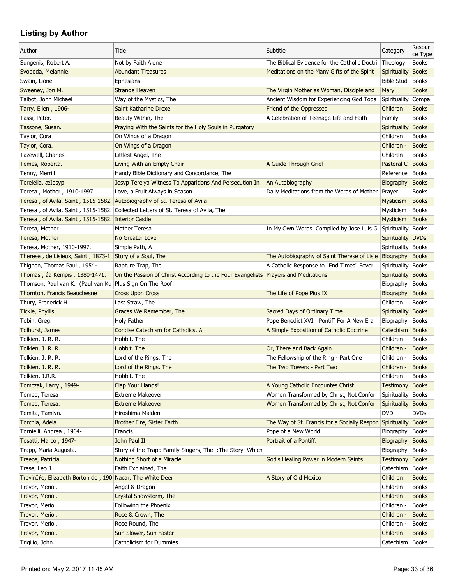| Author                                                                   | Title                                                                              | Subtitle                                                  | Category           | Resour<br>ce Type |
|--------------------------------------------------------------------------|------------------------------------------------------------------------------------|-----------------------------------------------------------|--------------------|-------------------|
| Sungenis, Robert A.                                                      | Not by Faith Alone                                                                 | The Biblical Evidence for the Catholic Doctri             | Theology           | <b>Books</b>      |
| Svoboda, Melannie.                                                       | <b>Abundant Treasures</b>                                                          | Meditations on the Many Gifts of the Spirit               | Spirituality       | <b>Books</b>      |
| Swain, Lionel                                                            | <b>Ephesians</b>                                                                   |                                                           | <b>Bible Stud</b>  | <b>Books</b>      |
| Sweeney, Jon M.                                                          | <b>Strange Heaven</b>                                                              | The Virgin Mother as Woman, Disciple and                  | Mary               | <b>Books</b>      |
| Talbot, John Michael                                                     | Way of the Mystics, The                                                            | Ancient Wisdom for Experiencing God Toda                  | Spirituality Compa |                   |
| Tarry, Ellen, 1906-                                                      | Saint Katharine Drexel                                                             | Friend of the Oppressed                                   | Children           | <b>Books</b>      |
| Tassi, Peter.                                                            | Beauty Within, The                                                                 | A Celebration of Teenage Life and Faith                   | Family             | <b>Books</b>      |
| Tassone, Susan.                                                          | Praying With the Saints for the Holy Souls in Purgatory                            |                                                           | Spirituality       | <b>Books</b>      |
| Taylor, Cora                                                             | On Wings of a Dragon                                                               |                                                           | Children           | <b>Books</b>      |
| Taylor, Cora.                                                            | On Wings of a Dragon                                                               |                                                           | Children -         | <b>Books</b>      |
| Tazewell, Charles.                                                       | Littlest Angel, The                                                                |                                                           | Children           | <b>Books</b>      |
| Temes, Roberta.                                                          | Living With an Empty Chair                                                         | A Guide Through Grief                                     | Pastoral C         | <b>Books</b>      |
| Tenny, Merrill                                                           | Handy Bible Dictionary and Concordance, The                                        |                                                           | Reference          | <b>Books</b>      |
| Terelëiìa, æIosyp.                                                       | Josyp Terelya Witness To Apparitions And Persecution In                            | An Autobiography                                          | Biography          | <b>Books</b>      |
| Teresa, Mother, 1910-1997.                                               | Love, a Fruit Always in Season                                                     | Daily Meditations from the Words of Mother                | Prayer             | <b>Books</b>      |
| Teresa, of Avila, Saint, 1515-1582. Autobiography of St. Teresa of Avila |                                                                                    |                                                           | <b>Mysticism</b>   | <b>Books</b>      |
|                                                                          | Teresa, of Avila, Saint, 1515-1582. Collected Letters of St. Teresa of Avila, The  |                                                           | Mysticism          | <b>Books</b>      |
| Teresa, of Avila, Saint, 1515-1582. Interior Castle                      |                                                                                    |                                                           | Mysticism          | <b>Books</b>      |
| Teresa, Mother                                                           | Mother Teresa                                                                      | In My Own Words. Compiled by Jose Luis G                  | Spirituality Books |                   |
| Teresa, Mother                                                           | No Greater Love                                                                    |                                                           | Spirituality       | <b>DVDs</b>       |
| Teresa, Mother, 1910-1997.                                               | Simple Path, A                                                                     |                                                           | Spirituality Books |                   |
| Therese, de Lisieux, Saint, 1873-1                                       | Story of a Soul, The                                                               | The Autobiography of Saint Therese of Lisie               | Biography          | <b>Books</b>      |
| Thigpen, Thomas Paul, 1954-                                              | Rapture Trap, The                                                                  | A Catholic Response to "End Times" Fever                  | Spirituality Books |                   |
| Thomas, áa Kempis, 1380-1471.                                            | On the Passion of Christ According to the Four Evangelists Prayers and Meditations |                                                           | Spirituality       | Books             |
| Thomson, Paul van K. (Paul van Ku Plus Sign On The Roof                  |                                                                                    |                                                           | Biography          | <b>Books</b>      |
| Thornton, Francis Beauchesne                                             | <b>Cross Upon Cross</b>                                                            | The Life of Pope Pius IX                                  | Biography          | <b>Books</b>      |
| Thury, Frederick H                                                       | Last Straw, The                                                                    |                                                           | Children           | <b>Books</b>      |
| Tickle, Phyllis                                                          | Graces We Remember, The                                                            | Sacred Days of Ordinary Time                              | Spirituality Books |                   |
| Tobin, Greg.                                                             | Holy Father                                                                        | Pope Benedict XVI : Pontiff For A New Era                 | Biography          | <b>Books</b>      |
| Tolhurst, James                                                          | <b>Concise Catechism for Catholics, A</b>                                          | A Simple Exposition of Catholic Doctrine                  | Catechism          | Books             |
| Tolkien, J. R. R.                                                        | Hobbit, The                                                                        |                                                           | Children -         | <b>Books</b>      |
| Tolkien, J. R. R.                                                        | Hobbit, The                                                                        | Or, There and Back Again                                  | Children -         | <b>Books</b>      |
| Tolkien, J. R. R.                                                        | Lord of the Rings, The                                                             | The Fellowship of the Ring - Part One                     | Children -         | <b>Books</b>      |
| Tolkien, J. R. R.                                                        | Lord of the Rings, The                                                             | The Two Towers - Part Two                                 | Children -         | <b>Books</b>      |
| Tolkien, J.R.R.                                                          | Hobbit, The                                                                        |                                                           | Children           | <b>Books</b>      |
| Tomczak, Larry, 1949-                                                    | Clap Your Hands!                                                                   | A Young Catholic Encountes Christ                         | Testimony          | <b>Books</b>      |
| Tomeo, Teresa                                                            | <b>Extreme Makeover</b>                                                            | Women Transformed by Christ, Not Confor                   | Spirituality       | Books             |
| Tomeo, Teresa.                                                           | <b>Extreme Makeover</b>                                                            | Women Transformed by Christ, Not Confor                   | Spirituality       | <b>Books</b>      |
| Tomita, Tamlyn.                                                          | Hiroshima Maiden                                                                   |                                                           | <b>DVD</b>         | <b>DVDs</b>       |
| Torchia, Adela                                                           | Brother Fire, Sister Earth                                                         | The Way of St. Francis for a Socially Respon Spirituality |                    | Books             |
| Tornielli, Andrea, 1964-                                                 | Francis                                                                            | Pope of a New World                                       | Biography          | <b>Books</b>      |
| Tosatti, Marco, 1947-                                                    | John Paul II                                                                       | Portrait of a Pontiff.                                    | Biography          | <b>Books</b>      |
| Trapp, Maria Augusta.                                                    | Story of the Trapp Family Singers, The : The Story Which                           |                                                           | Biography          | <b>Books</b>      |
| Treece, Patricia.                                                        | Nothing Short of a Miracle                                                         | God's Healing Power in Modern Saints                      | Testimony          | <b>Books</b>      |
| Trese, Leo J.                                                            | Faith Explained, The                                                               |                                                           | Catechism          | Books             |
| TrevinIfo, Elizabeth Borton de, 190 Nacar, The White Deer                |                                                                                    | A Story of Old Mexico                                     | Children           | <b>Books</b>      |
| Trevor, Meriol.                                                          | Angel & Dragon                                                                     |                                                           | Children -         | <b>Books</b>      |
| Trevor, Meriol.                                                          | Crystal Snowstorm, The                                                             |                                                           | Children -         | <b>Books</b>      |
| Trevor, Meriol.                                                          | Following the Phoenix                                                              |                                                           | Children -         | <b>Books</b>      |
| Trevor, Meriol.                                                          | Rose & Crown, The                                                                  |                                                           | Children -         | <b>Books</b>      |
| Trevor, Meriol.                                                          |                                                                                    |                                                           | Children -         | <b>Books</b>      |
|                                                                          | Rose Round, The                                                                    |                                                           | Children           | <b>Books</b>      |
| Trevor, Meriol.                                                          | Sun Slower, Sun Faster                                                             |                                                           |                    |                   |
| Trigilio, John.                                                          | Catholicism for Dummies                                                            |                                                           | Catechism          | Books             |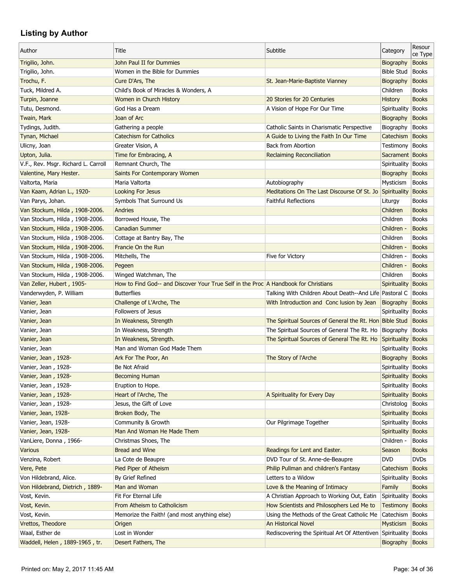| Author                              | Title                                                                               | Subtitle                                                         | Category            | Resour<br>ce Type |
|-------------------------------------|-------------------------------------------------------------------------------------|------------------------------------------------------------------|---------------------|-------------------|
| Trigilio, John.                     | John Paul II for Dummies                                                            |                                                                  | Biography           | <b>Books</b>      |
| Trigilio, John.                     | Women in the Bible for Dummies                                                      |                                                                  | <b>Bible Stud</b>   | <b>Books</b>      |
| Trochu, F.                          | Cure D'Ars, The                                                                     | St. Jean-Marie-Baptiste Vianney                                  | Biography           | <b>Books</b>      |
| Tuck, Mildred A.                    | Child's Book of Miracles & Wonders, A                                               |                                                                  | Children            | <b>Books</b>      |
| Turpin, Joanne                      | Women in Church History                                                             | 20 Stories for 20 Centuries                                      | <b>History</b>      | <b>Books</b>      |
| Tutu, Desmond.                      | God Has a Dream                                                                     | A Vision of Hope For Our Time                                    | Spirituality Books  |                   |
| Twain, Mark                         | Joan of Arc                                                                         |                                                                  | Biography           | <b>Books</b>      |
| Tydings, Judith.                    | Gathering a people                                                                  | Catholic Saints in Charismatic Perspective                       | Biography           | <b>Books</b>      |
| Tynan, Michael                      | <b>Catechism for Catholics</b>                                                      | A Guide to Living the Faith In Our Time                          | Catechism           | Books             |
| Ulicny, Joan                        | Greater Vision, A                                                                   | <b>Back from Abortion</b>                                        | Testimony           | <b>Books</b>      |
| Upton, Julia.                       | Time for Embracing, A                                                               | <b>Reclaiming Reconciliation</b>                                 | Sacrament Books     |                   |
| V.F., Rev. Msgr. Richard L. Carroll | Remnant Church, The                                                                 |                                                                  | Spirituality Books  |                   |
| Valentine, Mary Hester.             | Saints For Contemporary Women                                                       |                                                                  | Biography           | <b>Books</b>      |
| Valtorta, Maria                     | Maria Valtorta                                                                      | Autobiography                                                    | Mysticism           | <b>Books</b>      |
| Van Kaam, Adrian L., 1920-          | <b>Looking For Jesus</b>                                                            | Meditations On The Last Discourse Of St. Jo                      | Spirituality        | <b>Books</b>      |
| Van Parys, Johan.                   | Symbols That Surround Us                                                            | <b>Faithful Reflections</b>                                      | Liturgy             | <b>Books</b>      |
| Van Stockum, Hilda, 1908-2006.      | Andries                                                                             |                                                                  | Children            | <b>Books</b>      |
| Van Stockum, Hilda, 1908-2006.      | Borrowed House, The                                                                 |                                                                  | Children            | <b>Books</b>      |
| Van Stockum, Hilda, 1908-2006.      | <b>Canadian Summer</b>                                                              |                                                                  | Children -          | <b>Books</b>      |
| Van Stockum, Hilda, 1908-2006.      | Cottage at Bantry Bay, The                                                          |                                                                  | Children            | <b>Books</b>      |
| Van Stockum, Hilda, 1908-2006.      | Francie On the Run                                                                  |                                                                  | Children -          | <b>Books</b>      |
| Van Stockum, Hilda, 1908-2006.      | Mitchells, The                                                                      | Five for Victory                                                 | Children -          | <b>Books</b>      |
| Van Stockum, Hilda, 1908-2006.      | Pegeen                                                                              |                                                                  | Children -          | <b>Books</b>      |
| Van Stockum, Hilda, 1908-2006.      | Winged Watchman, The                                                                |                                                                  | Children            | <b>Books</b>      |
| Van Zeller, Hubert, 1905-           | How to Find God-- and Discover Your True Self in the Proc A Handbook for Christians |                                                                  | <b>Spirituality</b> | <b>Books</b>      |
| Vanderwyden, P. William             | <b>Butterflies</b>                                                                  | Talking With Children About Death--And Life Pastoral C           |                     | <b>Books</b>      |
| Vanier, Jean                        | Challenge of L'Arche, The                                                           | With Introduction and Conc lusion by Jean                        | Biography           | <b>Books</b>      |
| Vanier, Jean                        | Followers of Jesus                                                                  |                                                                  | Spirituality Books  |                   |
| Vanier, Jean                        | In Weakness, Strength                                                               | The Spiritual Sources of General the Rt. Hon Bible Stud          |                     | Books             |
| Vanier, Jean                        | In Weakness, Strength                                                               | The Spiritual Sources of General The Rt. Ho                      | Biography           | <b>Books</b>      |
| Vanier, Jean                        | In Weakness, Strength.                                                              | The Spiritual Sources of General The Rt. Ho                      | Spirituality Books  |                   |
| Vanier, Jean                        | Man and Woman God Made Them                                                         |                                                                  | Spirituality Books  |                   |
| Vanier, Jean, 1928-                 | Ark For The Poor, An                                                                | The Story of l'Arche                                             | Biography           | <b>Books</b>      |
| Vanier, Jean, 1928-                 | Be Not Afraid                                                                       |                                                                  | Spirituality Books  |                   |
| Vanier, Jean, 1928-                 | <b>Becoming Human</b>                                                               |                                                                  | Spirituality Books  |                   |
| Vanier, Jean, 1928-                 | Eruption to Hope.                                                                   |                                                                  | Spirituality        | Books             |
| Vanier, Jean, 1928-                 | Heart of l'Arche, The                                                               | A Spirituality for Every Day                                     | Spirituality        | <b>Books</b>      |
| Vanier, Jean, 1928-                 | Jesus, the Gift of Love                                                             |                                                                  | Christolog          | <b>Books</b>      |
| Vanier, Jean, 1928-                 | Broken Body, The                                                                    |                                                                  | Spirituality        | <b>Books</b>      |
| Vanier, Jean, 1928-                 | Community & Growth                                                                  | Our Pilgrimage Together                                          | Spirituality Books  |                   |
|                                     | Man And Woman He Made Them                                                          |                                                                  | Spirituality Books  |                   |
| Vanier, Jean, 1928-                 |                                                                                     |                                                                  |                     |                   |
| VanLiere, Donna, 1966-              | Christmas Shoes, The                                                                |                                                                  | Children -          | <b>Books</b>      |
| Various                             | Bread and Wine                                                                      | Readings for Lent and Easter.                                    | Season              | <b>Books</b>      |
| Venzina, Robert                     | La Cote de Beaupre                                                                  | DVD Tour of St. Anne-de-Beaupre                                  | <b>DVD</b>          | <b>DVDs</b>       |
| Vere, Pete                          | Pied Piper of Atheism                                                               | Philip Pullman and children's Fantasy                            | Catechism           | <b>Books</b>      |
| Von Hildebrand, Alice.              | By Grief Refined                                                                    | Letters to a Widow                                               | Spirituality        | Books             |
| Von Hildebrand, Dietrich, 1889-     | Man and Woman                                                                       | Love & the Meaning of Intimacy                                   | Family              | <b>Books</b>      |
| Vost, Kevin.                        | Fit For Eternal Life                                                                | A Christian Approach to Working Out, Eatin                       | Spirituality        | Books             |
| Vost, Kevin.                        | From Atheism to Catholicism                                                         | How Scientists and Philosophers Led Me to                        | <b>Testimony</b>    | <b>Books</b>      |
| Vost, Kevin.                        | Memorize the Faith! (and most anything else)                                        | Using the Methods of the Great Catholic Me                       | Catechism           | <b>Books</b>      |
| Vrettos, Theodore                   | Origen                                                                              | An Historical Novel                                              | Mysticism           | <b>Books</b>      |
| Waal, Esther de                     | Lost in Wonder                                                                      | Rediscovering the Spiritual Art Of Attentiven Spirituality Books |                     |                   |
| Waddell, Helen, 1889-1965, tr.      | Desert Fathers, The                                                                 |                                                                  | Biography Books     |                   |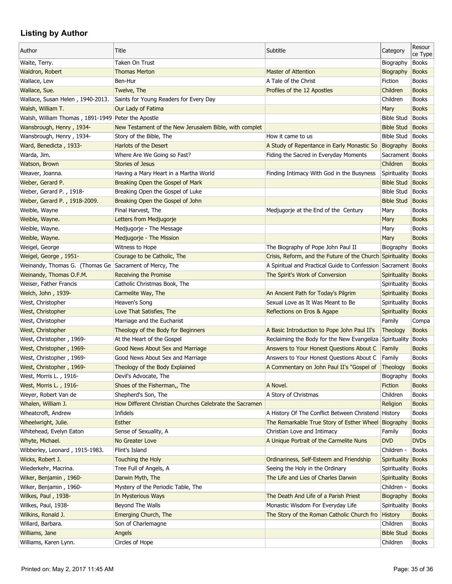| Author                                                 | Title                                                   | Subtitle                                                      | Category             | Resour<br>ce Type |
|--------------------------------------------------------|---------------------------------------------------------|---------------------------------------------------------------|----------------------|-------------------|
| Waite, Terry.                                          | Taken On Trust                                          |                                                               | Biography            | <b>Books</b>      |
| Waldron, Robert                                        | <b>Thomas Merton</b>                                    | <b>Master of Attention</b>                                    | Biography            | <b>Books</b>      |
| Wallace, Lew                                           | Ben-Hur                                                 | A Tale of the Christ                                          | Fiction              | <b>Books</b>      |
| Wallace, Sue.                                          | Twelve, The                                             | Profiles of the 12 Apostles                                   | Children             | <b>Books</b>      |
| Wallace, Susan Helen, 1940-2013.                       | Saints for Young Readers for Every Day                  |                                                               | Children             | <b>Books</b>      |
| Walsh, William T.                                      | Our Lady of Fatima                                      |                                                               | Mary                 | <b>Books</b>      |
| Walsh, William Thomas, 1891-1949 Peter the Apostle     |                                                         |                                                               | <b>Bible Stud</b>    | <b>Books</b>      |
| Wansbrough, Henry, 1934-                               | New Testament of the New Jerusalem Bible, with complet  |                                                               | <b>Bible Stud</b>    | <b>Books</b>      |
| Wansbrough, Henry, 1934-                               | Story of the Bible, The                                 | How it came to us                                             | <b>Bible Stud</b>    | <b>Books</b>      |
| Ward, Benedicta, 1933-                                 | Harlots of the Desert                                   | A Study of Repentance in Early Monastic So                    | Biography            | <b>Books</b>      |
| Warda, Jim.                                            | Where Are We Going so Fast?                             | Fiding the Sacred in Everyday Moments                         | Sacrament   Books    |                   |
| Watson, Brown                                          | <b>Stories of Jesus</b>                                 |                                                               | Children             | <b>Books</b>      |
| Weaver, Joanna.                                        | Having a Mary Heart in a Martha World                   | Finding Intimacy With God in the Busyness                     | Spirituality         | <b>Books</b>      |
| Weber, Gerard P.                                       | Breaking Open the Gospel of Mark                        |                                                               | <b>Bible Stud</b>    | <b>Books</b>      |
| Weber, Gerard P., 1918-                                | Breaking Open the Gospel of Luke                        |                                                               | <b>Bible Stud</b>    | <b>Books</b>      |
| Weber, Gerard P., 1918-2009.                           | Breaking Open the Gospel of John                        |                                                               | <b>Bible Stud</b>    | <b>Books</b>      |
| Weible, Wayne                                          | Final Harvest, The                                      | Medjugorje at the End of the Century                          | Mary                 | <b>Books</b>      |
| Weible, Wayne.                                         | Letters from Medjugorje                                 |                                                               | Mary                 | <b>Books</b>      |
| Weible, Wayne.                                         | Medjugorje - The Message                                |                                                               | Mary                 | <b>Books</b>      |
| Weible, Wayne.                                         | Medjugorje - The Mission                                |                                                               | Mary                 | <b>Books</b>      |
| Weigel, George                                         | Witness to Hope                                         | The Biography of Pope John Paul II                            | Biography            | <b>Books</b>      |
| Weigel, George, 1951-                                  |                                                         | Crisis, Reform, and the Future of the Church Spirituality     |                      | <b>Books</b>      |
|                                                        | Courage to be Catholic, The                             | A Spiritual and Practical Guide to Confession Sacrament Books |                      |                   |
| Weinandy, Thomas G. (Thomas Ge Sacrament of Mercy, The |                                                         |                                                               |                      |                   |
| Weinandy, Thomas O.F.M.                                | Receiving the Promise                                   | The Spirit's Work of Conversion                               | Spirituality         | <b>Books</b>      |
| Weiser, Father Francis                                 | Catholic Christmas Book, The                            |                                                               | Spirituality         | <b>Books</b>      |
| Welch, John, 1939-                                     | Carmelite Way, The                                      | An Ancient Path for Today's Pilgrim                           | Spirituality         | <b>Books</b>      |
| West, Christopher                                      | Heaven's Song                                           | Sexual Love as It Was Meant to Be                             | Spirituality   Books |                   |
| West, Christopher                                      | Love That Satisfies, The                                | Reflections on Eros & Agape                                   | Spirituality Books   |                   |
| West, Christopher                                      | Marriage and the Eucharist                              |                                                               | Family               | Compa             |
| West, Christopher                                      | Theology of the Body for Beginners                      | A Basic Introduction to Pope John Paul II's                   | Theology             | <b>Books</b>      |
| West, Christopher, 1969-                               | At the Heart of the Gospel                              | Reclaiming the Body for the New Evangeliza Spirituality       |                      | <b>Books</b>      |
| West, Christopher, 1969-                               | <b>Good News About Sex and Marriage</b>                 | Answers to Your Honest Questions About C                      | Family               | <b>Books</b>      |
| West, Christopher, 1969-                               | Good News About Sex and Marriage                        | Answers to Your Honest Questions About C                      | Family               | <b>Books</b>      |
| West, Christopher, 1969-                               | Theology of the Body Explained                          | A Commentary on John Paul II's "Gospel of                     | Theology             | <b>Books</b>      |
| West, Morris L., 1916-                                 | Devil's Advocate, The                                   |                                                               | Biography            | <b>Books</b>      |
| West, Morris L., 1916-                                 | Shoes of the Fisherman,, The                            | A Novel.                                                      | Fiction              | <b>Books</b>      |
| Weyer, Robert Van de                                   | Shepherd's Son, The                                     | A Story of Christmas                                          | Children             | <b>Books</b>      |
| Whalen, William J.                                     | How Different Christian Churches Celebrate the Sacramen |                                                               | Religion             | <b>Books</b>      |
| Wheatcroft, Andrew                                     | Infidels                                                | A History Of The Conflict Between Christend History           |                      | <b>Books</b>      |
| Wheelwright, Julie.                                    | <b>Esther</b>                                           | The Remarkable True Story of Esther Wheel Biography           |                      | <b>Books</b>      |
| Whitehead, Evelyn Eaton                                | Sense of Sexuality, A                                   | Christian Love and Intimacy                                   | Family               | <b>Books</b>      |
| Whyte, Michael.                                        | No Greater Love                                         | A Unique Portrait of the Carmelite Nuns                       | <b>DVD</b>           | <b>DVDs</b>       |
| Wibberley, Leonard, 1915-1983.                         | Flint's Island                                          |                                                               | Children -           | <b>Books</b>      |
| Wicks, Robert J.                                       | Touching the Holy                                       | Ordinariness, Self-Esteem and Friendship                      | Spirituality         | <b>Books</b>      |
| Wiederkehr, Macrina.                                   | Tree Full of Angels, A                                  | Seeing the Holy in the Ordinary                               | Spirituality         | <b>Books</b>      |
| Wiker, Benjamin, 1960-                                 | Darwin Myth, The                                        | The Life and Lies of Charles Darwin                           | Spirituality         | <b>Books</b>      |
| Wiker, Benjamin, 1960-                                 | Mystery of the Periodic Table, The                      |                                                               | Children -           | <b>Books</b>      |
| Wilkes, Paul, 1938-                                    | In Mysterious Ways                                      | The Death And Life of a Parish Priest                         | Biography            | <b>Books</b>      |
| Wilkes, Paul, 1938-                                    | Beyond The Walls                                        | Monastic Wisdom For Everyday Life                             | Spirituality         | <b>Books</b>      |
| Wilkins, Ronald J.                                     | Emerging Church, The                                    | The Story of the Roman Catholic Church fro                    | <b>History</b>       | <b>Books</b>      |
| Willard, Barbara.                                      | Son of Charlemagne                                      |                                                               | Children             | <b>Books</b>      |
| Williams, Jane                                         | Angels                                                  |                                                               | <b>Bible Stud</b>    | <b>Books</b>      |
| Williams, Karen Lynn.                                  | Circles of Hope                                         |                                                               | Children             | Books             |